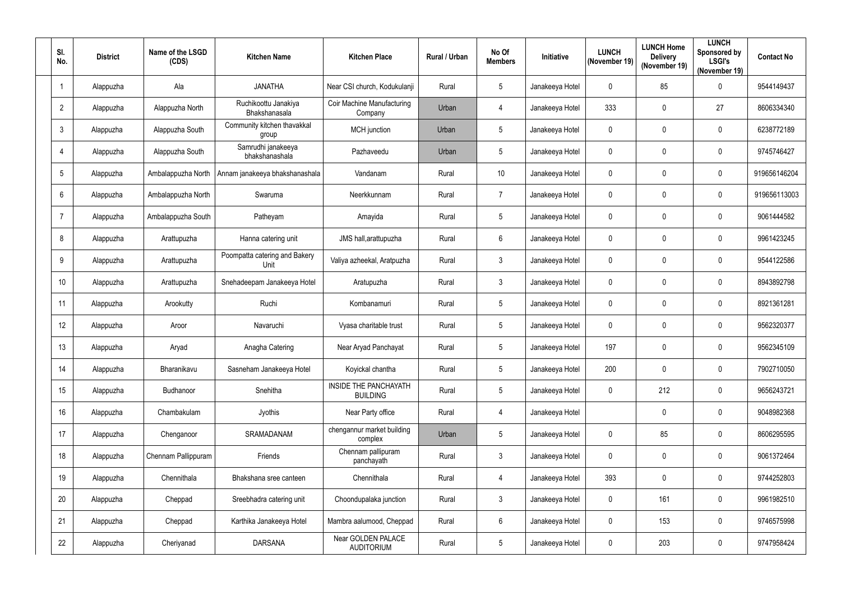| SI.<br>No.     | <b>District</b> | Name of the LSGD<br>(CDS) | <b>Kitchen Name</b>                   | <b>Kitchen Place</b>                     | Rural / Urban | No Of<br><b>Members</b> | <b>Initiative</b> | <b>LUNCH</b><br>(November 19) | <b>LUNCH Home</b><br><b>Delivery</b><br>(November 19) | <b>LUNCH</b><br>Sponsored by<br><b>LSGI's</b><br>(November 19) | <b>Contact No</b> |
|----------------|-----------------|---------------------------|---------------------------------------|------------------------------------------|---------------|-------------------------|-------------------|-------------------------------|-------------------------------------------------------|----------------------------------------------------------------|-------------------|
|                | Alappuzha       | Ala                       | <b>JANATHA</b>                        | Near CSI church, Kodukulanji             | Rural         | $\overline{5}$          | Janakeeya Hotel   | $\mathbf 0$                   | 85                                                    | 0                                                              | 9544149437        |
| $\overline{2}$ | Alappuzha       | Alappuzha North           | Ruchikoottu Janakiya<br>Bhakshanasala | Coir Machine Manufacturing<br>Company    | Urban         | 4                       | Janakeeya Hotel   | 333                           | 0                                                     | 27                                                             | 8606334340        |
| 3              | Alappuzha       | Alappuzha South           | Community kitchen thavakkal<br>group  | MCH junction                             | Urban         | $5\phantom{.0}$         | Janakeeya Hotel   | $\mathbf 0$                   | 0                                                     | 0                                                              | 6238772189        |
|                | Alappuzha       | Alappuzha South           | Samrudhi janakeeya<br>bhakshanashala  | Pazhaveedu                               | Urban         | $5\phantom{.0}$         | Janakeeya Hotel   | $\mathbf 0$                   | 0                                                     | $\mathbf 0$                                                    | 9745746427        |
| 5              | Alappuzha       | Ambalappuzha North        | Annam janakeeya bhakshanashala        | Vandanam                                 | Rural         | 10 <sup>°</sup>         | Janakeeya Hotel   | $\mathbf 0$                   | 0                                                     | 0                                                              | 919656146204      |
| 6              | Alappuzha       | Ambalappuzha North        | Swaruma                               | Neerkkunnam                              | Rural         | $\overline{7}$          | Janakeeya Hotel   | $\mathbf 0$                   | 0                                                     | 0                                                              | 919656113003      |
|                | Alappuzha       | Ambalappuzha South        | Patheyam                              | Amayida                                  | Rural         | $5\phantom{.0}$         | Janakeeya Hotel   | $\mathbf 0$                   | 0                                                     | $\mathbf 0$                                                    | 9061444582        |
| 8              | Alappuzha       | Arattupuzha               | Hanna catering unit                   | JMS hall, arattupuzha                    | Rural         | $6\,$                   | Janakeeya Hotel   | $\mathbf 0$                   | 0                                                     | 0                                                              | 9961423245        |
| 9              | Alappuzha       | Arattupuzha               | Poompatta catering and Bakery<br>Unit | Valiya azheekal, Aratpuzha               | Rural         | $\mathbf{3}$            | Janakeeya Hotel   | $\mathbf 0$                   | 0                                                     | 0                                                              | 9544122586        |
| 10             | Alappuzha       | Arattupuzha               | Snehadeepam Janakeeya Hotel           | Aratupuzha                               | Rural         | $\mathbf{3}$            | Janakeeya Hotel   | $\mathbf 0$                   | 0                                                     | 0                                                              | 8943892798        |
| 11             | Alappuzha       | Arookutty                 | Ruchi                                 | Kombanamuri                              | Rural         | $5\phantom{.0}$         | Janakeeya Hotel   | $\mathbf 0$                   | 0                                                     | $\mathbf 0$                                                    | 8921361281        |
| 12             | Alappuzha       | Aroor                     | Navaruchi                             | Vyasa charitable trust                   | Rural         | $5\phantom{.0}$         | Janakeeya Hotel   | $\mathbf 0$                   | 0                                                     | 0                                                              | 9562320377        |
| 13             | Alappuzha       | Aryad                     | Anagha Catering                       | Near Aryad Panchayat                     | Rural         | 5                       | Janakeeya Hotel   | 197                           | 0                                                     | $\mathbf 0$                                                    | 9562345109        |
| 14             | Alappuzha       | Bharanikavu               | Sasneham Janakeeya Hotel              | Koyickal chantha                         | Rural         | $5\phantom{.0}$         | Janakeeya Hotel   | 200                           | 0                                                     | 0                                                              | 7902710050        |
| 15             | Alappuzha       | Budhanoor                 | Snehitha                              | INSIDE THE PANCHAYATH<br><b>BUILDING</b> | Rural         | $5\overline{)}$         | Janakeeya Hotel   | $\mathbf 0$                   | 212                                                   | 0                                                              | 9656243721        |
| 16             | Alappuzha       | Chambakulam               | Jyothis                               | Near Party office                        | Rural         | $\overline{4}$          | Janakeeya Hotel   |                               | 0                                                     | $\pmb{0}$                                                      | 9048982368        |
| 17             | Alappuzha       | Chenganoor                | SRAMADANAM                            | chengannur market building<br>complex    | Urban         | $\overline{5}$          | Janakeeya Hotel   | $\mathbf 0$                   | 85                                                    | 0                                                              | 8606295595        |
| 18             | Alappuzha       | Chennam Pallippuram       | Friends                               | Chennam pallipuram<br>panchayath         | Rural         | $\mathbf{3}$            | Janakeeya Hotel   | $\mathbf 0$                   | 0                                                     | 0                                                              | 9061372464        |
| 19             | Alappuzha       | Chennithala               | Bhakshana sree canteen                | Chennithala                              | Rural         | $\overline{4}$          | Janakeeya Hotel   | 393                           | 0                                                     | 0                                                              | 9744252803        |
| 20             | Alappuzha       | Cheppad                   | Sreebhadra catering unit              | Choondupalaka junction                   | Rural         | $\mathbf{3}$            | Janakeeya Hotel   | $\mathbf 0$                   | 161                                                   | $\pmb{0}$                                                      | 9961982510        |
| 21             | Alappuzha       | Cheppad                   | Karthika Janakeeya Hotel              | Mambra aalumood, Cheppad                 | Rural         | $6\,$                   | Janakeeya Hotel   | $\mathbf 0$                   | 153                                                   | 0                                                              | 9746575998        |
| 22             | Alappuzha       | Cheriyanad                | <b>DARSANA</b>                        | Near GOLDEN PALACE<br><b>AUDITORIUM</b>  | Rural         | $5\phantom{.0}$         | Janakeeya Hotel   | $\mathbf 0$                   | 203                                                   | 0                                                              | 9747958424        |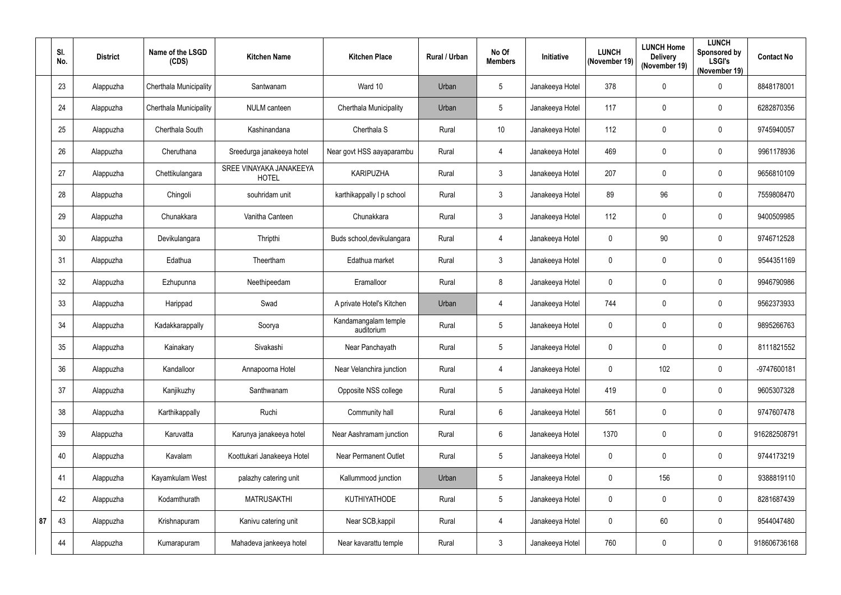|    | SI.<br>No. | <b>District</b> | Name of the LSGD<br>(CDS) | <b>Kitchen Name</b>                     | <b>Kitchen Place</b>               | Rural / Urban | No Of<br><b>Members</b> | <b>Initiative</b> | <b>LUNCH</b><br>(November 19) | <b>LUNCH Home</b><br><b>Delivery</b><br>(November 19) | <b>LUNCH</b><br>Sponsored by<br><b>LSGI's</b><br>(November 19) | <b>Contact No</b> |
|----|------------|-----------------|---------------------------|-----------------------------------------|------------------------------------|---------------|-------------------------|-------------------|-------------------------------|-------------------------------------------------------|----------------------------------------------------------------|-------------------|
|    | 23         | Alappuzha       | Cherthala Municipality    | Santwanam                               | Ward 10                            | Urban         | 5                       | Janakeeya Hotel   | 378                           | $\mathbf 0$                                           | 0                                                              | 8848178001        |
|    | 24         | Alappuzha       | Cherthala Municipality    | <b>NULM</b> canteen                     | <b>Cherthala Municipality</b>      | Urban         | 5                       | Janakeeya Hotel   | 117                           | $\mathbf 0$                                           | $\mathbf 0$                                                    | 6282870356        |
|    | 25         | Alappuzha       | Cherthala South           | Kashinandana                            | Cherthala S                        | Rural         | 10 <sup>°</sup>         | Janakeeya Hotel   | 112                           | $\mathbf 0$                                           | 0                                                              | 9745940057        |
|    | 26         | Alappuzha       | Cheruthana                | Sreedurga janakeeya hotel               | Near govt HSS aayaparambu          | Rural         | $\overline{4}$          | Janakeeya Hotel   | 469                           | $\mathbf 0$                                           | $\mathbf 0$                                                    | 9961178936        |
|    | 27         | Alappuzha       | Chettikulangara           | SREE VINAYAKA JANAKEEYA<br><b>HOTEL</b> | <b>KARIPUZHA</b>                   | Rural         | $\mathbf{3}$            | Janakeeya Hotel   | 207                           | $\mathbf 0$                                           | 0                                                              | 9656810109        |
|    | 28         | Alappuzha       | Chingoli                  | souhridam unit                          | karthikappally I p school          | Rural         | $\mathbf{3}$            | Janakeeya Hotel   | 89                            | 96                                                    | 0                                                              | 7559808470        |
|    | 29         | Alappuzha       | Chunakkara                | Vanitha Canteen                         | Chunakkara                         | Rural         | $\mathbf{3}$            | Janakeeya Hotel   | 112                           | $\mathbf 0$                                           | $\mathbf 0$                                                    | 9400509985        |
|    | 30         | Alappuzha       | Devikulangara             | Thripthi                                | Buds school, devikulangara         | Rural         | $\overline{4}$          | Janakeeya Hotel   | $\mathbf 0$                   | 90                                                    | 0                                                              | 9746712528        |
|    | 31         | Alappuzha       | Edathua                   | Theertham                               | Edathua market                     | Rural         | $\mathbf{3}$            | Janakeeya Hotel   | $\mathbf{0}$                  | $\mathbf 0$                                           | 0                                                              | 9544351169        |
|    | 32         | Alappuzha       | Ezhupunna                 | Neethipeedam                            | Eramalloor                         | Rural         | 8                       | Janakeeya Hotel   | $\mathbf 0$                   | $\mathbf 0$                                           | 0                                                              | 9946790986        |
|    | 33         | Alappuzha       | Harippad                  | Swad                                    | A private Hotel's Kitchen          | Urban         | $\overline{4}$          | Janakeeya Hotel   | 744                           | $\mathbf 0$                                           | $\mathbf 0$                                                    | 9562373933        |
|    | 34         | Alappuzha       | Kadakkarappally           | Soorya                                  | Kandamangalam temple<br>auditorium | Rural         | $5\phantom{.0}$         | Janakeeya Hotel   | $\mathbf 0$                   | $\mathbf 0$                                           | $\mathbf 0$                                                    | 9895266763        |
|    | 35         | Alappuzha       | Kainakary                 | Sivakashi                               | Near Panchayath                    | Rural         | 5                       | Janakeeya Hotel   | $\mathbf 0$                   | $\mathbf 0$                                           | $\mathbf 0$                                                    | 8111821552        |
|    | 36         | Alappuzha       | Kandalloor                | Annapoorna Hotel                        | Near Velanchira junction           | Rural         | $\overline{4}$          | Janakeeya Hotel   | $\mathbf 0$                   | 102                                                   | $\mathbf 0$                                                    | -9747600181       |
|    | 37         | Alappuzha       | Kanjikuzhy                | Santhwanam                              | Opposite NSS college               | Rural         | $5\phantom{.0}$         | Janakeeya Hotel   | 419                           | $\mathbf 0$                                           | 0                                                              | 9605307328        |
|    | 38         | Alappuzha       | Karthikappally            | Ruchi                                   | Community hall                     | Rural         | $6\phantom{.}6$         | Janakeeya Hotel   | 561                           | $\mathbf 0$                                           | $\pmb{0}$                                                      | 9747607478        |
|    | 39         | Alappuzha       | Karuvatta                 | Karunya janakeeya hotel                 | Near Aashramam junction            | Rural         | $6\phantom{.}6$         | Janakeeya Hotel   | 1370                          | $\mathbf 0$                                           | 0                                                              | 916282508791      |
|    | 40         | Alappuzha       | Kavalam                   | Koottukari Janakeeya Hotel              | <b>Near Permanent Outlet</b>       | Rural         | $5\phantom{.0}$         | Janakeeya Hotel   | $\mathbf 0$                   | $\mathbf 0$                                           | 0                                                              | 9744173219        |
|    | 41         | Alappuzha       | Kayamkulam West           | palazhy catering unit                   | Kallummood junction                | Urban         | $\overline{5}$          | Janakeeya Hotel   | $\mathbf 0$                   | 156                                                   | $\pmb{0}$                                                      | 9388819110        |
|    | 42         | Alappuzha       | Kodamthurath              | <b>MATRUSAKTHI</b>                      | <b>KUTHIYATHODE</b>                | Rural         | $5\phantom{.0}$         | Janakeeya Hotel   | $\mathbf 0$                   | 0                                                     | $\pmb{0}$                                                      | 8281687439        |
| 87 | 43         | Alappuzha       | Krishnapuram              | Kanivu catering unit                    | Near SCB, kappil                   | Rural         | $\overline{4}$          | Janakeeya Hotel   | $\mathbf 0$                   | 60                                                    | $\pmb{0}$                                                      | 9544047480        |
|    | 44         | Alappuzha       | Kumarapuram               | Mahadeva jankeeya hotel                 | Near kavarattu temple              | Rural         | $\mathbf{3}$            | Janakeeya Hotel   | 760                           | $\boldsymbol{0}$                                      | $\pmb{0}$                                                      | 918606736168      |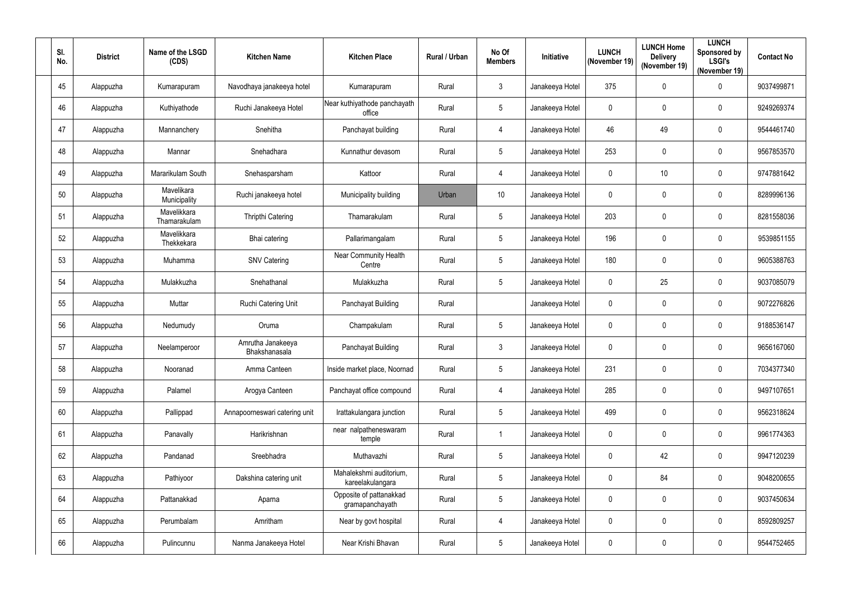| SI.<br>No. | <b>District</b> | Name of the LSGD<br>(CDS)   | <b>Kitchen Name</b>                | <b>Kitchen Place</b>                        | <b>Rural / Urban</b> | No Of<br><b>Members</b> | Initiative      | <b>LUNCH</b><br>(November 19) | <b>LUNCH Home</b><br><b>Delivery</b><br>(November 19) | <b>LUNCH</b><br>Sponsored by<br><b>LSGI's</b><br>(November 19) | <b>Contact No</b> |
|------------|-----------------|-----------------------------|------------------------------------|---------------------------------------------|----------------------|-------------------------|-----------------|-------------------------------|-------------------------------------------------------|----------------------------------------------------------------|-------------------|
| 45         | Alappuzha       | Kumarapuram                 | Navodhaya janakeeya hotel          | Kumarapuram                                 | Rural                | $\mathfrak{Z}$          | Janakeeya Hotel | 375                           | 0                                                     | 0                                                              | 9037499871        |
| 46         | Alappuzha       | Kuthiyathode                | Ruchi Janakeeya Hotel              | Near kuthiyathode panchayath<br>office      | Rural                | 5                       | Janakeeya Hotel | $\mathbf{0}$                  | 0                                                     | 0                                                              | 9249269374        |
| 47         | Alappuzha       | Mannanchery                 | Snehitha                           | Panchayat building                          | Rural                | $\overline{4}$          | Janakeeya Hotel | 46                            | 49                                                    | 0                                                              | 9544461740        |
| 48         | Alappuzha       | Mannar                      | Snehadhara                         | Kunnathur devasom                           | Rural                | 5                       | Janakeeya Hotel | 253                           | 0                                                     | $\mathbf 0$                                                    | 9567853570        |
| 49         | Alappuzha       | Mararikulam South           | Snehasparsham                      | Kattoor                                     | Rural                | 4                       | Janakeeya Hotel | $\mathbf{0}$                  | 10 <sup>°</sup>                                       | 0                                                              | 9747881642        |
| 50         | Alappuzha       | Mavelikara<br>Municipality  | Ruchi janakeeya hotel              | Municipality building                       | Urban                | 10 <sup>°</sup>         | Janakeeya Hotel | $\mathbf{0}$                  | 0                                                     | $\mathbf 0$                                                    | 8289996136        |
| 51         | Alappuzha       | Mavelikkara<br>Thamarakulam | <b>Thripthi Catering</b>           | Thamarakulam                                | Rural                | $5\phantom{.0}$         | Janakeeya Hotel | 203                           | 0                                                     | $\mathbf 0$                                                    | 8281558036        |
| 52         | Alappuzha       | Mavelikkara<br>Thekkekara   | Bhai catering                      | Pallarimangalam                             | Rural                | $\sqrt{5}$              | Janakeeya Hotel | 196                           | 0                                                     | 0                                                              | 9539851155        |
| 53         | Alappuzha       | Muhamma                     | <b>SNV Catering</b>                | Near Community Health<br>Centre             | Rural                | $5\phantom{.0}$         | Janakeeya Hotel | 180                           | 0                                                     | $\boldsymbol{0}$                                               | 9605388763        |
| 54         | Alappuzha       | Mulakkuzha                  | Snehathanal                        | Mulakkuzha                                  | Rural                | $5\phantom{.0}$         | Janakeeya Hotel | $\mathbf{0}$                  | 25                                                    | 0                                                              | 9037085079        |
| 55         | Alappuzha       | Muttar                      | Ruchi Catering Unit                | Panchayat Building                          | Rural                |                         | Janakeeya Hotel | $\mathbf{0}$                  | 0                                                     | $\mathbf 0$                                                    | 9072276826        |
| 56         | Alappuzha       | Nedumudy                    | Oruma                              | Champakulam                                 | Rural                | $\overline{5}$          | Janakeeya Hotel | $\mathbf{0}$                  | 0                                                     | $\mathbf 0$                                                    | 9188536147        |
| 57         | Alappuzha       | Neelamperoor                | Amrutha Janakeeya<br>Bhakshanasala | Panchayat Building                          | Rural                | $\mathbf{3}$            | Janakeeya Hotel | $\mathbf 0$                   | 0                                                     | $\mathbf 0$                                                    | 9656167060        |
| 58         | Alappuzha       | Nooranad                    | Amma Canteen                       | Inside market place, Noornad                | Rural                | $\sqrt{5}$              | Janakeeya Hotel | 231                           | 0                                                     | 0                                                              | 7034377340        |
| 59         | Alappuzha       | Palamel                     | Arogya Canteen                     | Panchayat office compound                   | Rural                | 4                       | Janakeeya Hotel | 285                           | 0                                                     | 0                                                              | 9497107651        |
| $60\,$     | Alappuzha       | Pallippad                   | Annapoorneswari catering unit      | Irattakulangara junction                    | Rural                | $\overline{5}$          | Janakeeya Hotel | 499                           | 0                                                     | $\pmb{0}$                                                      | 9562318624        |
| 61         | Alappuzha       | Panavally                   | Harikrishnan                       | near nalpatheneswaram<br>temple             | Rural                |                         | Janakeeya Hotel | $\mathbf{0}$                  | 0                                                     | 0                                                              | 9961774363        |
| 62         | Alappuzha       | Pandanad                    | Sreebhadra                         | Muthavazhi                                  | Rural                | $\overline{5}$          | Janakeeya Hotel | $\mathbf 0$                   | 42                                                    | 0                                                              | 9947120239        |
| 63         | Alappuzha       | Pathiyoor                   | Dakshina catering unit             | Mahalekshmi auditorium,<br>kareelakulangara | Rural                | $\overline{5}$          | Janakeeya Hotel | $\mathbf 0$                   | 84                                                    | 0                                                              | 9048200655        |
| 64         | Alappuzha       | Pattanakkad                 | Aparna                             | Opposite of pattanakkad<br>gramapanchayath  | Rural                | $\sqrt{5}$              | Janakeeya Hotel | $\mathbf 0$                   | 0                                                     | $\pmb{0}$                                                      | 9037450634        |
| 65         | Alappuzha       | Perumbalam                  | Amritham                           | Near by govt hospital                       | Rural                | $\overline{4}$          | Janakeeya Hotel | $\mathbf 0$                   | 0                                                     | 0                                                              | 8592809257        |
| 66         | Alappuzha       | Pulincunnu                  | Nanma Janakeeya Hotel              | Near Krishi Bhavan                          | Rural                | $\sqrt{5}$              | Janakeeya Hotel | $\mathbf 0$                   | 0                                                     | 0                                                              | 9544752465        |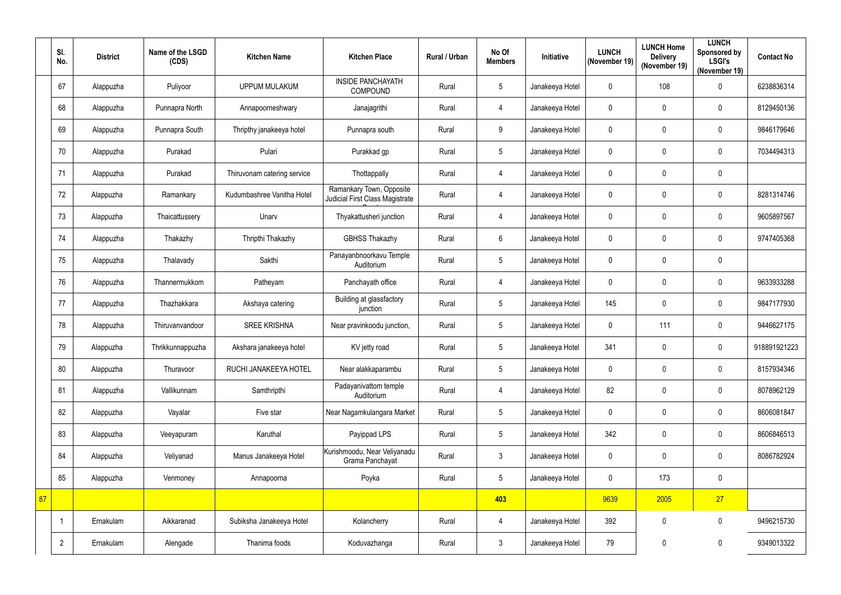|    | SI.<br>No.     | <b>District</b> | Name of the LSGD<br>(CDS) | <b>Kitchen Name</b>         | <b>Kitchen Place</b>                                        | Rural / Urban | No Of<br><b>Members</b> | Initiative      | <b>LUNCH</b><br>(November 19) | <b>LUNCH Home</b><br><b>Delivery</b><br>(November 19) | <b>LUNCH</b><br>Sponsored by<br><b>LSGI's</b><br>(November 19) | <b>Contact No</b> |
|----|----------------|-----------------|---------------------------|-----------------------------|-------------------------------------------------------------|---------------|-------------------------|-----------------|-------------------------------|-------------------------------------------------------|----------------------------------------------------------------|-------------------|
|    | 67             | Alappuzha       | Puliyoor                  | <b>UPPUM MULAKUM</b>        | <b>INSIDE PANCHAYATH</b><br><b>COMPOUND</b>                 | Rural         | $\overline{5}$          | Janakeeya Hotel | $\mathbf 0$                   | 108                                                   | 0                                                              | 6238836314        |
|    | 68             | Alappuzha       | Punnapra North            | Annapoorneshwary            | Janajagrithi                                                | Rural         | 4                       | Janakeeya Hotel | $\mathbf 0$                   | $\mathbf 0$                                           | $\mathbf 0$                                                    | 8129450136        |
|    | 69             | Alappuzha       | Punnapra South            | Thripthy janakeeya hotel    | Punnapra south                                              | Rural         | 9                       | Janakeeya Hotel | $\mathbf 0$                   | 0                                                     | $\mathbf 0$                                                    | 9846179646        |
|    | 70             | Alappuzha       | Purakad                   | Pulari                      | Purakkad gp                                                 | Rural         | $5\phantom{.0}$         | Janakeeya Hotel | $\mathbf 0$                   | 0                                                     | 0                                                              | 7034494313        |
|    | 71             | Alappuzha       | Purakad                   | Thiruvonam catering service | Thottappally                                                | Rural         | 4                       | Janakeeya Hotel | $\mathbf 0$                   | 0                                                     | $\mathbf 0$                                                    |                   |
|    | 72             | Alappuzha       | Ramankary                 | Kudumbashree Vanitha Hotel  | Ramankary Town, Opposite<br>Judicial First Class Magistrate | Rural         | 4                       | Janakeeya Hotel | $\pmb{0}$                     | $\pmb{0}$                                             | 0                                                              | 8281314746        |
|    | 73             | Alappuzha       | Thaicattussery            | Unarv                       | Thyakattusheri junction                                     | Rural         | 4                       | Janakeeya Hotel | $\mathbf 0$                   | 0                                                     | $\mathbf 0$                                                    | 9605897567        |
|    | 74             | Alappuzha       | Thakazhy                  | Thripthi Thakazhy           | <b>GBHSS Thakazhy</b>                                       | Rural         | $6\phantom{.}6$         | Janakeeya Hotel | $\mathbf 0$                   | $\pmb{0}$                                             | $\pmb{0}$                                                      | 9747405368        |
|    | 75             | Alappuzha       | Thalavady                 | Sakthi                      | Panayanbnoorkavu Temple<br>Auditorium                       | Rural         | $5\phantom{.0}$         | Janakeeya Hotel | $\mathbf 0$                   | 0                                                     | 0                                                              |                   |
|    | 76             | Alappuzha       | Thannermukkom             | Patheyam                    | Panchayath office                                           | Rural         | $\overline{4}$          | Janakeeya Hotel | $\mathbf 0$                   | 0                                                     | 0                                                              | 9633933288        |
|    | 77             | Alappuzha       | Thazhakkara               | Akshaya catering            | Building at glassfactory<br>junction                        | Rural         | $5\phantom{.0}$         | Janakeeya Hotel | 145                           | 0                                                     | $\mathbf 0$                                                    | 9847177930        |
|    | 78             | Alappuzha       | Thiruvanvandoor           | <b>SREE KRISHNA</b>         | Near pravinkoodu junction,                                  | Rural         | $\overline{5}$          | Janakeeya Hotel | $\mathbf 0$                   | 111                                                   | 0                                                              | 9446627175        |
|    | 79             | Alappuzha       | Thrikkunnappuzha          | Akshara janakeeya hotel     | KV jetty road                                               | Rural         | 5                       | Janakeeya Hotel | 341                           | 0                                                     | $\mathbf 0$                                                    | 918891921223      |
|    | 80             | Alappuzha       | Thuravoor                 | RUCHI JANAKEEYA HOTEL       | Near alakkaparambu                                          | Rural         | $5\overline{)}$         | Janakeeya Hotel | $\mathbf 0$                   | $\pmb{0}$                                             | 0                                                              | 8157934346        |
|    | 81             | Alappuzha       | Vallikunnam               | Samthripthi                 | Padayanivattom temple<br>Auditorium                         | Rural         | 4                       | Janakeeya Hotel | 82                            | $\pmb{0}$                                             | $\pmb{0}$                                                      | 8078962129        |
|    | 82             | Alappuzha       | Vayalar                   | Five star                   | Near Nagamkulangara Market                                  | Rural         | $5\phantom{.0}$         | Janakeeya Hotel | $\pmb{0}$                     | $\pmb{0}$                                             | $\pmb{0}$                                                      | 8606081847        |
|    | 83             | Alappuzha       | Veeyapuram                | Karuthal                    | Payippad LPS                                                | Rural         | $5\phantom{.0}$         | Janakeeya Hotel | 342                           | $\pmb{0}$                                             | $\mathbf 0$                                                    | 8606846513        |
|    | 84             | Alappuzha       | Veliyanad                 | Manus Janakeeya Hotel       | Kurishmoodu, Near Veliyanadu<br>Grama Panchayat             | Rural         | $\mathbf{3}$            | Janakeeya Hotel | $\mathbf 0$                   | $\mathbf 0$                                           | 0                                                              | 8086782924        |
|    | 85             | Alappuzha       | Venmoney                  | Annapoorna                  | Poyka                                                       | Rural         | $5\phantom{.0}$         | Janakeeya Hotel | $\mathbf 0$                   | 173                                                   | $\pmb{0}$                                                      |                   |
| 87 |                |                 |                           |                             |                                                             |               | 403                     |                 | 9639                          | 2005                                                  | 27                                                             |                   |
|    | 1              | Ernakulam       | Aikkaranad                | Subiksha Janakeeya Hotel    | Kolancherry                                                 | Rural         | 4                       | Janakeeya Hotel | 392                           | $\pmb{0}$                                             | $\pmb{0}$                                                      | 9496215730        |
|    | $\overline{2}$ | Ernakulam       | Alengade                  | Thanima foods               | Koduvazhanga                                                | Rural         | $\mathbf{3}$            | Janakeeya Hotel | 79                            | $\pmb{0}$                                             | $\pmb{0}$                                                      | 9349013322        |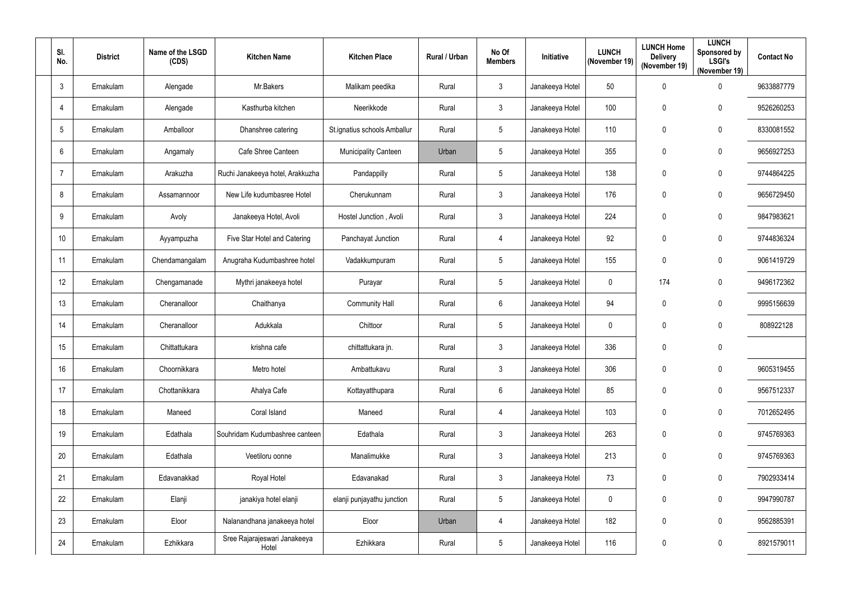| SI.<br>No.       | <b>District</b> | Name of the LSGD<br>(CDS) | <b>Kitchen Name</b>                   | <b>Kitchen Place</b>         | Rural / Urban | No Of<br><b>Members</b> | Initiative      | <b>LUNCH</b><br>(November 19) | <b>LUNCH Home</b><br><b>Delivery</b><br>(November 19) | <b>LUNCH</b><br>Sponsored by<br><b>LSGI's</b><br>(November 19) | <b>Contact No</b> |
|------------------|-----------------|---------------------------|---------------------------------------|------------------------------|---------------|-------------------------|-----------------|-------------------------------|-------------------------------------------------------|----------------------------------------------------------------|-------------------|
| $\mathbf{3}$     | Ernakulam       | Alengade                  | Mr.Bakers                             | Malikam peedika              | Rural         | $\mathfrak{Z}$          | Janakeeya Hotel | 50                            | 0                                                     | $\mathbf 0$                                                    | 9633887779        |
| $\overline{4}$   | Ernakulam       | Alengade                  | Kasthurba kitchen                     | Neerikkode                   | Rural         | $\mathfrak{Z}$          | Janakeeya Hotel | 100                           | 0                                                     | $\pmb{0}$                                                      | 9526260253        |
| 5                | Ernakulam       | Amballoor                 | Dhanshree catering                    | St.ignatius schools Amballur | Rural         | 5                       | Janakeeya Hotel | 110                           | 0                                                     | $\mathbf 0$                                                    | 8330081552        |
| $6\phantom{1}$   | Ernakulam       | Angamaly                  | Cafe Shree Canteen                    | <b>Municipality Canteen</b>  | Urban         | 5                       | Janakeeya Hotel | 355                           | 0                                                     | $\mathbf 0$                                                    | 9656927253        |
| $\overline{7}$   | Ernakulam       | Arakuzha                  | Ruchi Janakeeya hotel, Arakkuzha      | Pandappilly                  | Rural         | 5                       | Janakeeya Hotel | 138                           | 0                                                     | $\mathbf 0$                                                    | 9744864225        |
| 8                | Ernakulam       | Assamannoor               | New Life kudumbasree Hotel            | Cherukunnam                  | Rural         | $\mathfrak{Z}$          | Janakeeya Hotel | 176                           | 0                                                     | $\bm{0}$                                                       | 9656729450        |
| 9                | Ernakulam       | Avoly                     | Janakeeya Hotel, Avoli                | Hostel Junction, Avoli       | Rural         | $\mathfrak{Z}$          | Janakeeya Hotel | 224                           | 0                                                     | $\mathbf 0$                                                    | 9847983621        |
| 10 <sup>°</sup>  | Ernakulam       | Ayyampuzha                | Five Star Hotel and Catering          | Panchayat Junction           | Rural         | $\overline{4}$          | Janakeeya Hotel | 92                            | 0                                                     | $\pmb{0}$                                                      | 9744836324        |
| 11               | Ernakulam       | Chendamangalam            | Anugraha Kudumbashree hotel           | Vadakkumpuram                | Rural         | $5\phantom{.0}$         | Janakeeya Hotel | 155                           | 0                                                     | $\pmb{0}$                                                      | 9061419729        |
| 12               | Ernakulam       | Chengamanade              | Mythri janakeeya hotel                | Purayar                      | Rural         | 5                       | Janakeeya Hotel | $\mathbf 0$                   | 174                                                   | $\mathbf 0$                                                    | 9496172362        |
| 13               | Ernakulam       | Cheranalloor              | Chaithanya                            | <b>Community Hall</b>        | Rural         | $6\phantom{.}$          | Janakeeya Hotel | 94                            | 0                                                     | $\mathbf 0$                                                    | 9995156639        |
| 14               | Ernakulam       | Cheranalloor              | Adukkala                              | Chittoor                     | Rural         | $\overline{5}$          | Janakeeya Hotel | $\mathbf 0$                   | 0                                                     | $\mathbf 0$                                                    | 808922128         |
| 15 <sub>15</sub> | Ernakulam       | Chittattukara             | krishna cafe                          | chittattukara jn.            | Rural         | $\mathfrak{Z}$          | Janakeeya Hotel | 336                           | 0                                                     | $\boldsymbol{0}$                                               |                   |
| 16               | Ernakulam       | Choornikkara              | Metro hotel                           | Ambattukavu                  | Rural         | $\mathfrak{Z}$          | Janakeeya Hotel | 306                           | 0                                                     | $\pmb{0}$                                                      | 9605319455        |
| 17               | Ernakulam       | Chottanikkara             | Ahalya Cafe                           | Kottayatthupara              | Rural         | $6\overline{6}$         | Janakeeya Hotel | 85                            | 0                                                     | $\bm{0}$                                                       | 9567512337        |
| 18               | Ernakulam       | Maneed                    | Coral Island                          | Maneed                       | Rural         | $\overline{4}$          | Janakeeya Hotel | 103                           | $\pmb{0}$                                             | $\pmb{0}$                                                      | 7012652495        |
| 19               | Ernakulam       | Edathala                  | Souhridam Kudumbashree canteen        | Edathala                     | Rural         | $\mathfrak{Z}$          | Janakeeya Hotel | 263                           | $\mathbf 0$                                           | $\pmb{0}$                                                      | 9745769363        |
| 20               | Ernakulam       | Edathala                  | Veetiloru oonne                       | Manalimukke                  | Rural         | $\mathfrak{Z}$          | Janakeeya Hotel | 213                           | 0                                                     | $\mathbf 0$                                                    | 9745769363        |
| 21               | Ernakulam       | Edavanakkad               | Royal Hotel                           | Edavanakad                   | Rural         | 3 <sup>1</sup>          | Janakeeya Hotel | 73                            | $\mathbf 0$                                           | $\mathbf 0$                                                    | 7902933414        |
| 22               | Ernakulam       | Elanji                    | janakiya hotel elanji                 | elanji punjayathu junction   | Rural         | $\overline{5}$          | Janakeeya Hotel | $\overline{0}$                | 0                                                     | $\overline{0}$                                                 | 9947990787        |
| 23               | Ernakulam       | Eloor                     | Nalanandhana janakeeya hotel          | Eloor                        | Urban         | $\overline{4}$          | Janakeeya Hotel | 182                           | 0                                                     | $\pmb{0}$                                                      | 9562885391        |
| 24               | Ernakulam       | Ezhikkara                 | Sree Rajarajeswari Janakeeya<br>Hotel | Ezhikkara                    | Rural         | $\sqrt{5}$              | Janakeeya Hotel | 116                           | $\pmb{0}$                                             | $\bm{0}$                                                       | 8921579011        |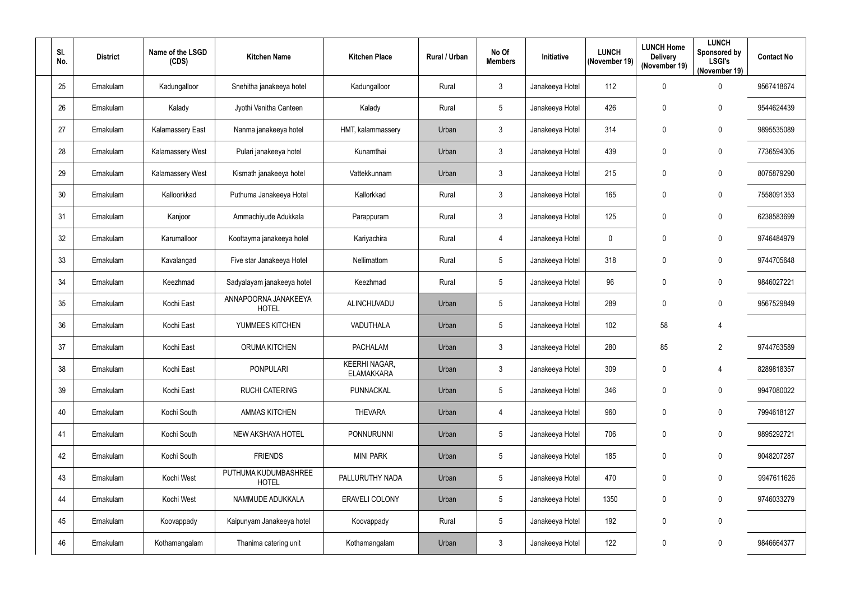| SI.<br>No. | <b>District</b> | Name of the LSGD<br>(CDS) | <b>Kitchen Name</b>                  | <b>Kitchen Place</b>                      | Rural / Urban | No Of<br><b>Members</b> | Initiative      | <b>LUNCH</b><br>(November 19) | <b>LUNCH Home</b><br><b>Delivery</b><br>(November 19) | <b>LUNCH</b><br>Sponsored by<br><b>LSGI's</b><br>(November 19) | <b>Contact No</b> |
|------------|-----------------|---------------------------|--------------------------------------|-------------------------------------------|---------------|-------------------------|-----------------|-------------------------------|-------------------------------------------------------|----------------------------------------------------------------|-------------------|
| 25         | Ernakulam       | Kadungalloor              | Snehitha janakeeya hotel             | Kadungalloor                              | Rural         | $\mathfrak{Z}$          | Janakeeya Hotel | 112                           | 0                                                     | $\mathbf 0$                                                    | 9567418674        |
| 26         | Ernakulam       | Kalady                    | Jyothi Vanitha Canteen               | Kalady                                    | Rural         | $5\phantom{.0}$         | Janakeeya Hotel | 426                           | 0                                                     | $\mathbf 0$                                                    | 9544624439        |
| 27         | Ernakulam       | <b>Kalamassery East</b>   | Nanma janakeeya hotel                | HMT, kalammassery                         | Urban         | $\mathfrak{Z}$          | Janakeeya Hotel | 314                           | 0                                                     | $\mathbf 0$                                                    | 9895535089        |
| 28         | Ernakulam       | <b>Kalamassery West</b>   | Pulari janakeeya hotel               | Kunamthai                                 | Urban         | $\mathfrak{Z}$          | Janakeeya Hotel | 439                           | 0                                                     | $\mathbf 0$                                                    | 7736594305        |
| 29         | Ernakulam       | <b>Kalamassery West</b>   | Kismath janakeeya hotel              | Vattekkunnam                              | Urban         | $\mathfrak{Z}$          | Janakeeya Hotel | 215                           | 0                                                     | $\overline{0}$                                                 | 8075879290        |
| 30         | Ernakulam       | Kalloorkkad               | Puthuma Janakeeya Hotel              | Kallorkkad                                | Rural         | $\mathfrak{Z}$          | Janakeeya Hotel | 165                           | 0                                                     | $\mathbf 0$                                                    | 7558091353        |
| 31         | Ernakulam       | Kanjoor                   | Ammachiyude Adukkala                 | Parappuram                                | Rural         | $\mathfrak{Z}$          | Janakeeya Hotel | 125                           | 0                                                     | $\mathbf 0$                                                    | 6238583699        |
| 32         | Ernakulam       | Karumalloor               | Koottayma janakeeya hotel            | Kariyachira                               | Rural         | 4                       | Janakeeya Hotel | $\overline{0}$                | 0                                                     | $\pmb{0}$                                                      | 9746484979        |
| 33         | Ernakulam       | Kavalangad                | Five star Janakeeya Hotel            | Nellimattom                               | Rural         | 5                       | Janakeeya Hotel | 318                           | 0                                                     | $\pmb{0}$                                                      | 9744705648        |
| 34         | Ernakulam       | Keezhmad                  | Sadyalayam janakeeya hotel           | Keezhmad                                  | Rural         | $5\phantom{.0}$         | Janakeeya Hotel | 96                            | 0                                                     | $\bm{0}$                                                       | 9846027221        |
| 35         | Ernakulam       | Kochi East                | ANNAPOORNA JANAKEEYA<br><b>HOTEL</b> | ALINCHUVADU                               | Urban         | $5\phantom{.0}$         | Janakeeya Hotel | 289                           | 0                                                     | $\mathbf 0$                                                    | 9567529849        |
| 36         | Ernakulam       | Kochi East                | YUMMEES KITCHEN                      | VADUTHALA                                 | Urban         | 5                       | Janakeeya Hotel | 102                           | 58                                                    | 4                                                              |                   |
| 37         | Ernakulam       | Kochi East                | <b>ORUMA KITCHEN</b>                 | <b>PACHALAM</b>                           | Urban         | $\mathfrak{Z}$          | Janakeeya Hotel | 280                           | 85                                                    | 2                                                              | 9744763589        |
| 38         | Ernakulam       | Kochi East                | <b>PONPULARI</b>                     | <b>KEERHI NAGAR,</b><br><b>ELAMAKKARA</b> | Urban         | $\mathfrak{Z}$          | Janakeeya Hotel | 309                           | 0                                                     | 4                                                              | 8289818357        |
| 39         | Ernakulam       | Kochi East                | <b>RUCHI CATERING</b>                | PUNNACKAL                                 | Urban         | $\sqrt{5}$              | Janakeeya Hotel | 346                           | 0                                                     | $\overline{0}$                                                 | 9947080022        |
| 40         | Ernakulam       | Kochi South               | <b>AMMAS KITCHEN</b>                 | <b>THEVARA</b>                            | Urban         | 4                       | Janakeeya Hotel | 960                           | 0                                                     | $\boldsymbol{0}$                                               | 7994618127        |
| 41         | Ernakulam       | Kochi South               | NEW AKSHAYA HOTEL                    | PONNURUNNI                                | Urban         | $\overline{5}$          | Janakeeya Hotel | 706                           | 0                                                     | $\pmb{0}$                                                      | 9895292721        |
| 42         | Ernakulam       | Kochi South               | <b>FRIENDS</b>                       | <b>MINI PARK</b>                          | Urban         | $\overline{5}$          | Janakeeya Hotel | 185                           | 0                                                     | $\bm{0}$                                                       | 9048207287        |
| 43         | Ernakulam       | Kochi West                | PUTHUMA KUDUMBASHREE<br><b>HOTEL</b> | PALLURUTHY NADA                           | Urban         | $\overline{5}$          | Janakeeya Hotel | 470                           | $\mathbf 0$                                           | $\mathbf 0$                                                    | 9947611626        |
| 44         | Ernakulam       | Kochi West                | NAMMUDE ADUKKALA                     | ERAVELI COLONY                            | Urban         | $\sqrt{5}$              | Janakeeya Hotel | 1350                          | $\mathbf 0$                                           | $\overline{0}$                                                 | 9746033279        |
| 45         | Ernakulam       | Koovappady                | Kaipunyam Janakeeya hotel            | Koovappady                                | Rural         | $\overline{5}$          | Janakeeya Hotel | 192                           | 0                                                     | $\mathbf 0$                                                    |                   |
| 46         | Ernakulam       | Kothamangalam             | Thanima catering unit                | Kothamangalam                             | Urban         | $\mathfrak{Z}$          | Janakeeya Hotel | 122                           | 0                                                     | $\mathbf 0$                                                    | 9846664377        |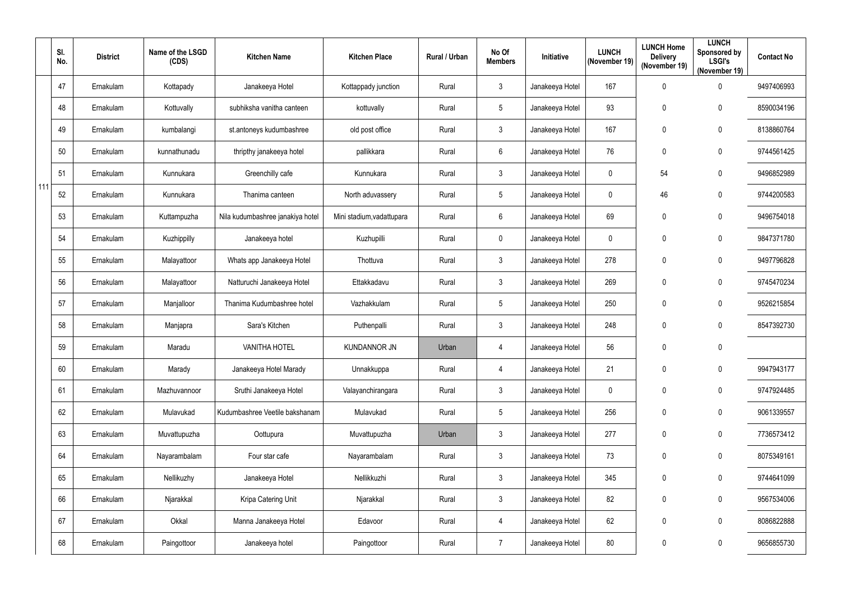|     | SI.<br>No. | <b>District</b> | Name of the LSGD<br>(CDS) | <b>Kitchen Name</b>              | <b>Kitchen Place</b>      | Rural / Urban | No Of<br><b>Members</b> | Initiative      | <b>LUNCH</b><br>(November 19) | <b>LUNCH Home</b><br><b>Delivery</b><br>(November 19) | <b>LUNCH</b><br>Sponsored by<br><b>LSGI's</b><br>(November 19) | <b>Contact No</b> |
|-----|------------|-----------------|---------------------------|----------------------------------|---------------------------|---------------|-------------------------|-----------------|-------------------------------|-------------------------------------------------------|----------------------------------------------------------------|-------------------|
|     | 47         | Ernakulam       | Kottapady                 | Janakeeya Hotel                  | Kottappady junction       | Rural         | $\mathfrak{Z}$          | Janakeeya Hotel | 167                           | 0                                                     | $\boldsymbol{0}$                                               | 9497406993        |
|     | 48         | Ernakulam       | Kottuvally                | subhiksha vanitha canteen        | kottuvally                | Rural         | 5                       | Janakeeya Hotel | 93                            | 0                                                     | $\boldsymbol{0}$                                               | 8590034196        |
|     | 49         | Ernakulam       | kumbalangi                | st.antoneys kudumbashree         | old post office           | Rural         | $\mathfrak{Z}$          | Janakeeya Hotel | 167                           | 0                                                     | $\boldsymbol{0}$                                               | 8138860764        |
|     | 50         | Ernakulam       | kunnathunadu              | thripthy janakeeya hotel         | pallikkara                | Rural         | $6\phantom{.}$          | Janakeeya Hotel | 76                            | 0                                                     | $\boldsymbol{0}$                                               | 9744561425        |
|     | 51         | Ernakulam       | Kunnukara                 | Greenchilly cafe                 | Kunnukara                 | Rural         | $\mathfrak{Z}$          | Janakeeya Hotel | $\mathbf 0$                   | 54                                                    | $\mathbf 0$                                                    | 9496852989        |
| 111 | 52         | Ernakulam       | Kunnukara                 | Thanima canteen                  | North aduvassery          | Rural         | $\sqrt{5}$              | Janakeeya Hotel | $\mathbf 0$                   | 46                                                    | $\boldsymbol{0}$                                               | 9744200583        |
|     | 53         | Ernakulam       | Kuttampuzha               | Nila kudumbashree janakiya hotel | Mini stadium, vadattupara | Rural         | $6\phantom{.}$          | Janakeeya Hotel | 69                            | 0                                                     | $\mathbf 0$                                                    | 9496754018        |
|     | 54         | Ernakulam       | Kuzhippilly               | Janakeeya hotel                  | Kuzhupilli                | Rural         | $\mathbf 0$             | Janakeeya Hotel | $\overline{0}$                | 0                                                     | $\boldsymbol{0}$                                               | 9847371780        |
|     | 55         | Ernakulam       | Malayattoor               | Whats app Janakeeya Hotel        | Thottuva                  | Rural         | $\mathfrak{Z}$          | Janakeeya Hotel | 278                           | 0                                                     | $\mathbf 0$                                                    | 9497796828        |
|     | 56         | Ernakulam       | Malayattoor               | Natturuchi Janakeeya Hotel       | Ettakkadavu               | Rural         | $\mathfrak{Z}$          | Janakeeya Hotel | 269                           | 0                                                     | $\mathbf 0$                                                    | 9745470234        |
|     | 57         | Ernakulam       | Manjalloor                | Thanima Kudumbashree hotel       | Vazhakkulam               | Rural         | $\sqrt{5}$              | Janakeeya Hotel | 250                           | 0                                                     | $\boldsymbol{0}$                                               | 9526215854        |
|     | 58         | Ernakulam       | Manjapra                  | Sara's Kitchen                   | Puthenpalli               | Rural         | $\mathfrak{Z}$          | Janakeeya Hotel | 248                           | 0                                                     | $\mathbf 0$                                                    | 8547392730        |
|     | 59         | Ernakulam       | Maradu                    | <b>VANITHA HOTEL</b>             | <b>KUNDANNOR JN</b>       | Urban         | 4                       | Janakeeya Hotel | 56                            | 0                                                     | 0                                                              |                   |
|     | 60         | Ernakulam       | Marady                    | Janakeeya Hotel Marady           | Unnakkuppa                | Rural         | $\overline{4}$          | Janakeeya Hotel | 21                            | 0                                                     | $\mathbf 0$                                                    | 9947943177        |
|     | 61         | Ernakulam       | Mazhuvannoor              | Sruthi Janakeeya Hotel           | Valayanchirangara         | Rural         | $\mathfrak{Z}$          | Janakeeya Hotel | $\overline{0}$                | 0                                                     | $\bm{0}$                                                       | 9747924485        |
|     | 62         | Ernakulam       | Mulavukad                 | Kudumbashree Veetile bakshanam   | Mulavukad                 | Rural         | $\sqrt{5}$              | Janakeeya Hotel | 256                           | 0                                                     | $\boldsymbol{0}$                                               | 9061339557        |
|     | 63         | Ernakulam       | Muvattupuzha              | Oottupura                        | Muvattupuzha              | Urban         | $\mathfrak{Z}$          | Janakeeya Hotel | 277                           | 0                                                     | $\boldsymbol{0}$                                               | 7736573412        |
|     | 64         | Ernakulam       | Nayarambalam              | Four star cafe                   | Nayarambalam              | Rural         | $\mathfrak{Z}$          | Janakeeya Hotel | 73                            | 0                                                     | $\mathbf 0$                                                    | 8075349161        |
|     | 65         | Ernakulam       | Nellikuzhy                | Janakeeya Hotel                  | Nellikkuzhi               | Rural         | $\mathfrak{Z}$          | Janakeeya Hotel | 345                           | 0                                                     | $\boldsymbol{0}$                                               | 9744641099        |
|     | 66         | Ernakulam       | Njarakkal                 | Kripa Catering Unit              | Njarakkal                 | Rural         | $\mathfrak{Z}$          | Janakeeya Hotel | 82                            | 0                                                     | $\boldsymbol{0}$                                               | 9567534006        |
|     | 67         | Ernakulam       | Okkal                     | Manna Janakeeya Hotel            | Edavoor                   | Rural         | $\overline{4}$          | Janakeeya Hotel | 62                            | 0                                                     | $\boldsymbol{0}$                                               | 8086822888        |
|     | 68         | Ernakulam       | Paingottoor               | Janakeeya hotel                  | Paingottoor               | Rural         | $\overline{7}$          | Janakeeya Hotel | 80                            | 0                                                     | $\bm{0}$                                                       | 9656855730        |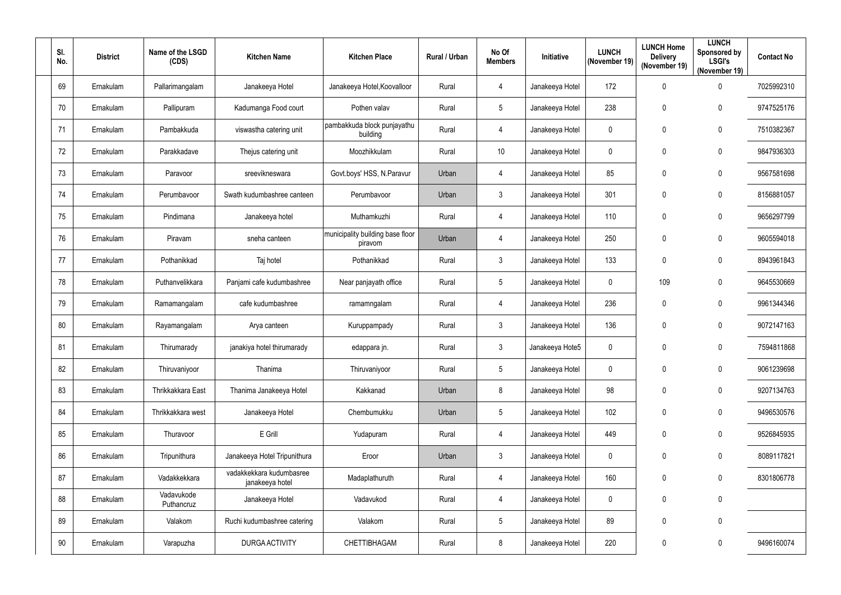| SI.<br>No. | <b>District</b> | Name of the LSGD<br>(CDS) | <b>Kitchen Name</b>                         | <b>Kitchen Place</b>                        | Rural / Urban | No Of<br><b>Members</b> | Initiative      | <b>LUNCH</b><br>(November 19) | <b>LUNCH Home</b><br><b>Delivery</b><br>(November 19) | <b>LUNCH</b><br><b>Sponsored by</b><br><b>LSGI's</b><br>(November 19) | <b>Contact No</b> |
|------------|-----------------|---------------------------|---------------------------------------------|---------------------------------------------|---------------|-------------------------|-----------------|-------------------------------|-------------------------------------------------------|-----------------------------------------------------------------------|-------------------|
| 69         | Ernakulam       | Pallarimangalam           | Janakeeya Hotel                             | Janakeeya Hotel, Koovalloor                 | Rural         | 4                       | Janakeeya Hotel | 172                           | 0                                                     | $\mathbf 0$                                                           | 7025992310        |
| 70         | Ernakulam       | Pallipuram                | Kadumanga Food court                        | Pothen valav                                | Rural         | $5\phantom{.0}$         | Janakeeya Hotel | 238                           | 0                                                     | $\pmb{0}$                                                             | 9747525176        |
| 71         | Ernakulam       | Pambakkuda                | viswastha catering unit                     | pambakkuda block punjayathu<br>building     | Rural         | 4                       | Janakeeya Hotel | $\mathbf 0$                   | 0                                                     | $\overline{0}$                                                        | 7510382367        |
| 72         | Ernakulam       | Parakkadave               | Thejus catering unit                        | Moozhikkulam                                | Rural         | 10 <sup>°</sup>         | Janakeeya Hotel | $\mathbf 0$                   | 0                                                     | $\mathbf 0$                                                           | 9847936303        |
| 73         | Ernakulam       | Paravoor                  | sreevikneswara                              | Govt.boys' HSS, N.Paravur                   | Urban         | 4                       | Janakeeya Hotel | 85                            | 0                                                     | $\mathbf 0$                                                           | 9567581698        |
| 74         | Ernakulam       | Perumbavoor               | Swath kudumbashree canteen                  | Perumbavoor                                 | Urban         | $\mathfrak{Z}$          | Janakeeya Hotel | 301                           | 0                                                     | $\boldsymbol{0}$                                                      | 8156881057        |
| 75         | Ernakulam       | Pindimana                 | Janakeeya hotel                             | Muthamkuzhi                                 | Rural         | 4                       | Janakeeya Hotel | 110                           | 0                                                     | $\mathbf 0$                                                           | 9656297799        |
| 76         | Ernakulam       | Piravam                   | sneha canteen                               | municipality building base floor<br>piravom | Urban         | 4                       | Janakeeya Hotel | 250                           | 0                                                     | $\pmb{0}$                                                             | 9605594018        |
| 77         | Ernakulam       | Pothanikkad               | Taj hotel                                   | Pothanikkad                                 | Rural         | $\mathfrak{Z}$          | Janakeeya Hotel | 133                           | 0                                                     | $\pmb{0}$                                                             | 8943961843        |
| 78         | Ernakulam       | Puthanvelikkara           | Panjami cafe kudumbashree                   | Near panjayath office                       | Rural         | 5                       | Janakeeya Hotel | $\mathbf 0$                   | 109                                                   | $\mathbf 0$                                                           | 9645530669        |
| 79         | Ernakulam       | Ramamangalam              | cafe kudumbashree                           | ramamngalam                                 | Rural         | 4                       | Janakeeya Hotel | 236                           | 0                                                     | $\mathbf 0$                                                           | 9961344346        |
| 80         | Ernakulam       | Rayamangalam              | Arya canteen                                | Kuruppampady                                | Rural         | 3                       | Janakeeya Hotel | 136                           | 0                                                     | $\mathbf 0$                                                           | 9072147163        |
| 81         | Ernakulam       | Thirumarady               | janakiya hotel thirumarady                  | edappara jn.                                | Rural         | $\mathfrak{Z}$          | Janakeeya Hote5 | $\mathbf 0$                   | 0                                                     | 0                                                                     | 7594811868        |
| 82         | Ernakulam       | Thiruvaniyoor             | Thanima                                     | Thiruvaniyoor                               | Rural         | $\sqrt{5}$              | Janakeeya Hotel | $\overline{0}$                | 0                                                     | $\pmb{0}$                                                             | 9061239698        |
| 83         | Ernakulam       | Thrikkakkara East         | Thanima Janakeeya Hotel                     | Kakkanad                                    | Urban         | 8                       | Janakeeya Hotel | 98                            | 0                                                     | $\bm{0}$                                                              | 9207134763        |
| 84         | Ernakulam       | Thrikkakkara west         | Janakeeya Hotel                             | Chembumukku                                 | Urban         | $\sqrt{5}$              | Janakeeya Hotel | 102                           | 0                                                     | $\pmb{0}$                                                             | 9496530576        |
| 85         | Ernakulam       | Thuravoor                 | E Grill                                     | Yudapuram                                   | Rural         | $\overline{4}$          | Janakeeya Hotel | 449                           | $\mathbf 0$                                           | $\mathbf 0$                                                           | 9526845935        |
| 86         | Ernakulam       | Tripunithura              | Janakeeya Hotel Tripunithura                | Eroor                                       | Urban         | $\mathfrak{Z}$          | Janakeeya Hotel | $\overline{0}$                | $\mathbf 0$                                           | $\overline{0}$                                                        | 8089117821        |
| 87         | Ernakulam       | Vadakkekkara              | vadakkekkara kudumbasree<br>janakeeya hotel | Madaplathuruth                              | Rural         | 4                       | Janakeeya Hotel | 160                           | 0                                                     | $\pmb{0}$                                                             | 8301806778        |
| 88         | Ernakulam       | Vadavukode<br>Puthancruz  | Janakeeya Hotel                             | Vadavukod                                   | Rural         | 4                       | Janakeeya Hotel | $\overline{0}$                | 0                                                     | $\mathbf 0$                                                           |                   |
| 89         | Ernakulam       | Valakom                   | Ruchi kudumbashree catering                 | Valakom                                     | Rural         | $\sqrt{5}$              | Janakeeya Hotel | 89                            | 0                                                     | $\boldsymbol{0}$                                                      |                   |
| $90\,$     | Ernakulam       | Varapuzha                 | <b>DURGA ACTIVITY</b>                       | CHETTIBHAGAM                                | Rural         | 8                       | Janakeeya Hotel | 220                           | $\pmb{0}$                                             | $\bm{0}$                                                              | 9496160074        |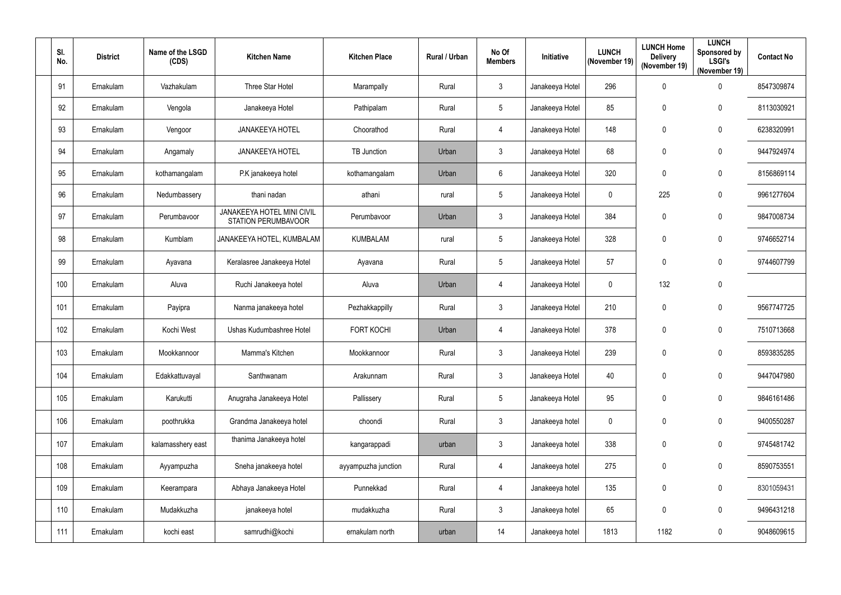| SI.<br>No. | <b>District</b> | Name of the LSGD<br>(CDS) | <b>Kitchen Name</b>                               | <b>Kitchen Place</b> | Rural / Urban | No Of<br><b>Members</b> | <b>Initiative</b> | <b>LUNCH</b><br>(November 19) | <b>LUNCH Home</b><br><b>Delivery</b><br>(November 19) | <b>LUNCH</b><br>Sponsored by<br><b>LSGI's</b><br>(November 19) | <b>Contact No</b> |
|------------|-----------------|---------------------------|---------------------------------------------------|----------------------|---------------|-------------------------|-------------------|-------------------------------|-------------------------------------------------------|----------------------------------------------------------------|-------------------|
| 91         | Ernakulam       | Vazhakulam                | Three Star Hotel                                  | Marampally           | Rural         | $\mathfrak{Z}$          | Janakeeya Hotel   | 296                           | 0                                                     | $\boldsymbol{0}$                                               | 8547309874        |
| 92         | Ernakulam       | Vengola                   | Janakeeya Hotel                                   | Pathipalam           | Rural         | 5                       | Janakeeya Hotel   | 85                            | $\mathbf 0$                                           | $\mathbf 0$                                                    | 8113030921        |
| 93         | Ernakulam       | Vengoor                   | <b>JANAKEEYA HOTEL</b>                            | Choorathod           | Rural         | $\overline{4}$          | Janakeeya Hotel   | 148                           | $\mathbf 0$                                           | 0                                                              | 6238320991        |
| 94         | Ernakulam       | Angamaly                  | <b>JANAKEEYA HOTEL</b>                            | TB Junction          | Urban         | $\mathfrak{Z}$          | Janakeeya Hotel   | 68                            | $\mathbf{0}$                                          | 0                                                              | 9447924974        |
| 95         | Ernakulam       | kothamangalam             | P.K janakeeya hotel                               | kothamangalam        | Urban         | $6\overline{6}$         | Janakeeya Hotel   | 320                           | 0                                                     | 0                                                              | 8156869114        |
| 96         | Ernakulam       | Nedumbassery              | thani nadan                                       | athani               | rural         | 5                       | Janakeeya Hotel   | $\mathbf 0$                   | 225                                                   | 0                                                              | 9961277604        |
| 97         | Ernakulam       | Perumbavoor               | JANAKEEYA HOTEL MINI CIVIL<br>STATION PERUMBAVOOR | Perumbavoor          | Urban         | 3 <sup>1</sup>          | Janakeeya Hotel   | 384                           | $\mathbf 0$                                           | 0                                                              | 9847008734        |
| 98         | Ernakulam       | Kumblam                   | JANAKEEYA HOTEL, KUMBALAM                         | <b>KUMBALAM</b>      | rural         | 5                       | Janakeeya Hotel   | 328                           | $\boldsymbol{0}$                                      | 0                                                              | 9746652714        |
| 99         | Ernakulam       | Ayavana                   | Keralasree Janakeeya Hotel                        | Ayavana              | Rural         | 5                       | Janakeeya Hotel   | 57                            | $\mathbf{0}$                                          | 0                                                              | 9744607799        |
| 100        | Ernakulam       | Aluva                     | Ruchi Janakeeya hotel                             | Aluva                | Urban         | 4                       | Janakeeya Hotel   | $\overline{0}$                | 132                                                   | $\mathbf 0$                                                    |                   |
| 101        | Ernakulam       | Payipra                   | Nanma janakeeya hotel                             | Pezhakkappilly       | Rural         | $\mathfrak{Z}$          | Janakeeya Hotel   | 210                           | $\mathbf 0$                                           | $\mathbf 0$                                                    | 9567747725        |
| 102        | Ernakulam       | Kochi West                | Ushas Kudumbashree Hotel                          | <b>FORT KOCHI</b>    | Urban         | 4                       | Janakeeya Hotel   | 378                           | $\mathbf 0$                                           | 0                                                              | 7510713668        |
| 103        | Ernakulam       | Mookkannoor               | Mamma's Kitchen                                   | Mookkannoor          | Rural         | 3                       | Janakeeya Hotel   | 239                           | 0                                                     | 0                                                              | 8593835285        |
| 104        | Ernakulam       | Edakkattuvayal            | Santhwanam                                        | Arakunnam            | Rural         | $\mathfrak{Z}$          | Janakeeya Hotel   | 40                            | $\mathbf 0$                                           | $\boldsymbol{0}$                                               | 9447047980        |
| 105        | Ernakulam       | Karukutti                 | Anugraha Janakeeya Hotel                          | Pallissery           | Rural         | 5                       | Janakeeya Hotel   | 95                            | $\pmb{0}$                                             | $\boldsymbol{0}$                                               | 9846161486        |
| 106        | Ernakulam       | poothrukka                | Grandma Janakeeya hotel                           | choondi              | Rural         | $\mathfrak{Z}$          | Janakeeya hotel   | $\mathbf 0$                   | $\mathbf 0$                                           | $\pmb{0}$                                                      | 9400550287        |
| 107        | Ernakulam       | kalamasshery east         | thanima Janakeeya hotel                           | kangarappadi         | urban         | $3\overline{3}$         | Janakeeya hotel   | 338                           | 0                                                     | $\boldsymbol{0}$                                               | 9745481742        |
| 108        | Ernakulam       | Ayyampuzha                | Sneha janakeeya hotel                             | ayyampuzha junction  | Rural         | 4                       | Janakeeya hotel   | 275                           | $\pmb{0}$                                             | $\boldsymbol{0}$                                               | 8590753551        |
| 109        | Ernakulam       | Keerampara                | Abhaya Janakeeya Hotel                            | Punnekkad            | Rural         | 4                       | Janakeeya hotel   | 135                           | $\pmb{0}$                                             | $\boldsymbol{0}$                                               | 8301059431        |
| 110        | Ernakulam       | Mudakkuzha                | janakeeya hotel                                   | mudakkuzha           | Rural         | $\mathfrak{Z}$          | Janakeeya hotel   | 65                            | $\boldsymbol{0}$                                      | $\pmb{0}$                                                      | 9496431218        |
| 111        | Ernakulam       | kochi east                | samrudhi@kochi                                    | ernakulam north      | urban         | 14                      | Janakeeya hotel   | 1813                          | 1182                                                  | $\pmb{0}$                                                      | 9048609615        |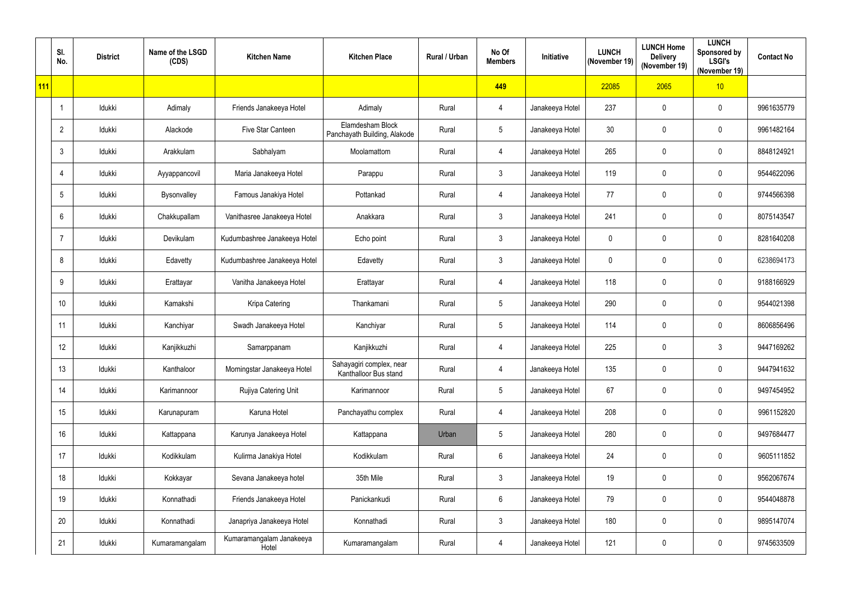|     | SI.<br>No.     | <b>District</b> | Name of the LSGD<br>(CDS) | <b>Kitchen Name</b>               | <b>Kitchen Place</b>                              | <b>Rural / Urban</b> | No Of<br><b>Members</b> | Initiative      | <b>LUNCH</b><br>(November 19) | <b>LUNCH Home</b><br><b>Delivery</b><br>(November 19) | <b>LUNCH</b><br>Sponsored by<br><b>LSGI's</b><br>(November 19) | <b>Contact No</b> |
|-----|----------------|-----------------|---------------------------|-----------------------------------|---------------------------------------------------|----------------------|-------------------------|-----------------|-------------------------------|-------------------------------------------------------|----------------------------------------------------------------|-------------------|
| 111 |                |                 |                           |                                   |                                                   |                      | 449                     |                 | 22085                         | 2065                                                  | 10                                                             |                   |
|     |                | Idukki          | Adimaly                   | Friends Janakeeya Hotel           | Adimaly                                           | Rural                | 4                       | Janakeeya Hotel | 237                           | 0                                                     | 0                                                              | 9961635779        |
|     | $\overline{2}$ | Idukki          | Alackode                  | Five Star Canteen                 | Elamdesham Block<br>Panchayath Building, Alakode  | Rural                | $5\phantom{.0}$         | Janakeeya Hotel | 30                            | $\mathbf 0$                                           | 0                                                              | 9961482164        |
|     | $\mathbf{3}$   | Idukki          | Arakkulam                 | Sabhalyam                         | Moolamattom                                       | Rural                | $\overline{4}$          | Janakeeya Hotel | 265                           | 0                                                     | $\mathbf 0$                                                    | 8848124921        |
|     | 4              | Idukki          | Ayyappancovil             | Maria Janakeeya Hotel             | Parappu                                           | Rural                | $\mathbf{3}$            | Janakeeya Hotel | 119                           | 0                                                     | 0                                                              | 9544622096        |
|     | 5              | Idukki          | Bysonvalley               | Famous Janakiya Hotel             | Pottankad                                         | Rural                | $\overline{4}$          | Janakeeya Hotel | 77                            | 0                                                     | 0                                                              | 9744566398        |
|     | 6              | Idukki          | Chakkupallam              | Vanithasree Janakeeya Hotel       | Anakkara                                          | Rural                | $\mathbf{3}$            | Janakeeya Hotel | 241                           | $\mathbf 0$                                           | $\mathbf 0$                                                    | 8075143547        |
|     | $\overline{7}$ | Idukki          | Devikulam                 | Kudumbashree Janakeeya Hotel      | Echo point                                        | Rural                | $\mathbf{3}$            | Janakeeya Hotel | $\mathbf 0$                   | 0                                                     | 0                                                              | 8281640208        |
|     | 8              | Idukki          | Edavetty                  | Kudumbashree Janakeeya Hotel      | Edavetty                                          | Rural                | $\mathbf{3}$            | Janakeeya Hotel | $\mathbf 0$                   | 0                                                     | 0                                                              | 6238694173        |
|     | 9              | Idukki          | Erattayar                 | Vanitha Janakeeya Hotel           | Erattayar                                         | Rural                | $\overline{4}$          | Janakeeya Hotel | 118                           | 0                                                     | 0                                                              | 9188166929        |
|     | 10             | Idukki          | Kamakshi                  | Kripa Catering                    | Thankamani                                        | Rural                | $5\overline{)}$         | Janakeeya Hotel | 290                           | 0                                                     | $\mathbf 0$                                                    | 9544021398        |
|     | 11             | Idukki          | Kanchiyar                 | Swadh Janakeeya Hotel             | Kanchiyar                                         | Rural                | $5\phantom{.0}$         | Janakeeya Hotel | 114                           | 0                                                     | 0                                                              | 8606856496        |
|     | 12             | Idukki          | Kanjikkuzhi               | Samarppanam                       | Kanjikkuzhi                                       | Rural                | 4                       | Janakeeya Hotel | 225                           | 0                                                     | 3                                                              | 9447169262        |
|     | 13             | Idukki          | Kanthaloor                | Morningstar Janakeeya Hotel       | Sahayagiri complex, near<br>Kanthalloor Bus stand | Rural                | $\overline{4}$          | Janakeeya Hotel | 135                           | $\mathbf 0$                                           | 0                                                              | 9447941632        |
|     | 14             | Idukki          | Karimannoor               | Rujiya Catering Unit              | Karimannoor                                       | Rural                | $5\phantom{.0}$         | Janakeeya Hotel | 67                            | 0                                                     | 0                                                              | 9497454952        |
|     | 15             | Idukki          | Karunapuram               | Karuna Hotel                      | Panchayathu complex                               | Rural                | $\overline{4}$          | Janakeeya Hotel | 208                           | 0                                                     | $\pmb{0}$                                                      | 9961152820        |
|     | 16             | Idukki          | Kattappana                | Karunya Janakeeya Hotel           | Kattappana                                        | Urban                | $\sqrt{5}$              | Janakeeya Hotel | 280                           | $\mathbf 0$                                           | 0                                                              | 9497684477        |
|     | 17             | Idukki          | Kodikkulam                | Kulirma Janakiya Hotel            | Kodikkulam                                        | Rural                | $6\phantom{.}6$         | Janakeeya Hotel | 24                            | 0                                                     | 0                                                              | 9605111852        |
|     | 18             | Idukki          | Kokkayar                  | Sevana Janakeeya hotel            | 35th Mile                                         | Rural                | 3 <sup>5</sup>          | Janakeeya Hotel | 19                            | 0                                                     | 0                                                              | 9562067674        |
|     | 19             | Idukki          | Konnathadi                | Friends Janakeeya Hotel           | Panickankudi                                      | Rural                | $6\phantom{.}6$         | Janakeeya Hotel | 79                            | 0                                                     | $\mathbf 0$                                                    | 9544048878        |
|     | 20             | Idukki          | Konnathadi                | Janapriya Janakeeya Hotel         | Konnathadi                                        | Rural                | $\mathbf{3}$            | Janakeeya Hotel | 180                           | 0                                                     | 0                                                              | 9895147074        |
|     | 21             | Idukki          | Kumaramangalam            | Kumaramangalam Janakeeya<br>Hotel | Kumaramangalam                                    | Rural                | $\overline{4}$          | Janakeeya Hotel | 121                           | 0                                                     | 0                                                              | 9745633509        |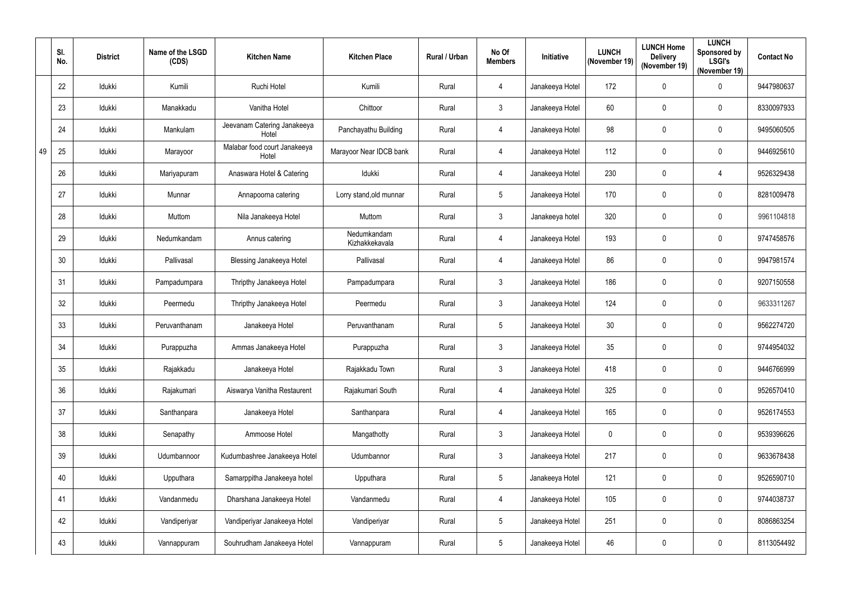|    | SI.<br>No. | <b>District</b> | Name of the LSGD<br>(CDS) | <b>Kitchen Name</b>                   | <b>Kitchen Place</b>          | <b>Rural / Urban</b> | No Of<br><b>Members</b> | Initiative      | <b>LUNCH</b><br>(November 19) | <b>LUNCH Home</b><br><b>Delivery</b><br>(November 19) | <b>LUNCH</b><br>Sponsored by<br><b>LSGI's</b><br>(November 19) | <b>Contact No</b> |
|----|------------|-----------------|---------------------------|---------------------------------------|-------------------------------|----------------------|-------------------------|-----------------|-------------------------------|-------------------------------------------------------|----------------------------------------------------------------|-------------------|
|    | 22         | Idukki          | Kumili                    | Ruchi Hotel                           | Kumili                        | Rural                | $\overline{4}$          | Janakeeya Hotel | 172                           | 0                                                     | 0                                                              | 9447980637        |
|    | 23         | Idukki          | Manakkadu                 | Vanitha Hotel                         | Chittoor                      | Rural                | $\mathbf{3}$            | Janakeeya Hotel | 60                            | 0                                                     | $\mathbf 0$                                                    | 8330097933        |
|    | 24         | Idukki          | Mankulam                  | Jeevanam Catering Janakeeya<br>Hotel  | Panchayathu Building          | Rural                | $\overline{4}$          | Janakeeya Hotel | 98                            | 0                                                     | 0                                                              | 9495060505        |
| 49 | 25         | Idukki          | Marayoor                  | Malabar food court Janakeeya<br>Hotel | Marayoor Near IDCB bank       | Rural                | $\overline{4}$          | Janakeeya Hotel | 112                           | 0                                                     | 0                                                              | 9446925610        |
|    | 26         | Idukki          | Mariyapuram               | Anaswara Hotel & Catering             | Idukki                        | Rural                | $\overline{4}$          | Janakeeya Hotel | 230                           | 0                                                     | $\overline{4}$                                                 | 9526329438        |
|    | 27         | Idukki          | Munnar                    | Annapoorna catering                   | Lorry stand, old munnar       | Rural                | $\sqrt{5}$              | Janakeeya Hotel | 170                           | 0                                                     | $\boldsymbol{0}$                                               | 8281009478        |
|    | 28         | Idukki          | Muttom                    | Nila Janakeeya Hotel                  | Muttom                        | Rural                | $\mathbf{3}$            | Janakeeya hotel | 320                           | 0                                                     | 0                                                              | 9961104818        |
|    | 29         | Idukki          | Nedumkandam               | Annus catering                        | Nedumkandam<br>Kizhakkekavala | Rural                | $\overline{4}$          | Janakeeya Hotel | 193                           | 0                                                     | 0                                                              | 9747458576        |
|    | 30         | Idukki          | Pallivasal                | <b>Blessing Janakeeya Hotel</b>       | Pallivasal                    | Rural                | $\overline{4}$          | Janakeeya Hotel | 86                            | 0                                                     | $\mathbf 0$                                                    | 9947981574        |
|    | 31         | Idukki          | Pampadumpara              | Thripthy Janakeeya Hotel              | Pampadumpara                  | Rural                | $\mathfrak{Z}$          | Janakeeya Hotel | 186                           | 0                                                     | 0                                                              | 9207150558        |
|    | 32         | Idukki          | Peermedu                  | Thripthy Janakeeya Hotel              | Peermedu                      | Rural                | $\mathbf{3}$            | Janakeeya Hotel | 124                           | 0                                                     | 0                                                              | 9633311267        |
|    | 33         | Idukki          | Peruvanthanam             | Janakeeya Hotel                       | Peruvanthanam                 | Rural                | $5\overline{)}$         | Janakeeya Hotel | 30                            | 0                                                     | $\mathbf 0$                                                    | 9562274720        |
|    | 34         | Idukki          | Purappuzha                | Ammas Janakeeya Hotel                 | Purappuzha                    | Rural                | $\mathfrak{Z}$          | Janakeeya Hotel | 35                            | 0                                                     | 0                                                              | 9744954032        |
|    | 35         | Idukki          | Rajakkadu                 | Janakeeya Hotel                       | Rajakkadu Town                | Rural                | $\mathbf{3}$            | Janakeeya Hotel | 418                           | $\mathbf 0$                                           | $\mathbf 0$                                                    | 9446766999        |
|    | 36         | Idukki          | Rajakumari                | Aiswarya Vanitha Restaurent           | Rajakumari South              | Rural                | $\overline{4}$          | Janakeeya Hotel | 325                           | 0                                                     | 0                                                              | 9526570410        |
|    | 37         | Idukki          | Santhanpara               | Janakeeya Hotel                       | Santhanpara                   | Rural                | $\overline{4}$          | Janakeeya Hotel | 165                           | 0                                                     | $\pmb{0}$                                                      | 9526174553        |
|    | 38         | Idukki          | Senapathy                 | Ammoose Hotel                         | Mangathotty                   | Rural                | $\mathbf{3}$            | Janakeeya Hotel | 0                             | $\mathbf 0$                                           | $\pmb{0}$                                                      | 9539396626        |
|    | 39         | Idukki          | Udumbannoor               | Kudumbashree Janakeeya Hotel          | Udumbannor                    | Rural                | $\mathbf{3}$            | Janakeeya Hotel | 217                           | $\mathbf 0$                                           | $\pmb{0}$                                                      | 9633678438        |
|    | 40         | Idukki          | Upputhara                 | Samarppitha Janakeeya hotel           | Upputhara                     | Rural                | $5\overline{)}$         | Janakeeya Hotel | 121                           | 0                                                     | 0                                                              | 9526590710        |
|    | 41         | Idukki          | Vandanmedu                | Dharshana Janakeeya Hotel             | Vandanmedu                    | Rural                | $\overline{4}$          | Janakeeya Hotel | 105                           | 0                                                     | $\pmb{0}$                                                      | 9744038737        |
|    | 42         | Idukki          | Vandiperiyar              | Vandiperiyar Janakeeya Hotel          | Vandiperiyar                  | Rural                | $5\phantom{.0}$         | Janakeeya Hotel | 251                           | 0                                                     | $\pmb{0}$                                                      | 8086863254        |
|    | 43         | Idukki          | Vannappuram               | Souhrudham Janakeeya Hotel            | Vannappuram                   | Rural                | $5\phantom{.0}$         | Janakeeya Hotel | 46                            | 0                                                     | 0                                                              | 8113054492        |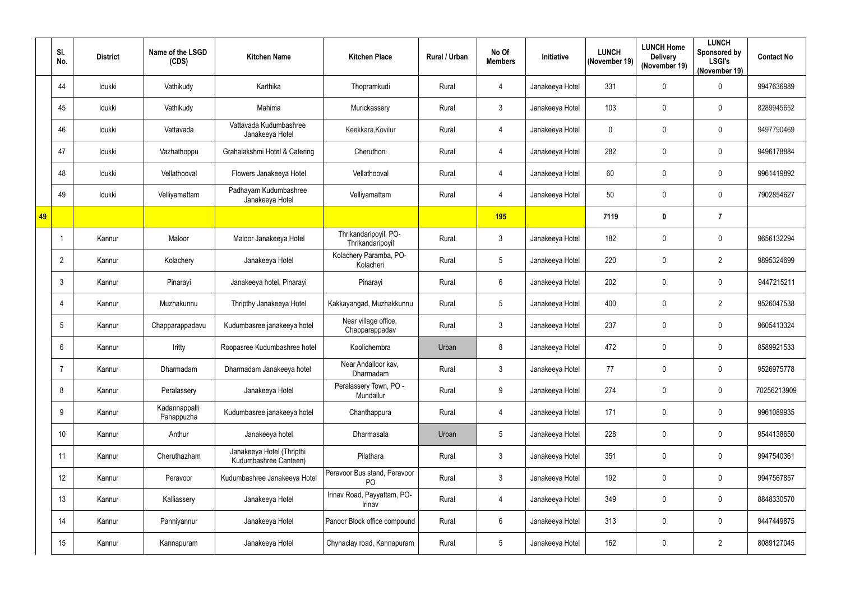|    | SI.<br>No.     | <b>District</b> | Name of the LSGD<br>(CDS)   | <b>Kitchen Name</b>                                | <b>Kitchen Place</b>                      | Rural / Urban | No Of<br><b>Members</b> | <b>Initiative</b> | <b>LUNCH</b><br>(November 19) | <b>LUNCH Home</b><br><b>Delivery</b><br>(November 19) | <b>LUNCH</b><br>Sponsored by<br><b>LSGI's</b><br>(November 19) | <b>Contact No</b> |
|----|----------------|-----------------|-----------------------------|----------------------------------------------------|-------------------------------------------|---------------|-------------------------|-------------------|-------------------------------|-------------------------------------------------------|----------------------------------------------------------------|-------------------|
|    | 44             | Idukki          | Vathikudy                   | Karthika                                           | Thopramkudi                               | Rural         | $\overline{4}$          | Janakeeya Hotel   | 331                           | $\mathbf 0$                                           | 0                                                              | 9947636989        |
|    | 45             | Idukki          | Vathikudy                   | Mahima                                             | Murickassery                              | Rural         | $\mathbf{3}$            | Janakeeya Hotel   | 103                           | $\mathbf 0$                                           | $\mathbf 0$                                                    | 8289945652        |
|    | 46             | Idukki          | Vattavada                   | Vattavada Kudumbashree<br>Janakeeya Hotel          | Keekkara, Kovilur                         | Rural         | 4                       | Janakeeya Hotel   | $\mathbf 0$                   | $\mathbf 0$                                           | 0                                                              | 9497790469        |
|    | 47             | Idukki          | Vazhathoppu                 | Grahalakshmi Hotel & Catering                      | Cheruthoni                                | Rural         | $\overline{4}$          | Janakeeya Hotel   | 282                           | $\mathbf 0$                                           | $\mathbf 0$                                                    | 9496178884        |
|    | 48             | Idukki          | Vellathooval                | Flowers Janakeeya Hotel                            | Vellathooval                              | Rural         | $\overline{4}$          | Janakeeya Hotel   | 60                            | $\mathbf 0$                                           | 0                                                              | 9961419892        |
|    | 49             | Idukki          | Velliyamattam               | Padhayam Kudumbashree<br>Janakeeya Hotel           | Velliyamattam                             | Rural         | $\overline{4}$          | Janakeeya Hotel   | 50                            | $\mathbf 0$                                           | 0                                                              | 7902854627        |
| 49 |                |                 |                             |                                                    |                                           |               | <b>195</b>              |                   | 7119                          | $\boldsymbol{0}$                                      | $\overline{7}$                                                 |                   |
|    |                | Kannur          | Maloor                      | Maloor Janakeeya Hotel                             | Thrikandaripoyil, PO-<br>Thrikandaripoyil | Rural         | $\mathbf{3}$            | Janakeeya Hotel   | 182                           | $\mathbf 0$                                           | $\mathbf 0$                                                    | 9656132294        |
|    | $\mathbf{2}$   | Kannur          | Kolachery                   | Janakeeya Hotel                                    | Kolachery Paramba, PO-<br>Kolacheri       | Rural         | $\sqrt{5}$              | Janakeeya Hotel   | 220                           | $\mathbf 0$                                           | $\overline{2}$                                                 | 9895324699        |
|    | 3              | Kannur          | Pinarayi                    | Janakeeya hotel, Pinarayi                          | Pinarayi                                  | Rural         | $6\,$                   | Janakeeya Hotel   | 202                           | $\mathbf 0$                                           | $\mathbf 0$                                                    | 9447215211        |
|    | 4              | Kannur          | Muzhakunnu                  | Thripthy Janakeeya Hotel                           | Kakkayangad, Muzhakkunnu                  | Rural         | $\sqrt{5}$              | Janakeeya Hotel   | 400                           | $\mathbf 0$                                           | $\overline{2}$                                                 | 9526047538        |
|    | 5              | Kannur          | Chapparappadavu             | Kudumbasree janakeeya hotel                        | Near village office,<br>Chapparappadav    | Rural         | $\mathbf{3}$            | Janakeeya Hotel   | 237                           | $\mathbf 0$                                           | $\mathbf 0$                                                    | 9605413324        |
|    | 6              | Kannur          | Iritty                      | Roopasree Kudumbashree hotel                       | Koolichembra                              | Urban         | 8                       | Janakeeya Hotel   | 472                           | $\mathbf 0$                                           | $\mathbf 0$                                                    | 8589921533        |
|    | $\overline{7}$ | Kannur          | Dharmadam                   | Dharmadam Janakeeya hotel                          | Near Andalloor kav,<br>Dharmadam          | Rural         | $\mathbf{3}$            | Janakeeya Hotel   | 77                            | $\mathbf 0$                                           | $\mathbf 0$                                                    | 9526975778        |
|    | 8              | Kannur          | Peralassery                 | Janakeeya Hotel                                    | Peralassery Town, PO -<br>Mundallur       | Rural         | 9                       | Janakeeya Hotel   | 274                           | $\mathbf 0$                                           | 0                                                              | 70256213909       |
|    | 9              | Kannur          | Kadannappalli<br>Panappuzha | Kudumbasree janakeeya hotel                        | Chanthappura                              | Rural         | $\overline{4}$          | Janakeeya Hotel   | 171                           | $\pmb{0}$                                             | $\pmb{0}$                                                      | 9961089935        |
|    | 10             | Kannur          | Anthur                      | Janakeeya hotel                                    | Dharmasala                                | Urban         | $5\phantom{.0}$         | Janakeeya Hotel   | 228                           | $\mathbf 0$                                           | 0                                                              | 9544138650        |
|    | 11             | Kannur          | Cheruthazham                | Janakeeya Hotel (Thripthi<br>Kudumbashree Canteen) | Pilathara                                 | Rural         | $\mathbf{3}$            | Janakeeya Hotel   | 351                           | $\mathbf 0$                                           | $\pmb{0}$                                                      | 9947540361        |
|    | 12             | Kannur          | Peravoor                    | Kudumbashree Janakeeya Hotel                       | Peravoor Bus stand, Peravoor<br><b>PO</b> | Rural         | $\mathbf{3}$            | Janakeeya Hotel   | 192                           | $\mathbf 0$                                           | 0                                                              | 9947567857        |
|    | 13             | Kannur          | Kalliassery                 | Janakeeya Hotel                                    | Irinav Road, Payyattam, PO-<br>Irinav     | Rural         | $\overline{4}$          | Janakeeya Hotel   | 349                           | 0                                                     | $\pmb{0}$                                                      | 8848330570        |
|    | 14             | Kannur          | Panniyannur                 | Janakeeya Hotel                                    | Panoor Block office compound              | Rural         | $6\,$                   | Janakeeya Hotel   | 313                           | $\pmb{0}$                                             | $\pmb{0}$                                                      | 9447449875        |
|    | 15             | Kannur          | Kannapuram                  | Janakeeya Hotel                                    | Chynaclay road, Kannapuram                | Rural         | $5\phantom{.0}$         | Janakeeya Hotel   | 162                           | 0                                                     | $\overline{2}$                                                 | 8089127045        |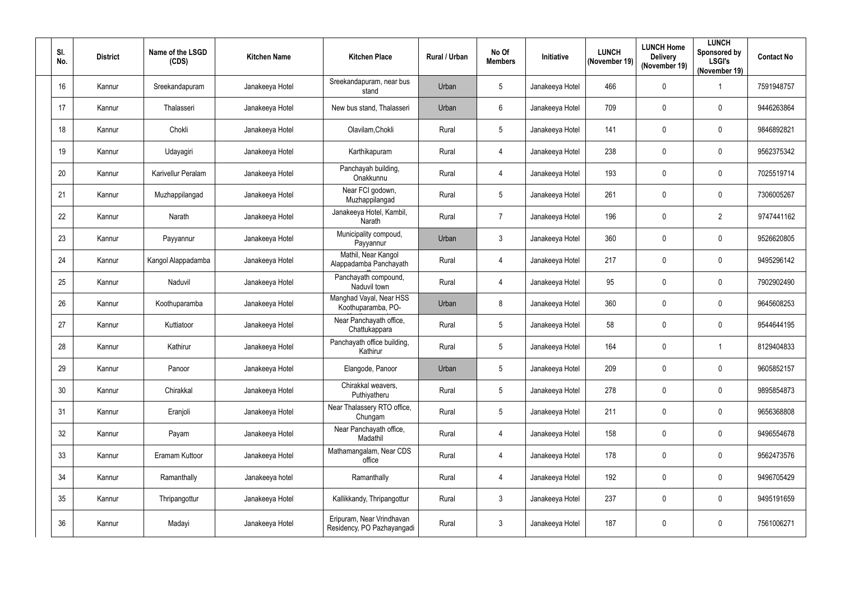| SI.<br>No. | <b>District</b> | Name of the LSGD<br>(CDS) | <b>Kitchen Name</b> | <b>Kitchen Place</b>                                    | Rural / Urban | No Of<br><b>Members</b> | Initiative      | <b>LUNCH</b><br>(November 19) | <b>LUNCH Home</b><br><b>Delivery</b><br>(November 19) | <b>LUNCH</b><br>Sponsored by<br><b>LSGI's</b><br>(November 19) | <b>Contact No</b> |
|------------|-----------------|---------------------------|---------------------|---------------------------------------------------------|---------------|-------------------------|-----------------|-------------------------------|-------------------------------------------------------|----------------------------------------------------------------|-------------------|
| 16         | Kannur          | Sreekandapuram            | Janakeeya Hotel     | Sreekandapuram, near bus<br>stand                       | Urban         | $5\phantom{.0}$         | Janakeeya Hotel | 466                           | 0                                                     |                                                                | 7591948757        |
| 17         | Kannur          | Thalasseri                | Janakeeya Hotel     | New bus stand, Thalasseri                               | Urban         | $6\phantom{.}6$         | Janakeeya Hotel | 709                           | 0                                                     | 0                                                              | 9446263864        |
| 18         | Kannur          | Chokli                    | Janakeeya Hotel     | Olavilam, Chokli                                        | Rural         | $5\phantom{.0}$         | Janakeeya Hotel | 141                           | 0                                                     | 0                                                              | 9846892821        |
| 19         | Kannur          | Udayagiri                 | Janakeeya Hotel     | Karthikapuram                                           | Rural         | 4                       | Janakeeya Hotel | 238                           | 0                                                     | 0                                                              | 9562375342        |
| 20         | Kannur          | Karivellur Peralam        | Janakeeya Hotel     | Panchayah building,<br>Onakkunnu                        | Rural         | 4                       | Janakeeya Hotel | 193                           | 0                                                     | 0                                                              | 7025519714        |
| 21         | Kannur          | Muzhappilangad            | Janakeeya Hotel     | Near FCI godown,<br>Muzhappilangad                      | Rural         | $\overline{5}$          | Janakeeya Hotel | 261                           | 0                                                     | 0                                                              | 7306005267        |
| 22         | Kannur          | Narath                    | Janakeeya Hotel     | Janakeeya Hotel, Kambil,<br>Narath                      | Rural         | $\overline{7}$          | Janakeeya Hotel | 196                           | 0                                                     | $\overline{2}$                                                 | 9747441162        |
| 23         | Kannur          | Payyannur                 | Janakeeya Hotel     | Municipality compoud,<br>Payyannur                      | Urban         | $\mathbf{3}$            | Janakeeya Hotel | 360                           | 0                                                     | 0                                                              | 9526620805        |
| 24         | Kannur          | Kangol Alappadamba        | Janakeeya Hotel     | Mathil, Near Kangol<br>Alappadamba Panchayath           | Rural         | 4                       | Janakeeya Hotel | 217                           | 0                                                     | 0                                                              | 9495296142        |
| 25         | Kannur          | Naduvil                   | Janakeeya Hotel     | Panchayath compound,<br>Naduvil town                    | Rural         | $\overline{4}$          | Janakeeya Hotel | 95                            | 0                                                     | 0                                                              | 7902902490        |
| 26         | Kannur          | Koothuparamba             | Janakeeya Hotel     | Manghad Vayal, Near HSS<br>Koothuparamba, PO-           | Urban         | 8                       | Janakeeya Hotel | 360                           | 0                                                     | 0                                                              | 9645608253        |
| 27         | Kannur          | Kuttiatoor                | Janakeeya Hotel     | Near Panchayath office,<br>Chattukappara                | Rural         | 5                       | Janakeeya Hotel | 58                            | 0                                                     | 0                                                              | 9544644195        |
| 28         | Kannur          | Kathirur                  | Janakeeya Hotel     | Panchayath office building,<br>Kathirur                 | Rural         | $5\phantom{.0}$         | Janakeeya Hotel | 164                           | 0                                                     |                                                                | 8129404833        |
| 29         | Kannur          | Panoor                    | Janakeeya Hotel     | Elangode, Panoor                                        | Urban         | $\overline{5}$          | Janakeeya Hotel | 209                           | $\mathbf 0$                                           | 0                                                              | 9605852157        |
| 30         | Kannur          | Chirakkal                 | Janakeeya Hotel     | Chirakkal weavers,<br>Puthiyatheru                      | Rural         | $5\phantom{.0}$         | Janakeeya Hotel | 278                           | $\mathbf 0$                                           | $\mathbf 0$                                                    | 9895854873        |
| 31         | Kannur          | Eranjoli                  | Janakeeya Hotel     | Near Thalassery RTO office,<br>Chungam                  | Rural         | $5\,$                   | Janakeeya Hotel | 211                           | 0                                                     | 0                                                              | 9656368808        |
| 32         | Kannur          | Payam                     | Janakeeya Hotel     | Near Panchayath office,<br>Madathil                     | Rural         | $\overline{4}$          | Janakeeya Hotel | 158                           | 0                                                     | 0                                                              | 9496554678        |
| 33         | Kannur          | Eramam Kuttoor            | Janakeeya Hotel     | Mathamangalam, Near CDS<br>office                       | Rural         | 4                       | Janakeeya Hotel | 178                           | 0                                                     | 0                                                              | 9562473576        |
| 34         | Kannur          | Ramanthally               | Janakeeya hotel     | Ramanthally                                             | Rural         | 4                       | Janakeeya Hotel | 192                           | 0                                                     | 0                                                              | 9496705429        |
| 35         | Kannur          | Thripangottur             | Janakeeya Hotel     | Kallikkandy, Thripangottur                              | Rural         | $\mathfrak{Z}$          | Janakeeya Hotel | 237                           | $\mathbf 0$                                           | 0                                                              | 9495191659        |
| 36         | Kannur          | Madayi                    | Janakeeya Hotel     | Eripuram, Near Vrindhavan<br>Residency, PO Pazhayangadi | Rural         | $\mathbf{3}$            | Janakeeya Hotel | 187                           | $\mathbf 0$                                           | 0                                                              | 7561006271        |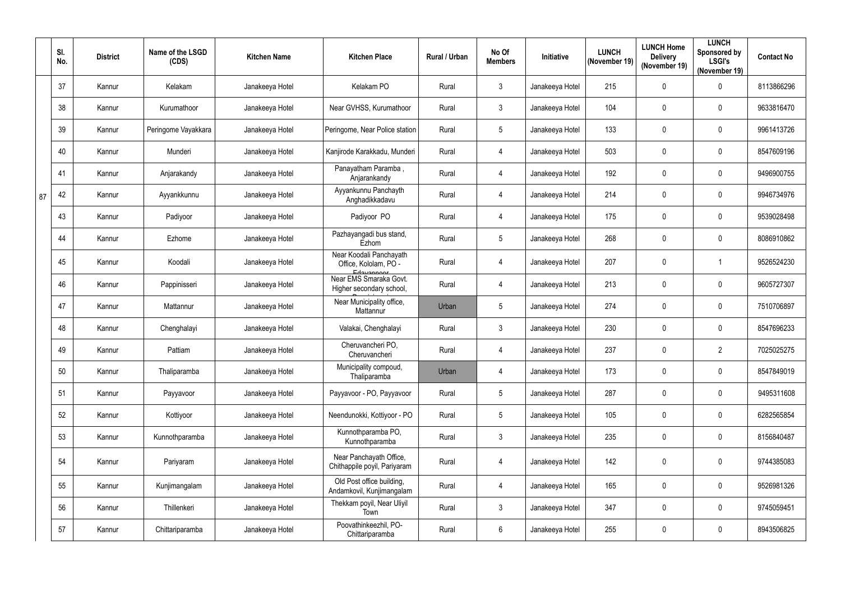|    | SI.<br>No. | <b>District</b> | Name of the LSGD<br>(CDS) | <b>Kitchen Name</b> | <b>Kitchen Place</b>                                             | Rural / Urban | No Of<br><b>Members</b> | Initiative      | <b>LUNCH</b><br>(November 19) | <b>LUNCH Home</b><br><b>Delivery</b><br>(November 19) | <b>LUNCH</b><br>Sponsored by<br><b>LSGI's</b><br>(November 19) | <b>Contact No</b> |
|----|------------|-----------------|---------------------------|---------------------|------------------------------------------------------------------|---------------|-------------------------|-----------------|-------------------------------|-------------------------------------------------------|----------------------------------------------------------------|-------------------|
|    | 37         | Kannur          | Kelakam                   | Janakeeya Hotel     | Kelakam PO                                                       | Rural         | $\mathbf{3}$            | Janakeeya Hotel | 215                           | 0                                                     | $\pmb{0}$                                                      | 8113866296        |
|    | 38         | Kannur          | Kurumathoor               | Janakeeya Hotel     | Near GVHSS, Kurumathoor                                          | Rural         | $\mathbf{3}$            | Janakeeya Hotel | 104                           | 0                                                     | $\boldsymbol{0}$                                               | 9633816470        |
|    | 39         | Kannur          | Peringome Vayakkara       | Janakeeya Hotel     | Peringome, Near Police station                                   | Rural         | $5\phantom{.0}$         | Janakeeya Hotel | 133                           | 0                                                     | 0                                                              | 9961413726        |
|    | 40         | Kannur          | Munderi                   | Janakeeya Hotel     | Kanjirode Karakkadu, Munderi                                     | Rural         | $\overline{4}$          | Janakeeya Hotel | 503                           | 0                                                     | $\mathbf 0$                                                    | 8547609196        |
|    | 41         | Kannur          | Anjarakandy               | Janakeeya Hotel     | Panayatham Paramba,<br>Anjarankandy                              | Rural         | $\overline{4}$          | Janakeeya Hotel | 192                           | 0                                                     | 0                                                              | 9496900755        |
| 87 | 42         | Kannur          | Ayyankkunnu               | Janakeeya Hotel     | Ayyankunnu Panchayth<br>Anghadikkadavu                           | Rural         | $\overline{4}$          | Janakeeya Hotel | 214                           | 0                                                     | $\boldsymbol{0}$                                               | 9946734976        |
|    | 43         | Kannur          | Padiyoor                  | Janakeeya Hotel     | Padiyoor PO                                                      | Rural         | $\overline{4}$          | Janakeeya Hotel | 175                           | 0                                                     | 0                                                              | 9539028498        |
|    | 44         | Kannur          | Ezhome                    | Janakeeya Hotel     | Pazhayangadi bus stand,<br>Ezhom                                 | Rural         | $5\phantom{.0}$         | Janakeeya Hotel | 268                           | 0                                                     | 0                                                              | 8086910862        |
|    | 45         | Kannur          | Koodali                   | Janakeeya Hotel     | Near Koodali Panchayath<br>Office, Kololam, PO -                 | Rural         | $\overline{4}$          | Janakeeya Hotel | 207                           | 0                                                     |                                                                | 9526524230        |
|    | 46         | Kannur          | Pappinisseri              | Janakeeya Hotel     | Edavannoor<br>Near EMS Smaraka Govt.<br>Higher secondary school, | Rural         | $\overline{4}$          | Janakeeya Hotel | 213                           | 0                                                     | $\mathbf 0$                                                    | 9605727307        |
|    | 47         | Kannur          | Mattannur                 | Janakeeya Hotel     | Near Municipality office,<br>Mattannur                           | Urban         | $5\phantom{.0}$         | Janakeeya Hotel | 274                           | 0                                                     | $\pmb{0}$                                                      | 7510706897        |
|    | 48         | Kannur          | Chenghalayi               | Janakeeya Hotel     | Valakai, Chenghalayi                                             | Rural         | $\mathbf{3}$            | Janakeeya Hotel | 230                           | 0                                                     | $\boldsymbol{0}$                                               | 8547696233        |
|    | 49         | Kannur          | Pattiam                   | Janakeeya Hotel     | Cheruvancheri PO,<br>Cheruvancheri                               | Rural         |                         | Janakeeya Hotel | 237                           | 0                                                     | $\overline{2}$                                                 | 7025025275        |
|    | 50         | Kannur          | Thaliparamba              | Janakeeya Hotel     | Municipality compoud,<br>Thaliparamba                            | Urban         | $\overline{4}$          | Janakeeya Hotel | 173                           | 0                                                     | $\pmb{0}$                                                      | 8547849019        |
|    | 51         | Kannur          | Payyavoor                 | Janakeeya Hotel     | Payyavoor - PO, Payyavoor                                        | Rural         | $5\phantom{.0}$         | Janakeeya Hotel | 287                           | 0                                                     | $\pmb{0}$                                                      | 9495311608        |
|    | 52         | Kannur          | Kottiyoor                 | Janakeeya Hotel     | Neendunokki, Kottiyoor - PO                                      | Rural         | $5\phantom{.0}$         | Janakeeya Hotel | 105                           | 0                                                     | 0                                                              | 6282565854        |
|    | 53         | Kannur          | Kunnothparamba            | Janakeeya Hotel     | Kunnothparamba PO,<br>Kunnothparamba                             | Rural         | 3                       | Janakeeya Hotel | 235                           | 0                                                     | $\pmb{0}$                                                      | 8156840487        |
|    | 54         | Kannur          | Pariyaram                 | Janakeeya Hotel     | Near Panchayath Office,<br>Chithappile poyil, Pariyaram          | Rural         | $\overline{4}$          | Janakeeya Hotel | 142                           | 0                                                     | $\pmb{0}$                                                      | 9744385083        |
|    | 55         | Kannur          | Kunjimangalam             | Janakeeya Hotel     | Old Post office building,<br>Andamkovil, Kunjimangalam           | Rural         | $\overline{4}$          | Janakeeya Hotel | 165                           | 0                                                     | $\pmb{0}$                                                      | 9526981326        |
|    | 56         | Kannur          | Thillenkeri               | Janakeeya Hotel     | Thekkam poyil, Near Uliyil<br>Town                               | Rural         | $\mathbf{3}$            | Janakeeya Hotel | 347                           | 0                                                     | $\mathbf 0$                                                    | 9745059451        |
|    | 57         | Kannur          | Chittariparamba           | Janakeeya Hotel     | Poovathinkeezhil, PO-<br>Chittariparamba                         | Rural         | $6\,$                   | Janakeeya Hotel | 255                           | 0                                                     | $\pmb{0}$                                                      | 8943506825        |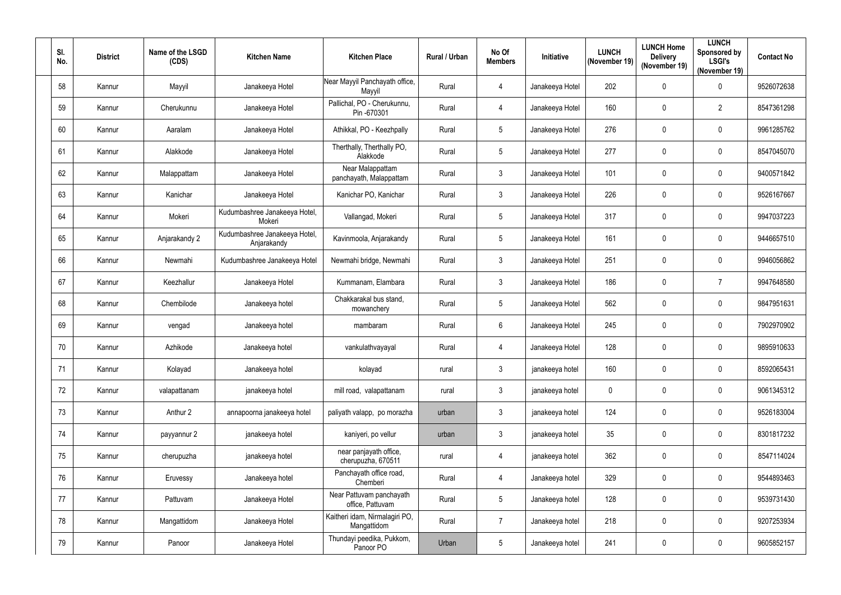| SI.<br>No. | <b>District</b> | Name of the LSGD<br>(CDS) | <b>Kitchen Name</b>                          | <b>Kitchen Place</b>                          | Rural / Urban | No Of<br><b>Members</b> | Initiative      | <b>LUNCH</b><br>(November 19) | <b>LUNCH Home</b><br><b>Delivery</b><br>(November 19) | <b>LUNCH</b><br>Sponsored by<br><b>LSGI's</b><br>(November 19) | <b>Contact No</b> |
|------------|-----------------|---------------------------|----------------------------------------------|-----------------------------------------------|---------------|-------------------------|-----------------|-------------------------------|-------------------------------------------------------|----------------------------------------------------------------|-------------------|
| 58         | Kannur          | Mayyil                    | Janakeeya Hotel                              | Near Mayyil Panchayath office,<br>Mayyil      | Rural         | 4                       | Janakeeya Hotel | 202                           | 0                                                     | 0                                                              | 9526072638        |
| 59         | Kannur          | Cherukunnu                | Janakeeya Hotel                              | Pallichal, PO - Cherukunnu,<br>Pin -670301    | Rural         | 4                       | Janakeeya Hotel | 160                           | 0                                                     | $\overline{2}$                                                 | 8547361298        |
| 60         | Kannur          | Aaralam                   | Janakeeya Hotel                              | Athikkal, PO - Keezhpally                     | Rural         | $5\phantom{.0}$         | Janakeeya Hotel | 276                           | 0                                                     | 0                                                              | 9961285762        |
| 61         | Kannur          | Alakkode                  | Janakeeya Hotel                              | Therthally, Therthally PO,<br>Alakkode        | Rural         | $5\phantom{.0}$         | Janakeeya Hotel | 277                           | 0                                                     | 0                                                              | 8547045070        |
| 62         | Kannur          | Malappattam               | Janakeeya Hotel                              | Near Malappattam<br>panchayath, Malappattam   | Rural         | $\mathbf{3}$            | Janakeeya Hotel | 101                           | 0                                                     | 0                                                              | 9400571842        |
| 63         | Kannur          | Kanichar                  | Janakeeya Hotel                              | Kanichar PO, Kanichar                         | Rural         | $\mathbf{3}$            | Janakeeya Hotel | 226                           | 0                                                     | 0                                                              | 9526167667        |
| 64         | Kannur          | Mokeri                    | Kudumbashree Janakeeya Hotel,<br>Mokeri      | Vallangad, Mokeri                             | Rural         | $5\phantom{.0}$         | Janakeeya Hotel | 317                           | 0                                                     | 0                                                              | 9947037223        |
| 65         | Kannur          | Anjarakandy 2             | Kudumbashree Janakeeya Hotel,<br>Anjarakandy | Kavinmoola, Anjarakandy                       | Rural         | $\sqrt{5}$              | Janakeeya Hotel | 161                           | 0                                                     | 0                                                              | 9446657510        |
| 66         | Kannur          | Newmahi                   | Kudumbashree Janakeeya Hotel                 | Newmahi bridge, Newmahi                       | Rural         | $\mathfrak{Z}$          | Janakeeya Hotel | 251                           | 0                                                     | 0                                                              | 9946056862        |
| 67         | Kannur          | Keezhallur                | Janakeeya Hotel                              | Kummanam, Elambara                            | Rural         | $\mathbf{3}$            | Janakeeya Hotel | 186                           | 0                                                     | $\overline{7}$                                                 | 9947648580        |
| 68         | Kannur          | Chembilode                | Janakeeya hotel                              | Chakkarakal bus stand,<br>mowanchery          | Rural         | $5\phantom{.0}$         | Janakeeya Hotel | 562                           | 0                                                     | 0                                                              | 9847951631        |
| 69         | Kannur          | vengad                    | Janakeeya hotel                              | mambaram                                      | Rural         | $6\phantom{.}6$         | Janakeeya Hotel | 245                           | 0                                                     | 0                                                              | 7902970902        |
| 70         | Kannur          | Azhikode                  | Janakeeya hotel                              | vankulathvayayal                              | Rural         | 4                       | Janakeeya Hotel | 128                           | 0                                                     | 0                                                              | 9895910633        |
| 71         | Kannur          | Kolayad                   | Janakeeya hotel                              | kolayad                                       | rural         | $\mathbf{3}$            | janakeeya hotel | 160                           | $\mathbf 0$                                           | 0                                                              | 8592065431        |
| 72         | Kannur          | valapattanam              | janakeeya hotel                              | mill road, valapattanam                       | rural         | $\mathbf{3}$            | janakeeya hotel | $\mathbf 0$                   | $\mathbf 0$                                           | 0                                                              | 9061345312        |
| 73         | Kannur          | Anthur 2                  | annapoorna janakeeya hotel                   | paliyath valapp, po morazha                   | urban         | $\mathbf{3}$            | janakeeya hotel | 124                           | $\mathbf 0$                                           | 0                                                              | 9526183004        |
| 74         | Kannur          | payyannur 2               | janakeeya hotel                              | kaniyeri, po vellur                           | urban         | $\mathbf{3}$            | janakeeya hotel | 35                            | 0                                                     | 0                                                              | 8301817232        |
| 75         | Kannur          | cherupuzha                | janakeeya hotel                              | near panjayath office,<br>cherupuzha, 670511  | rural         | $\overline{4}$          | janakeeya hotel | 362                           | $\mathbf 0$                                           | 0                                                              | 8547114024        |
| 76         | Kannur          | Eruvessy                  | Janakeeya hotel                              | Panchayath office road,<br>Chemberi           | Rural         | $\overline{4}$          | Janakeeya hotel | 329                           | 0                                                     | 0                                                              | 9544893463        |
| 77         | Kannur          | Pattuvam                  | Janakeeya Hotel                              | Near Pattuvam panchayath<br>office, Pattuvam  | Rural         | $5\phantom{.0}$         | Janakeeya hotel | 128                           | $\mathbf 0$                                           | 0                                                              | 9539731430        |
| 78         | Kannur          | Mangattidom               | Janakeeya Hotel                              | Kaitheri idam, Nirmalagiri PO,<br>Mangattidom | Rural         | $\overline{7}$          | Janakeeya hotel | 218                           | $\mathbf 0$                                           | 0                                                              | 9207253934        |
| 79         | Kannur          | Panoor                    | Janakeeya Hotel                              | Thundayi peedika, Pukkom,<br>Panoor PO        | Urban         | $\overline{5}$          | Janakeeya hotel | 241                           | $\pmb{0}$                                             | 0                                                              | 9605852157        |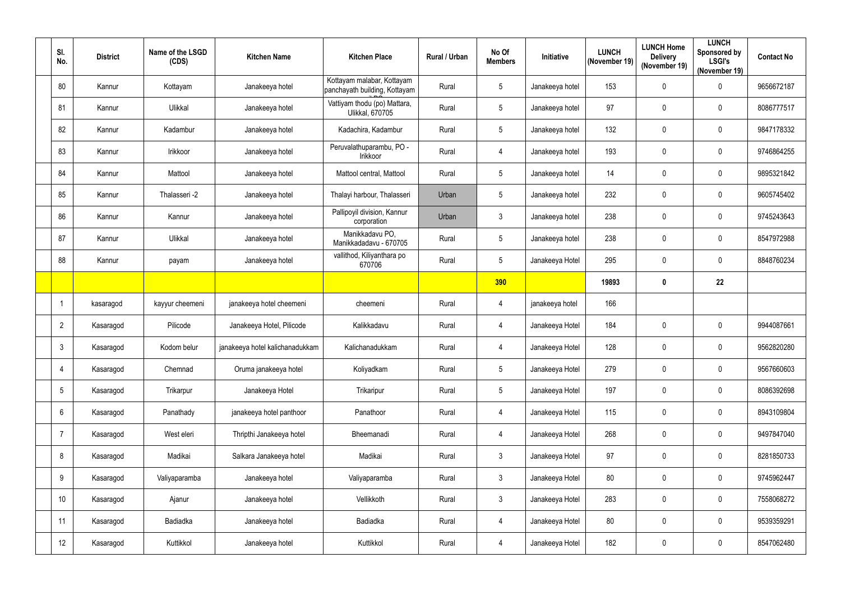| SI.<br>No.      | <b>District</b> | Name of the LSGD<br>(CDS) | <b>Kitchen Name</b>             | <b>Kitchen Place</b>                                        | Rural / Urban | No Of<br><b>Members</b> | Initiative      | <b>LUNCH</b><br>(November 19) | <b>LUNCH Home</b><br><b>Delivery</b><br>(November 19) | <b>LUNCH</b><br>Sponsored by<br><b>LSGI's</b><br>(November 19) | <b>Contact No</b> |
|-----------------|-----------------|---------------------------|---------------------------------|-------------------------------------------------------------|---------------|-------------------------|-----------------|-------------------------------|-------------------------------------------------------|----------------------------------------------------------------|-------------------|
| 80              | Kannur          | Kottayam                  | Janakeeya hotel                 | Kottayam malabar, Kottayam<br>panchayath building, Kottayam | Rural         | 5                       | Janakeeya hotel | 153                           | 0                                                     | 0                                                              | 9656672187        |
| 81              | Kannur          | Ulikkal                   | Janakeeya hotel                 | Vattiyam thodu (po) Mattara,<br><b>Ulikkal, 670705</b>      | Rural         | 5                       | Janakeeya hotel | 97                            | $\pmb{0}$                                             | $\mathbf 0$                                                    | 8086777517        |
| 82              | Kannur          | Kadambur                  | Janakeeya hotel                 | Kadachira, Kadambur                                         | Rural         | 5                       | Janakeeya hotel | 132                           | 0                                                     | 0                                                              | 9847178332        |
| 83              | Kannur          | Irikkoor                  | Janakeeya hotel                 | Peruvalathuparambu, PO -<br>Irikkoor                        | Rural         | $\overline{4}$          | Janakeeya hotel | 193                           | 0                                                     | $\mathbf 0$                                                    | 9746864255        |
| 84              | Kannur          | Mattool                   | Janakeeya hotel                 | Mattool central, Mattool                                    | Rural         | 5                       | Janakeeya hotel | 14                            | 0                                                     | $\mathbf 0$                                                    | 9895321842        |
| 85              | Kannur          | Thalasseri -2             | Janakeeya hotel                 | Thalayi harbour, Thalasseri                                 | Urban         | 5                       | Janakeeya hotel | 232                           | 0                                                     | $\mathbf 0$                                                    | 9605745402        |
| 86              | Kannur          | Kannur                    | Janakeeya hotel                 | Pallipoyil division, Kannur<br>corporation                  | Urban         | $\mathfrak{Z}$          | Janakeeya hotel | 238                           | 0                                                     | $\mathbf 0$                                                    | 9745243643        |
| 87              | Kannur          | Ulikkal                   | Janakeeya hotel                 | Manikkadavu PO,<br>Manikkadadavu - 670705                   | Rural         | 5                       | Janakeeya hotel | 238                           | 0                                                     | $\pmb{0}$                                                      | 8547972988        |
| 88              | Kannur          | payam                     | Janakeeya hotel                 | vallithod, Kiliyanthara po<br>670706                        | Rural         | 5                       | Janakeeya Hotel | 295                           | 0                                                     | $\mathbf 0$                                                    | 8848760234        |
|                 |                 |                           |                                 |                                                             |               | 390                     |                 | 19893                         | $\mathbf 0$                                           | 22                                                             |                   |
| $\overline{1}$  | kasaragod       | kayyur cheemeni           | janakeeya hotel cheemeni        | cheemeni                                                    | Rural         | $\overline{4}$          | janakeeya hotel | 166                           |                                                       |                                                                |                   |
| $\overline{2}$  | Kasaragod       | Pilicode                  | Janakeeya Hotel, Pilicode       | Kalikkadavu                                                 | Rural         | $\overline{4}$          | Janakeeya Hotel | 184                           | 0                                                     | $\mathbf 0$                                                    | 9944087661        |
| 3               | Kasaragod       | Kodom belur               | janakeeya hotel kalichanadukkam | Kalichanadukkam                                             | Rural         | 4                       | Janakeeya Hotel | 128                           | $\mathbf 0$                                           | $\mathbf 0$                                                    | 9562820280        |
| $\overline{4}$  | Kasaragod       | Chemnad                   | Oruma janakeeya hotel           | Koliyadkam                                                  | Rural         | 5                       | Janakeeya Hotel | 279                           | $\pmb{0}$                                             | $\mathbf 0$                                                    | 9567660603        |
| $5\phantom{.0}$ | Kasaragod       | Trikarpur                 | Janakeeya Hotel                 | Trikaripur                                                  | Rural         | 5                       | Janakeeya Hotel | 197                           | $\pmb{0}$                                             | $\pmb{0}$                                                      | 8086392698        |
| $6\phantom{.}6$ | Kasaragod       | Panathady                 | janakeeya hotel panthoor        | Panathoor                                                   | Rural         | $\overline{4}$          | Janakeeya Hotel | 115                           | $\pmb{0}$                                             | $\pmb{0}$                                                      | 8943109804        |
| -7              | Kasaragod       | West eleri                | Thripthi Janakeeya hotel        | Bheemanadi                                                  | Rural         | $\overline{4}$          | Janakeeya Hotel | 268                           | $\pmb{0}$                                             | 0                                                              | 9497847040        |
| 8               | Kasaragod       | Madikai                   | Salkara Janakeeya hotel         | Madikai                                                     | Rural         | $\mathfrak{Z}$          | Janakeeya Hotel | 97                            | $\pmb{0}$                                             | $\pmb{0}$                                                      | 8281850733        |
| 9               | Kasaragod       | Valiyaparamba             | Janakeeya hotel                 | Valiyaparamba                                               | Rural         | 3                       | Janakeeya Hotel | 80                            | $\pmb{0}$                                             | $\pmb{0}$                                                      | 9745962447        |
| 10              | Kasaragod       | Ajanur                    | Janakeeya hotel                 | Vellikkoth                                                  | Rural         | $\mathfrak{Z}$          | Janakeeya Hotel | 283                           | $\pmb{0}$                                             | $\pmb{0}$                                                      | 7558068272        |
| 11              | Kasaragod       | Badiadka                  | Janakeeya hotel                 | <b>Badiadka</b>                                             | Rural         | $\overline{4}$          | Janakeeya Hotel | 80                            | $\pmb{0}$                                             | 0                                                              | 9539359291        |
| 12              | Kasaragod       | Kuttikkol                 | Janakeeya hotel                 | Kuttikkol                                                   | Rural         | $\overline{4}$          | Janakeeya Hotel | 182                           | 0                                                     | $\pmb{0}$                                                      | 8547062480        |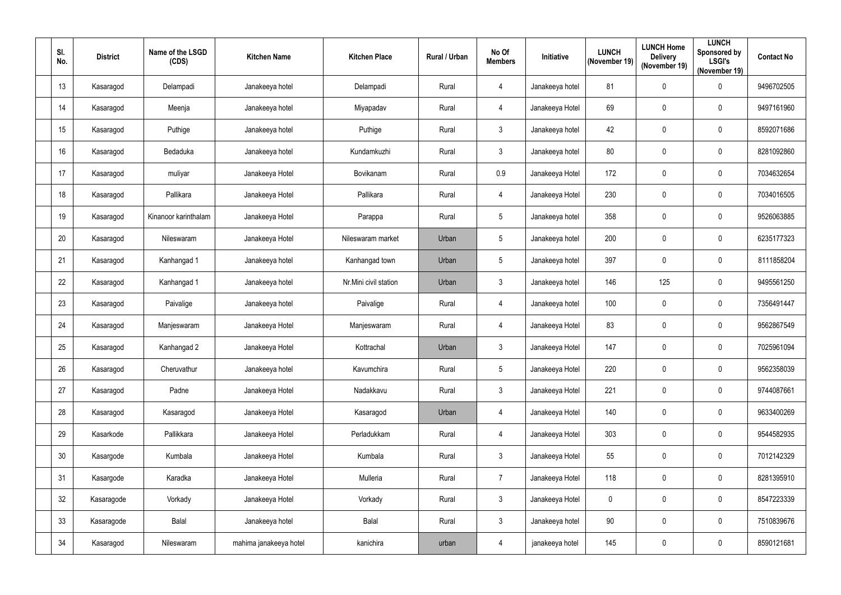| SI.<br>No. | <b>District</b> | Name of the LSGD<br>(CDS) | <b>Kitchen Name</b>    | <b>Kitchen Place</b>  | Rural / Urban | No Of<br><b>Members</b> | <b>Initiative</b> | <b>LUNCH</b><br>(November 19) | <b>LUNCH Home</b><br><b>Delivery</b><br>(November 19) | <b>LUNCH</b><br>Sponsored by<br><b>LSGI's</b><br>(November 19) | <b>Contact No</b> |
|------------|-----------------|---------------------------|------------------------|-----------------------|---------------|-------------------------|-------------------|-------------------------------|-------------------------------------------------------|----------------------------------------------------------------|-------------------|
| 13         | Kasaragod       | Delampadi                 | Janakeeya hotel        | Delampadi             | Rural         | $\overline{4}$          | Janakeeya hotel   | 81                            | $\mathbf 0$                                           | 0                                                              | 9496702505        |
| 14         | Kasaragod       | Meenja                    | Janakeeya hotel        | Miyapadav             | Rural         | 4                       | Janakeeya Hotel   | 69                            | $\mathbf 0$                                           | 0                                                              | 9497161960        |
| 15         | Kasaragod       | Puthige                   | Janakeeya hotel        | Puthige               | Rural         | $\mathbf{3}$            | Janakeeya hotel   | 42                            | $\mathbf 0$                                           | 0                                                              | 8592071686        |
| 16         | Kasaragod       | Bedaduka                  | Janakeeya hotel        | Kundamkuzhi           | Rural         | $\mathfrak{Z}$          | Janakeeya hotel   | 80                            | $\mathbf 0$                                           | $\mathbf 0$                                                    | 8281092860        |
| 17         | Kasaragod       | muliyar                   | Janakeeya Hotel        | Bovikanam             | Rural         | 0.9                     | Janakeeya Hotel   | 172                           | $\mathbf 0$                                           | 0                                                              | 7034632654        |
| 18         | Kasaragod       | Pallikara                 | Janakeeya Hotel        | Pallikara             | Rural         | $\overline{4}$          | Janakeeya Hotel   | 230                           | $\mathbf 0$                                           | 0                                                              | 7034016505        |
| 19         | Kasaragod       | Kinanoor karinthalam      | Janakeeya Hotel        | Parappa               | Rural         | $5\phantom{.0}$         | Janakeeya hotel   | 358                           | $\mathbf 0$                                           | $\mathbf 0$                                                    | 9526063885        |
| 20         | Kasaragod       | Nileswaram                | Janakeeya Hotel        | Nileswaram market     | Urban         | $5\phantom{.0}$         | Janakeeya hotel   | 200                           | $\pmb{0}$                                             | $\pmb{0}$                                                      | 6235177323        |
| 21         | Kasaragod       | Kanhangad 1               | Janakeeya hotel        | Kanhangad town        | Urban         | 5                       | Janakeeya hotel   | 397                           | $\mathbf 0$                                           | 0                                                              | 8111858204        |
| 22         | Kasaragod       | Kanhangad 1               | Janakeeya hotel        | Nr.Mini civil station | Urban         | $\mathfrak{Z}$          | Janakeeya hotel   | 146                           | 125                                                   | 0                                                              | 9495561250        |
| 23         | Kasaragod       | Paivalige                 | Janakeeya hotel        | Paivalige             | Rural         | 4                       | Janakeeya hotel   | 100                           | $\mathbf 0$                                           | $\mathbf 0$                                                    | 7356491447        |
| 24         | Kasaragod       | Manjeswaram               | Janakeeya Hotel        | Manjeswaram           | Rural         | $\overline{4}$          | Janakeeya Hotel   | 83                            | $\mathbf 0$                                           | 0                                                              | 9562867549        |
| 25         | Kasaragod       | Kanhangad 2               | Janakeeya Hotel        | Kottrachal            | Urban         | 3                       | Janakeeya Hotel   | 147                           | $\mathbf 0$                                           | 0                                                              | 7025961094        |
| 26         | Kasaragod       | Cheruvathur               | Janakeeya hotel        | Kavumchira            | Rural         | $5\phantom{.0}$         | Janakeeya Hotel   | 220                           | $\mathbf 0$                                           | 0                                                              | 9562358039        |
| 27         | Kasaragod       | Padne                     | Janakeeya Hotel        | Nadakkavu             | Rural         | $\mathfrak{Z}$          | Janakeeya Hotel   | 221                           | $\pmb{0}$                                             | $\pmb{0}$                                                      | 9744087661        |
| 28         | Kasaragod       | Kasaragod                 | Janakeeya Hotel        | Kasaragod             | Urban         | $\overline{4}$          | Janakeeya Hotel   | 140                           | $\pmb{0}$                                             | $\pmb{0}$                                                      | 9633400269        |
| 29         | Kasarkode       | Pallikkara                | Janakeeya Hotel        | Perladukkam           | Rural         | $\overline{4}$          | Janakeeya Hotel   | 303                           | $\pmb{0}$                                             | $\pmb{0}$                                                      | 9544582935        |
| 30         | Kasargode       | Kumbala                   | Janakeeya Hotel        | Kumbala               | Rural         | $3\phantom{.0}$         | Janakeeya Hotel   | 55                            | $\mathbf 0$                                           | $\pmb{0}$                                                      | 7012142329        |
| 31         | Kasargode       | Karadka                   | Janakeeya Hotel        | Mulleria              | Rural         | $\overline{7}$          | Janakeeya Hotel   | 118                           | $\pmb{0}$                                             | $\pmb{0}$                                                      | 8281395910        |
| 32         | Kasaragode      | Vorkady                   | Janakeeya Hotel        | Vorkady               | Rural         | $\mathfrak{Z}$          | Janakeeya Hotel   | $\mathbf 0$                   | $\pmb{0}$                                             | $\pmb{0}$                                                      | 8547223339        |
| 33         | Kasaragode      | Balal                     | Janakeeya hotel        | <b>Balal</b>          | Rural         | $\mathfrak{Z}$          | Janakeeya hotel   | 90                            | $\pmb{0}$                                             | 0                                                              | 7510839676        |
| 34         | Kasaragod       | Nileswaram                | mahima janakeeya hotel | kanichira             | urban         | $\overline{4}$          | janakeeya hotel   | 145                           | $\pmb{0}$                                             | $\pmb{0}$                                                      | 8590121681        |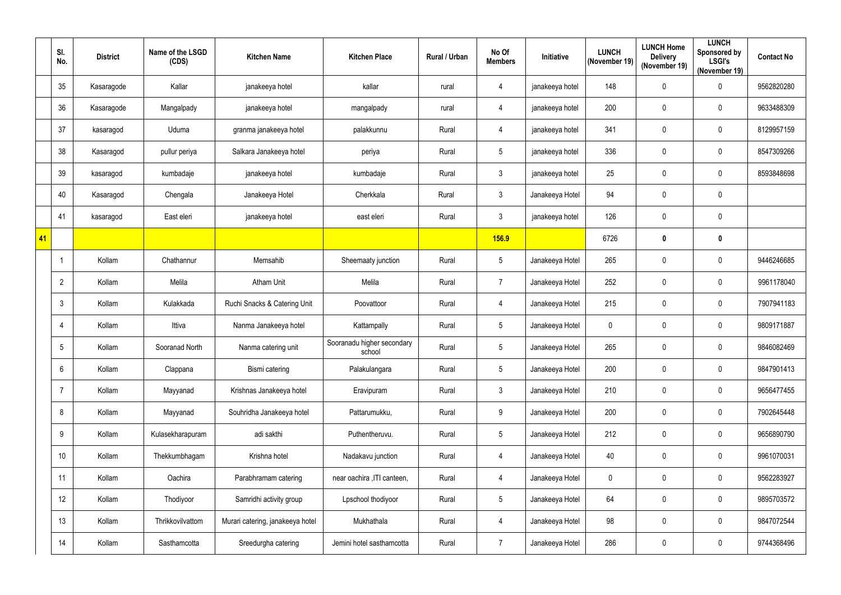|    | SI.<br>No.      | <b>District</b> | Name of the LSGD<br>(CDS) | <b>Kitchen Name</b>              | <b>Kitchen Place</b>                 | Rural / Urban | No Of<br><b>Members</b> | Initiative      | <b>LUNCH</b><br>(November 19) | <b>LUNCH Home</b><br><b>Delivery</b><br>(November 19) | <b>LUNCH</b><br>Sponsored by<br><b>LSGI's</b><br>(November 19) | <b>Contact No</b> |
|----|-----------------|-----------------|---------------------------|----------------------------------|--------------------------------------|---------------|-------------------------|-----------------|-------------------------------|-------------------------------------------------------|----------------------------------------------------------------|-------------------|
|    | $35\,$          | Kasaragode      | Kallar                    | janakeeya hotel                  | kallar                               | rural         | 4                       | janakeeya hotel | 148                           | $\pmb{0}$                                             | 0                                                              | 9562820280        |
|    | 36              | Kasaragode      | Mangalpady                | janakeeya hotel                  | mangalpady                           | rural         | 4                       | janakeeya hotel | 200                           | 0                                                     | 0                                                              | 9633488309        |
|    | 37              | kasaragod       | Uduma                     | granma janakeeya hotel           | palakkunnu                           | Rural         | 4                       | janakeeya hotel | 341                           | $\pmb{0}$                                             | 0                                                              | 8129957159        |
|    | 38              | Kasaragod       | pullur periya             | Salkara Janakeeya hotel          | periya                               | Rural         | $\sqrt{5}$              | janakeeya hotel | 336                           | $\pmb{0}$                                             | 0                                                              | 8547309266        |
|    | 39              | kasaragod       | kumbadaje                 | janakeeya hotel                  | kumbadaje                            | Rural         | $\mathfrak{Z}$          | janakeeya hotel | 25                            | $\pmb{0}$                                             | 0                                                              | 8593848698        |
|    | 40              | Kasaragod       | Chengala                  | Janakeeya Hotel                  | Cherkkala                            | Rural         | $\mathbf{3}$            | Janakeeya Hotel | 94                            | $\pmb{0}$                                             | $\pmb{0}$                                                      |                   |
|    | 41              | kasaragod       | East eleri                | janakeeya hotel                  | east eleri                           | Rural         | $\mathbf{3}$            | janakeeya hotel | 126                           | $\pmb{0}$                                             | 0                                                              |                   |
| 41 |                 |                 |                           |                                  |                                      |               | <b>156.9</b>            |                 | 6726                          | $\pmb{0}$                                             | $\pmb{0}$                                                      |                   |
|    | -1              | Kollam          | Chathannur                | Memsahib                         | Sheemaaty junction                   | Rural         | $\overline{5}$          | Janakeeya Hotel | 265                           | 0                                                     | 0                                                              | 9446246685        |
|    | $\overline{2}$  | Kollam          | Melila                    | <b>Atham Unit</b>                | Melila                               | Rural         | $\overline{7}$          | Janakeeya Hotel | 252                           | $\pmb{0}$                                             | 0                                                              | 9961178040        |
|    | $\mathfrak{Z}$  | Kollam          | Kulakkada                 | Ruchi Snacks & Catering Unit     | Poovattoor                           | Rural         | 4                       | Janakeeya Hotel | 215                           | $\pmb{0}$                                             | $\pmb{0}$                                                      | 7907941183        |
|    | 4               | Kollam          | Ittiva                    | Nanma Janakeeya hotel            | Kattampally                          | Rural         | $5\phantom{.0}$         | Janakeeya Hotel | $\pmb{0}$                     | 0                                                     | $\pmb{0}$                                                      | 9809171887        |
|    | 5               | Kollam          | Sooranad North            | Nanma catering unit              | Sooranadu higher secondary<br>school | Rural         | 5                       | Janakeeya Hotel | 265                           | 0                                                     | 0                                                              | 9846082469        |
|    | $6\phantom{.}$  | Kollam          | Clappana                  | Bismi catering                   | Palakulangara                        | Rural         | $\sqrt{5}$              | Janakeeya Hotel | 200                           | $\pmb{0}$                                             | $\pmb{0}$                                                      | 9847901413        |
|    | 7               | Kollam          | Mayyanad                  | Krishnas Janakeeya hotel         | Eravipuram                           | Rural         | $\mathbf{3}$            | Janakeeya Hotel | 210                           | $\mathbf 0$                                           | 0                                                              | 9656477455        |
|    | 8               | Kollam          | Mayyanad                  | Souhridha Janakeeya hotel        | Pattarumukku,                        | Rural         | 9                       | Janakeeya Hotel | 200                           | $\mathbf 0$                                           | $\pmb{0}$                                                      | 7902645448        |
|    | 9               | Kollam          | Kulasekharapuram          | adi sakthi                       | Puthentheruvu.                       | Rural         | $5\,$                   | Janakeeya Hotel | 212                           | $\pmb{0}$                                             | $\pmb{0}$                                                      | 9656890790        |
|    | 10 <sup>°</sup> | Kollam          | Thekkumbhagam             | Krishna hotel                    | Nadakavu junction                    | Rural         | 4                       | Janakeeya Hotel | 40                            | $\mathbf 0$                                           | $\pmb{0}$                                                      | 9961070031        |
|    | 11              | Kollam          | Oachira                   | Parabhramam catering             | near oachira , ITI canteen,          | Rural         | $\overline{4}$          | Janakeeya Hotel | $\mathbf 0$                   | $\mathbf 0$                                           | $\pmb{0}$                                                      | 9562283927        |
|    | 12 <sup>°</sup> | Kollam          | Thodiyoor                 | Samridhi activity group          | Lpschool thodiyoor                   | Rural         | $5\phantom{.0}$         | Janakeeya Hotel | 64                            | $\mathbf 0$                                           | $\pmb{0}$                                                      | 9895703572        |
|    | 13              | Kollam          | Thrikkovilvattom          | Murari catering, janakeeya hotel | Mukhathala                           | Rural         | 4                       | Janakeeya Hotel | 98                            | $\pmb{0}$                                             | 0                                                              | 9847072544        |
|    | 14              | Kollam          | Sasthamcotta              | Sreedurgha catering              | Jemini hotel sasthamcotta            | Rural         | $\overline{7}$          | Janakeeya Hotel | 286                           | $\pmb{0}$                                             | $\pmb{0}$                                                      | 9744368496        |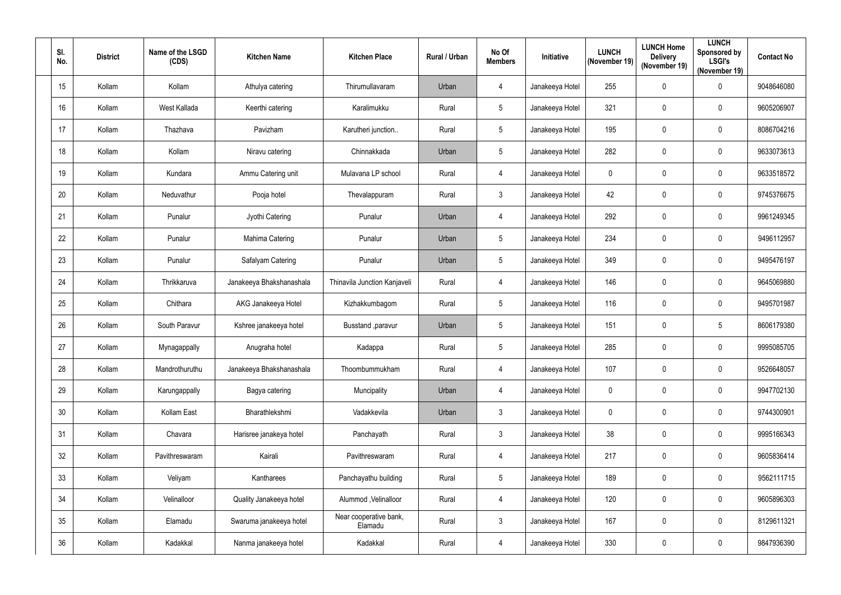| SI.<br>No.      | <b>District</b> | Name of the LSGD<br>(CDS) | <b>Kitchen Name</b>      | <b>Kitchen Place</b>              | Rural / Urban | No Of<br><b>Members</b> | <b>Initiative</b> | <b>LUNCH</b><br>(November 19) | <b>LUNCH Home</b><br><b>Delivery</b><br>(November 19) | <b>LUNCH</b><br>Sponsored by<br><b>LSGI's</b><br>(November 19) | <b>Contact No</b> |
|-----------------|-----------------|---------------------------|--------------------------|-----------------------------------|---------------|-------------------------|-------------------|-------------------------------|-------------------------------------------------------|----------------------------------------------------------------|-------------------|
| 15              | Kollam          | Kollam                    | Athulya catering         | Thirumullavaram                   | Urban         | 4                       | Janakeeya Hotel   | 255                           | 0                                                     | $\pmb{0}$                                                      | 9048646080        |
| 16              | Kollam          | West Kallada              | Keerthi catering         | Karalimukku                       | Rural         | $5\phantom{.0}$         | Janakeeya Hotel   | 321                           | 0                                                     | $\mathbf 0$                                                    | 9605206907        |
| 17              | Kollam          | Thazhava                  | Pavizham                 | Karutheri junction                | Rural         | $5\phantom{.0}$         | Janakeeya Hotel   | 195                           | 0                                                     | 0                                                              | 8086704216        |
| 18              | Kollam          | Kollam                    | Niravu catering          | Chinnakkada                       | Urban         | $5\phantom{.0}$         | Janakeeya Hotel   | 282                           | 0                                                     | 0                                                              | 9633073613        |
| 19              | Kollam          | Kundara                   | Ammu Catering unit       | Mulavana LP school                | Rural         | 4                       | Janakeeya Hotel   | $\mathbf 0$                   | 0                                                     | 0                                                              | 9633518572        |
| 20              | Kollam          | Neduvathur                | Pooja hotel              | Thevalappuram                     | Rural         | $\mathbf{3}$            | Janakeeya Hotel   | 42                            | 0                                                     | 0                                                              | 9745376675        |
| 21              | Kollam          | Punalur                   | Jyothi Catering          | Punalur                           | Urban         | 4                       | Janakeeya Hotel   | 292                           | 0                                                     | $\mathbf 0$                                                    | 9961249345        |
| 22              | Kollam          | Punalur                   | Mahima Catering          | Punalur                           | Urban         | $\overline{5}$          | Janakeeya Hotel   | 234                           | 0                                                     | 0                                                              | 9496112957        |
| 23              | Kollam          | Punalur                   | Safalyam Catering        | Punalur                           | Urban         | 5                       | Janakeeya Hotel   | 349                           | 0                                                     | $\mathbf 0$                                                    | 9495476197        |
| 24              | Kollam          | Thrikkaruva               | Janakeeya Bhakshanashala | Thinavila Junction Kanjaveli      | Rural         | 4                       | Janakeeya Hotel   | 146                           | 0                                                     | 0                                                              | 9645069880        |
| 25              | Kollam          | Chithara                  | AKG Janakeeya Hotel      | Kizhakkumbagom                    | Rural         | $\overline{5}$          | Janakeeya Hotel   | 116                           | 0                                                     | 0                                                              | 9495701987        |
| 26              | Kollam          | South Paravur             | Kshree janakeeya hotel   | Busstand , paravur                | Urban         | $\overline{5}$          | Janakeeya Hotel   | 151                           | 0                                                     | 5                                                              | 8606179380        |
| 27              | Kollam          | Mynagappally              | Anugraha hotel           | Kadappa                           | Rural         | $5\phantom{.0}$         | Janakeeya Hotel   | 285                           | 0                                                     | $\mathbf 0$                                                    | 9995085705        |
| 28              | Kollam          | Mandrothuruthu            | Janakeeya Bhakshanashala | Thoombummukham                    | Rural         | $\overline{4}$          | Janakeeya Hotel   | 107                           | 0                                                     | 0                                                              | 9526648057        |
| 29              | Kollam          | Karungappally             | Bagya catering           | Muncipality                       | Urban         | $\overline{4}$          | Janakeeya Hotel   | $\mathbf 0$                   | 0                                                     | 0                                                              | 9947702130        |
| 30 <sup>°</sup> | Kollam          | Kollam East               | Bharathlekshmi           | Vadakkevila                       | Urban         | $\mathfrak{Z}$          | Janakeeya Hotel   | $\mathbf 0$                   | 0                                                     | $\pmb{0}$                                                      | 9744300901        |
| 31              | Kollam          | Chavara                   | Harisree janakeya hotel  | Panchayath                        | Rural         | $\mathfrak{Z}$          | Janakeeya Hotel   | 38                            | 0                                                     | $\pmb{0}$                                                      | 9995166343        |
| 32              | Kollam          | Pavithreswaram            | Kairali                  | Pavithreswaram                    | Rural         | 4                       | Janakeeya Hotel   | 217                           | 0                                                     | $\pmb{0}$                                                      | 9605836414        |
| 33              | Kollam          | Veliyam                   | Kantharees               | Panchayathu building              | Rural         | $5\,$                   | Janakeeya Hotel   | 189                           | 0                                                     | 0                                                              | 9562111715        |
| 34              | Kollam          | Velinalloor               | Quality Janakeeya hotel  | Alummod , Velinalloor             | Rural         | 4                       | Janakeeya Hotel   | 120                           | 0                                                     | $\pmb{0}$                                                      | 9605896303        |
| 35              | Kollam          | Elamadu                   | Swaruma janakeeya hotel  | Near cooperative bank,<br>Elamadu | Rural         | $\mathfrak{Z}$          | Janakeeya Hotel   | 167                           | 0                                                     | $\pmb{0}$                                                      | 8129611321        |
| 36              | Kollam          | Kadakkal                  | Nanma janakeeya hotel    | Kadakkal                          | Rural         | 4                       | Janakeeya Hotel   | 330                           | 0                                                     | $\pmb{0}$                                                      | 9847936390        |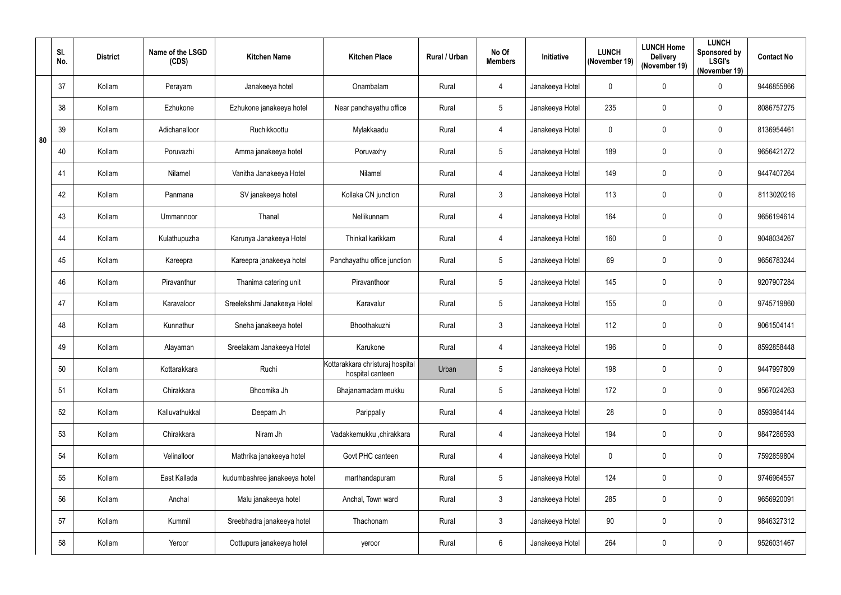|    | SI.<br>No. | <b>District</b> | Name of the LSGD<br>(CDS) | <b>Kitchen Name</b>          | <b>Kitchen Place</b>                                 | <b>Rural / Urban</b> | No Of<br><b>Members</b> | Initiative      | <b>LUNCH</b><br>(November 19) | <b>LUNCH Home</b><br><b>Delivery</b><br>(November 19) | <b>LUNCH</b><br>Sponsored by<br><b>LSGI's</b><br>(November 19) | <b>Contact No</b> |
|----|------------|-----------------|---------------------------|------------------------------|------------------------------------------------------|----------------------|-------------------------|-----------------|-------------------------------|-------------------------------------------------------|----------------------------------------------------------------|-------------------|
|    | 37         | Kollam          | Perayam                   | Janakeeya hotel              | Onambalam                                            | Rural                | $\overline{4}$          | Janakeeya Hotel | $\mathbf 0$                   | $\mathbf 0$                                           | 0                                                              | 9446855866        |
|    | 38         | Kollam          | Ezhukone                  | Ezhukone janakeeya hotel     | Near panchayathu office                              | Rural                | $5\phantom{.0}$         | Janakeeya Hotel | 235                           | $\mathbf 0$                                           | $\mathbf 0$                                                    | 8086757275        |
| 80 | 39         | Kollam          | Adichanalloor             | Ruchikkoottu                 | Mylakkaadu                                           | Rural                | $\overline{4}$          | Janakeeya Hotel | $\mathbf 0$                   | $\mathbf 0$                                           | 0                                                              | 8136954461        |
|    | 40         | Kollam          | Poruvazhi                 | Amma janakeeya hotel         | Poruvaxhy                                            | Rural                | $5\phantom{.0}$         | Janakeeya Hotel | 189                           | $\mathbf 0$                                           | $\mathbf 0$                                                    | 9656421272        |
|    | 41         | Kollam          | Nilamel                   | Vanitha Janakeeya Hotel      | Nilamel                                              | Rural                | $\overline{4}$          | Janakeeya Hotel | 149                           | $\mathbf 0$                                           | 0                                                              | 9447407264        |
|    | 42         | Kollam          | Panmana                   | SV janakeeya hotel           | Kollaka CN junction                                  | Rural                | $\mathbf{3}$            | Janakeeya Hotel | 113                           | $\mathbf 0$                                           | 0                                                              | 8113020216        |
|    | 43         | Kollam          | Ummannoor                 | Thanal                       | Nellikunnam                                          | Rural                | $\overline{4}$          | Janakeeya Hotel | 164                           | $\mathbf 0$                                           | $\mathbf 0$                                                    | 9656194614        |
|    | 44         | Kollam          | Kulathupuzha              | Karunya Janakeeya Hotel      | Thinkal karikkam                                     | Rural                | $\overline{4}$          | Janakeeya Hotel | 160                           | $\mathbf 0$                                           | 0                                                              | 9048034267        |
|    | 45         | Kollam          | Kareepra                  | Kareepra janakeeya hotel     | Panchayathu office junction                          | Rural                | $5\phantom{.0}$         | Janakeeya Hotel | 69                            | $\mathbf 0$                                           | $\mathbf 0$                                                    | 9656783244        |
|    | 46         | Kollam          | Piravanthur               | Thanima catering unit        | Piravanthoor                                         | Rural                | $\overline{5}$          | Janakeeya Hotel | 145                           | $\mathbf 0$                                           | 0                                                              | 9207907284        |
|    | 47         | Kollam          | Karavaloor                | Sreelekshmi Janakeeya Hotel  | Karavalur                                            | Rural                | $5\phantom{.0}$         | Janakeeya Hotel | 155                           | $\mathbf 0$                                           | $\mathbf 0$                                                    | 9745719860        |
|    | 48         | Kollam          | Kunnathur                 | Sneha janakeeya hotel        | Bhoothakuzhi                                         | Rural                | $\mathbf{3}$            | Janakeeya Hotel | 112                           | $\mathbf 0$                                           | $\mathbf 0$                                                    | 9061504141        |
|    | 49         | Kollam          | Alayaman                  | Sreelakam Janakeeya Hotel    | Karukone                                             | Rural                | 4                       | Janakeeya Hotel | 196                           | $\mathbf 0$                                           | $\mathbf 0$                                                    | 8592858448        |
|    | 50         | Kollam          | Kottarakkara              | Ruchi                        | Kottarakkara christuraj hospital<br>hospital canteen | Urban                | $5\phantom{.0}$         | Janakeeya Hotel | 198                           | $\mathbf 0$                                           | $\mathbf 0$                                                    | 9447997809        |
|    | 51         | Kollam          | Chirakkara                | Bhoomika Jh                  | Bhajanamadam mukku                                   | Rural                | $5\phantom{.0}$         | Janakeeya Hotel | 172                           | $\mathbf 0$                                           | 0                                                              | 9567024263        |
|    | 52         | Kollam          | Kalluvathukkal            | Deepam Jh                    | Parippally                                           | Rural                | $\overline{4}$          | Janakeeya Hotel | 28                            | $\mathbf 0$                                           | $\pmb{0}$                                                      | 8593984144        |
|    | 53         | Kollam          | Chirakkara                | Niram Jh                     | Vadakkemukku ,chirakkara                             | Rural                | $\overline{4}$          | Janakeeya Hotel | 194                           | $\mathbf 0$                                           | 0                                                              | 9847286593        |
|    | 54         | Kollam          | Velinalloor               | Mathrika janakeeya hotel     | Govt PHC canteen                                     | Rural                | $\overline{4}$          | Janakeeya Hotel | $\mathbf 0$                   | $\mathbf 0$                                           | $\pmb{0}$                                                      | 7592859804        |
|    | 55         | Kollam          | East Kallada              | kudumbashree janakeeya hotel | marthandapuram                                       | Rural                | $5\phantom{.0}$         | Janakeeya Hotel | 124                           | $\mathbf 0$                                           | 0                                                              | 9746964557        |
|    | 56         | Kollam          | Anchal                    | Malu janakeeya hotel         | Anchal, Town ward                                    | Rural                | $\mathbf{3}$            | Janakeeya Hotel | 285                           | $\mathbf 0$                                           | $\pmb{0}$                                                      | 9656920091        |
|    | 57         | Kollam          | Kummil                    | Sreebhadra janakeeya hotel   | Thachonam                                            | Rural                | $\mathbf{3}$            | Janakeeya Hotel | 90                            | $\pmb{0}$                                             | $\pmb{0}$                                                      | 9846327312        |
|    | 58         | Kollam          | Yeroor                    | Oottupura janakeeya hotel    | yeroor                                               | Rural                | $6\overline{6}$         | Janakeeya Hotel | 264                           | $\pmb{0}$                                             | $\pmb{0}$                                                      | 9526031467        |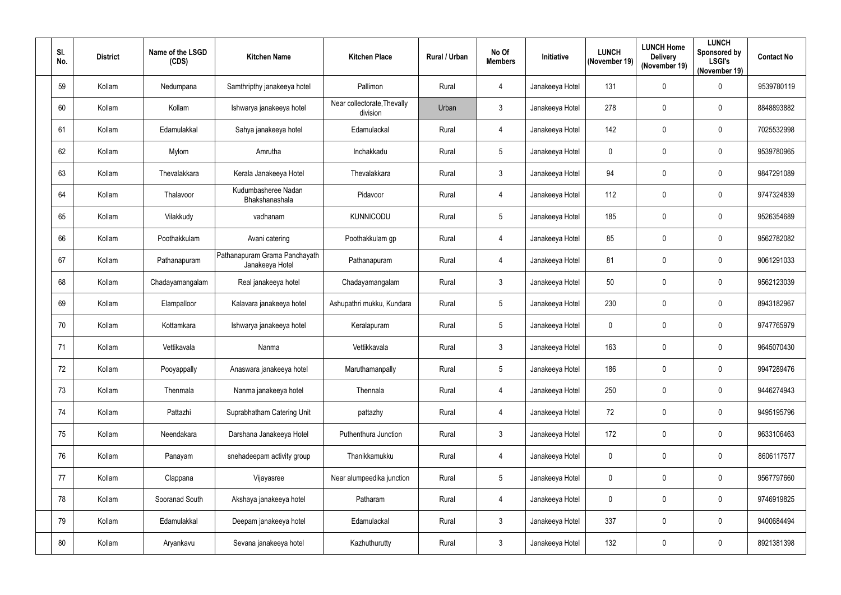| SI.<br>No. | <b>District</b> | Name of the LSGD<br>(CDS) | <b>Kitchen Name</b>                              | <b>Kitchen Place</b>                    | Rural / Urban | No Of<br><b>Members</b> | Initiative      | <b>LUNCH</b><br>(November 19) | <b>LUNCH Home</b><br><b>Delivery</b><br>(November 19) | <b>LUNCH</b><br>Sponsored by<br><b>LSGI's</b><br>(November 19) | <b>Contact No</b> |
|------------|-----------------|---------------------------|--------------------------------------------------|-----------------------------------------|---------------|-------------------------|-----------------|-------------------------------|-------------------------------------------------------|----------------------------------------------------------------|-------------------|
| 59         | Kollam          | Nedumpana                 | Samthripthy janakeeya hotel                      | Pallimon                                | Rural         | $\overline{4}$          | Janakeeya Hotel | 131                           | $\mathbf 0$                                           | 0                                                              | 9539780119        |
| 60         | Kollam          | Kollam                    | Ishwarya janakeeya hotel                         | Near collectorate, Thevally<br>division | Urban         | 3                       | Janakeeya Hotel | 278                           | $\mathbf 0$                                           | $\mathbf 0$                                                    | 8848893882        |
| 61         | Kollam          | Edamulakkal               | Sahya janakeeya hotel                            | Edamulackal                             | Rural         | $\overline{4}$          | Janakeeya Hotel | 142                           | $\mathbf 0$                                           | 0                                                              | 7025532998        |
| 62         | Kollam          | Mylom                     | Amrutha                                          | Inchakkadu                              | Rural         | $5\overline{)}$         | Janakeeya Hotel | 0                             | $\mathbf 0$                                           | $\mathbf 0$                                                    | 9539780965        |
| 63         | Kollam          | Thevalakkara              | Kerala Janakeeya Hotel                           | Thevalakkara                            | Rural         | $\mathfrak{Z}$          | Janakeeya Hotel | 94                            | $\mathbf 0$                                           | $\mathbf 0$                                                    | 9847291089        |
| 64         | Kollam          | Thalavoor                 | Kudumbasheree Nadan<br>Bhakshanashala            | Pidavoor                                | Rural         | $\overline{4}$          | Janakeeya Hotel | 112                           | $\mathbf 0$                                           | $\mathbf 0$                                                    | 9747324839        |
| 65         | Kollam          | Vilakkudy                 | vadhanam                                         | <b>KUNNICODU</b>                        | Rural         | 5                       | Janakeeya Hotel | 185                           | $\mathbf 0$                                           | $\mathbf 0$                                                    | 9526354689        |
| 66         | Kollam          | Poothakkulam              | Avani catering                                   | Poothakkulam gp                         | Rural         | $\overline{4}$          | Janakeeya Hotel | 85                            | $\mathbf 0$                                           | $\mathbf 0$                                                    | 9562782082        |
| 67         | Kollam          | Pathanapuram              | Pathanapuram Grama Panchayath<br>Janakeeya Hotel | Pathanapuram                            | Rural         | $\overline{4}$          | Janakeeya Hotel | 81                            | $\mathbf 0$                                           | $\mathbf 0$                                                    | 9061291033        |
| 68         | Kollam          | Chadayamangalam           | Real janakeeya hotel                             | Chadayamangalam                         | Rural         | 3                       | Janakeeya Hotel | 50                            | $\mathbf 0$                                           | $\mathbf 0$                                                    | 9562123039        |
| 69         | Kollam          | Elampalloor               | Kalavara janakeeya hotel                         | Ashupathri mukku, Kundara               | Rural         | 5                       | Janakeeya Hotel | 230                           | $\mathbf 0$                                           | $\mathbf 0$                                                    | 8943182967        |
| 70         | Kollam          | Kottamkara                | Ishwarya janakeeya hotel                         | Keralapuram                             | Rural         | 5                       | Janakeeya Hotel | $\mathbf 0$                   | $\mathbf 0$                                           | $\mathbf 0$                                                    | 9747765979        |
| 71         | Kollam          | Vettikavala               | Nanma                                            | Vettikkavala                            | Rural         | 3                       | Janakeeya Hotel | 163                           | $\mathbf 0$                                           | $\mathbf 0$                                                    | 9645070430        |
| 72         | Kollam          | Pooyappally               | Anaswara janakeeya hotel                         | Maruthamanpally                         | Rural         | 5                       | Janakeeya Hotel | 186                           | $\mathbf 0$                                           | $\mathbf 0$                                                    | 9947289476        |
| 73         | Kollam          | Thenmala                  | Nanma janakeeya hotel                            | Thennala                                | Rural         | $\overline{4}$          | Janakeeya Hotel | 250                           | $\mathbf 0$                                           | 0                                                              | 9446274943        |
| 74         | Kollam          | Pattazhi                  | Suprabhatham Catering Unit                       | pattazhy                                | Rural         | $\overline{4}$          | Janakeeya Hotel | 72                            | $\pmb{0}$                                             | $\pmb{0}$                                                      | 9495195796        |
| 75         | Kollam          | Neendakara                | Darshana Janakeeya Hotel                         | Puthenthura Junction                    | Rural         | $\mathfrak{Z}$          | Janakeeya Hotel | 172                           | $\mathbf 0$                                           | 0                                                              | 9633106463        |
| 76         | Kollam          | Panayam                   | snehadeepam activity group                       | Thanikkamukku                           | Rural         | $\overline{4}$          | Janakeeya Hotel | $\mathbf 0$                   | $\mathbf 0$                                           | 0                                                              | 8606117577        |
| 77         | Kollam          | Clappana                  | Vijayasree                                       | Near alumpeedika junction               | Rural         | 5                       | Janakeeya Hotel | $\mathbf 0$                   | $\mathbf 0$                                           | $\pmb{0}$                                                      | 9567797660        |
| 78         | Kollam          | Sooranad South            | Akshaya janakeeya hotel                          | Patharam                                | Rural         | $\overline{4}$          | Janakeeya Hotel | $\mathbf 0$                   | $\mathbf 0$                                           | 0                                                              | 9746919825        |
| 79         | Kollam          | Edamulakkal               | Deepam janakeeya hotel                           | Edamulackal                             | Rural         | $\mathbf{3}$            | Janakeeya Hotel | 337                           | $\mathbf 0$                                           | 0                                                              | 9400684494        |
| 80         | Kollam          | Aryankavu                 | Sevana janakeeya hotel                           | Kazhuthurutty                           | Rural         | $\mathbf{3}$            | Janakeeya Hotel | 132                           | $\pmb{0}$                                             | $\pmb{0}$                                                      | 8921381398        |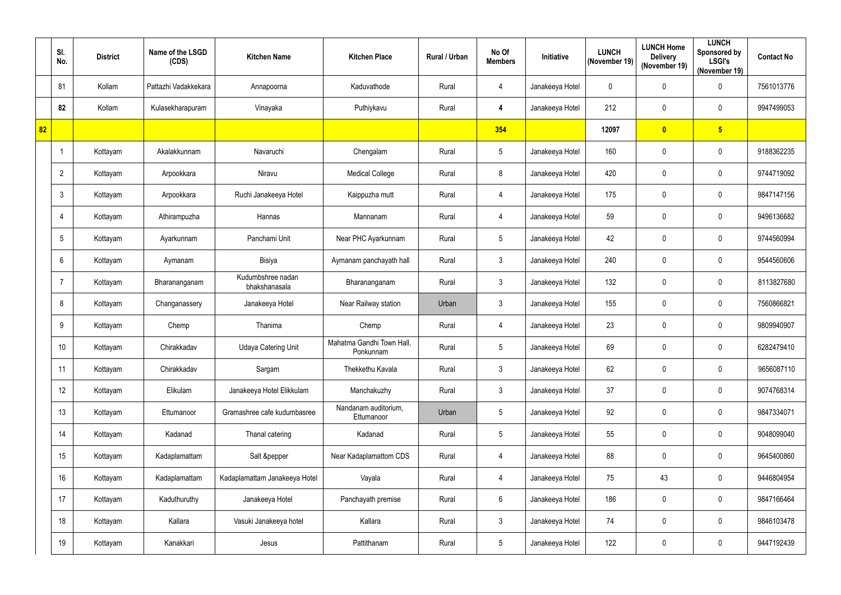|    | SI.<br>No.      | <b>District</b> | Name of the LSGD<br>(CDS) | <b>Kitchen Name</b>                | <b>Kitchen Place</b>                   | Rural / Urban | No Of<br><b>Members</b> | Initiative      | <b>LUNCH</b><br>(November 19) | <b>LUNCH Home</b><br><b>Delivery</b><br>(November 19) | <b>LUNCH</b><br>Sponsored by<br><b>LSGI's</b><br>(November 19) | <b>Contact No</b> |
|----|-----------------|-----------------|---------------------------|------------------------------------|----------------------------------------|---------------|-------------------------|-----------------|-------------------------------|-------------------------------------------------------|----------------------------------------------------------------|-------------------|
|    | 81              | Kollam          | Pattazhi Vadakkekara      | Annapoorna                         | Kaduvathode                            | Rural         | 4                       | Janakeeya Hotel | $\pmb{0}$                     | 0                                                     | 0                                                              | 7561013776        |
|    | 82              | Kollam          | Kulasekharapuram          | Vinayaka                           | Puthiykavu                             | Rural         | 4                       | Janakeeya Hotel | 212                           | 0                                                     | 0                                                              | 9947499053        |
| 82 |                 |                 |                           |                                    |                                        |               | 354                     |                 | 12097                         | $\overline{\mathbf{0}}$                               | 5 <sub>5</sub>                                                 |                   |
|    | -1              | Kottayam        | Akalakkunnam              | Navaruchi                          | Chengalam                              | Rural         | $\sqrt{5}$              | Janakeeya Hotel | 160                           | 0                                                     | 0                                                              | 9188362235        |
|    | $\overline{2}$  | Kottayam        | Arpookkara                | Niravu                             | <b>Medical College</b>                 | Rural         | 8                       | Janakeeya Hotel | 420                           | 0                                                     | 0                                                              | 9744719092        |
|    | 3               | Kottayam        | Arpookkara                | Ruchi Janakeeya Hotel              | Kaippuzha mutt                         | Rural         | 4                       | Janakeeya Hotel | 175                           | $\pmb{0}$                                             | 0                                                              | 9847147156        |
|    | 4               | Kottayam        | Athirampuzha              | Hannas                             | Mannanam                               | Rural         | 4                       | Janakeeya Hotel | 59                            | 0                                                     | $\mathbf 0$                                                    | 9496136682        |
|    | $5\phantom{.0}$ | Kottayam        | Ayarkunnam                | Panchami Unit                      | Near PHC Ayarkunnam                    | Rural         | $\sqrt{5}$              | Janakeeya Hotel | 42                            | 0                                                     | $\pmb{0}$                                                      | 9744560994        |
|    | 6               | Kottayam        | Aymanam                   | <b>Bisiya</b>                      | Aymanam panchayath hall                | Rural         | $\mathbf{3}$            | Janakeeya Hotel | 240                           | 0                                                     | $\mathbf 0$                                                    | 9544560606        |
|    | 7               | Kottayam        | Bharananganam             | Kudumbshree nadan<br>bhakshanasala | Bharananganam                          | Rural         | $\mathbf{3}$            | Janakeeya Hotel | 132                           | 0                                                     | $\mathbf 0$                                                    | 8113827680        |
|    | 8               | Kottayam        | Changanassery             | Janakeeya Hotel                    | Near Railway station                   | Urban         | $\mathbf{3}$            | Janakeeya Hotel | 155                           | 0                                                     | $\mathbf 0$                                                    | 7560866821        |
|    | 9               | Kottayam        | Chemp                     | Thanima                            | Chemp                                  | Rural         | 4                       | Janakeeya Hotel | 23                            | 0                                                     | $\pmb{0}$                                                      | 9809940907        |
|    | 10              | Kottayam        | Chirakkadav               | <b>Udaya Catering Unit</b>         | Mahatma Gandhi Town Hall,<br>Ponkunnam | Rural         | 5                       | Janakeeya Hotel | 69                            | 0                                                     | $\mathbf 0$                                                    | 6282479410        |
|    | 11              | Kottayam        | Chirakkadav               | Sargam                             | Thekkethu Kavala                       | Rural         | $3\phantom{.0}$         | Janakeeya Hotel | 62                            | $\pmb{0}$                                             | $\pmb{0}$                                                      | 9656087110        |
|    | 12              | Kottayam        | Elikulam                  | Janakeeya Hotel Elikkulam          | Manchakuzhy                            | Rural         | $\mathbf{3}$            | Janakeeya Hotel | 37                            | $\mathbf 0$                                           | 0                                                              | 9074768314        |
|    | 13              | Kottayam        | Ettumanoor                | Gramashree cafe kudumbasree        | Nandanam auditorium,<br>Ettumanoor     | Urban         | $5\phantom{.0}$         | Janakeeya Hotel | 92                            | $\mathbf 0$                                           | $\pmb{0}$                                                      | 9847334071        |
|    | 14              | Kottayam        | Kadanad                   | Thanal catering                    | Kadanad                                | Rural         | $5\,$                   | Janakeeya Hotel | 55                            | $\pmb{0}$                                             | $\pmb{0}$                                                      | 9048099040        |
|    | 15              | Kottayam        | Kadaplamattam             | Salt &pepper                       | Near Kadaplamattom CDS                 | Rural         | 4                       | Janakeeya Hotel | 88                            | $\mathbf 0$                                           | $\pmb{0}$                                                      | 9645400860        |
|    | 16 <sup>°</sup> | Kottayam        | Kadaplamattam             | Kadaplamattam Janakeeya Hotel      | Vayala                                 | Rural         | $\overline{4}$          | Janakeeya Hotel | 75                            | 43                                                    | $\pmb{0}$                                                      | 9446804954        |
|    | 17              | Kottayam        | Kaduthuruthy              | Janakeeya Hotel                    | Panchayath premise                     | Rural         | $6\overline{6}$         | Janakeeya Hotel | 186                           | $\mathbf 0$                                           | $\pmb{0}$                                                      | 9847166464        |
|    | 18              | Kottayam        | Kallara                   | Vasuki Janakeeya hotel             | Kallara                                | Rural         | $3\phantom{.0}$         | Janakeeya Hotel | 74                            | $\pmb{0}$                                             | 0                                                              | 9846103478        |
|    | 19              | Kottayam        | Kanakkari                 | Jesus                              | Pattithanam                            | Rural         | $5\overline{)}$         | Janakeeya Hotel | 122                           | $\pmb{0}$                                             | $\pmb{0}$                                                      | 9447192439        |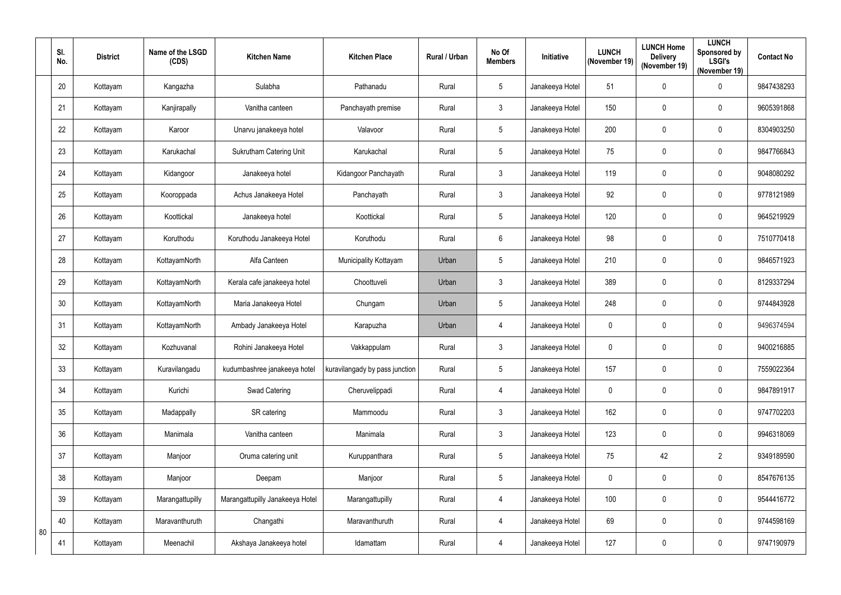|    | SI.<br>No. | <b>District</b> | Name of the LSGD<br>(CDS) | <b>Kitchen Name</b>             | <b>Kitchen Place</b>           | Rural / Urban | No Of<br><b>Members</b> | Initiative      | <b>LUNCH</b><br>(November 19) | <b>LUNCH Home</b><br><b>Delivery</b><br>(November 19) | <b>LUNCH</b><br>Sponsored by<br><b>LSGI's</b><br>(November 19) | <b>Contact No</b> |
|----|------------|-----------------|---------------------------|---------------------------------|--------------------------------|---------------|-------------------------|-----------------|-------------------------------|-------------------------------------------------------|----------------------------------------------------------------|-------------------|
|    | 20         | Kottayam        | Kangazha                  | Sulabha                         | Pathanadu                      | Rural         | 5                       | Janakeeya Hotel | 51                            | 0                                                     | $\pmb{0}$                                                      | 9847438293        |
|    | 21         | Kottayam        | Kanjirapally              | Vanitha canteen                 | Panchayath premise             | Rural         | $\mathbf{3}$            | Janakeeya Hotel | 150                           | 0                                                     | $\boldsymbol{0}$                                               | 9605391868        |
|    | 22         | Kottayam        | Karoor                    | Unarvu janakeeya hotel          | Valavoor                       | Rural         | $5\phantom{.0}$         | Janakeeya Hotel | 200                           | 0                                                     | 0                                                              | 8304903250        |
|    | 23         | Kottayam        | Karukachal                | <b>Sukrutham Catering Unit</b>  | Karukachal                     | Rural         | $5\phantom{.0}$         | Janakeeya Hotel | 75                            | 0                                                     | $\mathbf 0$                                                    | 9847766843        |
|    | 24         | Kottayam        | Kidangoor                 | Janakeeya hotel                 | Kidangoor Panchayath           | Rural         | $\mathfrak{Z}$          | Janakeeya Hotel | 119                           | 0                                                     | $\boldsymbol{0}$                                               | 9048080292        |
|    | 25         | Kottayam        | Kooroppada                | Achus Janakeeya Hotel           | Panchayath                     | Rural         | $\mathfrak{Z}$          | Janakeeya Hotel | 92                            | 0                                                     | $\boldsymbol{0}$                                               | 9778121989        |
|    | 26         | Kottayam        | Koottickal                | Janakeeya hotel                 | Koottickal                     | Rural         | $5\overline{)}$         | Janakeeya Hotel | 120                           | 0                                                     | 0                                                              | 9645219929        |
|    | 27         | Kottayam        | Koruthodu                 | Koruthodu Janakeeya Hotel       | Koruthodu                      | Rural         | $6\phantom{.}6$         | Janakeeya Hotel | 98                            | 0                                                     | 0                                                              | 7510770418        |
|    | 28         | Kottayam        | KottayamNorth             | Alfa Canteen                    | Municipality Kottayam          | Urban         | $5\phantom{.0}$         | Janakeeya Hotel | 210                           | 0                                                     | $\mathbf 0$                                                    | 9846571923        |
|    | 29         | Kottayam        | KottayamNorth             | Kerala cafe janakeeya hotel     | Choottuveli                    | Urban         | $\mathbf{3}$            | Janakeeya Hotel | 389                           | 0                                                     | 0                                                              | 8129337294        |
|    | 30         | Kottayam        | KottayamNorth             | Maria Janakeeya Hotel           | Chungam                        | Urban         | $\overline{5}$          | Janakeeya Hotel | 248                           | 0                                                     | 0                                                              | 9744843928        |
|    | 31         | Kottayam        | KottayamNorth             | Ambady Janakeeya Hotel          | Karapuzha                      | Urban         | $\overline{4}$          | Janakeeya Hotel | $\mathbf 0$                   | 0                                                     | $\boldsymbol{0}$                                               | 9496374594        |
|    | 32         | Kottayam        | Kozhuvanal                | Rohini Janakeeya Hotel          | Vakkappulam                    | Rural         | $\mathfrak{Z}$          | Janakeeya Hotel | $\mathbf 0$                   | 0                                                     | 0                                                              | 9400216885        |
|    | 33         | Kottayam        | Kuravilangadu             | kudumbashree janakeeya hotel    | kuravilangady by pass junction | Rural         | $\sqrt{5}$              | Janakeeya Hotel | 157                           | 0                                                     | 0                                                              | 7559022364        |
|    | 34         | Kottayam        | Kurichi                   | Swad Catering                   | Cheruvelippadi                 | Rural         | $\overline{4}$          | Janakeeya Hotel | $\overline{0}$                | $\pmb{0}$                                             | 0                                                              | 9847891917        |
|    | 35         | Kottayam        | Madappally                | SR catering                     | Mammoodu                       | Rural         | $3\phantom{.0}$         | Janakeeya Hotel | 162                           | $\pmb{0}$                                             | $\pmb{0}$                                                      | 9747702203        |
|    | 36         | Kottayam        | Manimala                  | Vanitha canteen                 | Manimala                       | Rural         | $\mathfrak{Z}$          | Janakeeya Hotel | 123                           | 0                                                     | $\pmb{0}$                                                      | 9946318069        |
|    | 37         | Kottayam        | Manjoor                   | Oruma catering unit             | Kuruppanthara                  | Rural         | $5\phantom{.0}$         | Janakeeya Hotel | 75                            | 42                                                    | $\overline{2}$                                                 | 9349189590        |
|    | 38         | Kottayam        | Manjoor                   | Deepam                          | Manjoor                        | Rural         | $5\phantom{.0}$         | Janakeeya Hotel | $\overline{0}$                | 0                                                     | $\pmb{0}$                                                      | 8547676135        |
|    | 39         | Kottayam        | Marangattupilly           | Marangattupilly Janakeeya Hotel | Marangattupilly                | Rural         | $\overline{4}$          | Janakeeya Hotel | 100                           | 0                                                     | $\mathbf 0$                                                    | 9544416772        |
| 80 | 40         | Kottayam        | Maravanthuruth            | Changathi                       | Maravanthuruth                 | Rural         | $\overline{4}$          | Janakeeya Hotel | 69                            | 0                                                     | 0                                                              | 9744598169        |
|    | 41         | Kottayam        | Meenachil                 | Akshaya Janakeeya hotel         | Idamattam                      | Rural         | $\overline{4}$          | Janakeeya Hotel | 127                           | 0                                                     | $\pmb{0}$                                                      | 9747190979        |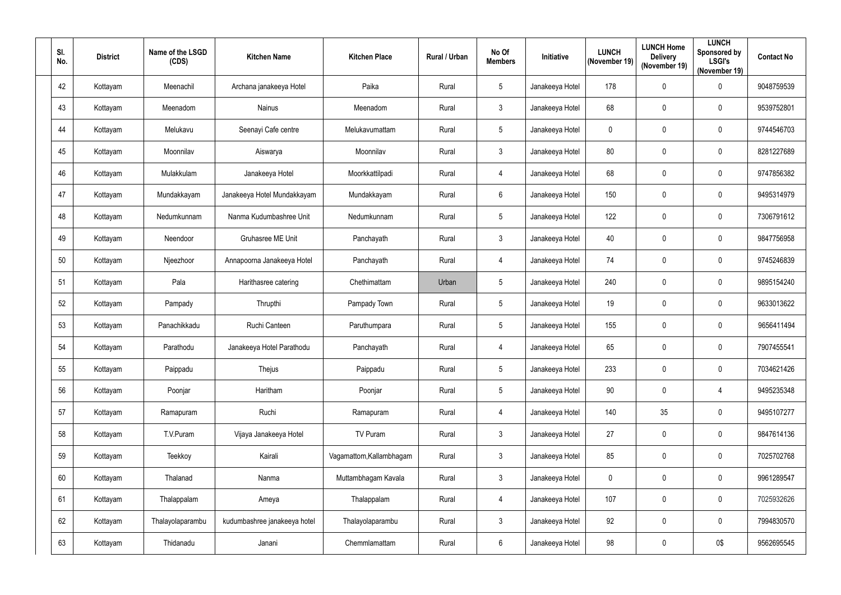| SI.<br>No. | <b>District</b> | Name of the LSGD<br>(CDS) | <b>Kitchen Name</b>          | <b>Kitchen Place</b>     | Rural / Urban | No Of<br><b>Members</b> | <b>Initiative</b> | <b>LUNCH</b><br>(November 19) | <b>LUNCH Home</b><br><b>Delivery</b><br>(November 19) | <b>LUNCH</b><br>Sponsored by<br><b>LSGI's</b><br>(November 19) | <b>Contact No</b> |
|------------|-----------------|---------------------------|------------------------------|--------------------------|---------------|-------------------------|-------------------|-------------------------------|-------------------------------------------------------|----------------------------------------------------------------|-------------------|
| 42         | Kottayam        | Meenachil                 | Archana janakeeya Hotel      | Paika                    | Rural         | $\overline{5}$          | Janakeeya Hotel   | 178                           | 0                                                     | $\pmb{0}$                                                      | 9048759539        |
| 43         | Kottayam        | Meenadom                  | <b>Nainus</b>                | Meenadom                 | Rural         | $\mathfrak{Z}$          | Janakeeya Hotel   | 68                            | 0                                                     | $\mathbf 0$                                                    | 9539752801        |
| 44         | Kottayam        | Melukavu                  | Seenayi Cafe centre          | Melukavumattam           | Rural         | $5\phantom{.0}$         | Janakeeya Hotel   | $\mathbf 0$                   | 0                                                     | 0                                                              | 9744546703        |
| 45         | Kottayam        | Moonnilav                 | Aiswarya                     | Moonnilav                | Rural         | $\mathbf{3}$            | Janakeeya Hotel   | 80                            | 0                                                     | 0                                                              | 8281227689        |
| 46         | Kottayam        | Mulakkulam                | Janakeeya Hotel              | Moorkkattilpadi          | Rural         | 4                       | Janakeeya Hotel   | 68                            | 0                                                     | 0                                                              | 9747856382        |
| 47         | Kottayam        | Mundakkayam               | Janakeeya Hotel Mundakkayam  | Mundakkayam              | Rural         | $6\phantom{.}6$         | Janakeeya Hotel   | 150                           | 0                                                     | 0                                                              | 9495314979        |
| 48         | Kottayam        | Nedumkunnam               | Nanma Kudumbashree Unit      | Nedumkunnam              | Rural         | $5\phantom{.0}$         | Janakeeya Hotel   | 122                           | 0                                                     | $\mathbf 0$                                                    | 7306791612        |
| 49         | Kottayam        | Neendoor                  | Gruhasree ME Unit            | Panchayath               | Rural         | $\mathbf{3}$            | Janakeeya Hotel   | 40                            | 0                                                     | 0                                                              | 9847756958        |
| 50         | Kottayam        | Njeezhoor                 | Annapoorna Janakeeya Hotel   | Panchayath               | Rural         | 4                       | Janakeeya Hotel   | 74                            | 0                                                     | $\mathbf 0$                                                    | 9745246839        |
| 51         | Kottayam        | Pala                      | Harithasree catering         | Chethimattam             | Urban         | $\overline{5}$          | Janakeeya Hotel   | 240                           | 0                                                     | 0                                                              | 9895154240        |
| 52         | Kottayam        | Pampady                   | Thrupthi                     | Pampady Town             | Rural         | $\overline{5}$          | Janakeeya Hotel   | 19                            | 0                                                     | 0                                                              | 9633013622        |
| 53         | Kottayam        | Panachikkadu              | Ruchi Canteen                | Paruthumpara             | Rural         | $5\phantom{.0}$         | Janakeeya Hotel   | 155                           | 0                                                     | 0                                                              | 9656411494        |
| 54         | Kottayam        | Parathodu                 | Janakeeya Hotel Parathodu    | Panchayath               | Rural         | 4                       | Janakeeya Hotel   | 65                            | 0                                                     | $\mathbf 0$                                                    | 7907455541        |
| 55         | Kottayam        | Paippadu                  | Thejus                       | Paippadu                 | Rural         | $5\,$                   | Janakeeya Hotel   | 233                           | 0                                                     | 0                                                              | 7034621426        |
| 56         | Kottayam        | Poonjar                   | Haritham                     | Poonjar                  | Rural         | $5\,$                   | Janakeeya Hotel   | 90                            | $\pmb{0}$                                             | 4                                                              | 9495235348        |
| 57         | Kottayam        | Ramapuram                 | Ruchi                        | Ramapuram                | Rural         | 4                       | Janakeeya Hotel   | 140                           | 35                                                    | $\pmb{0}$                                                      | 9495107277        |
| 58         | Kottayam        | T.V.Puram                 | Vijaya Janakeeya Hotel       | TV Puram                 | Rural         | $\mathfrak{Z}$          | Janakeeya Hotel   | 27                            | 0                                                     | $\pmb{0}$                                                      | 9847614136        |
| 59         | Kottayam        | Teekkoy                   | Kairali                      | Vagamattom, Kallambhagam | Rural         | 3 <sup>1</sup>          | Janakeeya Hotel   | 85                            | 0                                                     | $\pmb{0}$                                                      | 7025702768        |
| 60         | Kottayam        | Thalanad                  | Nanma                        | Muttambhagam Kavala      | Rural         | $\mathbf{3}$            | Janakeeya Hotel   | $\mathbf 0$                   | 0                                                     | 0                                                              | 9961289547        |
| 61         | Kottayam        | Thalappalam               | Ameya                        | Thalappalam              | Rural         | 4                       | Janakeeya Hotel   | 107                           | 0                                                     | 0                                                              | 7025932626        |
| 62         | Kottayam        | Thalayolaparambu          | kudumbashree janakeeya hotel | Thalayolaparambu         | Rural         | $\mathfrak{Z}$          | Janakeeya Hotel   | 92                            | 0                                                     | $\pmb{0}$                                                      | 7994830570        |
| 63         | Kottayam        | Thidanadu                 | Janani                       | Chemmlamattam            | Rural         | $6\phantom{.}6$         | Janakeeya Hotel   | 98                            | 0                                                     | 0\$                                                            | 9562695545        |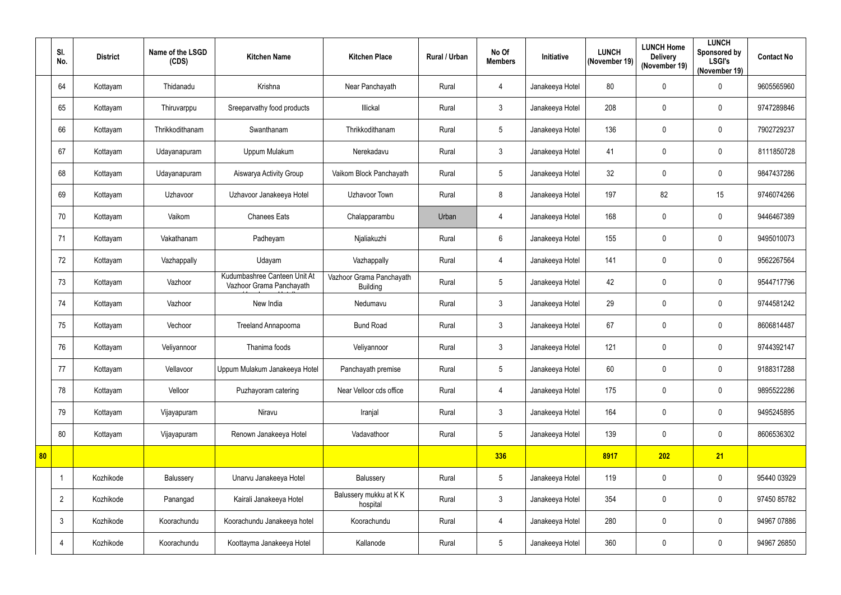|    | SI.<br>No.     | <b>District</b> | Name of the LSGD<br>(CDS) | <b>Kitchen Name</b>                                      | <b>Kitchen Place</b>                        | Rural / Urban | No Of<br><b>Members</b> | Initiative      | <b>LUNCH</b><br>(November 19) | <b>LUNCH Home</b><br><b>Delivery</b><br>(November 19) | <b>LUNCH</b><br>Sponsored by<br><b>LSGI's</b><br>(November 19) | <b>Contact No</b> |
|----|----------------|-----------------|---------------------------|----------------------------------------------------------|---------------------------------------------|---------------|-------------------------|-----------------|-------------------------------|-------------------------------------------------------|----------------------------------------------------------------|-------------------|
|    | 64             | Kottayam        | Thidanadu                 | Krishna                                                  | Near Panchayath                             | Rural         | $\overline{4}$          | Janakeeya Hotel | 80                            | $\mathbf 0$                                           | 0                                                              | 9605565960        |
|    | 65             | Kottayam        | Thiruvarppu               | Sreeparvathy food products                               | Illickal                                    | Rural         | $\mathfrak{Z}$          | Janakeeya Hotel | 208                           | $\mathbf 0$                                           | $\mathbf 0$                                                    | 9747289846        |
|    | 66             | Kottayam        | Thrikkodithanam           | Swanthanam                                               | Thrikkodithanam                             | Rural         | 5                       | Janakeeya Hotel | 136                           | $\mathbf 0$                                           | $\mathbf 0$                                                    | 7902729237        |
|    | 67             | Kottayam        | Udayanapuram              | Uppum Mulakum                                            | Nerekadavu                                  | Rural         | 3                       | Janakeeya Hotel | 41                            | $\mathbf 0$                                           | $\mathbf 0$                                                    | 8111850728        |
|    | 68             | Kottayam        | Udayanapuram              | Aiswarya Activity Group                                  | Vaikom Block Panchayath                     | Rural         | 5                       | Janakeeya Hotel | 32                            | $\mathbf 0$                                           | 0                                                              | 9847437286        |
|    | 69             | Kottayam        | Uzhavoor                  | Uzhavoor Janakeeya Hotel                                 | Uzhavoor Town                               | Rural         | 8                       | Janakeeya Hotel | 197                           | 82                                                    | 15                                                             | 9746074266        |
|    | 70             | Kottayam        | Vaikom                    | <b>Chanees Eats</b>                                      | Chalapparambu                               | Urban         | $\overline{4}$          | Janakeeya Hotel | 168                           | $\mathbf 0$                                           | $\mathbf 0$                                                    | 9446467389        |
|    | 71             | Kottayam        | Vakathanam                | Padheyam                                                 | Njaliakuzhi                                 | Rural         | $6\phantom{.0}$         | Janakeeya Hotel | 155                           | $\mathbf 0$                                           | 0                                                              | 9495010073        |
|    | 72             | Kottayam        | Vazhappally               | Udayam                                                   | Vazhappally                                 | Rural         | $\overline{4}$          | Janakeeya Hotel | 141                           | $\mathbf 0$                                           | $\mathbf 0$                                                    | 9562267564        |
|    | 73             | Kottayam        | Vazhoor                   | Kudumbashree Canteen Unit At<br>Vazhoor Grama Panchayath | Vazhoor Grama Panchayath<br><b>Building</b> | Rural         | 5                       | Janakeeya Hotel | 42                            | $\mathbf 0$                                           | $\mathbf 0$                                                    | 9544717796        |
|    | 74             | Kottayam        | Vazhoor                   | New India                                                | Nedumavu                                    | Rural         | $\mathfrak{Z}$          | Janakeeya Hotel | 29                            | $\mathbf 0$                                           | $\mathbf 0$                                                    | 9744581242        |
|    | 75             | Kottayam        | Vechoor                   | Treeland Annapoorna                                      | <b>Bund Road</b>                            | Rural         | $\mathfrak{Z}$          | Janakeeya Hotel | 67                            | $\mathbf 0$                                           | 0                                                              | 8606814487        |
|    | 76             | Kottayam        | Veliyannoor               | Thanima foods                                            | Veliyannoor                                 | Rural         | 3                       | Janakeeya Hotel | 121                           | $\mathbf 0$                                           | $\mathbf 0$                                                    | 9744392147        |
|    | 77             | Kottayam        | Vellavoor                 | Uppum Mulakum Janakeeya Hotel                            | Panchayath premise                          | Rural         | 5                       | Janakeeya Hotel | 60                            | $\mathbf 0$                                           | 0                                                              | 9188317288        |
|    | 78             | Kottayam        | Velloor                   | Puzhayoram catering                                      | Near Velloor cds office                     | Rural         | $\overline{4}$          | Janakeeya Hotel | 175                           | $\mathbf 0$                                           | 0                                                              | 9895522286        |
|    | 79             | Kottayam        | Vijayapuram               | Niravu                                                   | Iranjal                                     | Rural         | $3\phantom{.0}$         | Janakeeya Hotel | 164                           | $\mathbf 0$                                           | $\pmb{0}$                                                      | 9495245895        |
|    | 80             | Kottayam        | Vijayapuram               | Renown Janakeeya Hotel                                   | Vadavathoor                                 | Rural         | 5                       | Janakeeya Hotel | 139                           | $\mathbf 0$                                           | 0                                                              | 8606536302        |
| 80 |                |                 |                           |                                                          |                                             |               | 336                     |                 | 8917                          | 202                                                   | 21                                                             |                   |
|    |                | Kozhikode       | Balussery                 | Unarvu Janakeeya Hotel                                   | Balussery                                   | Rural         | 5                       | Janakeeya Hotel | 119                           | $\mathbf 0$                                           | 0                                                              | 95440 03929       |
|    | $\overline{2}$ | Kozhikode       | Panangad                  | Kairali Janakeeya Hotel                                  | Balussery mukku at KK<br>hospital           | Rural         | $3\phantom{.0}$         | Janakeeya Hotel | 354                           | $\mathbf 0$                                           | $\pmb{0}$                                                      | 97450 85782       |
|    | $\mathbf{3}$   | Kozhikode       | Koorachundu               | Koorachundu Janakeeya hotel                              | Koorachundu                                 | Rural         | $\overline{4}$          | Janakeeya Hotel | 280                           | $\pmb{0}$                                             | $\pmb{0}$                                                      | 94967 07886       |
|    | 4              | Kozhikode       | Koorachundu               | Koottayma Janakeeya Hotel                                | Kallanode                                   | Rural         | 5                       | Janakeeya Hotel | 360                           | $\pmb{0}$                                             | $\pmb{0}$                                                      | 94967 26850       |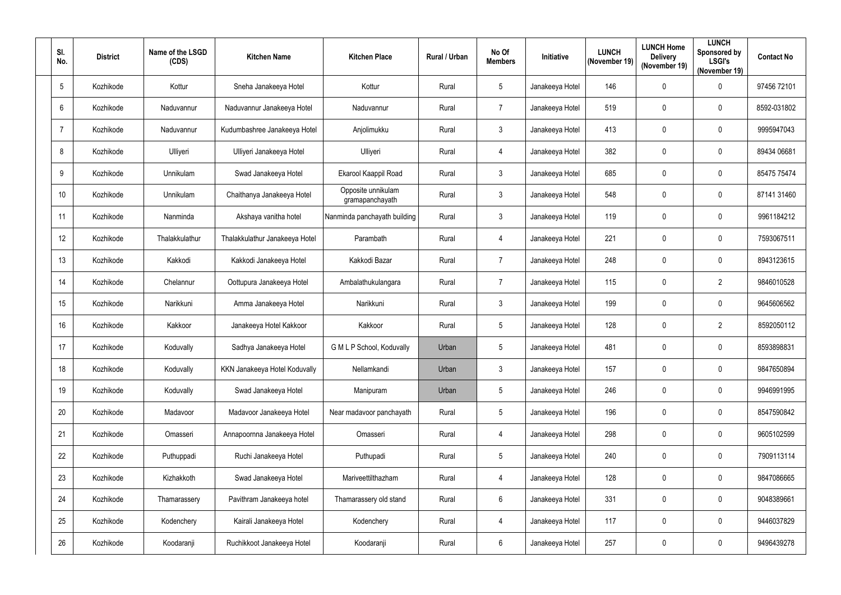| SI.<br>No.      | <b>District</b> | Name of the LSGD<br>(CDS) | <b>Kitchen Name</b>            | <b>Kitchen Place</b>                  | Rural / Urban | No Of<br><b>Members</b> | <b>Initiative</b> | <b>LUNCH</b><br>(November 19) | <b>LUNCH Home</b><br><b>Delivery</b><br>(November 19) | <b>LUNCH</b><br>Sponsored by<br><b>LSGI's</b><br>(November 19) | <b>Contact No</b> |
|-----------------|-----------------|---------------------------|--------------------------------|---------------------------------------|---------------|-------------------------|-------------------|-------------------------------|-------------------------------------------------------|----------------------------------------------------------------|-------------------|
| $5\phantom{.0}$ | Kozhikode       | Kottur                    | Sneha Janakeeya Hotel          | Kottur                                | Rural         | $\overline{5}$          | Janakeeya Hotel   | 146                           | 0                                                     | 0                                                              | 97456 72101       |
| 6               | Kozhikode       | Naduvannur                | Naduvannur Janakeeya Hotel     | Naduvannur                            | Rural         | $\overline{7}$          | Janakeeya Hotel   | 519                           | 0                                                     | $\mathbf 0$                                                    | 8592-031802       |
| 7               | Kozhikode       | Naduvannur                | Kudumbashree Janakeeya Hotel   | Anjolimukku                           | Rural         | $\mathbf{3}$            | Janakeeya Hotel   | 413                           | 0                                                     | $\mathbf 0$                                                    | 9995947043        |
| 8               | Kozhikode       | Ulliyeri                  | Ulliyeri Janakeeya Hotel       | Ulliyeri                              | Rural         | 4                       | Janakeeya Hotel   | 382                           | 0                                                     | $\mathbf 0$                                                    | 89434 06681       |
| 9               | Kozhikode       | Unnikulam                 | Swad Janakeeya Hotel           | Ekarool Kaappil Road                  | Rural         | $\mathfrak{Z}$          | Janakeeya Hotel   | 685                           | 0                                                     | 0                                                              | 85475 75474       |
| 10              | Kozhikode       | Unnikulam                 | Chaithanya Janakeeya Hotel     | Opposite unnikulam<br>gramapanchayath | Rural         | $\mathfrak{Z}$          | Janakeeya Hotel   | 548                           | 0                                                     | $\mathbf 0$                                                    | 87141 31460       |
| 11              | Kozhikode       | Nanminda                  | Akshaya vanitha hotel          | Nanminda panchayath building          | Rural         | $\mathbf{3}$            | Janakeeya Hotel   | 119                           | 0                                                     | $\mathbf 0$                                                    | 9961184212        |
| 12              | Kozhikode       | Thalakkulathur            | Thalakkulathur Janakeeya Hotel | Parambath                             | Rural         | 4                       | Janakeeya Hotel   | 221                           | 0                                                     | 0                                                              | 7593067511        |
| 13              | Kozhikode       | Kakkodi                   | Kakkodi Janakeeya Hotel        | Kakkodi Bazar                         | Rural         | $\overline{7}$          | Janakeeya Hotel   | 248                           | 0                                                     | 0                                                              | 8943123615        |
| 14              | Kozhikode       | Chelannur                 | Oottupura Janakeeya Hotel      | Ambalathukulangara                    | Rural         | $\overline{7}$          | Janakeeya Hotel   | 115                           | 0                                                     | $\overline{2}$                                                 | 9846010528        |
| 15              | Kozhikode       | Narikkuni                 | Amma Janakeeya Hotel           | Narikkuni                             | Rural         | $\mathbf{3}$            | Janakeeya Hotel   | 199                           | 0                                                     | $\mathbf 0$                                                    | 9645606562        |
| 16              | Kozhikode       | Kakkoor                   | Janakeeya Hotel Kakkoor        | Kakkoor                               | Rural         | $5\phantom{.0}$         | Janakeeya Hotel   | 128                           | 0                                                     | $\overline{2}$                                                 | 8592050112        |
| 17              | Kozhikode       | Koduvally                 | Sadhya Janakeeya Hotel         | G M L P School, Koduvally             | Urban         | 5                       | Janakeeya Hotel   | 481                           | 0                                                     | $\mathbf 0$                                                    | 8593898831        |
| 18              | Kozhikode       | Koduvally                 | KKN Janakeeya Hotel Koduvally  | Nellamkandi                           | Urban         | $\mathbf{3}$            | Janakeeya Hotel   | 157                           | 0                                                     | $\mathbf 0$                                                    | 9847650894        |
| 19              | Kozhikode       | Koduvally                 | Swad Janakeeya Hotel           | Manipuram                             | Urban         | $5\phantom{.0}$         | Janakeeya Hotel   | 246                           | 0                                                     | 0                                                              | 9946991995        |
| 20              | Kozhikode       | Madavoor                  | Madavoor Janakeeya Hotel       | Near madavoor panchayath              | Rural         | $5\phantom{.0}$         | Janakeeya Hotel   | 196                           | $\pmb{0}$                                             | $\pmb{0}$                                                      | 8547590842        |
| 21              | Kozhikode       | Omasseri                  | Annapoornna Janakeeya Hotel    | Omasseri                              | Rural         | 4                       | Janakeeya Hotel   | 298                           | 0                                                     | 0                                                              | 9605102599        |
| 22              | Kozhikode       | Puthuppadi                | Ruchi Janakeeya Hotel          | Puthupadi                             | Rural         | $5\phantom{.0}$         | Janakeeya Hotel   | 240                           | 0                                                     | 0                                                              | 7909113114        |
| 23              | Kozhikode       | Kizhakkoth                | Swad Janakeeya Hotel           | Mariveettilthazham                    | Rural         | 4                       | Janakeeya Hotel   | 128                           | 0                                                     | 0                                                              | 9847086665        |
| 24              | Kozhikode       | Thamarassery              | Pavithram Janakeeya hotel      | Thamarassery old stand                | Rural         | $6\,$                   | Janakeeya Hotel   | 331                           | 0                                                     | $\pmb{0}$                                                      | 9048389661        |
| 25              | Kozhikode       | Kodenchery                | Kairali Janakeeya Hotel        | Kodenchery                            | Rural         | 4                       | Janakeeya Hotel   | 117                           | 0                                                     | 0                                                              | 9446037829        |
| 26              | Kozhikode       | Koodaranji                | Ruchikkoot Janakeeya Hotel     | Koodaranji                            | Rural         | $6\phantom{.}6$         | Janakeeya Hotel   | 257                           | 0                                                     | 0                                                              | 9496439278        |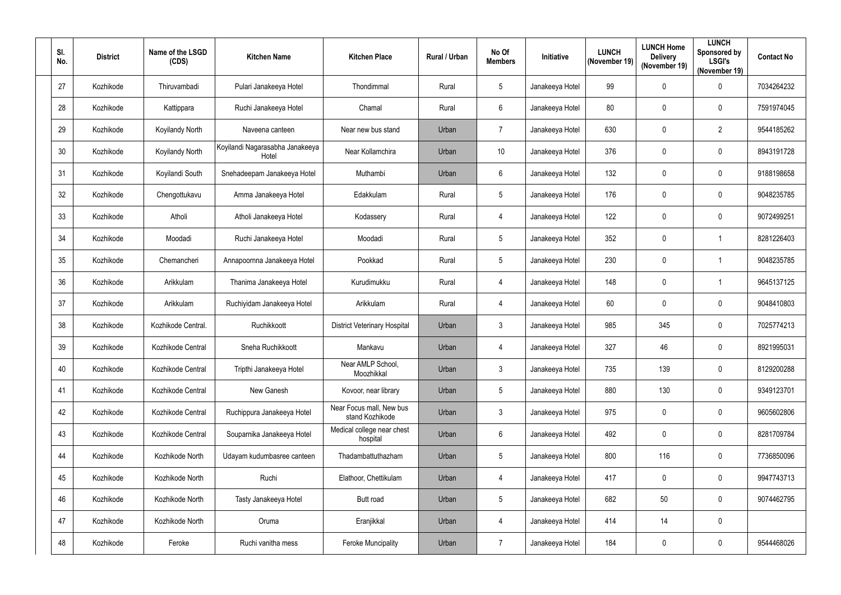| SI.<br>No. | <b>District</b> | Name of the LSGD<br>(CDS) | <b>Kitchen Name</b>                      | <b>Kitchen Place</b>                        | Rural / Urban | No Of<br><b>Members</b> | Initiative      | <b>LUNCH</b><br>(November 19) | <b>LUNCH Home</b><br><b>Delivery</b><br>(November 19) | <b>LUNCH</b><br>Sponsored by<br><b>LSGI's</b><br>(November 19) | <b>Contact No</b> |
|------------|-----------------|---------------------------|------------------------------------------|---------------------------------------------|---------------|-------------------------|-----------------|-------------------------------|-------------------------------------------------------|----------------------------------------------------------------|-------------------|
| 27         | Kozhikode       | Thiruvambadi              | Pulari Janakeeya Hotel                   | Thondimmal                                  | Rural         | $5\phantom{.0}$         | Janakeeya Hotel | 99                            | 0                                                     | 0                                                              | 7034264232        |
| 28         | Kozhikode       | Kattippara                | Ruchi Janakeeya Hotel                    | Chamal                                      | Rural         | $6\phantom{.}6$         | Janakeeya Hotel | 80                            | 0                                                     | $\mathbf 0$                                                    | 7591974045        |
| 29         | Kozhikode       | Koyilandy North           | Naveena canteen                          | Near new bus stand                          | Urban         | $\overline{7}$          | Janakeeya Hotel | 630                           | 0                                                     | $\overline{2}$                                                 | 9544185262        |
| 30         | Kozhikode       | Koyilandy North           | Koyilandi Nagarasabha Janakeeya<br>Hotel | Near Kollamchira                            | Urban         | 10 <sup>°</sup>         | Janakeeya Hotel | 376                           | 0                                                     | 0                                                              | 8943191728        |
| 31         | Kozhikode       | Koyilandi South           | Snehadeepam Janakeeya Hotel              | Muthambi                                    | Urban         | $6\phantom{.}6$         | Janakeeya Hotel | 132                           | 0                                                     | 0                                                              | 9188198658        |
| 32         | Kozhikode       | Chengottukavu             | Amma Janakeeya Hotel                     | Edakkulam                                   | Rural         | $\overline{5}$          | Janakeeya Hotel | 176                           | 0                                                     | 0                                                              | 9048235785        |
| 33         | Kozhikode       | Atholi                    | Atholi Janakeeya Hotel                   | Kodassery                                   | Rural         | 4                       | Janakeeya Hotel | 122                           | 0                                                     | $\mathbf 0$                                                    | 9072499251        |
| 34         | Kozhikode       | Moodadi                   | Ruchi Janakeeya Hotel                    | Moodadi                                     | Rural         | $\overline{5}$          | Janakeeya Hotel | 352                           | 0                                                     |                                                                | 8281226403        |
| 35         | Kozhikode       | Chemancheri               | Annapoornna Janakeeya Hotel              | Pookkad                                     | Rural         | 5                       | Janakeeya Hotel | 230                           | 0                                                     |                                                                | 9048235785        |
| 36         | Kozhikode       | Arikkulam                 | Thanima Janakeeya Hotel                  | Kurudimukku                                 | Rural         | 4                       | Janakeeya Hotel | 148                           | 0                                                     |                                                                | 9645137125        |
| 37         | Kozhikode       | Arikkulam                 | Ruchiyidam Janakeeya Hotel               | Arikkulam                                   | Rural         | 4                       | Janakeeya Hotel | 60                            | 0                                                     | 0                                                              | 9048410803        |
| 38         | Kozhikode       | Kozhikode Central.        | Ruchikkoott                              | <b>District Veterinary Hospital</b>         | Urban         | $\mathbf{3}$            | Janakeeya Hotel | 985                           | 345                                                   | 0                                                              | 7025774213        |
| 39         | Kozhikode       | Kozhikode Central         | Sneha Ruchikkoott                        | Mankavu                                     | Urban         | 4                       | Janakeeya Hotel | 327                           | 46                                                    | 0                                                              | 8921995031        |
| 40         | Kozhikode       | Kozhikode Central         | Tripthi Janakeeya Hotel                  | Near AMLP School,<br>Moozhikkal             | Urban         | $\mathbf{3}$            | Janakeeya Hotel | 735                           | 139                                                   | 0                                                              | 8129200288        |
| 41         | Kozhikode       | Kozhikode Central         | New Ganesh                               | Kovoor, near library                        | Urban         | $\overline{5}$          | Janakeeya Hotel | 880                           | 130                                                   | 0                                                              | 9349123701        |
| 42         | Kozhikode       | Kozhikode Central         | Ruchippura Janakeeya Hotel               | Near Focus mall, New bus<br>stand Kozhikode | Urban         | $\mathbf{3}$            | Janakeeya Hotel | 975                           | $\mathbf 0$                                           | $\pmb{0}$                                                      | 9605602806        |
| 43         | Kozhikode       | Kozhikode Central         | Souparnika Janakeeya Hotel               | Medical college near chest<br>hospital      | Urban         | $6\,$                   | Janakeeya Hotel | 492                           | 0                                                     | $\pmb{0}$                                                      | 8281709784        |
| 44         | Kozhikode       | Kozhikode North           | Udayam kudumbasree canteen               | Thadambattuthazham                          | Urban         | $\overline{5}$          | Janakeeya Hotel | 800                           | 116                                                   | 0                                                              | 7736850096        |
| 45         | Kozhikode       | Kozhikode North           | Ruchi                                    | Elathoor, Chettikulam                       | Urban         | $\overline{4}$          | Janakeeya Hotel | 417                           | 0                                                     | 0                                                              | 9947743713        |
| 46         | Kozhikode       | Kozhikode North           | Tasty Janakeeya Hotel                    | Butt road                                   | Urban         | $\overline{5}$          | Janakeeya Hotel | 682                           | 50                                                    | 0                                                              | 9074462795        |
| 47         | Kozhikode       | Kozhikode North           | Oruma                                    | Eranjikkal                                  | Urban         | $\overline{4}$          | Janakeeya Hotel | 414                           | 14                                                    | 0                                                              |                   |
| 48         | Kozhikode       | Feroke                    | Ruchi vanitha mess                       | <b>Feroke Muncipality</b>                   | Urban         | $\overline{7}$          | Janakeeya Hotel | 184                           | 0                                                     | $\pmb{0}$                                                      | 9544468026        |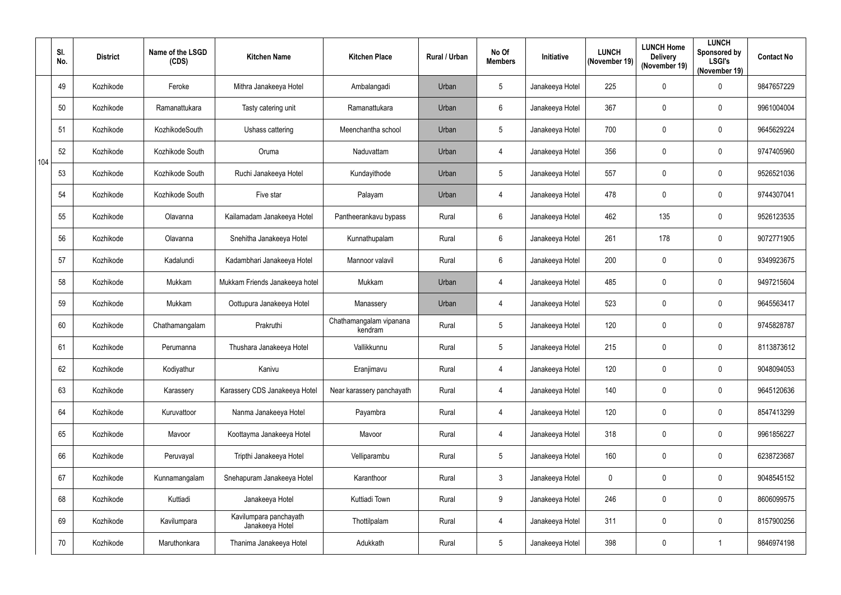|     | SI.<br>No. | <b>District</b> | Name of the LSGD<br>(CDS) | <b>Kitchen Name</b>                       | <b>Kitchen Place</b>               | <b>Rural / Urban</b> | No Of<br><b>Members</b> | Initiative      | <b>LUNCH</b><br>(November 19) | <b>LUNCH Home</b><br><b>Delivery</b><br>(November 19) | <b>LUNCH</b><br>Sponsored by<br><b>LSGI's</b><br>(November 19) | <b>Contact No</b> |
|-----|------------|-----------------|---------------------------|-------------------------------------------|------------------------------------|----------------------|-------------------------|-----------------|-------------------------------|-------------------------------------------------------|----------------------------------------------------------------|-------------------|
|     | 49         | Kozhikode       | Feroke                    | Mithra Janakeeya Hotel                    | Ambalangadi                        | Urban                | $\overline{5}$          | Janakeeya Hotel | 225                           | 0                                                     | 0                                                              | 9847657229        |
|     | 50         | Kozhikode       | Ramanattukara             | Tasty catering unit                       | Ramanattukara                      | Urban                | $6\phantom{.}6$         | Janakeeya Hotel | 367                           | 0                                                     | $\mathbf 0$                                                    | 9961004004        |
|     | 51         | Kozhikode       | KozhikodeSouth            | Ushass cattering                          | Meenchantha school                 | Urban                | $5\phantom{.0}$         | Janakeeya Hotel | 700                           | 0                                                     | $\boldsymbol{0}$                                               | 9645629224        |
| 104 | 52         | Kozhikode       | Kozhikode South           | Oruma                                     | Naduvattam                         | Urban                | $\overline{4}$          | Janakeeya Hotel | 356                           | 0                                                     | 0                                                              | 9747405960        |
|     | 53         | Kozhikode       | Kozhikode South           | Ruchi Janakeeya Hotel                     | Kundayithode                       | Urban                | $\overline{5}$          | Janakeeya Hotel | 557                           | 0                                                     | 0                                                              | 9526521036        |
|     | 54         | Kozhikode       | Kozhikode South           | Five star                                 | Palayam                            | Urban                | $\overline{4}$          | Janakeeya Hotel | 478                           | 0                                                     | $\boldsymbol{0}$                                               | 9744307041        |
|     | 55         | Kozhikode       | Olavanna                  | Kailamadam Janakeeya Hotel                | Pantheerankavu bypass              | Rural                | $6\overline{6}$         | Janakeeya Hotel | 462                           | 135                                                   | 0                                                              | 9526123535        |
|     | 56         | Kozhikode       | Olavanna                  | Snehitha Janakeeya Hotel                  | Kunnathupalam                      | Rural                | $6\phantom{.}6$         | Janakeeya Hotel | 261                           | 178                                                   | 0                                                              | 9072771905        |
|     | 57         | Kozhikode       | Kadalundi                 | Kadambhari Janakeeya Hotel                | Mannoor valavil                    | Rural                | $6\phantom{.}6$         | Janakeeya Hotel | 200                           | 0                                                     | $\mathbf 0$                                                    | 9349923675        |
|     | 58         | Kozhikode       | Mukkam                    | Mukkam Friends Janakeeya hotel            | Mukkam                             | Urban                | $\overline{4}$          | Janakeeya Hotel | 485                           | 0                                                     | $\boldsymbol{0}$                                               | 9497215604        |
|     | 59         | Kozhikode       | Mukkam                    | Oottupura Janakeeya Hotel                 | Manassery                          | Urban                | 4                       | Janakeeya Hotel | 523                           | 0                                                     | 0                                                              | 9645563417        |
|     | 60         | Kozhikode       | Chathamangalam            | Prakruthi                                 | Chathamangalam vipanana<br>kendram | Rural                | $5\phantom{.0}$         | Janakeeya Hotel | 120                           | 0                                                     | $\mathbf 0$                                                    | 9745828787        |
|     | 61         | Kozhikode       | Perumanna                 | Thushara Janakeeya Hotel                  | Vallikkunnu                        | Rural                | 5                       | Janakeeya Hotel | 215                           | 0                                                     | 0                                                              | 8113873612        |
|     | 62         | Kozhikode       | Kodiyathur                | Kanivu                                    | Eranjimavu                         | Rural                | $\overline{4}$          | Janakeeya Hotel | 120                           | 0                                                     | $\mathbf 0$                                                    | 9048094053        |
|     | 63         | Kozhikode       | Karassery                 | Karassery CDS Janakeeya Hotel             | Near karassery panchayath          | Rural                | $\overline{4}$          | Janakeeya Hotel | 140                           | 0                                                     | 0                                                              | 9645120636        |
|     | 64         | Kozhikode       | Kuruvattoor               | Nanma Janakeeya Hotel                     | Payambra                           | Rural                | $\overline{4}$          | Janakeeya Hotel | 120                           | 0                                                     | $\pmb{0}$                                                      | 8547413299        |
|     | 65         | Kozhikode       | Mavoor                    | Koottayma Janakeeya Hotel                 | Mavoor                             | Rural                | $\overline{4}$          | Janakeeya Hotel | 318                           | 0                                                     | 0                                                              | 9961856227        |
|     | 66         | Kozhikode       | Peruvayal                 | Tripthi Janakeeya Hotel                   | Velliparambu                       | Rural                | $5\phantom{.0}$         | Janakeeya Hotel | 160                           | 0                                                     | $\pmb{0}$                                                      | 6238723687        |
|     | 67         | Kozhikode       | Kunnamangalam             | Snehapuram Janakeeya Hotel                | Karanthoor                         | Rural                | $\mathbf{3}$            | Janakeeya Hotel | $\mathbf 0$                   | 0                                                     | 0                                                              | 9048545152        |
|     | 68         | Kozhikode       | Kuttiadi                  | Janakeeya Hotel                           | Kuttiadi Town                      | Rural                | $9\,$                   | Janakeeya Hotel | 246                           | 0                                                     | 0                                                              | 8606099575        |
|     | 69         | Kozhikode       | Kavilumpara               | Kavilumpara panchayath<br>Janakeeya Hotel | Thottilpalam                       | Rural                | $\overline{4}$          | Janakeeya Hotel | 311                           | 0                                                     | $\pmb{0}$                                                      | 8157900256        |
|     | 70         | Kozhikode       | Maruthonkara              | Thanima Janakeeya Hotel                   | Adukkath                           | Rural                | $5\overline{)}$         | Janakeeya Hotel | 398                           | 0                                                     |                                                                | 9846974198        |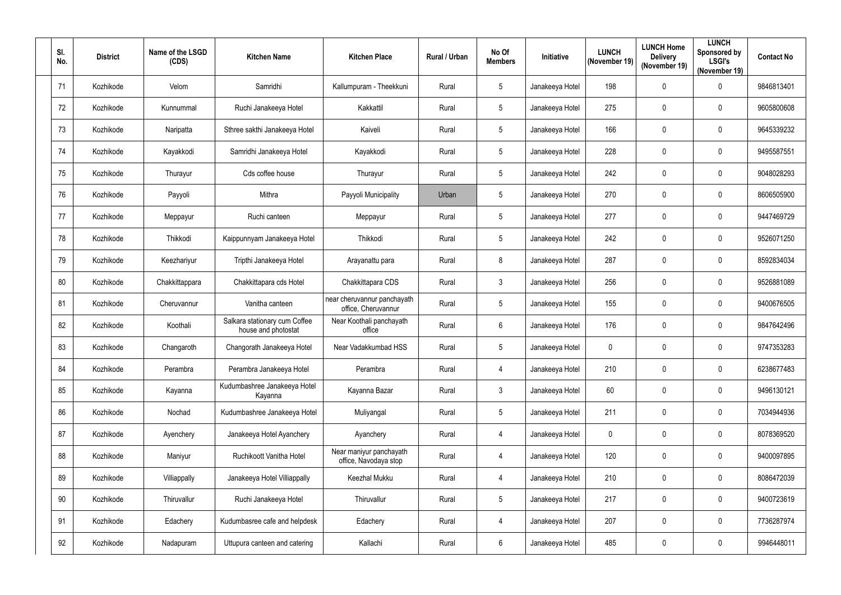| SI.<br>No.      | <b>District</b> | Name of the LSGD<br>(CDS) | <b>Kitchen Name</b>                                  | <b>Kitchen Place</b>                               | Rural / Urban | No Of<br><b>Members</b> | Initiative      | <b>LUNCH</b><br>(November 19) | <b>LUNCH Home</b><br><b>Delivery</b><br>(November 19) | <b>LUNCH</b><br>Sponsored by<br><b>LSGI's</b><br>(November 19) | <b>Contact No</b> |
|-----------------|-----------------|---------------------------|------------------------------------------------------|----------------------------------------------------|---------------|-------------------------|-----------------|-------------------------------|-------------------------------------------------------|----------------------------------------------------------------|-------------------|
| 71              | Kozhikode       | Velom                     | Samridhi                                             | Kallumpuram - Theekkuni                            | Rural         | $5\phantom{.0}$         | Janakeeya Hotel | 198                           | 0                                                     | 0                                                              | 9846813401        |
| 72              | Kozhikode       | Kunnummal                 | Ruchi Janakeeya Hotel                                | Kakkattil                                          | Rural         | $5\phantom{.0}$         | Janakeeya Hotel | 275                           | 0                                                     | $\mathbf 0$                                                    | 9605800608        |
| 73              | Kozhikode       | Naripatta                 | Sthree sakthi Janakeeya Hotel                        | Kaiveli                                            | Rural         | $5\phantom{.0}$         | Janakeeya Hotel | 166                           | 0                                                     | $\mathbf 0$                                                    | 9645339232        |
| 74              | Kozhikode       | Kayakkodi                 | Samridhi Janakeeya Hotel                             | Kayakkodi                                          | Rural         | $5\phantom{.0}$         | Janakeeya Hotel | 228                           | 0                                                     | $\mathbf 0$                                                    | 9495587551        |
| 75              | Kozhikode       | Thurayur                  | Cds coffee house                                     | Thurayur                                           | Rural         | $5\phantom{.0}$         | Janakeeya Hotel | 242                           | 0                                                     | $\mathbf 0$                                                    | 9048028293        |
| 76              | Kozhikode       | Payyoli                   | Mithra                                               | Payyoli Municipality                               | Urban         | 5                       | Janakeeya Hotel | 270                           | 0                                                     | $\mathbf 0$                                                    | 8606505900        |
| 77              | Kozhikode       | Meppayur                  | Ruchi canteen                                        | Meppayur                                           | Rural         | 5                       | Janakeeya Hotel | 277                           | 0                                                     | $\mathbf 0$                                                    | 9447469729        |
| 78              | Kozhikode       | Thikkodi                  | Kaippunnyam Janakeeya Hotel                          | Thikkodi                                           | Rural         | $\sqrt{5}$              | Janakeeya Hotel | 242                           | 0                                                     | 0                                                              | 9526071250        |
| 79              | Kozhikode       | Keezhariyur               | Tripthi Janakeeya Hotel                              | Arayanattu para                                    | Rural         | 8                       | Janakeeya Hotel | 287                           | 0                                                     | 0                                                              | 8592834034        |
| 80              | Kozhikode       | Chakkittappara            | Chakkittapara cds Hotel                              | Chakkittapara CDS                                  | Rural         | $\mathbf{3}$            | Janakeeya Hotel | 256                           | 0                                                     | $\mathbf 0$                                                    | 9526881089        |
| 81              | Kozhikode       | Cheruvannur               | Vanitha canteen                                      | near cheruvannur panchayath<br>office, Cheruvannur | Rural         | 5                       | Janakeeya Hotel | 155                           | 0                                                     | $\mathbf 0$                                                    | 9400676505        |
| 82              | Kozhikode       | Koothali                  | Salkara stationary cum Coffee<br>house and photostat | Near Koothali panchayath<br>office                 | Rural         | $6\,$                   | Janakeeya Hotel | 176                           | 0                                                     | $\mathbf 0$                                                    | 9847642496        |
| 83              | Kozhikode       | Changaroth                | Changorath Janakeeya Hotel                           | Near Vadakkumbad HSS                               | Rural         | 5                       | Janakeeya Hotel | $\mathbf{0}$                  | 0                                                     | $\mathbf 0$                                                    | 9747353283        |
| 84              | Kozhikode       | Perambra                  | Perambra Janakeeya Hotel                             | Perambra                                           | Rural         | $\overline{4}$          | Janakeeya Hotel | 210                           | 0                                                     | $\mathbf 0$                                                    | 6238677483        |
| 85              | Kozhikode       | Kayanna                   | Kudumbashree Janakeeya Hotel<br>Kayanna              | Kayanna Bazar                                      | Rural         | $\mathbf{3}$            | Janakeeya Hotel | 60                            | 0                                                     | 0                                                              | 9496130121        |
| 86              | Kozhikode       | Nochad                    | Kudumbashree Janakeeya Hotel                         | Muliyangal                                         | Rural         | $\overline{5}$          | Janakeeya Hotel | 211                           | $\pmb{0}$                                             | $\pmb{0}$                                                      | 7034944936        |
| 87              | Kozhikode       | Ayenchery                 | Janakeeya Hotel Ayanchery                            | Ayanchery                                          | Rural         | $\overline{4}$          | Janakeeya Hotel | $\mathbf 0$                   | 0                                                     | 0                                                              | 8078369520        |
| 88              | Kozhikode       | Maniyur                   | Ruchikoott Vanitha Hotel                             | Near maniyur panchayath<br>office, Navodaya stop   | Rural         | $\overline{4}$          | Janakeeya Hotel | 120                           | 0                                                     | 0                                                              | 9400097895        |
| 89              | Kozhikode       | Villiappally              | Janakeeya Hotel Villiappally                         | Keezhal Mukku                                      | Rural         | $\overline{4}$          | Janakeeya Hotel | 210                           | 0                                                     | 0                                                              | 8086472039        |
| 90 <sup>°</sup> | Kozhikode       | Thiruvallur               | Ruchi Janakeeya Hotel                                | Thiruvallur                                        | Rural         | $5\phantom{.0}$         | Janakeeya Hotel | 217                           | 0                                                     | $\mathbf 0$                                                    | 9400723619        |
| 91              | Kozhikode       | Edachery                  | Kudumbasree cafe and helpdesk                        | Edachery                                           | Rural         | $\overline{4}$          | Janakeeya Hotel | 207                           | 0                                                     | 0                                                              | 7736287974        |
| 92              | Kozhikode       | Nadapuram                 | Uttupura canteen and catering                        | Kallachi                                           | Rural         | $6\phantom{.}6$         | Janakeeya Hotel | 485                           | 0                                                     | 0                                                              | 9946448011        |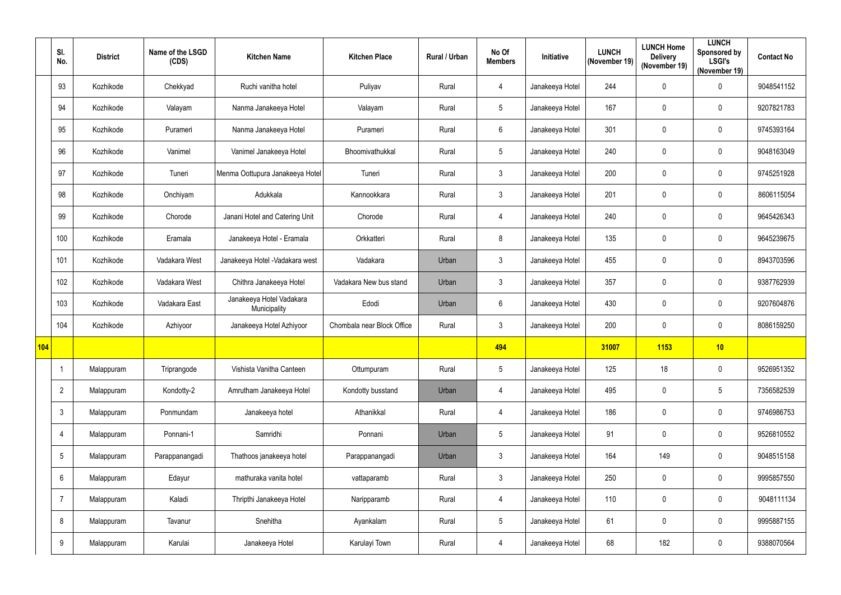|     | SI.<br>No.     | <b>District</b> | Name of the LSGD<br>(CDS) | <b>Kitchen Name</b>                      | <b>Kitchen Place</b>       | Rural / Urban | No Of<br><b>Members</b> | Initiative      | <b>LUNCH</b><br>(November 19) | <b>LUNCH Home</b><br><b>Delivery</b><br>(November 19) | <b>LUNCH</b><br>Sponsored by<br><b>LSGI's</b><br>(November 19) | <b>Contact No</b> |
|-----|----------------|-----------------|---------------------------|------------------------------------------|----------------------------|---------------|-------------------------|-----------------|-------------------------------|-------------------------------------------------------|----------------------------------------------------------------|-------------------|
|     | 93             | Kozhikode       | Chekkyad                  | Ruchi vanitha hotel                      | Puliyav                    | Rural         | 4                       | Janakeeya Hotel | 244                           | $\pmb{0}$                                             | 0                                                              | 9048541152        |
|     | 94             | Kozhikode       | Valayam                   | Nanma Janakeeya Hotel                    | Valayam                    | Rural         | $5\phantom{.0}$         | Janakeeya Hotel | 167                           | 0                                                     | $\mathbf 0$                                                    | 9207821783        |
|     | 95             | Kozhikode       | Purameri                  | Nanma Janakeeya Hotel                    | Purameri                   | Rural         | $6\overline{6}$         | Janakeeya Hotel | 301                           | $\pmb{0}$                                             | 0                                                              | 9745393164        |
|     | 96             | Kozhikode       | Vanimel                   | Vanimel Janakeeya Hotel                  | Bhoomivathukkal            | Rural         | $5\overline{)}$         | Janakeeya Hotel | 240                           | 0                                                     | $\mathbf 0$                                                    | 9048163049        |
|     | 97             | Kozhikode       | Tuneri                    | Menma Oottupura Janakeeya Hotel          | Tuneri                     | Rural         | $\mathbf{3}$            | Janakeeya Hotel | 200                           | $\pmb{0}$                                             | 0                                                              | 9745251928        |
|     | 98             | Kozhikode       | Onchiyam                  | Adukkala                                 | Kannookkara                | Rural         | $\mathbf{3}$            | Janakeeya Hotel | 201                           | $\pmb{0}$                                             | $\mathbf 0$                                                    | 8606115054        |
|     | 99             | Kozhikode       | Chorode                   | Janani Hotel and Catering Unit           | Chorode                    | Rural         | 4                       | Janakeeya Hotel | 240                           | 0                                                     | $\mathbf 0$                                                    | 9645426343        |
|     | 100            | Kozhikode       | Eramala                   | Janakeeya Hotel - Eramala                | Orkkatteri                 | Rural         | 8                       | Janakeeya Hotel | 135                           | 0                                                     | $\pmb{0}$                                                      | 9645239675        |
|     | 101            | Kozhikode       | Vadakara West             | Janakeeya Hotel - Vadakara west          | Vadakara                   | Urban         | $\mathbf{3}$            | Janakeeya Hotel | 455                           | 0                                                     | $\mathbf 0$                                                    | 8943703596        |
|     | 102            | Kozhikode       | Vadakara West             | Chithra Janakeeya Hotel                  | Vadakara New bus stand     | Urban         | $\mathbf{3}$            | Janakeeya Hotel | 357                           | 0                                                     | $\mathbf 0$                                                    | 9387762939        |
|     | 103            | Kozhikode       | Vadakara East             | Janakeeya Hotel Vadakara<br>Municipality | Edodi                      | Urban         | $6\overline{6}$         | Janakeeya Hotel | 430                           | 0                                                     | $\mathbf 0$                                                    | 9207604876        |
|     | 104            | Kozhikode       | Azhiyoor                  | Janakeeya Hotel Azhiyoor                 | Chombala near Block Office | Rural         | $\mathbf{3}$            | Janakeeya Hotel | 200                           | 0                                                     | 0                                                              | 8086159250        |
| 104 |                |                 |                           |                                          |                            |               | 494                     |                 | 31007                         | 1153                                                  | 10                                                             |                   |
|     | 1              | Malappuram      | Triprangode               | Vishista Vanitha Canteen                 | Ottumpuram                 | Rural         | $5\,$                   | Janakeeya Hotel | 125                           | 18                                                    | $\pmb{0}$                                                      | 9526951352        |
|     | $\overline{2}$ | Malappuram      | Kondotty-2                | Amrutham Janakeeya Hotel                 | Kondotty busstand          | Urban         | $\overline{4}$          | Janakeeya Hotel | 495                           | $\pmb{0}$                                             | $5\phantom{.0}$                                                | 7356582539        |
|     | $\mathfrak{Z}$ | Malappuram      | Ponmundam                 | Janakeeya hotel                          | Athanikkal                 | Rural         | $\overline{4}$          | Janakeeya Hotel | 186                           | $\mathbf 0$                                           | $\pmb{0}$                                                      | 9746986753        |
|     | 4              | Malappuram      | Ponnani-1                 | Samridhi                                 | Ponnani                    | Urban         | $\sqrt{5}$              | Janakeeya Hotel | 91                            | $\pmb{0}$                                             | 0                                                              | 9526810552        |
|     | 5              | Malappuram      | Parappanangadi            | Thathoos janakeeya hotel                 | Parappanangadi             | Urban         | $\mathbf{3}$            | Janakeeya Hotel | 164                           | 149                                                   | $\pmb{0}$                                                      | 9048515158        |
|     | 6              | Malappuram      | Edayur                    | mathuraka vanita hotel                   | vattaparamb                | Rural         | $\mathbf{3}$            | Janakeeya Hotel | 250                           | $\mathbf 0$                                           | $\pmb{0}$                                                      | 9995857550        |
|     | 7              | Malappuram      | Kaladi                    | Thripthi Janakeeya Hotel                 | Naripparamb                | Rural         | $\overline{4}$          | Janakeeya Hotel | 110                           | $\mathbf 0$                                           | $\pmb{0}$                                                      | 9048111134        |
|     | 8              | Malappuram      | Tavanur                   | Snehitha                                 | Ayankalam                  | Rural         | $5\overline{)}$         | Janakeeya Hotel | 61                            | $\pmb{0}$                                             | 0                                                              | 9995887155        |
|     | 9              | Malappuram      | Karulai                   | Janakeeya Hotel                          | Karulayi Town              | Rural         | 4                       | Janakeeya Hotel | 68                            | 182                                                   | $\pmb{0}$                                                      | 9388070564        |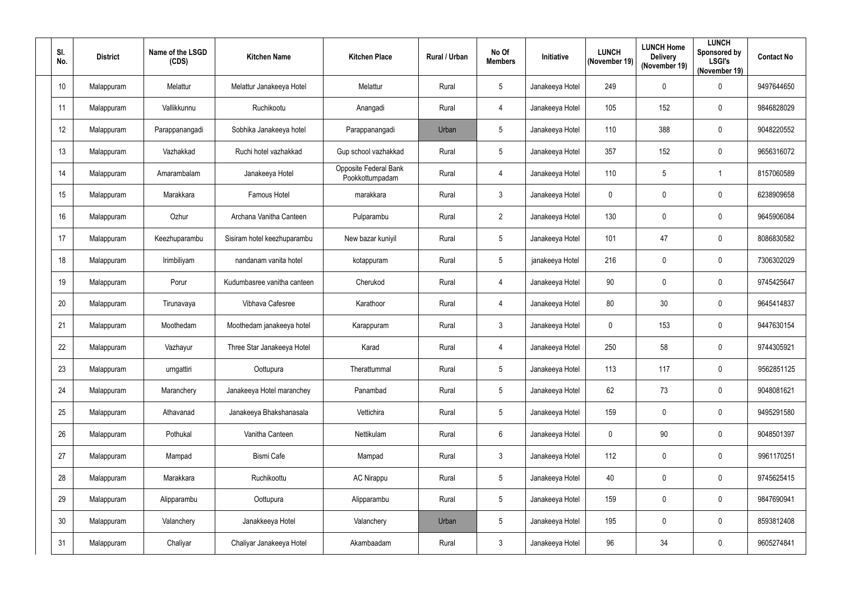| SI.<br>No.      | <b>District</b> | Name of the LSGD<br>(CDS) | <b>Kitchen Name</b>         | <b>Kitchen Place</b>                            | Rural / Urban | No Of<br><b>Members</b> | Initiative      | <b>LUNCH</b><br>(November 19) | <b>LUNCH Home</b><br><b>Delivery</b><br>(November 19) | <b>LUNCH</b><br>Sponsored by<br><b>LSGI's</b><br>(November 19) | <b>Contact No</b> |
|-----------------|-----------------|---------------------------|-----------------------------|-------------------------------------------------|---------------|-------------------------|-----------------|-------------------------------|-------------------------------------------------------|----------------------------------------------------------------|-------------------|
| 10 <sup>°</sup> | Malappuram      | Melattur                  | Melattur Janakeeya Hotel    | Melattur                                        | Rural         | $5\phantom{.0}$         | Janakeeya Hotel | 249                           | 0                                                     | $\pmb{0}$                                                      | 9497644650        |
| 11              | Malappuram      | Vallikkunnu               | Ruchikootu                  | Anangadi                                        | Rural         | 4                       | Janakeeya Hotel | 105                           | 152                                                   | $\mathbf 0$                                                    | 9846828029        |
| 12              | Malappuram      | Parappanangadi            | Sobhika Janakeeya hotel     | Parappanangadi                                  | Urban         | $5\phantom{.0}$         | Janakeeya Hotel | 110                           | 388                                                   | 0                                                              | 9048220552        |
| 13              | Malappuram      | Vazhakkad                 | Ruchi hotel vazhakkad       | Gup school vazhakkad                            | Rural         | $5\phantom{.0}$         | Janakeeya Hotel | 357                           | 152                                                   | 0                                                              | 9656316072        |
| 14              | Malappuram      | Amarambalam               | Janakeeya Hotel             | <b>Opposite Federal Bank</b><br>Pookkottumpadam | Rural         | 4                       | Janakeeya Hotel | 110                           | 5                                                     |                                                                | 8157060589        |
| 15 <sup>2</sup> | Malappuram      | Marakkara                 | <b>Famous Hotel</b>         | marakkara                                       | Rural         | $\mathbf{3}$            | Janakeeya Hotel | $\mathbf{0}$                  | 0                                                     | 0                                                              | 6238909658        |
| 16              | Malappuram      | Ozhur                     | Archana Vanitha Canteen     | Pulparambu                                      | Rural         | $\overline{2}$          | Janakeeya Hotel | 130                           | 0                                                     | $\mathbf 0$                                                    | 9645906084        |
| 17              | Malappuram      | Keezhuparambu             | Sisiram hotel keezhuparambu | New bazar kuniyil                               | Rural         | $\overline{5}$          | Janakeeya Hotel | 101                           | 47                                                    | 0                                                              | 8086830582        |
| 18              | Malappuram      | Irimbiliyam               | nandanam vanita hotel       | kotappuram                                      | Rural         | $5\phantom{.0}$         | janakeeya Hotel | 216                           | 0                                                     | $\mathbf 0$                                                    | 7306302029        |
| 19              | Malappuram      | Porur                     | Kudumbasree vanitha canteen | Cherukod                                        | Rural         | 4                       | Janakeeya Hotel | 90                            | 0                                                     | $\mathbf 0$                                                    | 9745425647        |
| 20              | Malappuram      | Tirunavaya                | Vibhava Cafesree            | Karathoor                                       | Rural         | 4                       | Janakeeya Hotel | 80                            | 30 <sub>2</sub>                                       | 0                                                              | 9645414837        |
| 21              | Malappuram      | Moothedam                 | Moothedam janakeeya hotel   | Karappuram                                      | Rural         | $\mathbf{3}$            | Janakeeya Hotel | $\mathbf{0}$                  | 153                                                   | 0                                                              | 9447630154        |
| 22              | Malappuram      | Vazhayur                  | Three Star Janakeeya Hotel  | Karad                                           | Rural         | 4                       | Janakeeya Hotel | 250                           | 58                                                    | $\mathbf 0$                                                    | 9744305921        |
| 23              | Malappuram      | urngattiri                | Oottupura                   | Therattummal                                    | Rural         | $\sqrt{5}$              | Janakeeya Hotel | 113                           | 117                                                   | 0                                                              | 9562851125        |
| 24              | Malappuram      | Maranchery                | Janakeeya Hotel maranchey   | Panambad                                        | Rural         | $5\phantom{.0}$         | Janakeeya Hotel | 62                            | 73                                                    | 0                                                              | 9048081621        |
| 25              | Malappuram      | Athavanad                 | Janakeeya Bhakshanasala     | Vettichira                                      | Rural         | $\sqrt{5}$              | Janakeeya Hotel | 159                           | 0                                                     | $\pmb{0}$                                                      | 9495291580        |
| 26              | Malappuram      | Pothukal                  | Vanitha Canteen             | Nettikulam                                      | Rural         | $6\,$                   | Janakeeya Hotel | $\mathbf 0$                   | 90                                                    | $\pmb{0}$                                                      | 9048501397        |
| 27              | Malappuram      | Mampad                    | <b>Bismi Cafe</b>           | Mampad                                          | Rural         | $\mathbf{3}$            | Janakeeya Hotel | 112                           | 0                                                     | $\pmb{0}$                                                      | 9961170251        |
| 28              | Malappuram      | Marakkara                 | Ruchikoottu                 | <b>AC Nirappu</b>                               | Rural         | $5\phantom{.0}$         | Janakeeya Hotel | 40                            | 0                                                     | $\pmb{0}$                                                      | 9745625415        |
| 29              | Malappuram      | Alipparambu               | Oottupura                   | Alipparambu                                     | Rural         | $\sqrt{5}$              | Janakeeya Hotel | 159                           | 0                                                     | $\pmb{0}$                                                      | 9847690941        |
| 30 <sub>2</sub> | Malappuram      | Valanchery                | Janakkeeya Hotel            | Valanchery                                      | Urban         | $\sqrt{5}$              | Janakeeya Hotel | 195                           | 0                                                     | $\pmb{0}$                                                      | 8593812408        |
| 31              | Malappuram      | Chaliyar                  | Chaliyar Janakeeya Hotel    | Akambaadam                                      | Rural         | $\mathbf{3}$            | Janakeeya Hotel | 96                            | 34                                                    | $\pmb{0}$                                                      | 9605274841        |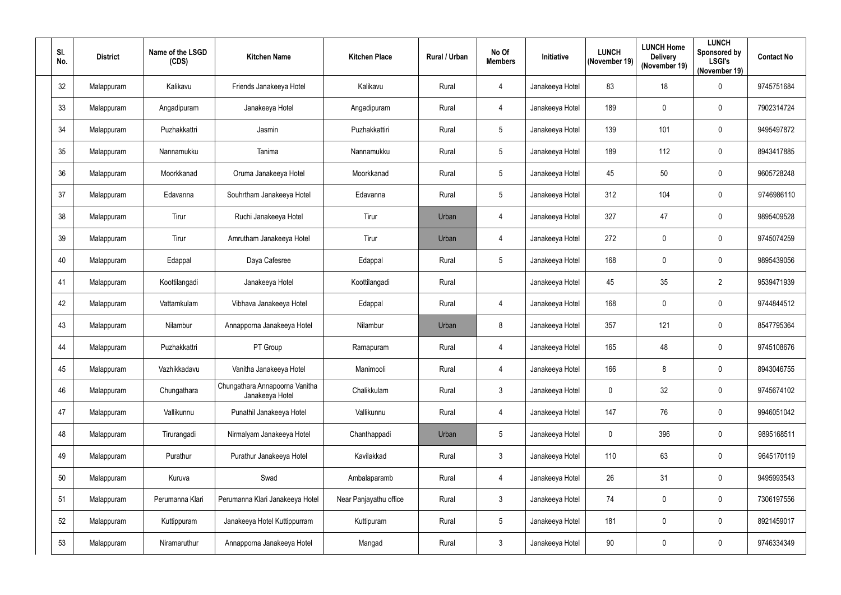| SI.<br>No. | <b>District</b> | Name of the LSGD<br>(CDS) | <b>Kitchen Name</b>                               | <b>Kitchen Place</b>   | Rural / Urban | No Of<br><b>Members</b> | <b>Initiative</b> | <b>LUNCH</b><br>(November 19) | <b>LUNCH Home</b><br><b>Delivery</b><br>(November 19) | <b>LUNCH</b><br>Sponsored by<br><b>LSGI's</b><br>(November 19) | <b>Contact No</b> |
|------------|-----------------|---------------------------|---------------------------------------------------|------------------------|---------------|-------------------------|-------------------|-------------------------------|-------------------------------------------------------|----------------------------------------------------------------|-------------------|
| 32         | Malappuram      | Kalikavu                  | Friends Janakeeya Hotel                           | Kalikavu               | Rural         | 4                       | Janakeeya Hotel   | 83                            | 18                                                    | $\pmb{0}$                                                      | 9745751684        |
| 33         | Malappuram      | Angadipuram               | Janakeeya Hotel                                   | Angadipuram            | Rural         | 4                       | Janakeeya Hotel   | 189                           | 0                                                     | $\mathbf 0$                                                    | 7902314724        |
| 34         | Malappuram      | Puzhakkattri              | Jasmin                                            | Puzhakkattiri          | Rural         | $5\phantom{.0}$         | Janakeeya Hotel   | 139                           | 101                                                   | 0                                                              | 9495497872        |
| 35         | Malappuram      | Nannamukku                | Tanima                                            | Nannamukku             | Rural         | $5\phantom{.0}$         | Janakeeya Hotel   | 189                           | 112                                                   | 0                                                              | 8943417885        |
| 36         | Malappuram      | Moorkkanad                | Oruma Janakeeya Hotel                             | Moorkkanad             | Rural         | $5\phantom{.0}$         | Janakeeya Hotel   | 45                            | 50                                                    | 0                                                              | 9605728248        |
| 37         | Malappuram      | Edavanna                  | Souhrtham Janakeeya Hotel                         | Edavanna               | Rural         | $\sqrt{5}$              | Janakeeya Hotel   | 312                           | 104                                                   | 0                                                              | 9746986110        |
| 38         | Malappuram      | Tirur                     | Ruchi Janakeeya Hotel                             | Tirur                  | Urban         | 4                       | Janakeeya Hotel   | 327                           | 47                                                    | $\mathbf 0$                                                    | 9895409528        |
| 39         | Malappuram      | Tirur                     | Amrutham Janakeeya Hotel                          | Tirur                  | Urban         | 4                       | Janakeeya Hotel   | 272                           | 0                                                     | 0                                                              | 9745074259        |
| 40         | Malappuram      | Edappal                   | Daya Cafesree                                     | Edappal                | Rural         | $5\phantom{.0}$         | Janakeeya Hotel   | 168                           | 0                                                     | $\mathbf 0$                                                    | 9895439056        |
| 41         | Malappuram      | Koottilangadi             | Janakeeya Hotel                                   | Koottilangadi          | Rural         |                         | Janakeeya Hotel   | 45                            | 35                                                    | $\overline{2}$                                                 | 9539471939        |
| 42         | Malappuram      | Vattamkulam               | Vibhava Janakeeya Hotel                           | Edappal                | Rural         | 4                       | Janakeeya Hotel   | 168                           | 0                                                     | 0                                                              | 9744844512        |
| 43         | Malappuram      | Nilambur                  | Annapporna Janakeeya Hotel                        | Nilambur               | Urban         | 8                       | Janakeeya Hotel   | 357                           | 121                                                   | 0                                                              | 8547795364        |
| 44         | Malappuram      | Puzhakkattri              | PT Group                                          | Ramapuram              | Rural         | $\overline{4}$          | Janakeeya Hotel   | 165                           | 48                                                    | 0                                                              | 9745108676        |
| 45         | Malappuram      | Vazhikkadavu              | Vanitha Janakeeya Hotel                           | Manimooli              | Rural         | $\overline{4}$          | Janakeeya Hotel   | 166                           | 8                                                     | 0                                                              | 8943046755        |
| 46         | Malappuram      | Chungathara               | Chungathara Annapoorna Vanitha<br>Janakeeya Hotel | Chalikkulam            | Rural         | $\mathbf{3}$            | Janakeeya Hotel   | $\mathbf 0$                   | 32                                                    | 0                                                              | 9745674102        |
| 47         | Malappuram      | Vallikunnu                | Punathil Janakeeya Hotel                          | Vallikunnu             | Rural         | $\overline{4}$          | Janakeeya Hotel   | 147                           | 76                                                    | $\pmb{0}$                                                      | 9946051042        |
| 48         | Malappuram      | Tirurangadi               | Nirmalyam Janakeeya Hotel                         | Chanthappadi           | Urban         | $5\phantom{.0}$         | Janakeeya Hotel   | $\mathbf 0$                   | 396                                                   | $\pmb{0}$                                                      | 9895168511        |
| 49         | Malappuram      | Purathur                  | Purathur Janakeeya Hotel                          | Kavilakkad             | Rural         | $\mathbf{3}$            | Janakeeya Hotel   | 110                           | 63                                                    | $\pmb{0}$                                                      | 9645170119        |
| 50         | Malappuram      | Kuruva                    | Swad                                              | Ambalaparamb           | Rural         | $\overline{4}$          | Janakeeya Hotel   | 26                            | 31                                                    | 0                                                              | 9495993543        |
| 51         | Malappuram      | Perumanna Klari           | Perumanna Klari Janakeeya Hotel                   | Near Panjayathu office | Rural         | $\mathbf{3}$            | Janakeeya Hotel   | 74                            | 0                                                     | $\pmb{0}$                                                      | 7306197556        |
| 52         | Malappuram      | Kuttippuram               | Janakeeya Hotel Kuttippurram                      | Kuttipuram             | Rural         | $\sqrt{5}$              | Janakeeya Hotel   | 181                           | 0                                                     | $\pmb{0}$                                                      | 8921459017        |
| 53         | Malappuram      | Niramaruthur              | Annapporna Janakeeya Hotel                        | Mangad                 | Rural         | $\mathbf{3}$            | Janakeeya Hotel   | 90                            | 0                                                     | $\pmb{0}$                                                      | 9746334349        |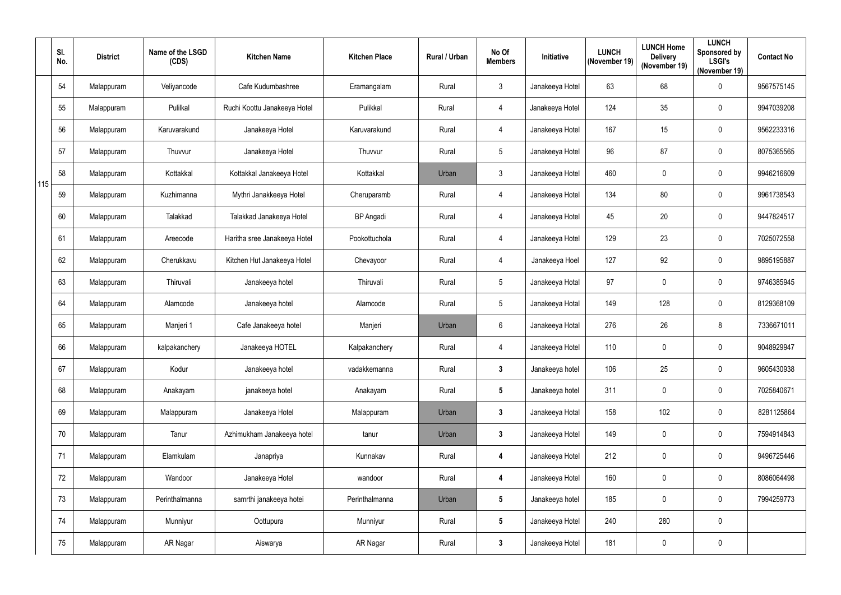|     | SI.<br>No. | <b>District</b> | Name of the LSGD<br>(CDS) | <b>Kitchen Name</b>          | <b>Kitchen Place</b> | <b>Rural / Urban</b> | No Of<br><b>Members</b> | Initiative      | <b>LUNCH</b><br>(November 19) | <b>LUNCH Home</b><br><b>Delivery</b><br>(November 19) | <b>LUNCH</b><br>Sponsored by<br><b>LSGI's</b><br>(November 19) | <b>Contact No</b> |
|-----|------------|-----------------|---------------------------|------------------------------|----------------------|----------------------|-------------------------|-----------------|-------------------------------|-------------------------------------------------------|----------------------------------------------------------------|-------------------|
|     | 54         | Malappuram      | Veliyancode               | Cafe Kudumbashree            | Eramangalam          | Rural                | $\mathbf{3}$            | Janakeeya Hotel | 63                            | 68                                                    | 0                                                              | 9567575145        |
|     | 55         | Malappuram      | Pulilkal                  | Ruchi Koottu Janakeeya Hotel | Pulikkal             | Rural                | $\overline{4}$          | Janakeeya Hotel | 124                           | 35                                                    | 0                                                              | 9947039208        |
|     | 56         | Malappuram      | Karuvarakund              | Janakeeya Hotel              | Karuvarakund         | Rural                | $\overline{4}$          | Janakeeya Hotel | 167                           | 15                                                    | 0                                                              | 9562233316        |
|     | 57         | Malappuram      | Thuvvur                   | Janakeeya Hotel              | Thuvvur              | Rural                | $\sqrt{5}$              | Janakeeya Hotel | 96                            | 87                                                    | 0                                                              | 8075365565        |
| 115 | 58         | Malappuram      | Kottakkal                 | Kottakkal Janakeeya Hotel    | Kottakkal            | Urban                | $\mathbf{3}$            | Janakeeya Hotel | 460                           | $\mathbf 0$                                           | 0                                                              | 9946216609        |
|     | 59         | Malappuram      | Kuzhimanna                | Mythri Janakkeeya Hotel      | Cheruparamb          | Rural                | $\overline{4}$          | Janakeeya Hotel | 134                           | 80                                                    | 0                                                              | 9961738543        |
|     | 60         | Malappuram      | Talakkad                  | Talakkad Janakeeya Hotel     | <b>BP</b> Angadi     | Rural                | $\overline{4}$          | Janakeeya Hotel | 45                            | 20                                                    | $\mathbf 0$                                                    | 9447824517        |
|     | 61         | Malappuram      | Areecode                  | Haritha sree Janakeeya Hotel | Pookottuchola        | Rural                | $\overline{4}$          | Janakeeya Hotel | 129                           | 23                                                    | 0                                                              | 7025072558        |
|     | 62         | Malappuram      | Cherukkavu                | Kitchen Hut Janakeeya Hotel  | Chevayoor            | Rural                | $\overline{4}$          | Janakeeya Hoel  | 127                           | 92                                                    | 0                                                              | 9895195887        |
|     | 63         | Malappuram      | Thiruvali                 | Janakeeya hotel              | Thiruvali            | Rural                | $\sqrt{5}$              | Janakeeya Hotal | 97                            | $\mathbf 0$                                           | 0                                                              | 9746385945        |
|     | 64         | Malappuram      | Alamcode                  | Janakeeya hotel              | Alamcode             | Rural                | $5\phantom{.0}$         | Janakeeya Hotal | 149                           | 128                                                   | 0                                                              | 8129368109        |
|     | 65         | Malappuram      | Manjeri 1                 | Cafe Janakeeya hotel         | Manjeri              | Urban                | $6\phantom{.}6$         | Janakeeya Hotal | 276                           | 26                                                    | 8                                                              | 7336671011        |
|     | 66         | Malappuram      | kalpakanchery             | Janakeeya HOTEL              | Kalpakanchery        | Rural                | 4                       | Janakeeya Hotel | 110                           | $\mathbf 0$                                           | 0                                                              | 9048929947        |
|     | 67         | Malappuram      | Kodur                     | Janakeeya hotel              | vadakkemanna         | Rural                | $\mathbf{3}$            | Janakeeya hotel | 106                           | 25                                                    | 0                                                              | 9605430938        |
|     | 68         | Malappuram      | Anakayam                  | janakeeya hotel              | Anakayam             | Rural                | $5\overline{)}$         | Janakeeya hotel | 311                           | 0                                                     | 0                                                              | 7025840671        |
|     | 69         | Malappuram      | Malappuram                | Janakeeya Hotel              | Malappuram           | Urban                | $\mathbf{3}$            | Janakeeya Hotal | 158                           | 102                                                   | $\pmb{0}$                                                      | 8281125864        |
|     | 70         | Malappuram      | Tanur                     | Azhimukham Janakeeya hotel   | tanur                | Urban                | $\mathbf{3}$            | Janakeeya Hotel | 149                           | $\mathbf 0$                                           | 0                                                              | 7594914843        |
|     | 71         | Malappuram      | Elamkulam                 | Janapriya                    | Kunnakav             | Rural                | $\overline{\mathbf{4}}$ | Janakeeya Hotel | 212                           | $\mathbf 0$                                           | $\mathbf 0$                                                    | 9496725446        |
|     | 72         | Malappuram      | Wandoor                   | Janakeeya Hotel              | wandoor              | Rural                | $\overline{\mathbf{4}}$ | Janakeeya Hotel | 160                           | $\pmb{0}$                                             | 0                                                              | 8086064498        |
|     | 73         | Malappuram      | Perinthalmanna            | samrthi janakeeya hotei      | Perinthalmanna       | Urban                | $5\phantom{.0}$         | Janakeeya hotel | 185                           | 0                                                     | 0                                                              | 7994259773        |
|     | 74         | Malappuram      | Munniyur                  | Oottupura                    | Munniyur             | Rural                | $5\phantom{.0}$         | Janakeeya Hotel | 240                           | 280                                                   | $\pmb{0}$                                                      |                   |
|     | 75         | Malappuram      | AR Nagar                  | Aiswarya                     | AR Nagar             | Rural                | $\mathbf{3}$            | Janakeeya Hotel | 181                           | 0                                                     | 0                                                              |                   |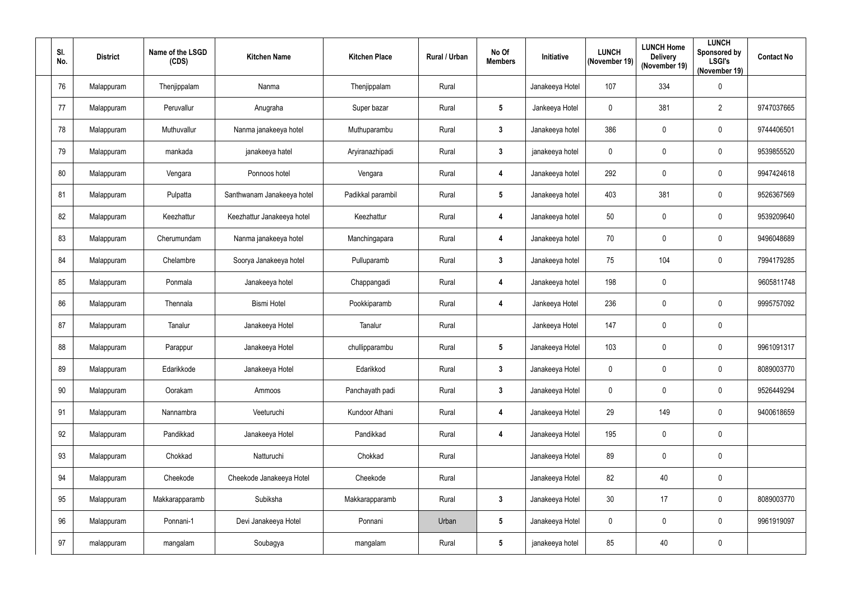| SI.<br>No. | <b>District</b> | Name of the LSGD<br>(CDS) | <b>Kitchen Name</b>        | <b>Kitchen Place</b> | <b>Rural / Urban</b> | No Of<br><b>Members</b> | <b>Initiative</b> | <b>LUNCH</b><br>(November 19) | <b>LUNCH Home</b><br><b>Delivery</b><br>(November 19) | <b>LUNCH</b><br>Sponsored by<br><b>LSGI's</b><br>(November 19) | <b>Contact No</b> |
|------------|-----------------|---------------------------|----------------------------|----------------------|----------------------|-------------------------|-------------------|-------------------------------|-------------------------------------------------------|----------------------------------------------------------------|-------------------|
| 76         | Malappuram      | Thenjippalam              | Nanma                      | Thenjippalam         | Rural                |                         | Janakeeya Hotel   | 107                           | 334                                                   | 0                                                              |                   |
| 77         | Malappuram      | Peruvallur                | Anugraha                   | Super bazar          | Rural                | $5\phantom{.0}$         | Jankeeya Hotel    | 0                             | 381                                                   | $\overline{2}$                                                 | 9747037665        |
| 78         | Malappuram      | Muthuvallur               | Nanma janakeeya hotel      | Muthuparambu         | Rural                | $\mathbf{3}$            | Janakeeya hotel   | 386                           | 0                                                     | 0                                                              | 9744406501        |
| 79         | Malappuram      | mankada                   | janakeeya hatel            | Aryiranazhipadi      | Rural                | $\mathbf{3}$            | janakeeya hotel   | $\mathbf 0$                   | 0                                                     | 0                                                              | 9539855520        |
| 80         | Malappuram      | Vengara                   | Ponnoos hotel              | Vengara              | Rural                | 4                       | Janakeeya hotel   | 292                           | 0                                                     | 0                                                              | 9947424618        |
| 81         | Malappuram      | Pulpatta                  | Santhwanam Janakeeya hotel | Padikkal parambil    | Rural                | $5\phantom{.0}$         | Janakeeya hotel   | 403                           | 381                                                   | 0                                                              | 9526367569        |
| 82         | Malappuram      | Keezhattur                | Keezhattur Janakeeya hotel | Keezhattur           | Rural                | 4                       | Janakeeya hotel   | 50                            | 0                                                     | $\mathbf 0$                                                    | 9539209640        |
| 83         | Malappuram      | Cherumundam               | Nanma janakeeya hotel      | Manchingapara        | Rural                | 4                       | Janakeeya hotel   | 70                            | $\pmb{0}$                                             | 0                                                              | 9496048689        |
| 84         | Malappuram      | Chelambre                 | Soorya Janakeeya hotel     | Pulluparamb          | Rural                | $\mathbf{3}$            | Janakeeya hotel   | 75                            | 104                                                   | 0                                                              | 7994179285        |
| 85         | Malappuram      | Ponmala                   | Janakeeya hotel            | Chappangadi          | Rural                | 4                       | Janakeeya hotel   | 198                           | $\pmb{0}$                                             |                                                                | 9605811748        |
| 86         | Malappuram      | Thennala                  | <b>Bismi Hotel</b>         | Pookkiparamb         | Rural                | 4                       | Jankeeya Hotel    | 236                           | 0                                                     | $\mathbf 0$                                                    | 9995757092        |
| 87         | Malappuram      | Tanalur                   | Janakeeya Hotel            | Tanalur              | Rural                |                         | Jankeeya Hotel    | 147                           | 0                                                     | 0                                                              |                   |
| 88         | Malappuram      | Parappur                  | Janakeeya Hotel            | chullipparambu       | Rural                | $5\phantom{.0}$         | Janakeeya Hotel   | 103                           | 0                                                     | 0                                                              | 9961091317        |
| 89         | Malappuram      | Edarikkode                | Janakeeya Hotel            | Edarikkod            | Rural                | $\mathbf{3}$            | Janakeeya Hotel   | $\mathbf 0$                   | 0                                                     | 0                                                              | 8089003770        |
| 90         | Malappuram      | Oorakam                   | Ammoos                     | Panchayath padi      | Rural                | $\mathbf{3}$            | Janakeeya Hotel   | $\mathbf 0$                   | 0                                                     | 0                                                              | 9526449294        |
| 91         | Malappuram      | Nannambra                 | Veeturuchi                 | Kundoor Athani       | Rural                | $\overline{\mathbf{4}}$ | Janakeeya Hotel   | 29                            | 149                                                   | $\pmb{0}$                                                      | 9400618659        |
| 92         | Malappuram      | Pandikkad                 | Janakeeya Hotel            | Pandikkad            | Rural                | 4                       | Janakeeya Hotel   | 195                           | 0                                                     | $\pmb{0}$                                                      |                   |
| 93         | Malappuram      | Chokkad                   | Natturuchi                 | Chokkad              | Rural                |                         | Janakeeya Hotel   | 89                            | 0                                                     | $\pmb{0}$                                                      |                   |
| 94         | Malappuram      | Cheekode                  | Cheekode Janakeeya Hotel   | Cheekode             | Rural                |                         | Janakeeya Hotel   | 82                            | 40                                                    | 0                                                              |                   |
| 95         | Malappuram      | Makkarapparamb            | Subiksha                   | Makkarapparamb       | Rural                | $3\phantom{a}$          | Janakeeya Hotel   | 30 <sup>°</sup>               | 17                                                    | $\mathbf 0$                                                    | 8089003770        |
| 96         | Malappuram      | Ponnani-1                 | Devi Janakeeya Hotel       | Ponnani              | Urban                | $5\phantom{.0}$         | Janakeeya Hotel   | $\mathbf 0$                   | $\mathbf 0$                                           | 0                                                              | 9961919097        |
| 97         | malappuram      | mangalam                  | Soubagya                   | mangalam             | Rural                | $5\phantom{.0}$         | janakeeya hotel   | 85                            | 40                                                    | 0                                                              |                   |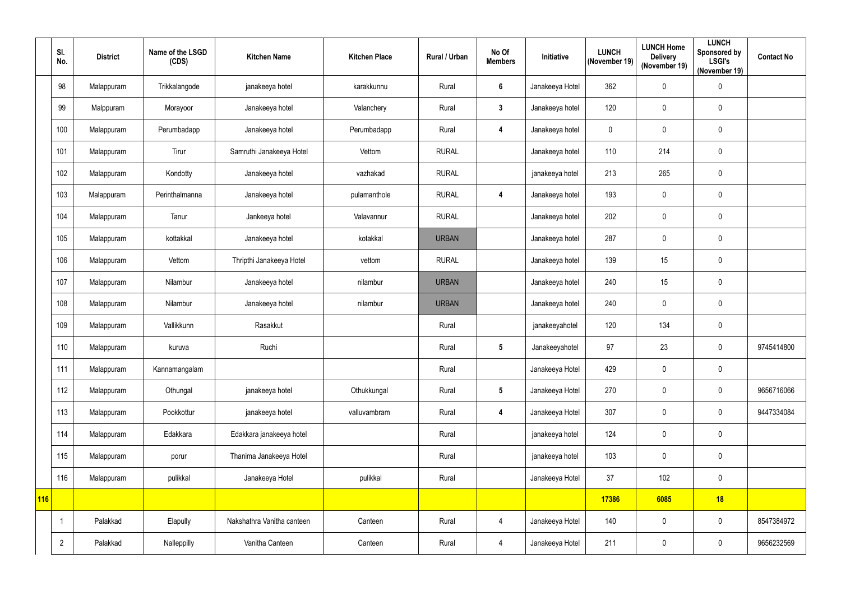|     | SI.<br>No.     | <b>District</b> | Name of the LSGD<br>(CDS) | <b>Kitchen Name</b>        | <b>Kitchen Place</b> | Rural / Urban | No Of<br><b>Members</b> | Initiative      | <b>LUNCH</b><br>(November 19) | <b>LUNCH Home</b><br><b>Delivery</b><br>(November 19) | <b>LUNCH</b><br>Sponsored by<br><b>LSGI's</b><br>(November 19) | <b>Contact No</b> |
|-----|----------------|-----------------|---------------------------|----------------------------|----------------------|---------------|-------------------------|-----------------|-------------------------------|-------------------------------------------------------|----------------------------------------------------------------|-------------------|
|     | 98             | Malappuram      | Trikkalangode             | janakeeya hotel            | karakkunnu           | Rural         | $6\phantom{1}$          | Janakeeya Hotel | 362                           | $\mathbf 0$                                           | $\mathbf 0$                                                    |                   |
|     | 99             | Malppuram       | Morayoor                  | Janakeeya hotel            | Valanchery           | Rural         | $\mathbf{3}$            | Janakeeya hotel | 120                           | $\mathbf 0$                                           | 0                                                              |                   |
|     | 100            | Malappuram      | Perumbadapp               | Janakeeya hotel            | Perumbadapp          | Rural         | $\overline{4}$          | Janakeeya hotel | $\mathbf 0$                   | $\mathbf 0$                                           | 0                                                              |                   |
|     | 101            | Malappuram      | Tirur                     | Samruthi Janakeeya Hotel   | Vettom               | <b>RURAL</b>  |                         | Janakeeya hotel | 110                           | 214                                                   | 0                                                              |                   |
|     | 102            | Malappuram      | Kondotty                  | Janakeeya hotel            | vazhakad             | <b>RURAL</b>  |                         | janakeeya hotel | 213                           | 265                                                   | $\mathbf 0$                                                    |                   |
|     | 103            | Malappuram      | Perinthalmanna            | Janakeeya hotel            | pulamanthole         | <b>RURAL</b>  | 4                       | Janakeeya hotel | 193                           | $\mathbf 0$                                           | 0                                                              |                   |
|     | 104            | Malappuram      | Tanur                     | Jankeeya hotel             | Valavannur           | <b>RURAL</b>  |                         | Janakeeya hotel | 202                           | $\mathbf 0$                                           | 0                                                              |                   |
|     | 105            | Malappuram      | kottakkal                 | Janakeeya hotel            | kotakkal             | <b>URBAN</b>  |                         | Janakeeya hotel | 287                           | $\mathbf 0$                                           | $\mathbf 0$                                                    |                   |
|     | 106            | Malappuram      | Vettom                    | Thripthi Janakeeya Hotel   | vettom               | <b>RURAL</b>  |                         | Janakeeya hotel | 139                           | 15                                                    | $\mathbf 0$                                                    |                   |
|     | 107            | Malappuram      | Nilambur                  | Janakeeya hotel            | nilambur             | <b>URBAN</b>  |                         | Janakeeya hotel | 240                           | 15                                                    | 0                                                              |                   |
|     | 108            | Malappuram      | Nilambur                  | Janakeeya hotel            | nilambur             | <b>URBAN</b>  |                         | Janakeeya hotel | 240                           | $\pmb{0}$                                             | 0                                                              |                   |
|     | 109            | Malappuram      | Vallikkunn                | Rasakkut                   |                      | Rural         |                         | janakeeyahotel  | 120                           | 134                                                   | $\mathbf 0$                                                    |                   |
|     | 110            | Malappuram      | kuruva                    | Ruchi                      |                      | Rural         | 5                       | Janakeeyahotel  | 97                            | 23                                                    | 0                                                              | 9745414800        |
|     | 111            | Malappuram      | Kannamangalam             |                            |                      | Rural         |                         | Janakeeya Hotel | 429                           | $\mathbf 0$                                           | $\mathbf 0$                                                    |                   |
|     | 112            | Malappuram      | Othungal                  | janakeeya hotel            | Othukkungal          | Rural         | $5\phantom{.0}$         | Janakeeya Hotel | 270                           | $\mathbf 0$                                           | 0                                                              | 9656716066        |
|     | 113            | Malappuram      | Pookkottur                | janakeeya hotel            | valluvambram         | Rural         | $\overline{\mathbf{4}}$ | Janakeeya Hotel | 307                           | $\mathbf 0$                                           | $\mathbf 0$                                                    | 9447334084        |
|     | 114            | Malappuram      | Edakkara                  | Edakkara janakeeya hotel   |                      | Rural         |                         | janakeeya hotel | 124                           | $\mathbf 0$                                           | $\mathbf 0$                                                    |                   |
|     | 115            | Malappuram      | porur                     | Thanima Janakeeya Hotel    |                      | Rural         |                         | janakeeya hotel | 103                           | $\mathbf 0$                                           | 0                                                              |                   |
|     | 116            | Malappuram      | pulikkal                  | Janakeeya Hotel            | pulikkal             | Rural         |                         | Janakeeya Hotel | 37                            | 102                                                   | $\mathbf 0$                                                    |                   |
| 116 |                |                 |                           |                            |                      |               |                         |                 | 17386                         | 6085                                                  | 18                                                             |                   |
|     | -1             | Palakkad        | Elapully                  | Nakshathra Vanitha canteen | Canteen              | Rural         | $\overline{4}$          | Janakeeya Hotel | 140                           | $\mathbf 0$                                           | $\mathbf 0$                                                    | 8547384972        |
|     | $\overline{2}$ | Palakkad        | Nalleppilly               | Vanitha Canteen            | Canteen              | Rural         | $\overline{4}$          | Janakeeya Hotel | 211                           | $\pmb{0}$                                             | 0                                                              | 9656232569        |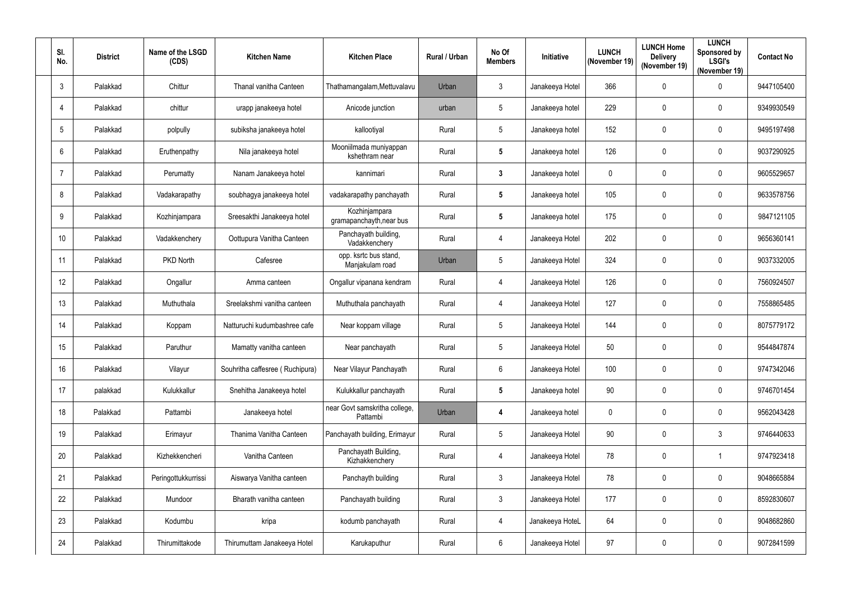| SI.<br>No.   | <b>District</b> | Name of the LSGD<br>(CDS) | <b>Kitchen Name</b>             | <b>Kitchen Place</b>                      | <b>Rural / Urban</b> | No Of<br><b>Members</b> | <b>Initiative</b> | <b>LUNCH</b><br>(November 19) | <b>LUNCH Home</b><br><b>Delivery</b><br>(November 19) | <b>LUNCH</b><br>Sponsored by<br><b>LSGI's</b><br>(November 19) | <b>Contact No</b> |
|--------------|-----------------|---------------------------|---------------------------------|-------------------------------------------|----------------------|-------------------------|-------------------|-------------------------------|-------------------------------------------------------|----------------------------------------------------------------|-------------------|
| $\mathbf{3}$ | Palakkad        | Chittur                   | Thanal vanitha Canteen          | Thathamangalam, Mettuvalavu               | Urban                | $\mathfrak{Z}$          | Janakeeya Hotel   | 366                           | 0                                                     | 0                                                              | 9447105400        |
| 4            | Palakkad        | chittur                   | urapp janakeeya hotel           | Anicode junction                          | urban                | 5                       | Janakeeya hotel   | 229                           | 0                                                     | 0                                                              | 9349930549        |
| 5            | Palakkad        | polpully                  | subiksha janakeeya hotel        | kallootiyal                               | Rural                | 5                       | Janakeeya hotel   | 152                           | 0                                                     | 0                                                              | 9495197498        |
| 6            | Palakkad        | Eruthenpathy              | Nila janakeeya hotel            | Mooniilmada muniyappan<br>kshethram near  | Rural                | $5\phantom{.0}$         | Janakeeya hotel   | 126                           | 0                                                     | 0                                                              | 9037290925        |
| -7           | Palakkad        | Perumatty                 | Nanam Janakeeya hotel           | kannimari                                 | Rural                | $\mathbf{3}$            | Janakeeya hotel   | $\mathbf 0$                   | 0                                                     | 0                                                              | 9605529657        |
| 8            | Palakkad        | Vadakarapathy             | soubhagya janakeeya hotel       | vadakarapathy panchayath                  | Rural                | $5\phantom{.0}$         | Janakeeya hotel   | 105                           | 0                                                     | 0                                                              | 9633578756        |
| 9            | Palakkad        | Kozhinjampara             | Sreesakthi Janakeeya hotel      | Kozhinjampara<br>gramapanchayth, near bus | Rural                | $5\phantom{.0}$         | Janakeeya hotel   | 175                           | 0                                                     | 0                                                              | 9847121105        |
| 10           | Palakkad        | Vadakkenchery             | Oottupura Vanitha Canteen       | Panchayath building,<br>Vadakkenchery     | Rural                | $\overline{4}$          | Janakeeya Hotel   | 202                           | 0                                                     | 0                                                              | 9656360141        |
| 11           | Palakkad        | PKD North                 | Cafesree                        | opp. ksrtc bus stand,<br>Manjakulam road  | Urban                | 5                       | Janakeeya Hotel   | 324                           | 0                                                     | 0                                                              | 9037332005        |
| 12           | Palakkad        | Ongallur                  | Amma canteen                    | Ongallur vipanana kendram                 | Rural                | $\overline{4}$          | Janakeeya Hotel   | 126                           | 0                                                     | 0                                                              | 7560924507        |
| 13           | Palakkad        | Muthuthala                | Sreelakshmi vanitha canteen     | Muthuthala panchayath                     | Rural                | 4                       | Janakeeya Hotel   | 127                           | 0                                                     | 0                                                              | 7558865485        |
| 14           | Palakkad        | Koppam                    | Natturuchi kudumbashree cafe    | Near koppam village                       | Rural                | 5                       | Janakeeya Hotel   | 144                           | 0                                                     | 0                                                              | 8075779172        |
| 15           | Palakkad        | Paruthur                  | Mamatty vanitha canteen         | Near panchayath                           | Rural                | 5                       | Janakeeya Hotel   | 50                            | 0                                                     | 0                                                              | 9544847874        |
| 16           | Palakkad        | Vilayur                   | Souhritha caffesree (Ruchipura) | Near Vilayur Panchayath                   | Rural                | $6\,$                   | Janakeeya Hotel   | 100                           | $\mathbf 0$                                           | 0                                                              | 9747342046        |
| 17           | palakkad        | Kulukkallur               | Snehitha Janakeeya hotel        | Kulukkallur panchayath                    | Rural                | $5\phantom{.0}$         | Janakeeya hotel   | 90                            | 0                                                     | 0                                                              | 9746701454        |
| 18           | Palakkad        | Pattambi                  | Janakeeya hotel                 | near Govt samskritha college,<br>Pattambi | Urban                | 4                       | Janakeeya hotel   | $\mathbf 0$                   | $\pmb{0}$                                             | 0                                                              | 9562043428        |
| 19           | Palakkad        | Erimayur                  | Thanima Vanitha Canteen         | Panchayath building, Erimayur             | Rural                | $\sqrt{5}$              | Janakeeya Hotel   | 90                            | 0                                                     | 3                                                              | 9746440633        |
| 20           | Palakkad        | Kizhekkencheri            | Vanitha Canteen                 | Panchayath Building,<br>Kizhakkenchery    | Rural                | $\overline{4}$          | Janakeeya Hotel   | 78                            | $\mathbf 0$                                           | 1                                                              | 9747923418        |
| 21           | Palakkad        | Peringottukkurrissi       | Aiswarya Vanitha canteen        | Panchayth building                        | Rural                | $\mathfrak{Z}$          | Janakeeya Hotel   | 78                            | 0                                                     | 0                                                              | 9048665884        |
| 22           | Palakkad        | Mundoor                   | Bharath vanitha canteen         | Panchayath building                       | Rural                | $\mathfrak{Z}$          | Janakeeya Hotel   | 177                           | $\mathbf 0$                                           | 0                                                              | 8592830607        |
| 23           | Palakkad        | Kodumbu                   | kripa                           | kodumb panchayath                         | Rural                | $\overline{4}$          | Janakeeya HoteL   | 64                            | $\mathbf 0$                                           | 0                                                              | 9048682860        |
| 24           | Palakkad        | Thirumittakode            | Thirumuttam Janakeeya Hotel     | Karukaputhur                              | Rural                | $6\,$                   | Janakeeya Hotel   | 97                            | 0                                                     | 0                                                              | 9072841599        |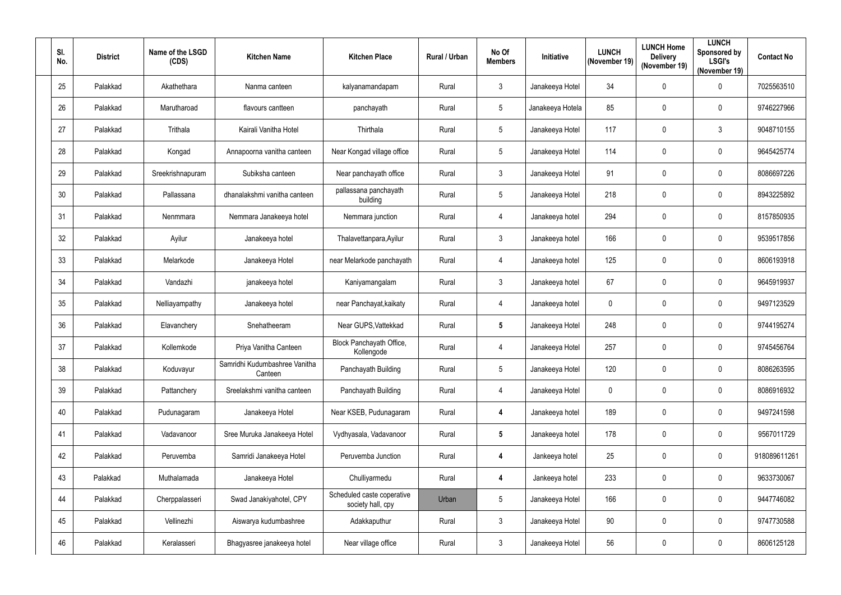| SI.<br>No. | <b>District</b> | Name of the LSGD<br>(CDS) | <b>Kitchen Name</b>                      | <b>Kitchen Place</b>                            | Rural / Urban | No Of<br><b>Members</b> | <b>Initiative</b> | <b>LUNCH</b><br>(November 19) | <b>LUNCH Home</b><br><b>Delivery</b><br>(November 19) | <b>LUNCH</b><br>Sponsored by<br><b>LSGI's</b><br>(November 19) | <b>Contact No</b> |
|------------|-----------------|---------------------------|------------------------------------------|-------------------------------------------------|---------------|-------------------------|-------------------|-------------------------------|-------------------------------------------------------|----------------------------------------------------------------|-------------------|
| 25         | Palakkad        | Akathethara               | Nanma canteen                            | kalyanamandapam                                 | Rural         | $\mathbf{3}$            | Janakeeya Hotel   | 34                            | 0                                                     | 0                                                              | 7025563510        |
| 26         | Palakkad        | Marutharoad               | flavours cantteen                        | panchayath                                      | Rural         | $\overline{5}$          | Janakeeya Hotela  | 85                            | 0                                                     | 0                                                              | 9746227966        |
| 27         | Palakkad        | Trithala                  | Kairali Vanitha Hotel                    | Thirthala                                       | Rural         | $5\phantom{.0}$         | Janakeeya Hotel   | 117                           | 0                                                     | $\mathfrak{Z}$                                                 | 9048710155        |
| 28         | Palakkad        | Kongad                    | Annapoorna vanitha canteen               | Near Kongad village office                      | Rural         | $5\phantom{.0}$         | Janakeeya Hotel   | 114                           | 0                                                     | $\mathbf 0$                                                    | 9645425774        |
| 29         | Palakkad        | Sreekrishnapuram          | Subiksha canteen                         | Near panchayath office                          | Rural         | $\mathbf{3}$            | Janakeeya Hotel   | 91                            | 0                                                     | 0                                                              | 8086697226        |
| 30         | Palakkad        | Pallassana                | dhanalakshmi vanitha canteen             | pallassana panchayath<br>building               | Rural         | $5\phantom{.0}$         | Janakeeya Hotel   | 218                           | 0                                                     | 0                                                              | 8943225892        |
| 31         | Palakkad        | Nenmmara                  | Nemmara Janakeeya hotel                  | Nemmara junction                                | Rural         | 4                       | Janakeeya hotel   | 294                           | 0                                                     | $\mathbf 0$                                                    | 8157850935        |
| 32         | Palakkad        | Ayilur                    | Janakeeya hotel                          | Thalavettanpara, Ayilur                         | Rural         | $\mathfrak{Z}$          | Janakeeya hotel   | 166                           | 0                                                     | 0                                                              | 9539517856        |
| 33         | Palakkad        | Melarkode                 | Janakeeya Hotel                          | near Melarkode panchayath                       | Rural         | 4                       | Janakeeya hotel   | 125                           | 0                                                     | 0                                                              | 8606193918        |
| 34         | Palakkad        | Vandazhi                  | janakeeya hotel                          | Kaniyamangalam                                  | Rural         | $\mathbf{3}$            | Janakeeya hotel   | 67                            | 0                                                     | 0                                                              | 9645919937        |
| 35         | Palakkad        | Nelliayampathy            | Janakeeya hotel                          | near Panchayat, kaikaty                         | Rural         | 4                       | Janakeeya hotel   | $\mathbf 0$                   | 0                                                     | 0                                                              | 9497123529        |
| 36         | Palakkad        | Elavanchery               | Snehatheeram                             | Near GUPS, Vattekkad                            | Rural         | $\sqrt{5}$              | Janakeeya Hotel   | 248                           | 0                                                     | 0                                                              | 9744195274        |
| 37         | Palakkad        | Kollemkode                | Priya Vanitha Canteen                    | Block Panchayath Office,<br>Kollengode          | Rural         | 4                       | Janakeeya Hotel   | 257                           | 0                                                     | $\mathbf 0$                                                    | 9745456764        |
| 38         | Palakkad        | Koduvayur                 | Samridhi Kudumbashree Vanitha<br>Canteen | Panchayath Building                             | Rural         | $5\phantom{.0}$         | Janakeeya Hotel   | 120                           | 0                                                     | 0                                                              | 8086263595        |
| 39         | Palakkad        | Pattanchery               | Sreelakshmi vanitha canteen              | Panchayath Building                             | Rural         | $\overline{4}$          | Janakeeya Hotel   | $\mathbf 0$                   | 0                                                     | 0                                                              | 8086916932        |
| 40         | Palakkad        | Pudunagaram               | Janakeeya Hotel                          | Near KSEB, Pudunagaram                          | Rural         | $\overline{\mathbf{4}}$ | Janakeeya hotel   | 189                           | $\pmb{0}$                                             | $\pmb{0}$                                                      | 9497241598        |
| 41         | Palakkad        | Vadavanoor                | Sree Muruka Janakeeya Hotel              | Vydhyasala, Vadavanoor                          | Rural         | $5\phantom{.0}$         | Janakeeya hotel   | 178                           | 0                                                     | 0                                                              | 9567011729        |
| 42         | Palakkad        | Peruvemba                 | Samridi Janakeeya Hotel                  | Peruvemba Junction                              | Rural         | $\overline{\mathbf{4}}$ | Jankeeya hotel    | 25                            | 0                                                     | 0                                                              | 918089611261      |
| 43         | Palakkad        | Muthalamada               | Janakeeya Hotel                          | Chulliyarmedu                                   | Rural         | $\boldsymbol{4}$        | Jankeeya hotel    | 233                           | 0                                                     | 0                                                              | 9633730067        |
| 44         | Palakkad        | Cherppalasseri            | Swad Janakiyahotel, CPY                  | Scheduled caste coperative<br>society hall, cpy | Urban         | $5\phantom{.0}$         | Janakeeya Hotel   | 166                           | 0                                                     | $\pmb{0}$                                                      | 9447746082        |
| 45         | Palakkad        | Vellinezhi                | Aiswarya kudumbashree                    | Adakkaputhur                                    | Rural         | $\mathbf{3}$            | Janakeeya Hotel   | 90                            | 0                                                     | 0                                                              | 9747730588        |
| 46         | Palakkad        | Keralasseri               | Bhagyasree janakeeya hotel               | Near village office                             | Rural         | $\mathbf{3}$            | Janakeeya Hotel   | 56                            | 0                                                     | 0                                                              | 8606125128        |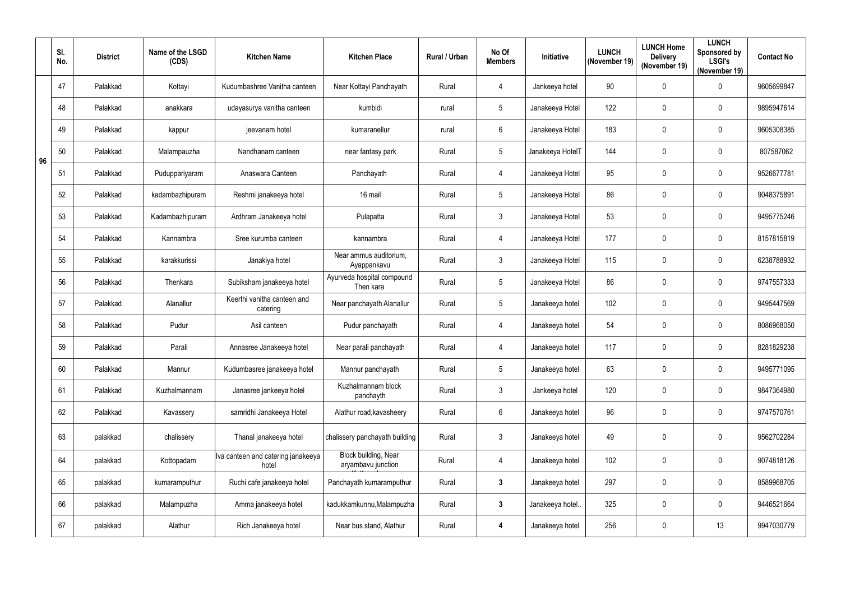|    | SI.<br>No. | <b>District</b> | Name of the LSGD<br>(CDS) | <b>Kitchen Name</b>                         | <b>Kitchen Place</b>                       | <b>Rural / Urban</b> | No Of<br><b>Members</b> | Initiative       | <b>LUNCH</b><br>(November 19) | <b>LUNCH Home</b><br><b>Delivery</b><br>(November 19) | <b>LUNCH</b><br>Sponsored by<br><b>LSGI's</b><br>(November 19) | <b>Contact No</b> |
|----|------------|-----------------|---------------------------|---------------------------------------------|--------------------------------------------|----------------------|-------------------------|------------------|-------------------------------|-------------------------------------------------------|----------------------------------------------------------------|-------------------|
|    | 47         | Palakkad        | Kottayi                   | Kudumbashree Vanitha canteen                | Near Kottayi Panchayath                    | Rural                | 4                       | Jankeeya hotel   | 90                            | $\mathbf{0}$                                          | 0                                                              | 9605699847        |
|    | 48         | Palakkad        | anakkara                  | udayasurya vanitha canteen                  | kumbidi                                    | rural                | $\sqrt{5}$              | Janakeeya Hotel  | 122                           | $\mathbf 0$                                           | 0                                                              | 9895947614        |
|    | 49         | Palakkad        | kappur                    | jeevanam hotel                              | kumaranellur                               | rural                | $6\phantom{.}6$         | Janakeeya Hotel  | 183                           | $\mathbf 0$                                           | 0                                                              | 9605308385        |
| 96 | 50         | Palakkad        | Malampauzha               | Nandhanam canteen                           | near fantasy park                          | Rural                | $5\phantom{.0}$         | Janakeeya HotelT | 144                           | $\mathbf{0}$                                          | 0                                                              | 807587062         |
|    | 51         | Palakkad        | Puduppariyaram            | Anaswara Canteen                            | Panchayath                                 | Rural                | $\overline{4}$          | Janakeeya Hotel  | 95                            | $\mathbf 0$                                           | 0                                                              | 9526677781        |
|    | 52         | Palakkad        | kadambazhipuram           | Reshmi janakeeya hotel                      | 16 mail                                    | Rural                | $5\phantom{.0}$         | Janakeeya Hotel  | 86                            | $\mathbf{0}$                                          | 0                                                              | 9048375891        |
|    | 53         | Palakkad        | Kadambazhipuram           | Ardhram Janakeeya hotel                     | Pulapatta                                  | Rural                | $\mathbf{3}$            | Janakeeya Hotel  | 53                            | 0                                                     | $\mathbf 0$                                                    | 9495775246        |
|    | 54         | Palakkad        | Kannambra                 | Sree kurumba canteen                        | kannambra                                  | Rural                | $\overline{4}$          | Janakeeya Hotel  | 177                           | $\mathbf 0$                                           | 0                                                              | 8157815819        |
|    | 55         | Palakkad        | karakkurissi              | Janakiya hotel                              | Near ammus auditorium,<br>Ayappankavu      | Rural                | $\mathbf{3}$            | Janakeeya Hotel  | 115                           | $\mathbf{0}$                                          | $\mathbf 0$                                                    | 6238788932        |
|    | 56         | Palakkad        | Thenkara                  | Subiksham janakeeya hotel                   | Ayurveda hospital compound<br>Then kara    | Rural                | $5\phantom{.0}$         | Janakeeya Hotel  | 86                            | $\mathbf{0}$                                          | 0                                                              | 9747557333        |
|    | 57         | Palakkad        | Alanallur                 | Keerthi vanitha canteen and<br>catering     | Near panchayath Alanallur                  | Rural                | $\sqrt{5}$              | Janakeeya hotel  | 102                           | 0                                                     | 0                                                              | 9495447569        |
|    | 58         | Palakkad        | Pudur                     | Asil canteen                                | Pudur panchayath                           | Rural                | $\overline{4}$          | Janakeeya hotel  | 54                            | 0                                                     | 0                                                              | 8086968050        |
|    | 59         | Palakkad        | Parali                    | Annasree Janakeeya hotel                    | Near parali panchayath                     | Rural                | 4                       | Janakeeya hotel  | 117                           | $\mathbf{0}$                                          | $\mathbf 0$                                                    | 8281829238        |
|    | 60         | Palakkad        | Mannur                    | Kudumbasree janakeeya hotel                 | Mannur panchayath                          | Rural                | $5\phantom{.0}$         | Janakeeya hotel  | 63                            | $\mathbf 0$                                           | 0                                                              | 9495771095        |
|    | 61         | Palakkad        | Kuzhalmannam              | Janasree jankeeya hotel                     | Kuzhalmannam block<br>panchayth            | Rural                | $\mathfrak{Z}$          | Jankeeya hotel   | 120                           | $\mathbf 0$                                           | 0                                                              | 9847364980        |
|    | 62         | Palakkad        | Kavassery                 | samridhi Janakeeya Hotel                    | Alathur road, kavasheery                   | Rural                | $6\phantom{.}6$         | Janakeeya hotel  | 96                            | $\mathbf 0$                                           | $\pmb{0}$                                                      | 9747570761        |
|    | 63         | palakkad        | chalissery                | Thanal janakeeya hotel                      | chalissery panchayath building             | Rural                | $\mathfrak{Z}$          | Janakeeya hotel  | 49                            | $\mathbf 0$                                           | 0                                                              | 9562702284        |
|    | 64         | palakkad        | Kottopadam                | Iva canteen and catering janakeeya<br>hotel | Block building, Near<br>aryambavu junction | Rural                | $\overline{4}$          | Janakeeya hotel  | 102                           | 0                                                     | 0                                                              | 9074818126        |
|    | 65         | palakkad        | kumaramputhur             | Ruchi cafe janakeeya hotel                  | Panchayath kumaramputhur                   | Rural                | $\mathbf{3}$            | Janakeeya hotel  | 297                           | 0                                                     | $\pmb{0}$                                                      | 8589968705        |
|    | 66         | palakkad        | Malampuzha                | Amma janakeeya hotel                        | kadukkamkunnu, Malampuzha                  | Rural                | $\mathbf{3}$            | Janakeeya hotel  | 325                           | 0                                                     | 0                                                              | 9446521664        |
|    | 67         | palakkad        | Alathur                   | Rich Janakeeya hotel                        | Near bus stand, Alathur                    | Rural                | $\overline{\mathbf{4}}$ | Janakeeya hotel  | 256                           | 0                                                     | 13                                                             | 9947030779        |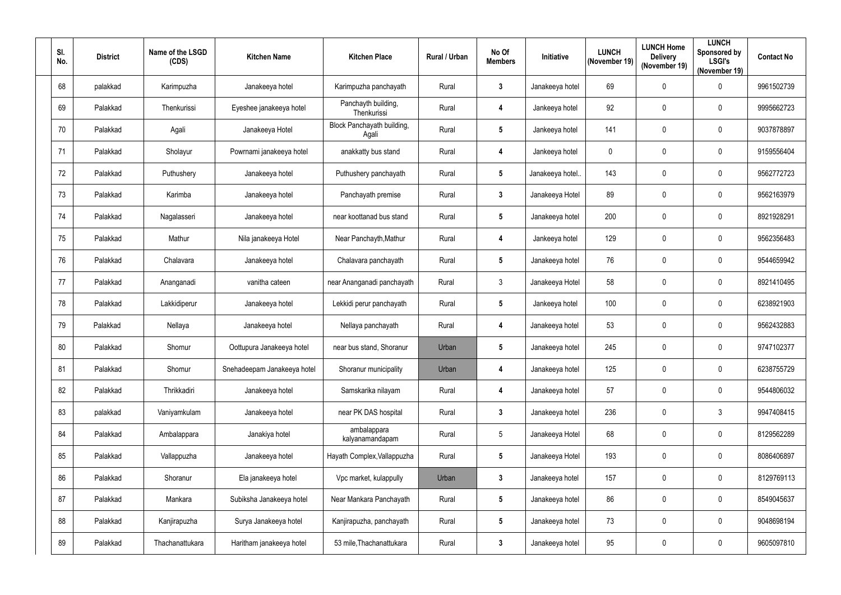| SI.<br>No. | <b>District</b> | Name of the LSGD<br>(CDS) | <b>Kitchen Name</b>         | <b>Kitchen Place</b>                | Rural / Urban | No Of<br><b>Members</b> | Initiative      | <b>LUNCH</b><br>(November 19) | <b>LUNCH Home</b><br><b>Delivery</b><br>(November 19) | <b>LUNCH</b><br>Sponsored by<br><b>LSGI's</b><br>(November 19) | <b>Contact No</b> |
|------------|-----------------|---------------------------|-----------------------------|-------------------------------------|---------------|-------------------------|-----------------|-------------------------------|-------------------------------------------------------|----------------------------------------------------------------|-------------------|
| 68         | palakkad        | Karimpuzha                | Janakeeya hotel             | Karimpuzha panchayath               | Rural         | $\mathbf{3}$            | Janakeeya hotel | 69                            | 0                                                     | 0                                                              | 9961502739        |
| 69         | Palakkad        | Thenkurissi               | Eyeshee janakeeya hotel     | Panchayth building,<br>Thenkurissi  | Rural         | 4                       | Jankeeya hotel  | 92                            | 0                                                     | 0                                                              | 9995662723        |
| 70         | Palakkad        | Agali                     | Janakeeya Hotel             | Block Panchayath building,<br>Agali | Rural         | $5\phantom{.0}$         | Jankeeya hotel  | 141                           | 0                                                     | 0                                                              | 9037878897        |
| 71         | Palakkad        | Sholayur                  | Powrnami janakeeya hotel    | anakkatty bus stand                 | Rural         | 4                       | Jankeeya hotel  | 0                             | 0                                                     | 0                                                              | 9159556404        |
| 72         | Palakkad        | Puthushery                | Janakeeya hotel             | Puthushery panchayath               | Rural         | $5\phantom{.0}$         | Janakeeya hotel | 143                           | 0                                                     | 0                                                              | 9562772723        |
| 73         | Palakkad        | Karimba                   | Janakeeya hotel             | Panchayath premise                  | Rural         | $\mathbf{3}$            | Janakeeya Hotel | 89                            | 0                                                     | 0                                                              | 9562163979        |
| 74         | Palakkad        | Nagalasseri               | Janakeeya hotel             | near koottanad bus stand            | Rural         | $5\phantom{.0}$         | Janakeeya hotel | 200                           | 0                                                     | 0                                                              | 8921928291        |
| 75         | Palakkad        | Mathur                    | Nila janakeeya Hotel        | Near Panchayth, Mathur              | Rural         | 4                       | Jankeeya hotel  | 129                           | 0                                                     | 0                                                              | 9562356483        |
| 76         | Palakkad        | Chalavara                 | Janakeeya hotel             | Chalavara panchayath                | Rural         | $5\phantom{.0}$         | Janakeeya hotel | 76                            | 0                                                     | 0                                                              | 9544659942        |
| 77         | Palakkad        | Ananganadi                | vanitha cateen              | near Ananganadi panchayath          | Rural         | $\mathbf{3}$            | Janakeeya Hotel | 58                            | 0                                                     | 0                                                              | 8921410495        |
| 78         | Palakkad        | Lakkidiperur              | Janakeeya hotel             | Lekkidi perur panchayath            | Rural         | $5\phantom{.0}$         | Jankeeya hotel  | 100                           | 0                                                     | 0                                                              | 6238921903        |
| 79         | Palakkad        | Nellaya                   | Janakeeya hotel             | Nellaya panchayath                  | Rural         | 4                       | Janakeeya hotel | 53                            | 0                                                     | 0                                                              | 9562432883        |
| 80         | Palakkad        | Shornur                   | Oottupura Janakeeya hotel   | near bus stand, Shoranur            | Urban         | 5                       | Janakeeya hotel | 245                           | 0                                                     | 0                                                              | 9747102377        |
| 81         | Palakkad        | Shornur                   | Snehadeepam Janakeeya hotel | Shoranur municipality               | Urban         | 4                       | Janakeeya hotel | 125                           | 0                                                     | 0                                                              | 6238755729        |
| 82         | Palakkad        | Thrikkadiri               | Janakeeya hotel             | Samskarika nilayam                  | Rural         | 4                       | Janakeeya hotel | 57                            | 0                                                     | 0                                                              | 9544806032        |
| 83         | palakkad        | Vaniyamkulam              | Janakeeya hotel             | near PK DAS hospital                | Rural         | $\mathbf{3}$            | Janakeeya hotel | 236                           | 0                                                     | $\mathfrak{Z}$                                                 | 9947408415        |
| 84         | Palakkad        | Ambalappara               | Janakiya hotel              | ambalappara<br>kalyanamandapam      | Rural         | $\sqrt{5}$              | Janakeeya Hotel | 68                            | 0                                                     | 0                                                              | 8129562289        |
| 85         | Palakkad        | Vallappuzha               | Janakeeya hotel             | Hayath Complex, Vallappuzha         | Rural         | $5\phantom{.0}$         | Janakeeya Hotel | 193                           | $\mathbf 0$                                           | 0                                                              | 8086406897        |
| 86         | Palakkad        | Shoranur                  | Ela janakeeya hotel         | Vpc market, kulappully              | Urban         | $\mathbf{3}$            | Janakeeya hotel | 157                           | 0                                                     | 0                                                              | 8129769113        |
| 87         | Palakkad        | Mankara                   | Subiksha Janakeeya hotel    | Near Mankara Panchayath             | Rural         | $5\phantom{.0}$         | Janakeeya hotel | 86                            | $\mathbf 0$                                           | 0                                                              | 8549045637        |
| 88         | Palakkad        | Kanjirapuzha              | Surya Janakeeya hotel       | Kanjirapuzha, panchayath            | Rural         | $5\phantom{.0}$         | Janakeeya hotel | 73                            | $\mathbf 0$                                           | 0                                                              | 9048698194        |
| 89         | Palakkad        | Thachanattukara           | Haritham janakeeya hotel    | 53 mile, Thachanattukara            | Rural         | $\mathbf{3}$            | Janakeeya hotel | 95                            | 0                                                     | 0                                                              | 9605097810        |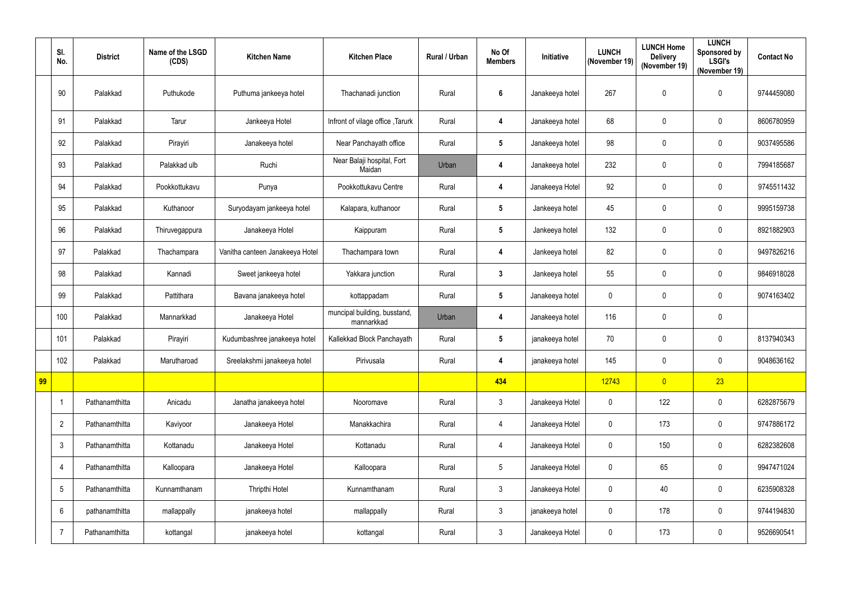|    | SI.<br>No.              | <b>District</b> | Name of the LSGD<br>(CDS) | <b>Kitchen Name</b>             | <b>Kitchen Place</b>                       | Rural / Urban | No Of<br><b>Members</b> | Initiative      | <b>LUNCH</b><br>(November 19) | <b>LUNCH Home</b><br><b>Delivery</b><br>(November 19) | <b>LUNCH</b><br>Sponsored by<br><b>LSGI's</b><br>(November 19) | <b>Contact No</b> |
|----|-------------------------|-----------------|---------------------------|---------------------------------|--------------------------------------------|---------------|-------------------------|-----------------|-------------------------------|-------------------------------------------------------|----------------------------------------------------------------|-------------------|
|    | 90                      | Palakkad        | Puthukode                 | Puthuma jankeeya hotel          | Thachanadi junction                        | Rural         | 6                       | Janakeeya hotel | 267                           | $\mathbf 0$                                           | $\mathbf 0$                                                    | 9744459080        |
|    | 91                      | Palakkad        | Tarur                     | Jankeeya Hotel                  | Infront of vilage office, Tarurk           | Rural         | 4                       | Janakeeya hotel | 68                            | $\mathbf 0$                                           | $\mathbf 0$                                                    | 8606780959        |
|    | 92                      | Palakkad        | Pirayiri                  | Janakeeya hotel                 | Near Panchayath office                     | Rural         | $5\phantom{.0}$         | Janakeeya hotel | 98                            | 0                                                     | $\mathbf 0$                                                    | 9037495586        |
|    | 93                      | Palakkad        | Palakkad ulb              | Ruchi                           | Near Balaji hospital, Fort<br>Maidan       | Urban         | 4                       | Janakeeya hotel | 232                           | 0                                                     | 0                                                              | 7994185687        |
|    | 94                      | Palakkad        | Pookkottukavu             | Punya                           | Pookkottukavu Centre                       | Rural         | $\overline{4}$          | Janakeeya Hotel | 92                            | 0                                                     | $\mathbf 0$                                                    | 9745511432        |
|    | 95                      | Palakkad        | Kuthanoor                 | Suryodayam jankeeya hotel       | Kalapara, kuthanoor                        | Rural         | $5\phantom{.0}$         | Jankeeya hotel  | 45                            | $\mathbf 0$                                           | $\mathbf 0$                                                    | 9995159738        |
|    | 96                      | Palakkad        | Thiruvegappura            | Janakeeya Hotel                 | Kaippuram                                  | Rural         | $5\phantom{.0}$         | Jankeeya hotel  | 132                           | 0                                                     | 0                                                              | 8921882903        |
|    | 97                      | Palakkad        | Thachampara               | Vanitha canteen Janakeeya Hotel | Thachampara town                           | Rural         | 4                       | Jankeeya hotel  | 82                            | 0                                                     | $\mathbf 0$                                                    | 9497826216        |
|    | 98                      | Palakkad        | Kannadi                   | Sweet jankeeya hotel            | Yakkara junction                           | Rural         | $\mathbf{3}$            | Jankeeya hotel  | 55                            | $\mathbf 0$                                           | $\mathbf 0$                                                    | 9846918028        |
|    | 99                      | Palakkad        | Pattithara                | Bavana janakeeya hotel          | kottappadam                                | Rural         | $\sqrt{5}$              | Janakeeya hotel | $\mathbf 0$                   | 0                                                     | $\mathbf 0$                                                    | 9074163402        |
|    | 100                     | Palakkad        | Mannarkkad                | Janakeeya Hotel                 | muncipal building, busstand,<br>mannarkkad | Urban         | 4                       | Janakeeya hotel | 116                           | 0                                                     | 0                                                              |                   |
|    | 101                     | Palakkad        | Pirayiri                  | Kudumbashree janakeeya hotel    | Kallekkad Block Panchayath                 | Rural         | $\sqrt{5}$              | janakeeya hotel | 70                            | 0                                                     | $\mathbf 0$                                                    | 8137940343        |
|    | 102                     | Palakkad        | Marutharoad               | Sreelakshmi janakeeya hotel     | Pirivusala                                 | Rural         | 4                       | janakeeya hotel | 145                           | $\pmb{0}$                                             | 0                                                              | 9048636162        |
| 99 |                         |                 |                           |                                 |                                            |               | 434                     |                 | 12743                         | $\overline{0}$                                        | 23                                                             |                   |
|    | $\overline{\mathbf{1}}$ | Pathanamthitta  | Anicadu                   | Janatha janakeeya hotel         | Nooromave                                  | Rural         | $\mathfrak{Z}$          | Janakeeya Hotel | $\pmb{0}$                     | 122                                                   | $\pmb{0}$                                                      | 6282875679        |
|    | $\overline{2}$          | Pathanamthitta  | Kaviyoor                  | Janakeeya Hotel                 | Manakkachira                               | Rural         | $\overline{4}$          | Janakeeya Hotel | $\pmb{0}$                     | 173                                                   | 0                                                              | 9747886172        |
|    | $\mathbf{3}$            | Pathanamthitta  | Kottanadu                 | Janakeeya Hotel                 | Kottanadu                                  | Rural         | 4                       | Janakeeya Hotel | $\mathbf 0$                   | 150                                                   | $\pmb{0}$                                                      | 6282382608        |
|    | 4                       | Pathanamthitta  | Kalloopara                | Janakeeya Hotel                 | Kalloopara                                 | Rural         | $5\phantom{.0}$         | Janakeeya Hotel | $\pmb{0}$                     | 65                                                    | $\pmb{0}$                                                      | 9947471024        |
|    | 5                       | Pathanamthitta  | Kunnamthanam              | Thripthi Hotel                  | Kunnamthanam                               | Rural         | $\mathbf{3}$            | Janakeeya Hotel | $\pmb{0}$                     | 40                                                    | $\pmb{0}$                                                      | 6235908328        |
|    | 6                       | pathanamthitta  | mallappally               | janakeeya hotel                 | mallappally                                | Rural         | $\mathbf{3}$            | janakeeya hotel | $\mathbf 0$                   | 178                                                   | $\pmb{0}$                                                      | 9744194830        |
|    | 7                       | Pathanamthitta  | kottangal                 | janakeeya hotel                 | kottangal                                  | Rural         | $\mathbf{3}$            | Janakeeya Hotel | $\pmb{0}$                     | 173                                                   | $\pmb{0}$                                                      | 9526690541        |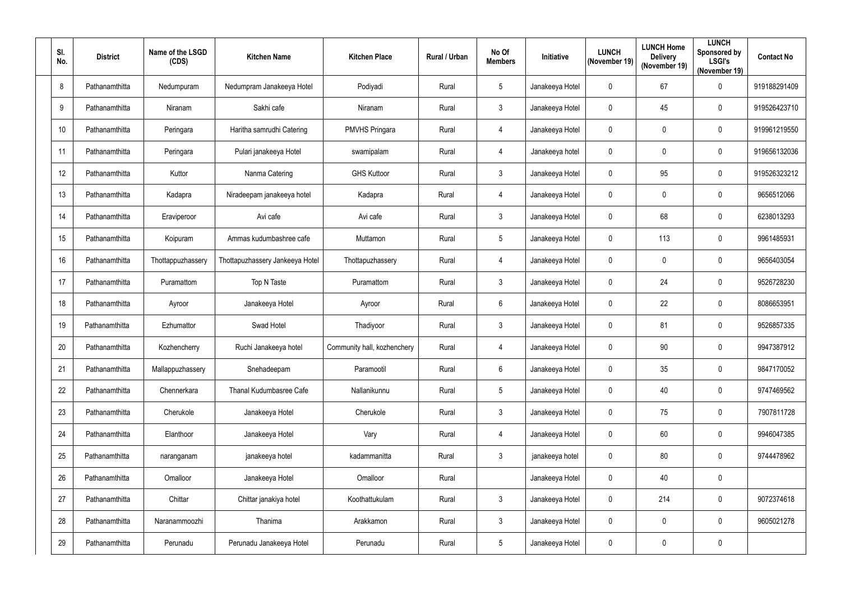| SI.<br>No.      | <b>District</b> | Name of the LSGD<br>(CDS) | <b>Kitchen Name</b>             | <b>Kitchen Place</b>        | <b>Rural / Urban</b> | No Of<br><b>Members</b> | Initiative      | <b>LUNCH</b><br>(November 19) | <b>LUNCH Home</b><br><b>Delivery</b><br>(November 19) | <b>LUNCH</b><br>Sponsored by<br><b>LSGI's</b><br>(November 19) | <b>Contact No</b> |
|-----------------|-----------------|---------------------------|---------------------------------|-----------------------------|----------------------|-------------------------|-----------------|-------------------------------|-------------------------------------------------------|----------------------------------------------------------------|-------------------|
| 8               | Pathanamthitta  | Nedumpuram                | Nedumpram Janakeeya Hotel       | Podiyadi                    | Rural                | 5                       | Janakeeya Hotel | $\mathbf 0$                   | 67                                                    | 0                                                              | 919188291409      |
| 9               | Pathanamthitta  | Niranam                   | Sakhi cafe                      | Niranam                     | Rural                | $\mathfrak{Z}$          | Janakeeya Hotel | 0                             | 45                                                    | 0                                                              | 919526423710      |
| 10              | Pathanamthitta  | Peringara                 | Haritha samrudhi Catering       | <b>PMVHS Pringara</b>       | Rural                | $\overline{4}$          | Janakeeya Hotel | 0                             | 0                                                     | 0                                                              | 919961219550      |
| 11              | Pathanamthitta  | Peringara                 | Pulari janakeeya Hotel          | swamipalam                  | Rural                | $\overline{4}$          | Janakeeya hotel | 0                             | 0                                                     | $\mathbf 0$                                                    | 919656132036      |
| 12              | Pathanamthitta  | Kuttor                    | Nanma Catering                  | <b>GHS Kuttoor</b>          | Rural                | $\mathfrak{Z}$          | Janakeeya Hotel | $\mathbf 0$                   | 95                                                    | 0                                                              | 919526323212      |
| 13              | Pathanamthitta  | Kadapra                   | Niradeepam janakeeya hotel      | Kadapra                     | Rural                | $\overline{4}$          | Janakeeya Hotel | 0                             | 0                                                     | $\mathbf 0$                                                    | 9656512066        |
| 14              | Pathanamthitta  | Eraviperoor               | Avi cafe                        | Avi cafe                    | Rural                | $\mathfrak{Z}$          | Janakeeya Hotel | 0                             | 68                                                    | $\mathbf 0$                                                    | 6238013293        |
| 15              | Pathanamthitta  | Koipuram                  | Ammas kudumbashree cafe         | Muttamon                    | Rural                | $\sqrt{5}$              | Janakeeya Hotel | $\mathbf 0$                   | 113                                                   | 0                                                              | 9961485931        |
| 16 <sup>°</sup> | Pathanamthitta  | Thottappuzhassery         | Thottapuzhassery Jankeeya Hotel | Thottapuzhassery            | Rural                | 4                       | Janakeeya Hotel | 0                             | 0                                                     | $\boldsymbol{0}$                                               | 9656403054        |
| 17              | Pathanamthitta  | Puramattom                | Top N Taste                     | Puramattom                  | Rural                | $\mathfrak{Z}$          | Janakeeya Hotel | 0                             | 24                                                    | 0                                                              | 9526728230        |
| 18              | Pathanamthitta  | Ayroor                    | Janakeeya Hotel                 | Ayroor                      | Rural                | $6\phantom{.}$          | Janakeeya Hotel | 0                             | 22                                                    | $\mathbf 0$                                                    | 8086653951        |
| 19              | Pathanamthitta  | Ezhumattor                | Swad Hotel                      | Thadiyoor                   | Rural                | $\mathfrak{Z}$          | Janakeeya Hotel | $\mathbf 0$                   | 81                                                    | $\mathbf 0$                                                    | 9526857335        |
| 20              | Pathanamthitta  | Kozhencherry              | Ruchi Janakeeya hotel           | Community hall, kozhenchery | Rural                | $\overline{4}$          | Janakeeya Hotel | 0                             | 90                                                    | 0                                                              | 9947387912        |
| 21              | Pathanamthitta  | Mallappuzhassery          | Snehadeepam                     | Paramootil                  | Rural                | $6\,$                   | Janakeeya Hotel | $\mathbf 0$                   | 35                                                    | 0                                                              | 9847170052        |
| 22              | Pathanamthitta  | Chennerkara               | Thanal Kudumbasree Cafe         | Nallanikunnu                | Rural                | $\sqrt{5}$              | Janakeeya Hotel | $\mathbf 0$                   | 40                                                    | 0                                                              | 9747469562        |
| 23              | Pathanamthitta  | Cherukole                 | Janakeeya Hotel                 | Cherukole                   | Rural                | $\mathfrak{Z}$          | Janakeeya Hotel | $\mathbf 0$                   | 75                                                    | $\pmb{0}$                                                      | 7907811728        |
| 24              | Pathanamthitta  | Elanthoor                 | Janakeeya Hotel                 | Vary                        | Rural                | $\overline{4}$          | Janakeeya Hotel | 0                             | 60                                                    | 0                                                              | 9946047385        |
| 25              | Pathanamthitta  | naranganam                | janakeeya hotel                 | kadammanitta                | Rural                | $\mathfrak{Z}$          | janakeeya hotel | 0                             | 80                                                    | 0                                                              | 9744478962        |
| 26              | Pathanamthitta  | Omalloor                  | Janakeeya Hotel                 | Omalloor                    | Rural                |                         | Janakeeya Hotel | $\mathbf 0$                   | 40                                                    | 0                                                              |                   |
| 27              | Pathanamthitta  | Chittar                   | Chittar janakiya hotel          | Koothattukulam              | Rural                | $\mathfrak{Z}$          | Janakeeya Hotel | $\mathbf 0$                   | 214                                                   | $\mathbf 0$                                                    | 9072374618        |
| 28              | Pathanamthitta  | Naranammoozhi             | Thanima                         | Arakkamon                   | Rural                | $\mathfrak{Z}$          | Janakeeya Hotel | $\mathbf 0$                   | 0                                                     | 0                                                              | 9605021278        |
| 29              | Pathanamthitta  | Perunadu                  | Perunadu Janakeeya Hotel        | Perunadu                    | Rural                | $\sqrt{5}$              | Janakeeya Hotel | $\mathbf 0$                   | 0                                                     | 0                                                              |                   |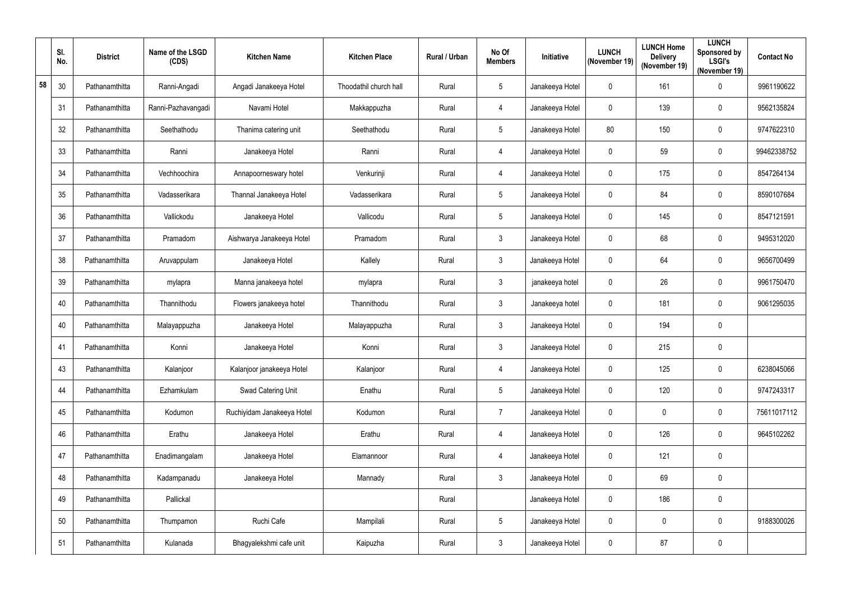|    | SI.<br>No. | <b>District</b> | Name of the LSGD<br>(CDS) | <b>Kitchen Name</b>        | <b>Kitchen Place</b>   | Rural / Urban | No Of<br><b>Members</b> | Initiative      | <b>LUNCH</b><br>(November 19) | <b>LUNCH Home</b><br><b>Delivery</b><br>(November 19) | <b>LUNCH</b><br>Sponsored by<br><b>LSGI's</b><br>(November 19) | <b>Contact No</b> |
|----|------------|-----------------|---------------------------|----------------------------|------------------------|---------------|-------------------------|-----------------|-------------------------------|-------------------------------------------------------|----------------------------------------------------------------|-------------------|
| 58 | 30         | Pathanamthitta  | Ranni-Angadi              | Angadi Janakeeya Hotel     | Thoodathil church hall | Rural         | $5\phantom{.0}$         | Janakeeya Hotel | $\mathbf 0$                   | 161                                                   | 0                                                              | 9961190622        |
|    | 31         | Pathanamthitta  | Ranni-Pazhavangadi        | Navami Hotel               | Makkappuzha            | Rural         | 4                       | Janakeeya Hotel | $\mathbf{0}$                  | 139                                                   | $\mathbf 0$                                                    | 9562135824        |
|    | 32         | Pathanamthitta  | Seethathodu               | Thanima catering unit      | Seethathodu            | Rural         | $\overline{5}$          | Janakeeya Hotel | 80                            | 150                                                   | 0                                                              | 9747622310        |
|    | 33         | Pathanamthitta  | Ranni                     | Janakeeya Hotel            | Ranni                  | Rural         | 4                       | Janakeeya Hotel | $\mathbf 0$                   | 59                                                    | 0                                                              | 99462338752       |
|    | 34         | Pathanamthitta  | Vechhoochira              | Annapoorneswary hotel      | Venkurinji             | Rural         | 4                       | Janakeeya Hotel | $\mathbf 0$                   | 175                                                   | 0                                                              | 8547264134        |
|    | 35         | Pathanamthitta  | Vadasserikara             | Thannal Janakeeya Hotel    | Vadasserikara          | Rural         | $\overline{5}$          | Janakeeya Hotel | $\mathbf 0$                   | 84                                                    | 0                                                              | 8590107684        |
|    | 36         | Pathanamthitta  | Vallickodu                | Janakeeya Hotel            | Vallicodu              | Rural         | $\overline{5}$          | Janakeeya Hotel | $\mathbf 0$                   | 145                                                   | 0                                                              | 8547121591        |
|    | 37         | Pathanamthitta  | Pramadom                  | Aishwarya Janakeeya Hotel  | Pramadom               | Rural         | $\mathfrak{Z}$          | Janakeeya Hotel | $\mathbf 0$                   | 68                                                    | 0                                                              | 9495312020        |
|    | 38         | Pathanamthitta  | Aruvappulam               | Janakeeya Hotel            | Kallely                | Rural         | $\mathbf{3}$            | Janakeeya Hotel | $\mathbf{0}$                  | 64                                                    | $\mathbf 0$                                                    | 9656700499        |
|    | 39         | Pathanamthitta  | mylapra                   | Manna janakeeya hotel      | mylapra                | Rural         | $\mathbf{3}$            | janakeeya hotel | $\mathbf 0$                   | 26                                                    | 0                                                              | 9961750470        |
|    | 40         | Pathanamthitta  | Thannithodu               | Flowers janakeeya hotel    | Thannithodu            | Rural         | $\mathfrak{Z}$          | Janakeeya hotel | $\mathbf 0$                   | 181                                                   | 0                                                              | 9061295035        |
|    | 40         | Pathanamthitta  | Malayappuzha              | Janakeeya Hotel            | Malayappuzha           | Rural         | $\mathfrak{Z}$          | Janakeeya Hotel | $\mathbf 0$                   | 194                                                   | 0                                                              |                   |
|    | 41         | Pathanamthitta  | Konni                     | Janakeeya Hotel            | Konni                  | Rural         | $\mathbf{3}$            | Janakeeya Hotel | $\mathbf 0$                   | 215                                                   | $\boldsymbol{0}$                                               |                   |
|    | 43         | Pathanamthitta  | Kalanjoor                 | Kalanjoor janakeeya Hotel  | Kalanjoor              | Rural         | $\overline{4}$          | Janakeeya Hotel | $\mathbf 0$                   | 125                                                   | 0                                                              | 6238045066        |
|    | 44         | Pathanamthitta  | Ezhamkulam                | Swad Catering Unit         | Enathu                 | Rural         | $5\phantom{.0}$         | Janakeeya Hotel | $\mathbf 0$                   | 120                                                   | 0                                                              | 9747243317        |
|    | 45         | Pathanamthitta  | Kodumon                   | Ruchiyidam Janakeeya Hotel | Kodumon                | Rural         | $\overline{7}$          | Janakeeya Hotel | $\mathbf 0$                   | 0                                                     | $\pmb{0}$                                                      | 75611017112       |
|    | 46         | Pathanamthitta  | Erathu                    | Janakeeya Hotel            | Erathu                 | Rural         | 4                       | Janakeeya Hotel | $\mathbf 0$                   | 126                                                   | 0                                                              | 9645102262        |
|    | 47         | Pathanamthitta  | Enadimangalam             | Janakeeya Hotel            | Elamannoor             | Rural         | 4                       | Janakeeya Hotel | $\mathbf 0$                   | 121                                                   | $\pmb{0}$                                                      |                   |
|    | 48         | Pathanamthitta  | Kadampanadu               | Janakeeya Hotel            | Mannady                | Rural         | $\mathbf{3}$            | Janakeeya Hotel | $\mathbf 0$                   | 69                                                    | 0                                                              |                   |
|    | 49         | Pathanamthitta  | Pallickal                 |                            |                        | Rural         |                         | Janakeeya Hotel | $\mathbf 0$                   | 186                                                   | $\pmb{0}$                                                      |                   |
|    | 50         | Pathanamthitta  | Thumpamon                 | Ruchi Cafe                 | Mampilali              | Rural         | $5\,$                   | Janakeeya Hotel | $\mathbf 0$                   | 0                                                     | $\pmb{0}$                                                      | 9188300026        |
|    | 51         | Pathanamthitta  | Kulanada                  | Bhagyalekshmi cafe unit    | Kaipuzha               | Rural         | $\mathfrak{Z}$          | Janakeeya Hotel | $\mathbf 0$                   | 87                                                    | $\pmb{0}$                                                      |                   |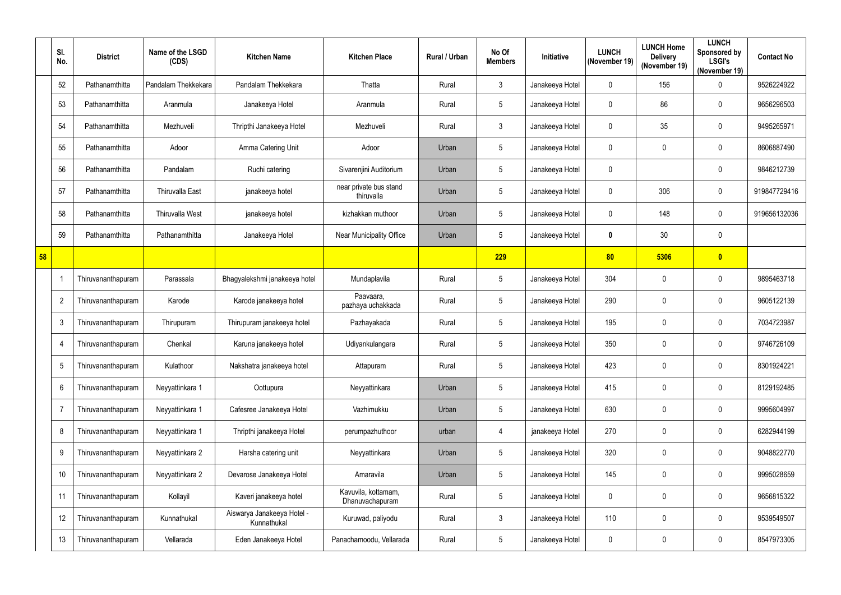|    | SI.<br>No.     | <b>District</b>    | Name of the LSGD<br>(CDS) | <b>Kitchen Name</b>                       | <b>Kitchen Place</b>                   | Rural / Urban | No Of<br><b>Members</b> | Initiative      | <b>LUNCH</b><br>(November 19) | <b>LUNCH Home</b><br><b>Delivery</b><br>(November 19) | <b>LUNCH</b><br>Sponsored by<br><b>LSGI's</b><br>(November 19) | <b>Contact No</b> |
|----|----------------|--------------------|---------------------------|-------------------------------------------|----------------------------------------|---------------|-------------------------|-----------------|-------------------------------|-------------------------------------------------------|----------------------------------------------------------------|-------------------|
|    | 52             | Pathanamthitta     | Pandalam Thekkekara       | Pandalam Thekkekara                       | Thatta                                 | Rural         | $\mathbf{3}$            | Janakeeya Hotel | $\mathbf 0$                   | 156                                                   | 0                                                              | 9526224922        |
|    | 53             | Pathanamthitta     | Aranmula                  | Janakeeya Hotel                           | Aranmula                               | Rural         | 5                       | Janakeeya Hotel | $\mathbf 0$                   | 86                                                    | 0                                                              | 9656296503        |
|    | 54             | Pathanamthitta     | Mezhuveli                 | Thripthi Janakeeya Hotel                  | Mezhuveli                              | Rural         | $\mathbf{3}$            | Janakeeya Hotel | $\mathbf{0}$                  | 35                                                    | $\mathbf 0$                                                    | 9495265971        |
|    | 55             | Pathanamthitta     | Adoor                     | Amma Catering Unit                        | Adoor                                  | Urban         | 5                       | Janakeeya Hotel | $\mathbf 0$                   | 0                                                     | $\mathbf 0$                                                    | 8606887490        |
|    | 56             | Pathanamthitta     | Pandalam                  | Ruchi catering                            | Sivarenjini Auditorium                 | Urban         | $\sqrt{5}$              | Janakeeya Hotel | $\mathbf 0$                   |                                                       | 0                                                              | 9846212739        |
|    | 57             | Pathanamthitta     | <b>Thiruvalla East</b>    | janakeeya hotel                           | near private bus stand<br>thiruvalla   | Urban         | 5                       | Janakeeya Hotel | $\mathbf 0$                   | 306                                                   | 0                                                              | 919847729416      |
|    | 58             | Pathanamthitta     | <b>Thiruvalla West</b>    | janakeeya hotel                           | kizhakkan muthoor                      | Urban         | 5                       | Janakeeya Hotel | $\mathbf 0$                   | 148                                                   | 0                                                              | 919656132036      |
|    | 59             | Pathanamthitta     | Pathanamthitta            | Janakeeya Hotel                           | <b>Near Municipality Office</b>        | Urban         | 5                       | Janakeeya Hotel | $\bf{0}$                      | 30                                                    | $\mathbf 0$                                                    |                   |
| 58 |                |                    |                           |                                           |                                        |               | 229                     |                 | 80                            | 5306                                                  | $\overline{\mathbf{0}}$                                        |                   |
|    | 1              | Thiruvananthapuram | Parassala                 | Bhagyalekshmi janakeeya hotel             | Mundaplavila                           | Rural         | $\sqrt{5}$              | Janakeeya Hotel | 304                           | 0                                                     | 0                                                              | 9895463718        |
|    | $\overline{2}$ | Thiruvananthapuram | Karode                    | Karode janakeeya hotel                    | Paavaara,<br>pazhaya uchakkada         | Rural         | $\overline{5}$          | Janakeeya Hotel | 290                           | 0                                                     | $\boldsymbol{0}$                                               | 9605122139        |
|    | 3              | Thiruvananthapuram | Thirupuram                | Thirupuram janakeeya hotel                | Pazhayakada                            | Rural         | $5\phantom{.0}$         | Janakeeya Hotel | 195                           | 0                                                     | 0                                                              | 7034723987        |
|    | 4              | Thiruvananthapuram | Chenkal                   | Karuna janakeeya hotel                    | Udiyankulangara                        | Rural         | 5                       | Janakeeya Hotel | 350                           | 0                                                     | 0                                                              | 9746726109        |
|    | 5              | Thiruvananthapuram | Kulathoor                 | Nakshatra janakeeya hotel                 | Attapuram                              | Rural         | $5\phantom{.0}$         | Janakeeya Hotel | 423                           | 0                                                     | $\pmb{0}$                                                      | 8301924221        |
|    | 6              | Thiruvananthapuram | Neyyattinkara 1           | Oottupura                                 | Neyyattinkara                          | Urban         | $\sqrt{5}$              | Janakeeya Hotel | 415                           | 0                                                     | $\pmb{0}$                                                      | 8129192485        |
|    | $\overline{7}$ | Thiruvananthapuram | Neyyattinkara 1           | Cafesree Janakeeya Hotel                  | Vazhimukku                             | Urban         | $\overline{5}$          | Janakeeya Hotel | 630                           | 0                                                     | 0                                                              | 9995604997        |
|    | 8              | Thiruvananthapuram | Neyyattinkara 1           | Thripthi janakeeya Hotel                  | perumpazhuthoor                        | urban         | $\overline{4}$          | janakeeya Hotel | 270                           | 0                                                     | 0                                                              | 6282944199        |
|    | 9              | Thiruvananthapuram | Neyyattinkara 2           | Harsha catering unit                      | Neyyattinkara                          | Urban         | $5\phantom{.0}$         | Janakeeya Hotel | 320                           | 0                                                     | $\pmb{0}$                                                      | 9048822770        |
|    | 10             | Thiruvananthapuram | Neyyattinkara 2           | Devarose Janakeeya Hotel                  | Amaravila                              | Urban         | $5\phantom{.0}$         | Janakeeya Hotel | 145                           | 0                                                     | 0                                                              | 9995028659        |
|    | 11             | Thiruvananthapuram | Kollayil                  | Kaveri janakeeya hotel                    | Kavuvila, kottamam,<br>Dhanuvachapuram | Rural         | $5\phantom{.0}$         | Janakeeya Hotel | $\mathbf 0$                   | 0                                                     | 0                                                              | 9656815322        |
|    | 12             | Thiruvananthapuram | Kunnathukal               | Aiswarya Janakeeya Hotel -<br>Kunnathukal | Kuruwad, paliyodu                      | Rural         | $\mathbf{3}$            | Janakeeya Hotel | 110                           | 0                                                     | 0                                                              | 9539549507        |
|    | 13             | Thiruvananthapuram | Vellarada                 | Eden Janakeeya Hotel                      | Panachamoodu, Vellarada                | Rural         | $\overline{5}$          | Janakeeya Hotel | $\mathbf 0$                   | 0                                                     | $\pmb{0}$                                                      | 8547973305        |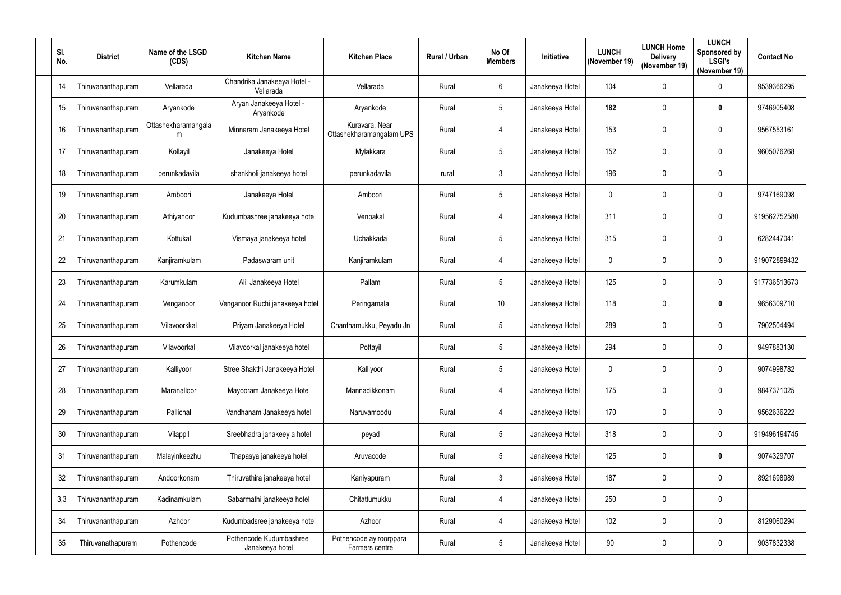| SI.<br>No. | <b>District</b>    | Name of the LSGD<br>(CDS) | <b>Kitchen Name</b>                        | <b>Kitchen Place</b>                       | Rural / Urban | No Of<br><b>Members</b> | Initiative      | <b>LUNCH</b><br>(November 19) | <b>LUNCH Home</b><br><b>Delivery</b><br>(November 19) | <b>LUNCH</b><br>Sponsored by<br><b>LSGI's</b><br>(November 19) | <b>Contact No</b> |
|------------|--------------------|---------------------------|--------------------------------------------|--------------------------------------------|---------------|-------------------------|-----------------|-------------------------------|-------------------------------------------------------|----------------------------------------------------------------|-------------------|
| 14         | Thiruvananthapuram | Vellarada                 | Chandrika Janakeeya Hotel -<br>Vellarada   | Vellarada                                  | Rural         | $6\phantom{1}$          | Janakeeya Hotel | 104                           | 0                                                     | $\pmb{0}$                                                      | 9539366295        |
| 15         | Thiruvananthapuram | Aryankode                 | Aryan Janakeeya Hotel -<br>Aryankode       | Aryankode                                  | Rural         | $5\phantom{.0}$         | Janakeeya Hotel | 182                           | 0                                                     | $\boldsymbol{0}$                                               | 9746905408        |
| 16         | Thiruvananthapuram | Ottashekharamangala<br>m  | Minnaram Janakeeya Hotel                   | Kuravara, Near<br>Ottashekharamangalam UPS | Rural         | $\overline{4}$          | Janakeeya Hotel | 153                           | 0                                                     | $\boldsymbol{0}$                                               | 9567553161        |
| 17         | Thiruvananthapuram | Kollayil                  | Janakeeya Hotel                            | Mylakkara                                  | Rural         | 5                       | Janakeeya Hotel | 152                           | 0                                                     | $\boldsymbol{0}$                                               | 9605076268        |
| 18         | Thiruvananthapuram | perunkadavila             | shankholi janakeeya hotel                  | perunkadavila                              | rural         | $\mathfrak{Z}$          | Janakeeya Hotel | 196                           | 0                                                     | $\boldsymbol{0}$                                               |                   |
| 19         | Thiruvananthapuram | Amboori                   | Janakeeya Hotel                            | Amboori                                    | Rural         | $\sqrt{5}$              | Janakeeya Hotel | 0                             | 0                                                     | 0                                                              | 9747169098        |
| 20         | Thiruvananthapuram | Athiyanoor                | Kudumbashree janakeeya hotel               | Venpakal                                   | Rural         | 4                       | Janakeeya Hotel | 311                           | 0                                                     | $\mathbf 0$                                                    | 919562752580      |
| 21         | Thiruvananthapuram | Kottukal                  | Vismaya janakeeya hotel                    | Uchakkada                                  | Rural         | 5                       | Janakeeya Hotel | 315                           | 0                                                     | 0                                                              | 6282447041        |
| 22         | Thiruvananthapuram | Kanjiramkulam             | Padaswaram unit                            | Kanjiramkulam                              | Rural         | 4                       | Janakeeya Hotel | 0                             | 0                                                     | $\mathbf 0$                                                    | 919072899432      |
| 23         | Thiruvananthapuram | Karumkulam                | Alil Janakeeya Hotel                       | Pallam                                     | Rural         | $5\phantom{.0}$         | Janakeeya Hotel | 125                           | 0                                                     | 0                                                              | 917736513673      |
| 24         | Thiruvananthapuram | Venganoor                 | Venganoor Ruchi janakeeya hotel            | Peringamala                                | Rural         | 10 <sup>°</sup>         | Janakeeya Hotel | 118                           | 0                                                     | 0                                                              | 9656309710        |
| 25         | Thiruvananthapuram | Vilavoorkkal              | Priyam Janakeeya Hotel                     | Chanthamukku, Peyadu Jn                    | Rural         | $5\phantom{.0}$         | Janakeeya Hotel | 289                           | 0                                                     | $\boldsymbol{0}$                                               | 7902504494        |
| 26         | Thiruvananthapuram | Vilavoorkal               | Vilavoorkal janakeeya hotel                | Pottayil                                   | Rural         | 5                       | Janakeeya Hotel | 294                           | 0                                                     | 0                                                              | 9497883130        |
| 27         | Thiruvananthapuram | Kalliyoor                 | Stree Shakthi Janakeeya Hotel              | Kalliyoor                                  | Rural         | $\sqrt{5}$              | Janakeeya Hotel | $\mathbf 0$                   | 0                                                     | $\boldsymbol{0}$                                               | 9074998782        |
| 28         | Thiruvananthapuram | Maranalloor               | Mayooram Janakeeya Hotel                   | Mannadikkonam                              | Rural         | $\overline{4}$          | Janakeeya Hotel | 175                           | 0                                                     | 0                                                              | 9847371025        |
| 29         | Thiruvananthapuram | Pallichal                 | Vandhanam Janakeeya hotel                  | Naruvamoodu                                | Rural         | $\overline{4}$          | Janakeeya Hotel | 170                           | 0                                                     | $\pmb{0}$                                                      | 9562636222        |
| 30         | Thiruvananthapuram | Vilappil                  | Sreebhadra janakeey a hotel                | peyad                                      | Rural         | $5\phantom{.0}$         | Janakeeya Hotel | 318                           | 0                                                     | $\pmb{0}$                                                      | 919496194745      |
| 31         | Thiruvananthapuram | Malayinkeezhu             | Thapasya janakeeya hotel                   | Aruvacode                                  | Rural         | 5                       | Janakeeya Hotel | 125                           | 0                                                     | 0                                                              | 9074329707        |
| 32         | Thiruvananthapuram | Andoorkonam               | Thiruvathira janakeeya hotel               | Kaniyapuram                                | Rural         | $\mathfrak{Z}$          | Janakeeya Hotel | 187                           | 0                                                     | 0                                                              | 8921698989        |
| 3,3        | Thiruvananthapuram | Kadinamkulam              | Sabarmathi janakeeya hotel                 | Chitattumukku                              | Rural         | $\overline{4}$          | Janakeeya Hotel | 250                           | 0                                                     | $\pmb{0}$                                                      |                   |
| 34         | Thiruvananthapuram | Azhoor                    | Kudumbadsree janakeeya hotel               | Azhoor                                     | Rural         | $\overline{4}$          | Janakeeya Hotel | 102                           | 0                                                     | $\boldsymbol{0}$                                               | 8129060294        |
| 35         | Thiruvanathapuram  | Pothencode                | Pothencode Kudumbashree<br>Janakeeya hotel | Pothencode ayiroorppara<br>Farmers centre  | Rural         | $5\,$                   | Janakeeya Hotel | 90                            | 0                                                     | 0                                                              | 9037832338        |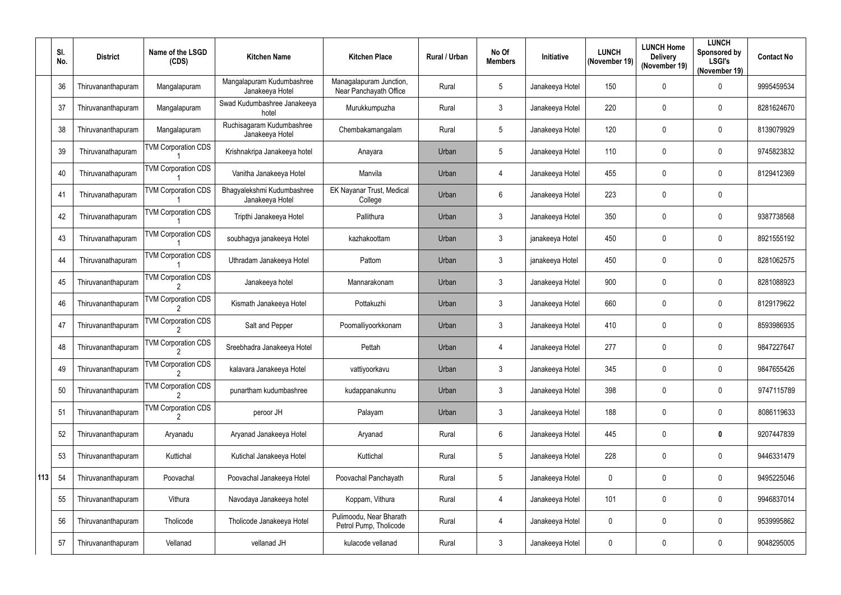|     | SI.<br>No. | <b>District</b>    | Name of the LSGD<br>(CDS)  | <b>Kitchen Name</b>                           | <b>Kitchen Place</b>                              | Rural / Urban | No Of<br><b>Members</b> | Initiative      | <b>LUNCH</b><br>(November 19) | <b>LUNCH Home</b><br><b>Delivery</b><br>(November 19) | <b>LUNCH</b><br>Sponsored by<br><b>LSGI's</b><br>(November 19) | <b>Contact No</b> |
|-----|------------|--------------------|----------------------------|-----------------------------------------------|---------------------------------------------------|---------------|-------------------------|-----------------|-------------------------------|-------------------------------------------------------|----------------------------------------------------------------|-------------------|
|     | 36         | Thiruvananthapuram | Mangalapuram               | Mangalapuram Kudumbashree<br>Janakeeya Hotel  | Managalapuram Junction,<br>Near Panchayath Office | Rural         | 5                       | Janakeeya Hotel | 150                           | 0                                                     | $\mathbf 0$                                                    | 9995459534        |
|     | 37         | Thiruvananthapuram | Mangalapuram               | Swad Kudumbashree Janakeeya<br>hotel          | Murukkumpuzha                                     | Rural         | 3                       | Janakeeya Hotel | 220                           | $\mathbf{0}$                                          | $\mathbf 0$                                                    | 8281624670        |
|     | 38         | Thiruvananthapuram | Mangalapuram               | Ruchisagaram Kudumbashree<br>Janakeeya Hotel  | Chembakamangalam                                  | Rural         | $\overline{5}$          | Janakeeya Hotel | 120                           | $\mathbf 0$                                           | $\mathbf 0$                                                    | 8139079929        |
|     | 39         | Thiruvanathapuram  | <b>TVM Corporation CDS</b> | Krishnakripa Janakeeya hotel                  | Anayara                                           | Urban         | $\overline{5}$          | Janakeeya Hotel | 110                           | $\mathbf 0$                                           | 0                                                              | 9745823832        |
|     | 40         | Thiruvanathapuram  | <b>TVM Corporation CDS</b> | Vanitha Janakeeya Hotel                       | Manvila                                           | Urban         | 4                       | Janakeeya Hotel | 455                           | $\mathbf 0$                                           | $\mathbf 0$                                                    | 8129412369        |
|     | 41         | Thiruvanathapuram  | <b>TVM Corporation CDS</b> | Bhagyalekshmi Kudumbashree<br>Janakeeya Hotel | EK Nayanar Trust, Medical<br>College              | Urban         | 6                       | Janakeeya Hotel | 223                           | 0                                                     | $\mathbf 0$                                                    |                   |
|     | 42         | Thiruvanathapuram  | <b>TVM Corporation CDS</b> | Tripthi Janakeeya Hotel                       | Pallithura                                        | Urban         | $\mathbf{3}$            | Janakeeya Hotel | 350                           | $\mathbf 0$                                           | $\mathbf 0$                                                    | 9387738568        |
|     | 43         | Thiruvanathapuram  | <b>TVM Corporation CDS</b> | soubhagya janakeeya Hotel                     | kazhakoottam                                      | Urban         | $\mathfrak{Z}$          | janakeeya Hotel | 450                           | 0                                                     | $\mathbf 0$                                                    | 8921555192        |
|     | 44         | Thiruvanathapuram  | <b>TVM Corporation CDS</b> | Uthradam Janakeeya Hotel                      | Pattom                                            | Urban         | 3                       | janakeeya Hotel | 450                           | $\mathbf{0}$                                          | $\mathbf 0$                                                    | 8281062575        |
|     | 45         | Thiruvananthapuram | <b>TVM Corporation CDS</b> | Janakeeya hotel                               | Mannarakonam                                      | Urban         | 3                       | Janakeeya Hotel | 900                           | $\mathbf{0}$                                          | $\mathbf 0$                                                    | 8281088923        |
|     | 46         | Thiruvananthapuram | <b>TVM Corporation CDS</b> | Kismath Janakeeya Hotel                       | Pottakuzhi                                        | Urban         | $\mathbf{3}$            | Janakeeya Hotel | 660                           | $\mathbf 0$                                           | $\mathbf 0$                                                    | 8129179622        |
|     | 47         | Thiruvananthapuram | <b>TVM Corporation CDS</b> | Salt and Pepper                               | Poomalliyoorkkonam                                | Urban         | 3                       | Janakeeya Hotel | 410                           | $\mathbf 0$                                           | $\mathbf 0$                                                    | 8593986935        |
|     | 48         | Thiruvananthapuram | <b>TVM Corporation CDS</b> | Sreebhadra Janakeeya Hotel                    | Pettah                                            | Urban         |                         | Janakeeya Hotel | 277                           | $\mathbf 0$                                           | 0                                                              | 9847227647        |
|     | 49         | Thiruvananthapuram | <b>TVM Corporation CDS</b> | kalavara Janakeeya Hotel                      | vattiyoorkavu                                     | Urban         | $\mathbf{3}$            | Janakeeya Hotel | 345                           | 0                                                     | 0                                                              | 9847655426        |
|     | 50         | Thiruvananthapuram | <b>TVM Corporation CDS</b> | punartham kudumbashree                        | kudappanakunnu                                    | Urban         | $\mathbf{3}$            | Janakeeya Hotel | 398                           | 0                                                     | $\mathbf 0$                                                    | 9747115789        |
|     | 51         | Thiruvananthapuram | <b>TVM Corporation CDS</b> | peroor JH                                     | Palayam                                           | Urban         | $\mathbf{3}$            | Janakeeya Hotel | 188                           | 0                                                     | $\pmb{0}$                                                      | 8086119633        |
|     | 52         | Thiruvananthapuram | Aryanadu                   | Aryanad Janakeeya Hotel                       | Aryanad                                           | Rural         | $6\phantom{.}6$         | Janakeeya Hotel | 445                           | $\pmb{0}$                                             | $\boldsymbol{0}$                                               | 9207447839        |
|     | 53         | Thiruvananthapuram | Kuttichal                  | Kutichal Janakeeya Hotel                      | Kuttichal                                         | Rural         | $\overline{5}$          | Janakeeya Hotel | 228                           | 0                                                     | 0                                                              | 9446331479        |
| 113 | 54         | Thiruvananthapuram | Poovachal                  | Poovachal Janakeeya Hotel                     | Poovachal Panchayath                              | Rural         | $\sqrt{5}$              | Janakeeya Hotel | $\mathbf 0$                   | 0                                                     | $\pmb{0}$                                                      | 9495225046        |
|     | 55         | Thiruvananthapuram | Vithura                    | Navodaya Janakeeya hotel                      | Koppam, Vithura                                   | Rural         | 4                       | Janakeeya Hotel | 101                           | 0                                                     | $\pmb{0}$                                                      | 9946837014        |
|     | 56         | Thiruvananthapuram | Tholicode                  | Tholicode Janakeeya Hotel                     | Pulimoodu, Near Bharath<br>Petrol Pump, Tholicode | Rural         | 4                       | Janakeeya Hotel | 0                             | 0                                                     | $\pmb{0}$                                                      | 9539995862        |
|     | 57         | Thiruvananthapuram | Vellanad                   | vellanad JH                                   | kulacode vellanad                                 | Rural         | $\mathbf{3}$            | Janakeeya Hotel | 0                             | 0                                                     | $\pmb{0}$                                                      | 9048295005        |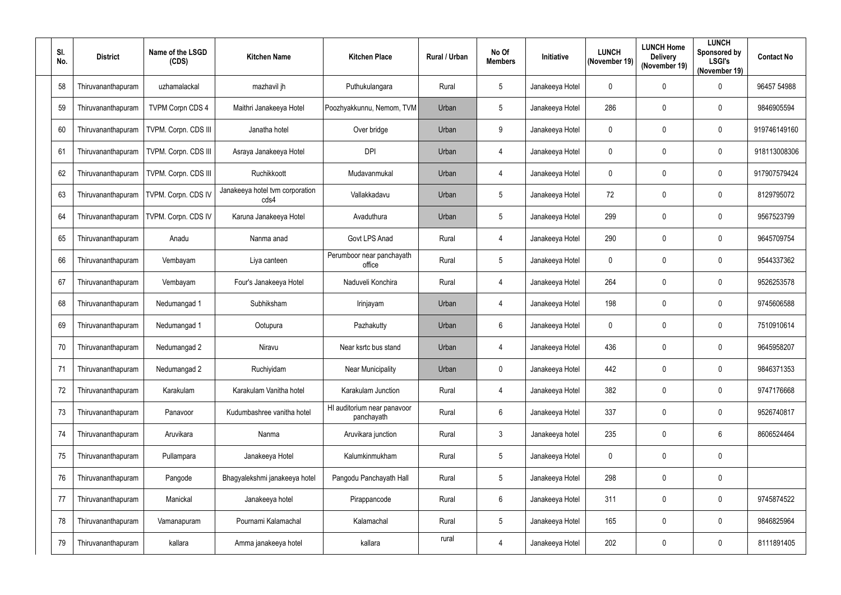| SI.<br>No. | <b>District</b>    | Name of the LSGD<br>(CDS) | <b>Kitchen Name</b>                     | <b>Kitchen Place</b>                      | Rural / Urban | No Of<br><b>Members</b> | Initiative      | <b>LUNCH</b><br>(November 19) | <b>LUNCH Home</b><br><b>Delivery</b><br>(November 19) | <b>LUNCH</b><br>Sponsored by<br><b>LSGI's</b><br>(November 19) | <b>Contact No</b> |
|------------|--------------------|---------------------------|-----------------------------------------|-------------------------------------------|---------------|-------------------------|-----------------|-------------------------------|-------------------------------------------------------|----------------------------------------------------------------|-------------------|
| 58         | Thiruvananthapuram | uzhamalackal              | mazhavil jh                             | Puthukulangara                            | Rural         | $5\phantom{.0}$         | Janakeeya Hotel | $\mathbf 0$                   | 0                                                     | $\boldsymbol{0}$                                               | 96457 54988       |
| 59         | Thiruvananthapuram | <b>TVPM Corpn CDS 4</b>   | Maithri Janakeeya Hotel                 | Poozhyakkunnu, Nemom, TVM                 | Urban         | $5\overline{)}$         | Janakeeya Hotel | 286                           | 0                                                     | $\mathbf 0$                                                    | 9846905594        |
| 60         | Thiruvananthapuram | TVPM. Corpn. CDS III      | Janatha hotel                           | Over bridge                               | Urban         | 9                       | Janakeeya Hotel | $\mathbf 0$                   | 0                                                     | 0                                                              | 919746149160      |
| 61         | Thiruvananthapuram | TVPM. Corpn. CDS III      | Asraya Janakeeya Hotel                  | <b>DPI</b>                                | Urban         | 4                       | Janakeeya Hotel | $\mathbf 0$                   | 0                                                     | 0                                                              | 918113008306      |
| 62         | Thiruvananthapuram | TVPM. Corpn. CDS III      | Ruchikkoott                             | Mudavanmukal                              | Urban         | 4                       | Janakeeya Hotel | $\mathbf 0$                   | 0                                                     | $\boldsymbol{0}$                                               | 917907579424      |
| 63         | Thiruvananthapuram | TVPM. Corpn. CDS IV       | Janakeeya hotel tvm corporation<br>cds4 | Vallakkadavu                              | Urban         | $5\phantom{.0}$         | Janakeeya Hotel | 72                            | 0                                                     | $\mathbf 0$                                                    | 8129795072        |
| 64         | Thiruvananthapuram | TVPM. Corpn. CDS IV       | Karuna Janakeeya Hotel                  | Avaduthura                                | Urban         | $5\phantom{.0}$         | Janakeeya Hotel | 299                           | 0                                                     | 0                                                              | 9567523799        |
| 65         | Thiruvananthapuram | Anadu                     | Nanma anad                              | Govt LPS Anad                             | Rural         | 4                       | Janakeeya Hotel | 290                           | 0                                                     | $\boldsymbol{0}$                                               | 9645709754        |
| 66         | Thiruvananthapuram | Vembayam                  | Liya canteen                            | Perumboor near panchayath<br>office       | Rural         | $5\phantom{.0}$         | Janakeeya Hotel | $\mathbf 0$                   | 0                                                     | $\mathbf 0$                                                    | 9544337362        |
| 67         | Thiruvananthapuram | Vembayam                  | Four's Janakeeya Hotel                  | Naduveli Konchira                         | Rural         | 4                       | Janakeeya Hotel | 264                           | 0                                                     | 0                                                              | 9526253578        |
| 68         | Thiruvananthapuram | Nedumangad 1              | Subhiksham                              | Irinjayam                                 | Urban         | 4                       | Janakeeya Hotel | 198                           | 0                                                     | 0                                                              | 9745606588        |
| 69         | Thiruvananthapuram | Nedumangad 1              | Ootupura                                | Pazhakutty                                | Urban         | $6\phantom{.}6$         | Janakeeya Hotel | $\mathbf 0$                   | 0                                                     | $\boldsymbol{0}$                                               | 7510910614        |
| 70         | Thiruvananthapuram | Nedumangad 2              | Niravu                                  | Near ksrtc bus stand                      | Urban         | 4                       | Janakeeya Hotel | 436                           | 0                                                     | 0                                                              | 9645958207        |
| 71         | Thiruvananthapuram | Nedumangad 2              | Ruchiyidam                              | <b>Near Municipality</b>                  | Urban         | $\mathbf 0$             | Janakeeya Hotel | 442                           | 0                                                     | $\boldsymbol{0}$                                               | 9846371353        |
| 72         | Thiruvananthapuram | Karakulam                 | Karakulam Vanitha hotel                 | Karakulam Junction                        | Rural         | 4                       | Janakeeya Hotel | 382                           | $\mathbf 0$                                           | $\boldsymbol{0}$                                               | 9747176668        |
| 73         | Thiruvananthapuram | Panavoor                  | Kudumbashree vanitha hotel              | HI auditorium near panavoor<br>panchayath | Rural         | $6\phantom{.}$          | Janakeeya Hotel | 337                           | $\mathbf 0$                                           | 0                                                              | 9526740817        |
| 74         | Thiruvananthapuram | Aruvikara                 | Nanma                                   | Aruvikara junction                        | Rural         | $\mathfrak{Z}$          | Janakeeya hotel | 235                           | $\mathbf 0$                                           | $6\phantom{.0}$                                                | 8606524464        |
| 75         | Thiruvananthapuram | Pullampara                | Janakeeya Hotel                         | Kalumkinmukham                            | Rural         | $5\phantom{.0}$         | Janakeeya Hotel | $\mathbf 0$                   | $\mathbf 0$                                           | $\boldsymbol{0}$                                               |                   |
| 76         | Thiruvananthapuram | Pangode                   | Bhagyalekshmi janakeeya hotel           | Pangodu Panchayath Hall                   | Rural         | $5\phantom{.0}$         | Janakeeya Hotel | 298                           | $\mathbf 0$                                           | 0                                                              |                   |
| 77         | Thiruvananthapuram | Manickal                  | Janakeeya hotel                         | Pirappancode                              | Rural         | $6\phantom{.}$          | Janakeeya Hotel | 311                           | $\mathbf 0$                                           | $\pmb{0}$                                                      | 9745874522        |
| 78         | Thiruvananthapuram | Vamanapuram               | Pournami Kalamachal                     | Kalamachal                                | Rural         | $5\phantom{.0}$         | Janakeeya Hotel | 165                           | $\mathbf 0$                                           | $\boldsymbol{0}$                                               | 9846825964        |
| 79         | Thiruvananthapuram | kallara                   | Amma janakeeya hotel                    | kallara                                   | rural         | 4                       | Janakeeya Hotel | 202                           | 0                                                     | 0                                                              | 8111891405        |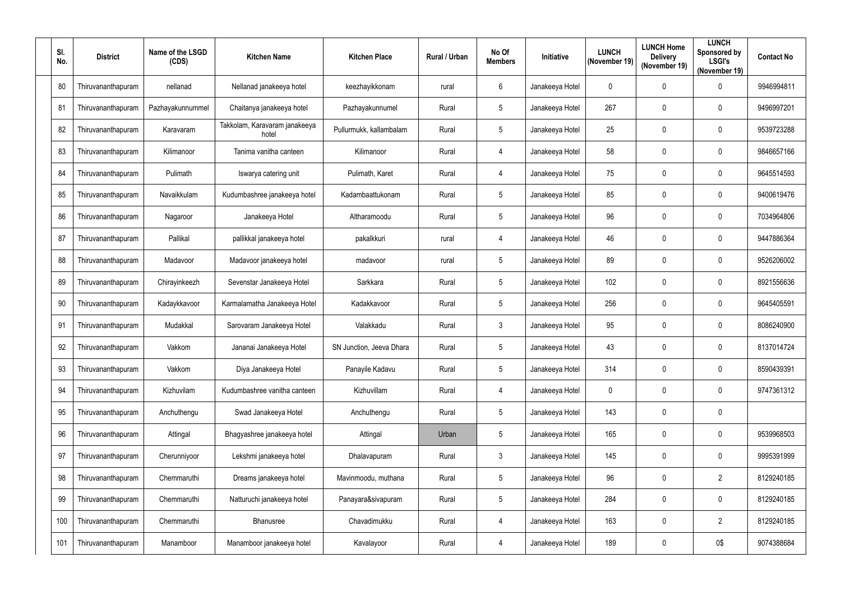| SI.<br>No. | <b>District</b>    | Name of the LSGD<br>(CDS) | <b>Kitchen Name</b>                    | <b>Kitchen Place</b>     | Rural / Urban | No Of<br><b>Members</b> | Initiative      | <b>LUNCH</b><br>(November 19) | <b>LUNCH Home</b><br><b>Delivery</b><br>(November 19) | <b>LUNCH</b><br>Sponsored by<br><b>LSGI's</b><br>(November 19) | <b>Contact No</b> |
|------------|--------------------|---------------------------|----------------------------------------|--------------------------|---------------|-------------------------|-----------------|-------------------------------|-------------------------------------------------------|----------------------------------------------------------------|-------------------|
| 80         | Thiruvananthapuram | nellanad                  | Nellanad janakeeya hotel               | keezhayikkonam           | rural         | $6\phantom{.}$          | Janakeeya Hotel | $\mathbf 0$                   | 0                                                     | $\mathbf 0$                                                    | 9946994811        |
| 81         | Thiruvananthapuram | Pazhayakunnummel          | Chaitanya janakeeya hotel              | Pazhayakunnumel          | Rural         | $5\phantom{.0}$         | Janakeeya Hotel | 267                           | 0                                                     | $\mathbf 0$                                                    | 9496997201        |
| 82         | Thiruvananthapuram | Karavaram                 | Takkolam, Karavaram janakeeya<br>hotel | Pullurmukk, kallambalam  | Rural         | $5\phantom{.0}$         | Janakeeya Hotel | 25                            | 0                                                     | $\mathbf 0$                                                    | 9539723288        |
| 83         | Thiruvananthapuram | Kilimanoor                | Tanima vanitha canteen                 | Kilimanoor               | Rural         | 4                       | Janakeeya Hotel | 58                            | 0                                                     | $\mathbf 0$                                                    | 9846657166        |
| 84         | Thiruvananthapuram | Pulimath                  | Iswarya catering unit                  | Pulimath, Karet          | Rural         | 4                       | Janakeeya Hotel | 75                            | 0                                                     | $\boldsymbol{0}$                                               | 9645514593        |
| 85         | Thiruvananthapuram | Navaikkulam               | Kudumbashree janakeeya hotel           | Kadambaattukonam         | Rural         | 5                       | Janakeeya Hotel | 85                            | 0                                                     | 0                                                              | 9400619476        |
| 86         | Thiruvananthapuram | Nagaroor                  | Janakeeya Hotel                        | Altharamoodu             | Rural         | 5                       | Janakeeya Hotel | 96                            | 0                                                     | 0                                                              | 7034964806        |
| 87         | Thiruvananthapuram | Pallikal                  | pallikkal janakeeya hotel              | pakalkkuri               | rural         | 4                       | Janakeeya Hotel | 46                            | 0                                                     | $\boldsymbol{0}$                                               | 9447886364        |
| 88         | Thiruvananthapuram | Madavoor                  | Madavoor janakeeya hotel               | madavoor                 | rural         | $5\phantom{.0}$         | Janakeeya Hotel | 89                            | 0                                                     | $\mathbf 0$                                                    | 9526206002        |
| 89         | Thiruvananthapuram | Chirayinkeezh             | Sevenstar Janakeeya Hotel              | Sarkkara                 | Rural         | $5\phantom{.0}$         | Janakeeya Hotel | 102                           | 0                                                     | 0                                                              | 8921556636        |
| 90         | Thiruvananthapuram | Kadaykkavoor              | Karmalamatha Janakeeya Hotel           | Kadakkavoor              | Rural         | $5\phantom{.0}$         | Janakeeya Hotel | 256                           | 0                                                     | 0                                                              | 9645405591        |
| 91         | Thiruvananthapuram | Mudakkal                  | Sarovaram Janakeeya Hotel              | Valakkadu                | Rural         | $\mathfrak{Z}$          | Janakeeya Hotel | 95                            | 0                                                     | $\boldsymbol{0}$                                               | 8086240900        |
| 92         | Thiruvananthapuram | Vakkom                    | Jananai Janakeeya Hotel                | SN Junction, Jeeva Dhara | Rural         | 5                       | Janakeeya Hotel | 43                            | 0                                                     | 0                                                              | 8137014724        |
| 93         | Thiruvananthapuram | Vakkom                    | Diya Janakeeya Hotel                   | Panayile Kadavu          | Rural         | $\overline{5}$          | Janakeeya Hotel | 314                           | 0                                                     | $\boldsymbol{0}$                                               | 8590439391        |
| 94         | Thiruvananthapuram | Kizhuvilam                | Kudumbashree vanitha canteen           | Kizhuvillam              | Rural         | 4                       | Janakeeya Hotel | $\mathbf 0$                   | 0                                                     | 0                                                              | 9747361312        |
| 95         | Thiruvananthapuram | Anchuthengu               | Swad Janakeeya Hotel                   | Anchuthengu              | Rural         | $\overline{5}$          | Janakeeya Hotel | 143                           | $\mathbf 0$                                           | $\pmb{0}$                                                      |                   |
| 96         | Thiruvananthapuram | Attingal                  | Bhagyashree janakeeya hotel            | Attingal                 | Urban         | $5\phantom{.0}$         | Janakeeya Hotel | 165                           | 0                                                     | 0                                                              | 9539968503        |
| 97         | Thiruvananthapuram | Cherunniyoor              | Lekshmi janakeeya hotel                | Dhalavapuram             | Rural         | $\mathfrak{Z}$          | Janakeeya Hotel | 145                           | $\mathbf 0$                                           | 0                                                              | 9995391999        |
| 98         | Thiruvananthapuram | Chemmaruthi               | Dreams janakeeya hotel                 | Mavinmoodu, muthana      | Rural         | $\overline{5}$          | Janakeeya Hotel | 96                            | 0                                                     | $\overline{2}$                                                 | 8129240185        |
| 99         | Thiruvananthapuram | Chemmaruthi               | Natturuchi janakeeya hotel             | Panayara&sivapuram       | Rural         | $\overline{5}$          | Janakeeya Hotel | 284                           | $\pmb{0}$                                             | $\pmb{0}$                                                      | 8129240185        |
| 100        | Thiruvananthapuram | Chemmaruthi               | Bhanusree                              | Chavadimukku             | Rural         | 4                       | Janakeeya Hotel | 163                           | $\mathbf 0$                                           | $\overline{2}$                                                 | 8129240185        |
| 101        | Thiruvananthapuram | Manamboor                 | Manamboor janakeeya hotel              | Kavalayoor               | Rural         | 4                       | Janakeeya Hotel | 189                           | 0                                                     | 0\$                                                            | 9074388684        |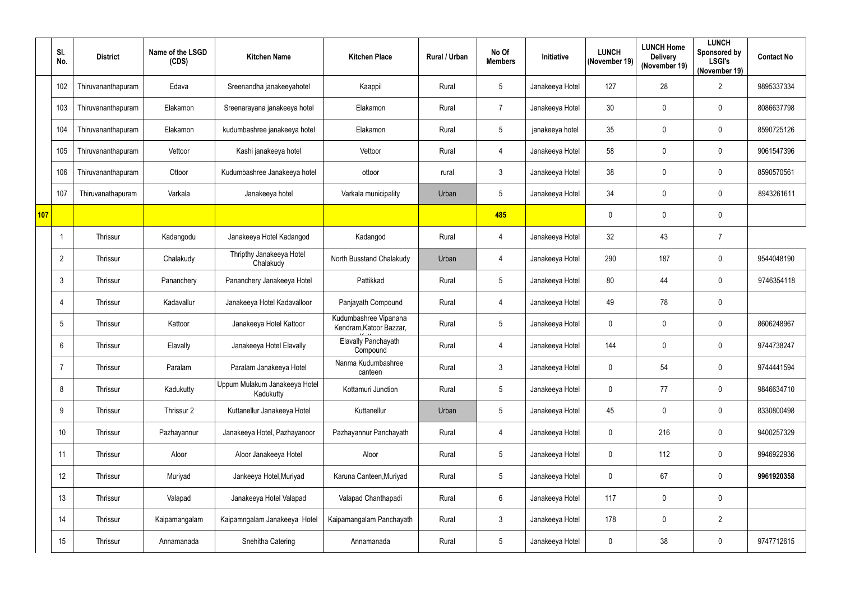|     | SI.<br>No.       | <b>District</b>    | Name of the LSGD<br>(CDS) | <b>Kitchen Name</b>                        | <b>Kitchen Place</b>                             | Rural / Urban | No Of<br><b>Members</b> | Initiative      | <b>LUNCH</b><br>(November 19) | <b>LUNCH Home</b><br><b>Delivery</b><br>(November 19) | <b>LUNCH</b><br>Sponsored by<br><b>LSGI's</b><br>(November 19) | <b>Contact No</b> |
|-----|------------------|--------------------|---------------------------|--------------------------------------------|--------------------------------------------------|---------------|-------------------------|-----------------|-------------------------------|-------------------------------------------------------|----------------------------------------------------------------|-------------------|
|     | 102              | Thiruvananthapuram | Edava                     | Sreenandha janakeeyahotel                  | Kaappil                                          | Rural         | 5                       | Janakeeya Hotel | 127                           | 28                                                    | $\overline{2}$                                                 | 9895337334        |
|     | 103              | Thiruvananthapuram | Elakamon                  | Sreenarayana janakeeya hotel               | Elakamon                                         | Rural         | $\overline{7}$          | Janakeeya Hotel | 30                            | $\mathbf 0$                                           | $\mathbf 0$                                                    | 8086637798        |
|     | 104              | Thiruvananthapuram | Elakamon                  | kudumbashree janakeeya hotel               | Elakamon                                         | Rural         | $\sqrt{5}$              | janakeeya hotel | 35                            | 0                                                     | 0                                                              | 8590725126        |
|     | 105              | Thiruvananthapuram | Vettoor                   | Kashi janakeeya hotel                      | Vettoor                                          | Rural         | $\overline{4}$          | Janakeeya Hotel | 58                            | 0                                                     | $\mathbf 0$                                                    | 9061547396        |
|     | 106              | Thiruvananthapuram | Ottoor                    | Kudumbashree Janakeeya hotel               | ottoor                                           | rural         | $\mathbf{3}$            | Janakeeya Hotel | 38                            | 0                                                     | 0                                                              | 8590570561        |
|     | 107              | Thiruvanathapuram  | Varkala                   | Janakeeya hotel                            | Varkala municipality                             | Urban         | 5                       | Janakeeya Hotel | 34                            | 0                                                     | $\mathbf 0$                                                    | 8943261611        |
| 107 |                  |                    |                           |                                            |                                                  |               | 485                     |                 | $\mathbf{0}$                  | 0                                                     | $\boldsymbol{0}$                                               |                   |
|     |                  | Thrissur           | Kadangodu                 | Janakeeya Hotel Kadangod                   | Kadangod                                         | Rural         | $\overline{4}$          | Janakeeya Hotel | 32                            | 43                                                    | $\overline{7}$                                                 |                   |
|     | $\overline{2}$   | Thrissur           | Chalakudy                 | Thripthy Janakeeya Hotel<br>Chalakudy      | North Busstand Chalakudy                         | Urban         | $\overline{4}$          | Janakeeya Hotel | 290                           | 187                                                   | $\mathbf 0$                                                    | 9544048190        |
|     | 3                | Thrissur           | Pananchery                | Pananchery Janakeeya Hotel                 | Pattikkad                                        | Rural         | $5\phantom{.0}$         | Janakeeya Hotel | 80                            | 44                                                    | $\mathbf 0$                                                    | 9746354118        |
|     | 4                | Thrissur           | Kadavallur                | Janakeeya Hotel Kadavalloor                | Panjayath Compound                               | Rural         | $\overline{4}$          | Janakeeya Hotel | 49                            | 78                                                    | 0                                                              |                   |
|     | 5                | Thrissur           | Kattoor                   | Janakeeya Hotel Kattoor                    | Kudumbashree Vipanana<br>Kendram, Katoor Bazzar, | Rural         | $\overline{5}$          | Janakeeya Hotel | $\mathbf 0$                   | 0                                                     | $\mathbf 0$                                                    | 8606248967        |
|     | 6                | Thrissur           | Elavally                  | Janakeeya Hotel Elavally                   | Elavally Panchayath<br>Compound                  | Rural         | 4                       | Janakeeya Hotel | 144                           | 0                                                     | 0                                                              | 9744738247        |
|     | $\overline{7}$   | Thrissur           | Paralam                   | Paralam Janakeeya Hotel                    | Nanma Kudumbashree<br>canteen                    | Rural         | $\mathbf{3}$            | Janakeeya Hotel | $\mathbf 0$                   | 54                                                    | 0                                                              | 9744441594        |
|     | 8                | Thrissur           | Kadukutty                 | Uppum Mulakum Janakeeya Hotel<br>Kadukutty | Kottamuri Junction                               | Rural         | $5\phantom{.0}$         | Janakeeya Hotel | $\mathbf 0$                   | 77                                                    | $\pmb{0}$                                                      | 9846634710        |
|     | 9                | Thrissur           | Thrissur 2                | Kuttanellur Janakeeya Hotel                | Kuttanellur                                      | Urban         | $5\phantom{.0}$         | Janakeeya Hotel | 45                            | 0                                                     | 0                                                              | 8330800498        |
|     | 10 <sup>°</sup>  | Thrissur           | Pazhayannur               | Janakeeya Hotel, Pazhayanoor               | Pazhayannur Panchayath                           | Rural         | $\overline{4}$          | Janakeeya Hotel | $\mathbf 0$                   | 216                                                   | 0                                                              | 9400257329        |
|     | 11               | Thrissur           | Aloor                     | Aloor Janakeeya Hotel                      | Aloor                                            | Rural         | $5\phantom{.0}$         | Janakeeya Hotel | $\mathbf 0$                   | 112                                                   | $\pmb{0}$                                                      | 9946922936        |
|     | 12 <sup>°</sup>  | Thrissur           | Muriyad                   | Jankeeya Hotel, Muriyad                    | Karuna Canteen, Muriyad                          | Rural         | $\overline{5}$          | Janakeeya Hotel | $\mathbf 0$                   | 67                                                    | 0                                                              | 9961920358        |
|     | 13               | Thrissur           | Valapad                   | Janakeeya Hotel Valapad                    | Valapad Chanthapadi                              | Rural         | $6\phantom{.}6$         | Janakeeya Hotel | 117                           | 0                                                     | $\pmb{0}$                                                      |                   |
|     | 14               | Thrissur           | Kaipamangalam             | Kaipamngalam Janakeeya Hotel               | Kaipamangalam Panchayath                         | Rural         | $\mathbf{3}$            | Janakeeya Hotel | 178                           | 0                                                     | $\overline{2}$                                                 |                   |
|     | 15 <sub>15</sub> | Thrissur           | Annamanada                | Snehitha Catering                          | Annamanada                                       | Rural         | $5\phantom{.0}$         | Janakeeya Hotel | $\mathbf 0$                   | 38                                                    | $\pmb{0}$                                                      | 9747712615        |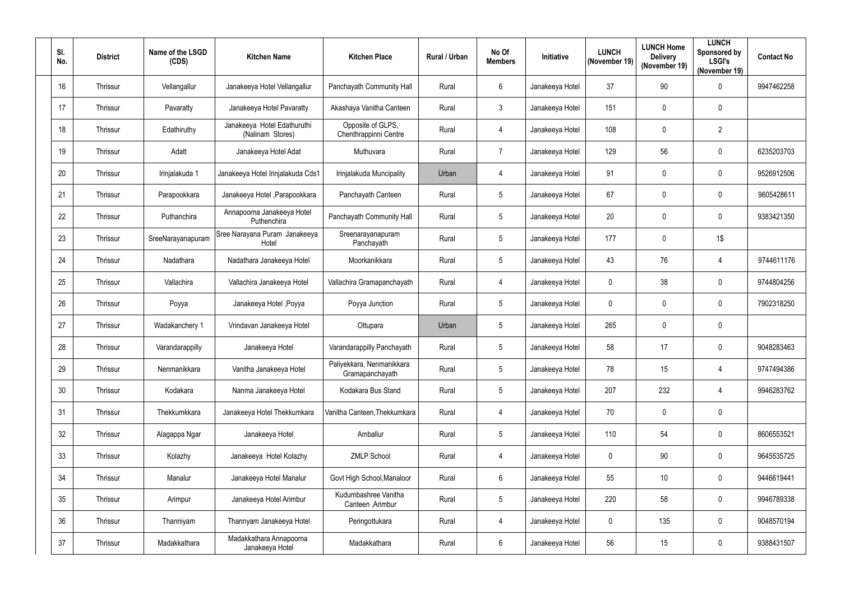| SI.<br>No. | <b>District</b> | Name of the LSGD<br>(CDS) | <b>Kitchen Name</b>                             | <b>Kitchen Place</b>                         | Rural / Urban | No Of<br><b>Members</b> | <b>Initiative</b> | <b>LUNCH</b><br>(November 19) | <b>LUNCH Home</b><br><b>Delivery</b><br>(November 19) | <b>LUNCH</b><br>Sponsored by<br><b>LSGI's</b><br>(November 19) | <b>Contact No</b> |
|------------|-----------------|---------------------------|-------------------------------------------------|----------------------------------------------|---------------|-------------------------|-------------------|-------------------------------|-------------------------------------------------------|----------------------------------------------------------------|-------------------|
| 16         | Thrissur        | Vellangallur              | Janakeeya Hotel Vellangallur                    | Panchayath Community Hall                    | Rural         | $6\phantom{.}6$         | Janakeeya Hotel   | 37                            | 90                                                    | 0                                                              | 9947462258        |
| 17         | Thrissur        | Pavaratty                 | Janakeeya Hotel Pavaratty                       | Akashaya Vanitha Canteen                     | Rural         | $\mathbf{3}$            | Janakeeya Hotel   | 151                           | 0                                                     | 0                                                              |                   |
| 18         | Thrissur        | Edathiruthy               | Janakeeya Hotel Edathuruthi<br>(Nalinam Stores) | Opposite of GLPS,<br>Chenthrappinni Centre   | Rural         | $\overline{4}$          | Janakeeya Hotel   | 108                           | 0                                                     | $\overline{2}$                                                 |                   |
| 19         | Thrissur        | Adatt                     | Janakeeya Hotel Adat                            | Muthuvara                                    | Rural         | $\overline{7}$          | Janakeeya Hotel   | 129                           | 56                                                    | 0                                                              | 6235203703        |
| 20         | Thrissur        | Irinjalakuda 1            | Janakeeya Hotel Irinjalakuda Cds1               | Irinjalakuda Muncipality                     | Urban         | $\overline{4}$          | Janakeeya Hotel   | 91                            | 0                                                     | 0                                                              | 9526912506        |
| 21         | Thrissur        | Parapookkara              | Janakeeya Hotel , Parapookkara                  | Panchayath Canteen                           | Rural         | $5\phantom{.0}$         | Janakeeya Hotel   | 67                            | 0                                                     | $\mathbf 0$                                                    | 9605428611        |
| 22         | Thrissur        | Puthanchira               | Annapoorna Janakeeya Hotel<br>Puthenchira       | Panchayath Community Hall                    | Rural         | $5\phantom{.0}$         | Janakeeya Hotel   | 20                            | 0                                                     | $\mathbf 0$                                                    | 9383421350        |
| 23         | Thrissur        | SreeNarayanapuram         | Sree Narayana Puram Janakeeya<br>Hotel          | Sreenarayanapuram<br>Panchayath              | Rural         | $\overline{5}$          | Janakeeya Hotel   | 177                           | 0                                                     | 1\$                                                            |                   |
| 24         | Thrissur        | Nadathara                 | Nadathara Janakeeya Hotel                       | Moorkanikkara                                | Rural         | 5                       | Janakeeya Hotel   | 43                            | 76                                                    | 4                                                              | 9744611176        |
| 25         | Thrissur        | Vallachira                | Vallachira Janakeeya Hotel                      | Vallachira Gramapanchayath                   | Rural         | 4                       | Janakeeya Hotel   | $\mathbf 0$                   | 38                                                    | 0                                                              | 9744804256        |
| 26         | Thrissur        | Poyya                     | Janakeeya Hotel , Poyya                         | Poyya Junction                               | Rural         | $\overline{5}$          | Janakeeya Hotel   | $\mathbf 0$                   | 0                                                     | $\mathbf 0$                                                    | 7902318250        |
| 27         | Thrissur        | Wadakanchery 1            | Vrindavan Janakeeya Hotel                       | Ottupara                                     | Urban         | $\overline{5}$          | Janakeeya Hotel   | 265                           | 0                                                     | 0                                                              |                   |
| 28         | Thrissur        | Varandarappilly           | Janakeeya Hotel                                 | Varandarappilly Panchayath                   | Rural         | 5                       | Janakeeya Hotel   | 58                            | 17                                                    | 0                                                              | 9048283463        |
| 29         | Thrissur        | Nenmanikkara              | Vanitha Janakeeya Hotel                         | Paliyekkara, Nenmanikkara<br>Gramapanchayath | Rural         | $5\,$                   | Janakeeya Hotel   | 78                            | 15                                                    | 4                                                              | 9747494386        |
| 30         | Thrissur        | Kodakara                  | Nanma Janakeeya Hotel                           | Kodakara Bus Stand                           | Rural         | $5\phantom{.0}$         | Janakeeya Hotel   | 207                           | 232                                                   | 4                                                              | 9946283762        |
| 31         | Thrissur        | Thekkumkkara              | Janakeeya Hotel Thekkumkara                     | Vanitha Canteen, Thekkumkara                 | Rural         | $\overline{4}$          | Janakeeya Hotel   | 70                            | $\mathbf 0$                                           | $\pmb{0}$                                                      |                   |
| 32         | Thrissur        | Alagappa Ngar             | Janakeeya Hotel                                 | Amballur                                     | Rural         | $5\phantom{.0}$         | Janakeeya Hotel   | 110                           | 54                                                    | 0                                                              | 8606553521        |
| 33         | Thrissur        | Kolazhy                   | Janakeeya Hotel Kolazhy                         | <b>ZMLP School</b>                           | Rural         | $\overline{4}$          | Janakeeya Hotel   | $\mathbf 0$                   | 90                                                    | 0                                                              | 9645535725        |
| 34         | Thrissur        | Manalur                   | Janakeeya Hotel Manalur                         | Govt High School, Manaloor                   | Rural         | $6\,$                   | Janakeeya Hotel   | 55                            | 10                                                    | 0                                                              | 9446619441        |
| 35         | Thrissur        | Arimpur                   | Janakeeya Hotel Arimbur                         | Kudumbashree Vanitha<br>Canteen , Arimbur    | Rural         | $5\phantom{.0}$         | Janakeeya Hotel   | 220                           | 58                                                    | 0                                                              | 9946789338        |
| 36         | Thrissur        | Thanniyam                 | Thannyam Janakeeya Hotel                        | Peringottukara                               | Rural         | 4                       | Janakeeya Hotel   | $\mathbf 0$                   | 135                                                   | 0                                                              | 9048570194        |
| 37         | Thrissur        | Madakkathara              | Madakkathara Annapoorna<br>Janakeeya Hotel      | Madakkathara                                 | Rural         | $6\phantom{.}6$         | Janakeeya Hotel   | 56                            | 15                                                    | 0                                                              | 9388431507        |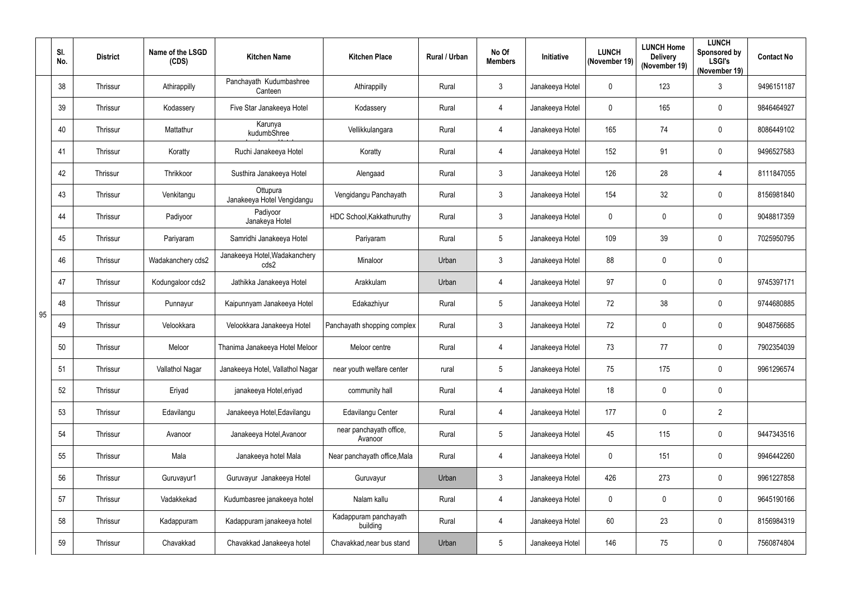|    | SI.<br>No. | <b>District</b> | Name of the LSGD<br>(CDS) | <b>Kitchen Name</b>                    | <b>Kitchen Place</b>               | <b>Rural / Urban</b> | No Of<br><b>Members</b> | Initiative      | <b>LUNCH</b><br>(November 19) | <b>LUNCH Home</b><br><b>Delivery</b><br>(November 19) | <b>LUNCH</b><br>Sponsored by<br><b>LSGI's</b><br>(November 19) | <b>Contact No</b> |
|----|------------|-----------------|---------------------------|----------------------------------------|------------------------------------|----------------------|-------------------------|-----------------|-------------------------------|-------------------------------------------------------|----------------------------------------------------------------|-------------------|
|    | 38         | Thrissur        | Athirappilly              | Panchayath Kudumbashree<br>Canteen     | Athirappilly                       | Rural                | $\mathbf{3}$            | Janakeeya Hotel | $\mathbf 0$                   | 123                                                   | $\mathfrak{Z}$                                                 | 9496151187        |
|    | 39         | Thrissur        | Kodassery                 | Five Star Janakeeya Hotel              | Kodassery                          | Rural                | $\overline{4}$          | Janakeeya Hotel | $\mathbf 0$                   | 165                                                   | $\mathbf 0$                                                    | 9846464927        |
|    | 40         | Thrissur        | Mattathur                 | Karunya<br>kudumbShree                 | Vellikkulangara                    | Rural                | $\overline{4}$          | Janakeeya Hotel | 165                           | 74                                                    | $\boldsymbol{0}$                                               | 8086449102        |
|    | 41         | Thrissur        | Koratty                   | Ruchi Janakeeya Hotel                  | Koratty                            | Rural                | $\overline{4}$          | Janakeeya Hotel | 152                           | 91                                                    | 0                                                              | 9496527583        |
|    | 42         | Thrissur        | Thrikkoor                 | Susthira Janakeeya Hotel               | Alengaad                           | Rural                | $\mathbf{3}$            | Janakeeya Hotel | 126                           | 28                                                    | $\overline{4}$                                                 | 8111847055        |
|    | 43         | Thrissur        | Venkitangu                | Ottupura<br>Janakeeya Hotel Vengidangu | Vengidangu Panchayath              | Rural                | $\mathfrak{Z}$          | Janakeeya Hotel | 154                           | 32                                                    | $\boldsymbol{0}$                                               | 8156981840        |
|    | 44         | Thrissur        | Padiyoor                  | Padiyoor<br>Janakeya Hotel             | HDC School, Kakkathuruthy          | Rural                | $\mathbf{3}$            | Janakeeya Hotel | $\mathbf 0$                   | 0                                                     | 0                                                              | 9048817359        |
|    | 45         | Thrissur        | Pariyaram                 | Samridhi Janakeeya Hotel               | Pariyaram                          | Rural                | $5\phantom{.0}$         | Janakeeya Hotel | 109                           | 39                                                    | 0                                                              | 7025950795        |
|    | 46         | Thrissur        | Wadakanchery cds2         | Janakeeya Hotel, Wadakanchery<br>cds2  | Minaloor                           | Urban                | $\mathbf{3}$            | Janakeeya Hotel | 88                            | 0                                                     | $\pmb{0}$                                                      |                   |
|    | 47         | Thrissur        | Kodungaloor cds2          | Jathikka Janakeeya Hotel               | Arakkulam                          | Urban                | $\overline{4}$          | Janakeeya Hotel | 97                            | 0                                                     | $\boldsymbol{0}$                                               | 9745397171        |
| 95 | 48         | Thrissur        | Punnayur                  | Kaipunnyam Janakeeya Hotel             | Edakazhiyur                        | Rural                | $5\phantom{.0}$         | Janakeeya Hotel | 72                            | 38                                                    | 0                                                              | 9744680885        |
|    | 49         | Thrissur        | Velookkara                | Velookkara Janakeeya Hotel             | Panchayath shopping complex        | Rural                | $\mathbf{3}$            | Janakeeya Hotel | 72                            | 0                                                     | $\mathbf 0$                                                    | 9048756685        |
|    | 50         | Thrissur        | Meloor                    | Thanima Janakeeya Hotel Meloor         | Meloor centre                      | Rural                | 4                       | Janakeeya Hotel | 73                            | 77                                                    | 0                                                              | 7902354039        |
|    | 51         | Thrissur        | Vallathol Nagar           | Janakeeya Hotel, Vallathol Nagar       | near youth welfare center          | rural                | $5\overline{)}$         | Janakeeya Hotel | 75                            | 175                                                   | 0                                                              | 9961296574        |
|    | 52         | Thrissur        | Eriyad                    | janakeeya Hotel, eriyad                | community hall                     | Rural                | $\overline{4}$          | Janakeeya Hotel | 18                            | 0                                                     | $\pmb{0}$                                                      |                   |
|    | 53         | Thrissur        | Edavilangu                | Janakeeya Hotel, Edavilangu            | Edavilangu Center                  | Rural                | $\overline{4}$          | Janakeeya Hotel | 177                           | 0                                                     | $\overline{2}$                                                 |                   |
|    | 54         | Thrissur        | Avanoor                   | Janakeeya Hotel, Avanoor               | near panchayath office,<br>Avanoor | Rural                | $5\phantom{.0}$         | Janakeeya Hotel | 45                            | 115                                                   | $\pmb{0}$                                                      | 9447343516        |
|    | 55         | Thrissur        | Mala                      | Janakeeya hotel Mala                   | Near panchayath office, Mala       | Rural                | $\overline{4}$          | Janakeeya Hotel | $\mathbf 0$                   | 151                                                   | $\mathbf 0$                                                    | 9946442260        |
|    | 56         | Thrissur        | Guruvayur1                | Guruvayur Janakeeya Hotel              | Guruvayur                          | Urban                | $\mathbf{3}$            | Janakeeya Hotel | 426                           | 273                                                   | 0                                                              | 9961227858        |
|    | 57         | Thrissur        | Vadakkekad                | Kudumbasree janakeeya hotel            | Nalam kallu                        | Rural                | $\overline{4}$          | Janakeeya Hotel | $\mathbf 0$                   | 0                                                     | $\pmb{0}$                                                      | 9645190166        |
|    | 58         | Thrissur        | Kadappuram                | Kadappuram janakeeya hotel             | Kadappuram panchayath<br>building  | Rural                | $\overline{4}$          | Janakeeya Hotel | 60                            | 23                                                    | $\pmb{0}$                                                      | 8156984319        |
|    | 59         | Thrissur        | Chavakkad                 | Chavakkad Janakeeya hotel              | Chavakkad, near bus stand          | Urban                | $5\phantom{.0}$         | Janakeeya Hotel | 146                           | 75                                                    | 0                                                              | 7560874804        |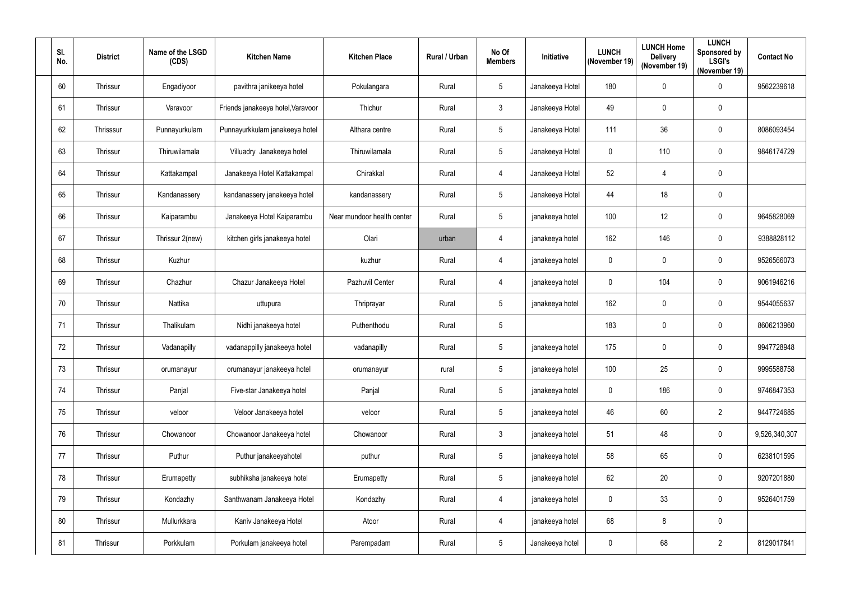| SI.<br>No. | <b>District</b> | Name of the LSGD<br>(CDS) | <b>Kitchen Name</b>               | <b>Kitchen Place</b>       | Rural / Urban | No Of<br><b>Members</b> | Initiative      | <b>LUNCH</b><br>(November 19) | <b>LUNCH Home</b><br><b>Delivery</b><br>(November 19) | <b>LUNCH</b><br>Sponsored by<br><b>LSGI's</b><br>(November 19) | <b>Contact No</b> |
|------------|-----------------|---------------------------|-----------------------------------|----------------------------|---------------|-------------------------|-----------------|-------------------------------|-------------------------------------------------------|----------------------------------------------------------------|-------------------|
| 60         | Thrissur        | Engadiyoor                | pavithra janikeeya hotel          | Pokulangara                | Rural         | $\overline{5}$          | Janakeeya Hotel | 180                           | 0                                                     | 0                                                              | 9562239618        |
| 61         | Thrissur        | Varavoor                  | Friends janakeeya hotel, Varavoor | Thichur                    | Rural         | $\mathfrak{Z}$          | Janakeeya Hotel | 49                            | 0                                                     | 0                                                              |                   |
| 62         | Thrisssur       | Punnayurkulam             | Punnayurkkulam janakeeya hotel    | Althara centre             | Rural         | $5\phantom{.0}$         | Janakeeya Hotel | 111                           | 36                                                    | 0                                                              | 8086093454        |
| 63         | Thrissur        | Thiruwilamala             | Villuadry Janakeeya hotel         | Thiruwilamala              | Rural         | $5\phantom{.0}$         | Janakeeya Hotel | $\mathbf 0$                   | 110                                                   | $\mathbf 0$                                                    | 9846174729        |
| 64         | Thrissur        | Kattakampal               | Janakeeya Hotel Kattakampal       | Chirakkal                  | Rural         | $\overline{4}$          | Janakeeya Hotel | 52                            | 4                                                     | 0                                                              |                   |
| 65         | Thrissur        | Kandanassery              | kandanassery janakeeya hotel      | kandanassery               | Rural         | $5\phantom{.0}$         | Janakeeya Hotel | 44                            | 18                                                    | 0                                                              |                   |
| 66         | Thrissur        | Kaiparambu                | Janakeeya Hotel Kaiparambu        | Near mundoor health center | Rural         | $5\phantom{.0}$         | janakeeya hotel | 100                           | 12                                                    | $\mathbf 0$                                                    | 9645828069        |
| 67         | Thrissur        | Thrissur 2(new)           | kitchen girls janakeeya hotel     | Olari                      | urban         | 4                       | janakeeya hotel | 162                           | 146                                                   | 0                                                              | 9388828112        |
| 68         | Thrissur        | Kuzhur                    |                                   | kuzhur                     | Rural         | 4                       | janakeeya hotel | $\mathbf 0$                   | 0                                                     | 0                                                              | 9526566073        |
| 69         | Thrissur        | Chazhur                   | Chazur Janakeeya Hotel            | Pazhuvil Center            | Rural         | 4                       | janakeeya hotel | $\mathbf 0$                   | 104                                                   | 0                                                              | 9061946216        |
| 70         | Thrissur        | Nattika                   | uttupura                          | Thriprayar                 | Rural         | $5\phantom{.0}$         | janakeeya hotel | 162                           | 0                                                     | $\mathbf 0$                                                    | 9544055637        |
| 71         | Thrissur        | Thalikulam                | Nidhi janakeeya hotel             | Puthenthodu                | Rural         | $\overline{5}$          |                 | 183                           | 0                                                     | 0                                                              | 8606213960        |
| 72         | Thrissur        | Vadanapilly               | vadanappilly janakeeya hotel      | vadanapilly                | Rural         | 5                       | janakeeya hotel | 175                           | 0                                                     | 0                                                              | 9947728948        |
| 73         | Thrissur        | orumanayur                | orumanayur janakeeya hotel        | orumanayur                 | rural         | $5\phantom{.0}$         | janakeeya hotel | 100                           | 25                                                    | 0                                                              | 9995588758        |
| 74         | Thrissur        | Panjal                    | Five-star Janakeeya hotel         | Panjal                     | Rural         | $5\phantom{.0}$         | janakeeya hotel | $\mathbf 0$                   | 186                                                   | 0                                                              | 9746847353        |
| 75         | Thrissur        | veloor                    | Veloor Janakeeya hotel            | veloor                     | Rural         | $5\,$                   | janakeeya hotel | 46                            | 60                                                    | $\overline{2}$                                                 | 9447724685        |
| 76         | Thrissur        | Chowanoor                 | Chowanoor Janakeeya hotel         | Chowanoor                  | Rural         | $\mathfrak{Z}$          | janakeeya hotel | 51                            | 48                                                    | 0                                                              | 9,526,340,307     |
| 77         | Thrissur        | Puthur                    | Puthur janakeeyahotel             | puthur                     | Rural         | $5\phantom{.0}$         | janakeeya hotel | 58                            | 65                                                    | $\boldsymbol{0}$                                               | 6238101595        |
| 78         | Thrissur        | Erumapetty                | subhiksha janakeeya hotel         | Erumapetty                 | Rural         | $5\phantom{.0}$         | janakeeya hotel | 62                            | 20                                                    | 0                                                              | 9207201880        |
| 79         | Thrissur        | Kondazhy                  | Santhwanam Janakeeya Hotel        | Kondazhy                   | Rural         | $\overline{4}$          | janakeeya hotel | $\mathbf 0$                   | 33                                                    | $\mathbf 0$                                                    | 9526401759        |
| 80         | Thrissur        | Mullurkkara               | Kaniv Janakeeya Hotel             | Atoor                      | Rural         | 4                       | janakeeya hotel | 68                            | 8                                                     | 0                                                              |                   |
| 81         | Thrissur        | Porkkulam                 | Porkulam janakeeya hotel          | Parempadam                 | Rural         | $5\phantom{.0}$         | Janakeeya hotel | $\mathbf 0$                   | 68                                                    | $\overline{2}$                                                 | 8129017841        |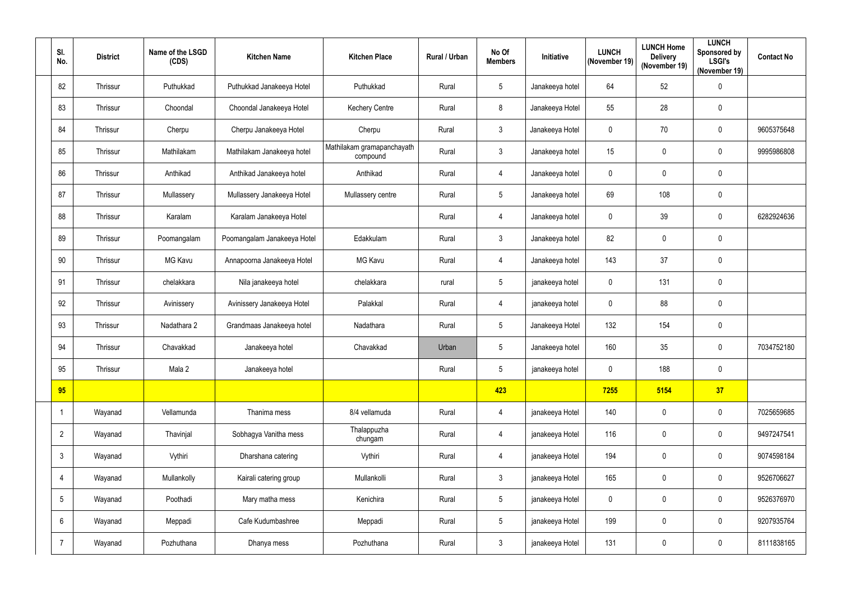| SI.<br>No.     | <b>District</b> | Name of the LSGD<br>(CDS) | <b>Kitchen Name</b>         | <b>Kitchen Place</b>                   | <b>Rural / Urban</b> | No Of<br><b>Members</b> | Initiative      | <b>LUNCH</b><br>(November 19) | <b>LUNCH Home</b><br><b>Delivery</b><br>(November 19) | <b>LUNCH</b><br>Sponsored by<br><b>LSGI's</b><br>(November 19) | <b>Contact No</b> |
|----------------|-----------------|---------------------------|-----------------------------|----------------------------------------|----------------------|-------------------------|-----------------|-------------------------------|-------------------------------------------------------|----------------------------------------------------------------|-------------------|
| 82             | Thrissur        | Puthukkad                 | Puthukkad Janakeeya Hotel   | Puthukkad                              | Rural                | $5\phantom{.0}$         | Janakeeya hotel | 64                            | 52                                                    | $\pmb{0}$                                                      |                   |
| 83             | Thrissur        | Choondal                  | Choondal Janakeeya Hotel    | <b>Kechery Centre</b>                  | Rural                | 8                       | Janakeeya Hotel | 55                            | 28                                                    | $\mathbf 0$                                                    |                   |
| 84             | Thrissur        | Cherpu                    | Cherpu Janakeeya Hotel      | Cherpu                                 | Rural                | $\mathbf{3}$            | Janakeeya Hotel | $\mathbf 0$                   | 70                                                    | 0                                                              | 9605375648        |
| 85             | Thrissur        | Mathilakam                | Mathilakam Janakeeya hotel  | Mathilakam gramapanchayath<br>compound | Rural                | $\mathbf{3}$            | Janakeeya hotel | 15                            | $\mathbf 0$                                           | $\mathbf 0$                                                    | 9995986808        |
| 86             | Thrissur        | Anthikad                  | Anthikad Janakeeya hotel    | Anthikad                               | Rural                | $\overline{4}$          | Janakeeya hotel | $\mathbf 0$                   | $\mathbf 0$                                           | 0                                                              |                   |
| 87             | Thrissur        | Mullassery                | Mullassery Janakeeya Hotel  | Mullassery centre                      | Rural                | $5\phantom{.0}$         | Janakeeya hotel | 69                            | 108                                                   | $\pmb{0}$                                                      |                   |
| 88             | Thrissur        | Karalam                   | Karalam Janakeeya Hotel     |                                        | Rural                | $\overline{4}$          | Janakeeya hotel | $\mathbf 0$                   | 39                                                    | $\mathbf 0$                                                    | 6282924636        |
| 89             | Thrissur        | Poomangalam               | Poomangalam Janakeeya Hotel | Edakkulam                              | Rural                | $\mathbf{3}$            | Janakeeya hotel | 82                            | $\mathbf 0$                                           | 0                                                              |                   |
| 90             | Thrissur        | MG Kavu                   | Annapoorna Janakeeya Hotel  | <b>MG Kavu</b>                         | Rural                | $\overline{4}$          | Janakeeya hotel | 143                           | 37                                                    | 0                                                              |                   |
| 91             | Thrissur        | chelakkara                | Nila janakeeya hotel        | chelakkara                             | rural                | $5\phantom{.0}$         | janakeeya hotel | $\mathbf 0$                   | 131                                                   | 0                                                              |                   |
| 92             | Thrissur        | Avinissery                | Avinissery Janakeeya Hotel  | Palakkal                               | Rural                | $\overline{4}$          | janakeeya hotel | $\mathbf 0$                   | 88                                                    | 0                                                              |                   |
| 93             | Thrissur        | Nadathara 2               | Grandmaas Janakeeya hotel   | Nadathara                              | Rural                | $5\phantom{.0}$         | Janakeeya Hotel | 132                           | 154                                                   | $\mathbf 0$                                                    |                   |
| 94             | Thrissur        | Chavakkad                 | Janakeeya hotel             | Chavakkad                              | Urban                | 5                       | Janakeeya hotel | 160                           | 35                                                    | $\mathbf 0$                                                    | 7034752180        |
| 95             | Thrissur        | Mala 2                    | Janakeeya hotel             |                                        | Rural                | $5\phantom{.0}$         | janakeeya hotel | $\mathbf 0$                   | 188                                                   | $\pmb{0}$                                                      |                   |
| 95             |                 |                           |                             |                                        |                      | 423                     |                 | 7255                          | 5154                                                  | 37                                                             |                   |
|                | Wayanad         | Vellamunda                | Thanima mess                | 8/4 vellamuda                          | Rural                | $\overline{4}$          | janakeeya Hotel | 140                           | $\mathbf 0$                                           | $\pmb{0}$                                                      | 7025659685        |
| $\overline{2}$ | Wayanad         | Thavinjal                 | Sobhagya Vanitha mess       | Thalappuzha<br>chungam                 | Rural                | $\overline{4}$          | janakeeya Hotel | 116                           | $\mathbf 0$                                           | 0                                                              | 9497247541        |
| $\mathbf{3}$   | Wayanad         | Vythiri                   | Dharshana catering          | Vythiri                                | Rural                | $\overline{4}$          | janakeeya Hotel | 194                           | $\mathbf 0$                                           | $\pmb{0}$                                                      | 9074598184        |
| 4              | Wayanad         | Mullankolly               | Kairali catering group      | Mullankolli                            | Rural                | $\mathbf{3}$            | janakeeya Hotel | 165                           | $\mathbf 0$                                           | 0                                                              | 9526706627        |
| 5              | Wayanad         | Poothadi                  | Mary matha mess             | Kenichira                              | Rural                | $5\phantom{.0}$         | janakeeya Hotel | $\mathbf 0$                   | $\mathbf 0$                                           | $\pmb{0}$                                                      | 9526376970        |
| 6              | Wayanad         | Meppadi                   | Cafe Kudumbashree           | Meppadi                                | Rural                | $5\phantom{.0}$         | janakeeya Hotel | 199                           | $\mathbf 0$                                           | $\pmb{0}$                                                      | 9207935764        |
| $\overline{7}$ | Wayanad         | Pozhuthana                | Dhanya mess                 | Pozhuthana                             | Rural                | $\mathbf{3}$            | janakeeya Hotel | 131                           | $\pmb{0}$                                             | $\pmb{0}$                                                      | 8111838165        |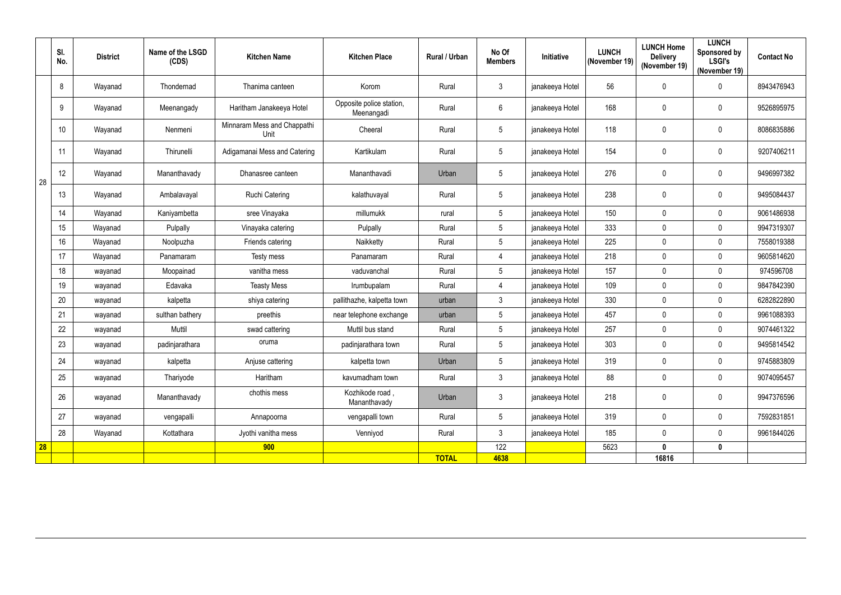|    | SI.<br>No.      | <b>District</b> | Name of the LSGD<br>(CDS) | <b>Kitchen Name</b>                 | <b>Kitchen Place</b>                   | Rural / Urban | No Of<br><b>Members</b> | <b>Initiative</b> | <b>LUNCH</b><br>(November 19) | <b>LUNCH Home</b><br><b>Delivery</b><br>(November 19) | <b>LUNCH</b><br>Sponsored by<br><b>LSGI's</b><br>(November 19) | <b>Contact No</b> |
|----|-----------------|-----------------|---------------------------|-------------------------------------|----------------------------------------|---------------|-------------------------|-------------------|-------------------------------|-------------------------------------------------------|----------------------------------------------------------------|-------------------|
|    | 8               | Wayanad         | Thondernad                | Thanima canteen                     | Korom                                  | Rural         | $\mathbf{3}$            | janakeeya Hotel   | 56                            | $\mathbf 0$                                           | $\mathbf{0}$                                                   | 8943476943        |
|    | 9               | Wayanad         | Meenangady                | Haritham Janakeeya Hotel            | Opposite police station,<br>Meenangadi | Rural         | $6\phantom{.}6$         | janakeeya Hotel   | 168                           | $\mathbf{0}$                                          | $\mathbf 0$                                                    | 9526895975        |
|    | 10 <sup>°</sup> | Wayanad         | Nenmeni                   | Minnaram Mess and Chappathi<br>Unit | Cheeral                                | Rural         | $\overline{5}$          | janakeeya Hotel   | 118                           | $\mathbf{0}$                                          | 0                                                              | 8086835886        |
|    | 11              | Wayanad         | Thirunelli                | Adigamanai Mess and Catering        | Kartikulam                             | Rural         | $5\phantom{.0}$         | janakeeya Hotel   | 154                           | $\mathbf{0}$                                          | 0                                                              | 9207406211        |
| 28 | 12              | Wayanad         | Mananthavady              | Dhanasree canteen                   | Mananthavadi                           | Urban         | 5                       | janakeeya Hotel   | 276                           | $\mathbf{0}$                                          | $\mathbf 0$                                                    | 9496997382        |
|    | 13              | Wayanad         | Ambalavayal               | <b>Ruchi Catering</b>               | kalathuvayal                           | Rural         | $5\phantom{.0}$         | janakeeya Hotel   | 238                           | $\mathbf 0$                                           | $\mathbf 0$                                                    | 9495084437        |
|    | 14              | Wayanad         | Kaniyambetta              | sree Vinayaka                       | millumukk                              | rural         | $5\overline{)}$         | janakeeya Hotel   | 150                           | $\mathbf 0$                                           | $\mathbf 0$                                                    | 9061486938        |
|    | 15              | Wayanad         | Pulpally                  | Vinayaka catering                   | Pulpally                               | Rural         | $5\phantom{.0}$         | janakeeya Hotel   | 333                           | $\mathbf 0$                                           | $\mathbf 0$                                                    | 9947319307        |
|    | 16              | Wayanad         | Noolpuzha                 | Friends catering                    | Naikketty                              | Rural         | $5\phantom{.0}$         | janakeeya Hotel   | 225                           | $\mathbf{0}$                                          | $\mathbf 0$                                                    | 7558019388        |
|    | 17              | Wayanad         | Panamaram                 | Testy mess                          | Panamaram                              | Rural         | $\overline{4}$          | janakeeya Hotel   | 218                           | $\mathbf 0$                                           | $\mathbf 0$                                                    | 9605814620        |
|    | 18              | wayanad         | Moopainad                 | vanitha mess                        | vaduvanchal                            | Rural         | $5\phantom{.0}$         | janakeeya Hotel   | 157                           | $\mathbf 0$                                           | $\mathbf 0$                                                    | 974596708         |
|    | 19              | wayanad         | Edavaka                   | <b>Teasty Mess</b>                  | Irumbupalam                            | Rural         | $\overline{4}$          | janakeeya Hotel   | 109                           | $\mathbf 0$                                           | $\mathbf 0$                                                    | 9847842390        |
|    | 20              | wayanad         | kalpetta                  | shiya catering                      | pallithazhe, kalpetta town             | urban         | $\mathbf{3}$            | janakeeya Hotel   | 330                           | $\mathbf 0$                                           | $\mathbf 0$                                                    | 6282822890        |
|    | 21              | wayanad         | sulthan bathery           | preethis                            | near telephone exchange                | urban         | $5\phantom{.0}$         | janakeeya Hotel   | 457                           | $\mathbf 0$                                           | $\mathbf 0$                                                    | 9961088393        |
|    | 22              | wayanad         | Muttil                    | swad cattering                      | Muttil bus stand                       | Rural         | $5\overline{)}$         | janakeeya Hotel   | 257                           | $\mathbf 0$                                           | $\mathbf 0$                                                    | 9074461322        |
|    | 23              | wayanad         | padinjarathara            | oruma                               | padinjarathara town                    | Rural         | $5\phantom{.0}$         | janakeeya Hotel   | 303                           | $\mathbf{0}$                                          | $\mathbf{0}$                                                   | 9495814542        |
|    | 24              | wayanad         | kalpetta                  | Anjuse cattering                    | kalpetta town                          | Urban         | $5\phantom{.0}$         | janakeeya Hotel   | 319                           | $\mathbf 0$                                           | 0                                                              | 9745883809        |
|    | 25              | wayanad         | Thariyode                 | Haritham                            | kavumadham town                        | Rural         | $\mathbf{3}$            | janakeeya Hotel   | 88                            | 0                                                     | 0                                                              | 9074095457        |
|    | 26              | wayanad         | Mananthavady              | chothis mess                        | Kozhikode road,<br>Mananthavady        | Urban         | $\mathbf{3}$            | janakeeya Hotel   | 218                           | $\mathbf 0$                                           | $\mathbf 0$                                                    | 9947376596        |
|    | 27              | wayanad         | vengapalli                | Annapoorna                          | vengapalli town                        | Rural         | $5\overline{)}$         | janakeeya Hotel   | 319                           | $\mathbf 0$                                           | $\mathbf 0$                                                    | 7592831851        |
|    | 28              | Wayanad         | Kottathara                | Jyothi vanitha mess                 | Venniyod                               | Rural         | $\mathbf{3}$            | janakeeya Hotel   | 185                           | $\mathbf 0$                                           | 0                                                              | 9961844026        |
| 28 |                 |                 |                           | 900                                 |                                        |               | 122                     |                   | 5623                          | $\mathbf 0$                                           | $\mathbf 0$                                                    |                   |
|    |                 |                 |                           |                                     |                                        | <b>TOTAL</b>  | 4638                    |                   |                               | 16816                                                 |                                                                |                   |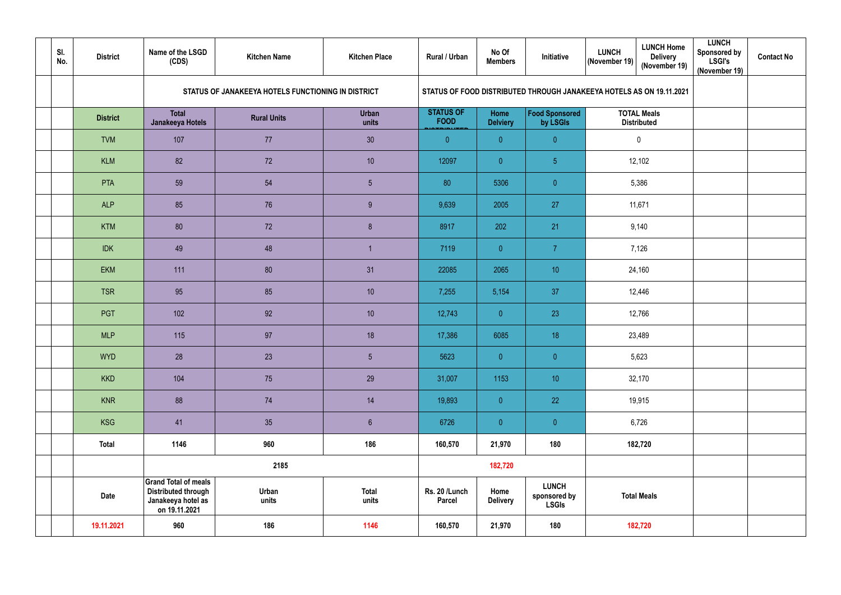| SI.<br>No. | <b>District</b>                                    | Name of the LSGD<br>(CDS)                                                                        | <b>Kitchen Name</b> | <b>Kitchen Place</b>  | Rural / Urban                   | No Of<br><b>Members</b> | Initiative                                   | <b>LUNCH Home</b><br><b>LUNCH</b><br><b>Delivery</b><br>(November 19)<br>(November 19) | <b>LUNCH</b><br><b>Sponsored by</b><br><b>LSGI's</b><br>(November 19) | <b>Contact No</b> |
|------------|----------------------------------------------------|--------------------------------------------------------------------------------------------------|---------------------|-----------------------|---------------------------------|-------------------------|----------------------------------------------|----------------------------------------------------------------------------------------|-----------------------------------------------------------------------|-------------------|
|            | STATUS OF JANAKEEYA HOTELS FUNCTIONING IN DISTRICT |                                                                                                  |                     |                       |                                 |                         |                                              | STATUS OF FOOD DISTRIBUTED THROUGH JANAKEEYA HOTELS AS ON 19.11.2021                   |                                                                       |                   |
|            | <b>District</b>                                    | <b>Total</b><br>Janakeeya Hotels                                                                 | <b>Rural Units</b>  | <b>Urban</b><br>units | <b>STATUS OF</b><br><b>FOOD</b> | Home<br><b>Delviery</b> | <b>Food Sponsored</b><br>by LSGIs            | <b>TOTAL Meals</b><br><b>Distributed</b>                                               |                                                                       |                   |
|            | <b>TVM</b>                                         | 107                                                                                              | 77                  | 30                    | $\overline{0}$                  | $\overline{0}$          | $\overline{0}$                               | $\pmb{0}$                                                                              |                                                                       |                   |
|            | <b>KLM</b>                                         | 82                                                                                               | 72                  | 10                    | 12097                           | $\overline{0}$          | $\overline{5}$                               | 12,102                                                                                 |                                                                       |                   |
|            | PTA                                                | 59                                                                                               | 54                  | $5\phantom{.0}$       | 80                              | 5306                    | $\overline{0}$                               | 5,386                                                                                  |                                                                       |                   |
|            | <b>ALP</b>                                         | 85                                                                                               | 76                  | 9                     | 9,639                           | 2005                    | 27                                           | 11,671                                                                                 |                                                                       |                   |
|            | <b>KTM</b>                                         | 80                                                                                               | 72                  | 8                     | 8917                            | 202                     | 21                                           | 9,140                                                                                  |                                                                       |                   |
|            | <b>IDK</b>                                         | 49                                                                                               | 48                  | -1                    | 7119                            | $\overline{0}$          | $\overline{7}$                               | 7,126                                                                                  |                                                                       |                   |
|            | <b>EKM</b>                                         | 111                                                                                              | 80                  | 31                    | 22085                           | 2065                    | 10 <sup>°</sup>                              | 24,160                                                                                 |                                                                       |                   |
|            | <b>TSR</b>                                         | 95                                                                                               | 85                  | 10                    | 7,255                           | 5,154                   | 37                                           | 12,446                                                                                 |                                                                       |                   |
|            | PGT                                                | 102                                                                                              | 92                  | 10                    | 12,743                          | $\overline{0}$          | 23                                           | 12,766                                                                                 |                                                                       |                   |
|            | <b>MLP</b>                                         | 115                                                                                              | 97                  | 18                    | 17,386                          | 6085                    | 18                                           | 23,489                                                                                 |                                                                       |                   |
|            | <b>WYD</b>                                         | 28                                                                                               | 23                  | $5\phantom{.0}$       | 5623                            | $\overline{0}$          | $\overline{0}$                               | 5,623                                                                                  |                                                                       |                   |
|            | <b>KKD</b>                                         | 104                                                                                              | 75                  | 29                    | 31,007                          | 1153                    | 10 <sub>1</sub>                              | 32,170                                                                                 |                                                                       |                   |
|            | <b>KNR</b>                                         | 88                                                                                               | 74                  | 14                    | 19,893                          | $\overline{0}$          | 22                                           | 19,915                                                                                 |                                                                       |                   |
|            | <b>KSG</b>                                         | 41                                                                                               | 35                  | $6\phantom{.}$        | 6726                            | $\overline{0}$          | $\overline{0}$                               | 6,726                                                                                  |                                                                       |                   |
|            | <b>Total</b>                                       | 1146                                                                                             | 960                 | 186                   | 160,570                         | 21,970                  | 180                                          | 182,720                                                                                |                                                                       |                   |
|            |                                                    |                                                                                                  | 2185                |                       |                                 | 182,720                 |                                              |                                                                                        |                                                                       |                   |
|            | Date                                               | <b>Grand Total of meals</b><br><b>Distributed through</b><br>Janakeeya hotel as<br>on 19.11.2021 | Urban<br>units      | <b>Total</b><br>units | Rs. 20 /Lunch<br><b>Parcel</b>  | Home<br><b>Delivery</b> | <b>LUNCH</b><br>sponsored by<br><b>LSGIs</b> | <b>Total Meals</b>                                                                     |                                                                       |                   |
|            | 19.11.2021                                         | 960                                                                                              | 186                 | 1146                  | 160,570                         | 21,970                  | 180                                          | 182,720                                                                                |                                                                       |                   |